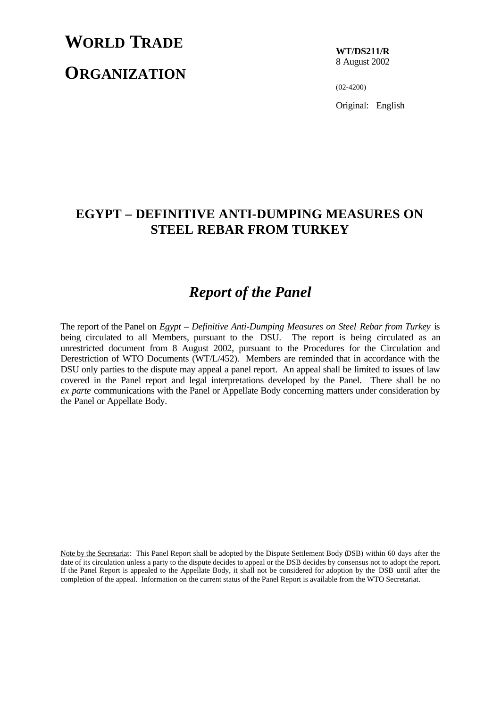# **WORLD TRADE**

# **ORGANIZATION**

**WT/DS211/R** 8 August 2002

(02-4200)

Original: English

# **EGYPT – DEFINITIVE ANTI-DUMPING MEASURES ON STEEL REBAR FROM TURKEY**

# *Report of the Panel*

The report of the Panel on *Egypt – Definitive Anti-Dumping Measures on Steel Rebar from Turkey* is being circulated to all Members, pursuant to the DSU. The report is being circulated as an unrestricted document from 8 August 2002, pursuant to the Procedures for the Circulation and Derestriction of WTO Documents (WT/L/452). Members are reminded that in accordance with the DSU only parties to the dispute may appeal a panel report. An appeal shall be limited to issues of law covered in the Panel report and legal interpretations developed by the Panel. There shall be no *ex parte* communications with the Panel or Appellate Body concerning matters under consideration by the Panel or Appellate Body.

Note by the Secretariat: This Panel Report shall be adopted by the Dispute Settlement Body (DSB) within 60 days after the date of its circulation unless a party to the dispute decides to appeal or the DSB decides by consensus not to adopt the report. If the Panel Report is appealed to the Appellate Body, it shall not be considered for adoption by the DSB until after the completion of the appeal. Information on the current status of the Panel Report is available from the WTO Secretariat.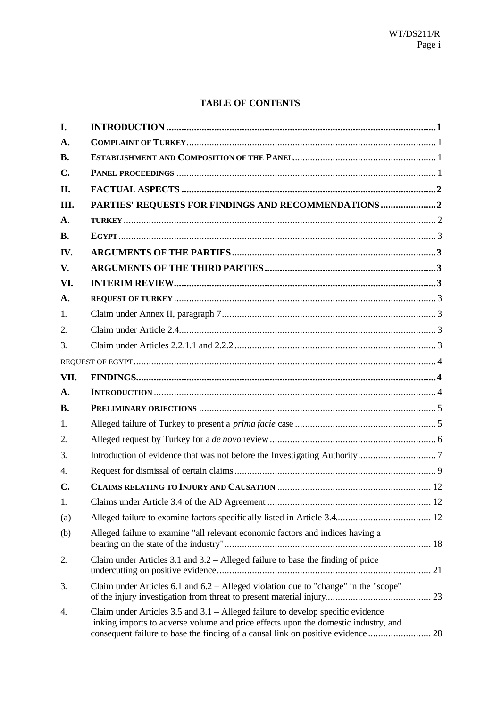# **TABLE OF CONTENTS**

| I.             |                                                                                                                                                                            |  |
|----------------|----------------------------------------------------------------------------------------------------------------------------------------------------------------------------|--|
| A.             |                                                                                                                                                                            |  |
| <b>B.</b>      |                                                                                                                                                                            |  |
| $C_{\bullet}$  |                                                                                                                                                                            |  |
| II.            |                                                                                                                                                                            |  |
| III.           | PARTIES' REQUESTS FOR FINDINGS AND RECOMMENDATIONS                                                                                                                         |  |
| A.             |                                                                                                                                                                            |  |
| <b>B.</b>      |                                                                                                                                                                            |  |
| IV.            |                                                                                                                                                                            |  |
| V.             |                                                                                                                                                                            |  |
| VI.            |                                                                                                                                                                            |  |
| A.             |                                                                                                                                                                            |  |
| 1.             |                                                                                                                                                                            |  |
| 2.             |                                                                                                                                                                            |  |
| 3.             |                                                                                                                                                                            |  |
|                |                                                                                                                                                                            |  |
| VII.           |                                                                                                                                                                            |  |
| A.             |                                                                                                                                                                            |  |
| <b>B.</b>      |                                                                                                                                                                            |  |
| 1.             |                                                                                                                                                                            |  |
| 2.             |                                                                                                                                                                            |  |
| 3.             |                                                                                                                                                                            |  |
| 4.             |                                                                                                                                                                            |  |
| $\mathbf{C}$ . |                                                                                                                                                                            |  |
| 1.             |                                                                                                                                                                            |  |
| (a)            |                                                                                                                                                                            |  |
| (b)            | Alleged failure to examine "all relevant economic factors and indices having a                                                                                             |  |
| 2.             | Claim under Articles $3.1$ and $3.2$ – Alleged failure to base the finding of price                                                                                        |  |
| 3.             | Claim under Articles $6.1$ and $6.2 -$ Alleged violation due to "change" in the "scope"                                                                                    |  |
| 4.             | Claim under Articles $3.5$ and $3.1$ – Alleged failure to develop specific evidence<br>linking imports to adverse volume and price effects upon the domestic industry, and |  |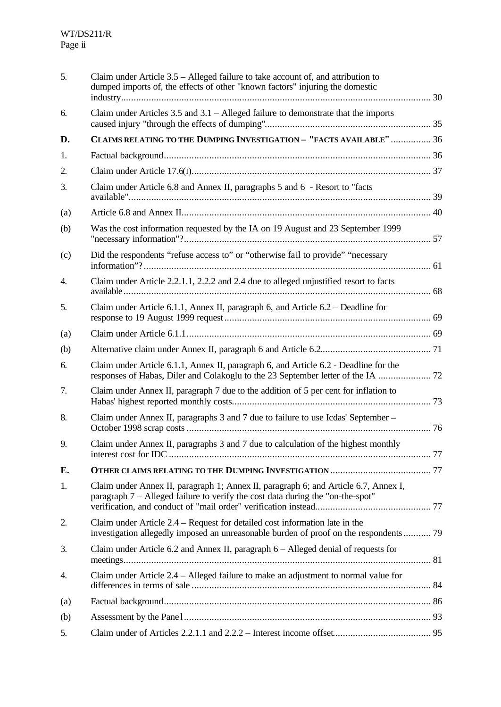| 5.  | Claim under Article $3.5$ – Alleged failure to take account of, and attribution to<br>dumped imports of, the effects of other "known factors" injuring the domestic   |  |
|-----|-----------------------------------------------------------------------------------------------------------------------------------------------------------------------|--|
| 6.  | Claim under Articles $3.5$ and $3.1$ – Alleged failure to demonstrate that the imports                                                                                |  |
| D.  | CLAIMS RELATING TO THE DUMPING INVESTIGATION - "FACTS AVAILABLE"  36                                                                                                  |  |
| 1.  |                                                                                                                                                                       |  |
| 2.  |                                                                                                                                                                       |  |
| 3.  | Claim under Article 6.8 and Annex II, paragraphs 5 and 6 - Resort to "facts"                                                                                          |  |
| (a) |                                                                                                                                                                       |  |
| (b) | Was the cost information requested by the IA on 19 August and 23 September 1999                                                                                       |  |
| (c) | Did the respondents "refuse access to" or "otherwise fail to provide" "necessary                                                                                      |  |
| 4.  | Claim under Article 2.2.1.1, 2.2.2 and 2.4 due to alleged unjustified resort to facts                                                                                 |  |
| 5.  | Claim under Article 6.1.1, Annex II, paragraph 6, and Article 6.2 - Deadline for                                                                                      |  |
| (a) |                                                                                                                                                                       |  |
| (b) |                                                                                                                                                                       |  |
| 6.  | Claim under Article 6.1.1, Annex II, paragraph 6, and Article 6.2 - Deadline for the                                                                                  |  |
| 7.  | Claim under Annex II, paragraph 7 due to the addition of 5 per cent for inflation to                                                                                  |  |
| 8.  | Claim under Annex II, paragraphs 3 and 7 due to failure to use Icdas' September -                                                                                     |  |
| 9.  | Claim under Annex II, paragraphs 3 and 7 due to calculation of the highest monthly                                                                                    |  |
| E.  |                                                                                                                                                                       |  |
| 1.  | Claim under Annex II, paragraph 1; Annex II, paragraph 6; and Article 6.7, Annex I,<br>paragraph 7 – Alleged failure to verify the cost data during the "on-the-spot" |  |
| 2.  | Claim under Article 2.4 - Request for detailed cost information late in the<br>investigation allegedly imposed an unreasonable burden of proof on the respondents 79  |  |
| 3.  | Claim under Article 6.2 and Annex II, paragraph 6 – Alleged denial of requests for                                                                                    |  |
| 4.  | Claim under Article 2.4 – Alleged failure to make an adjustment to normal value for                                                                                   |  |
| (a) |                                                                                                                                                                       |  |
| (b) |                                                                                                                                                                       |  |
| 5.  |                                                                                                                                                                       |  |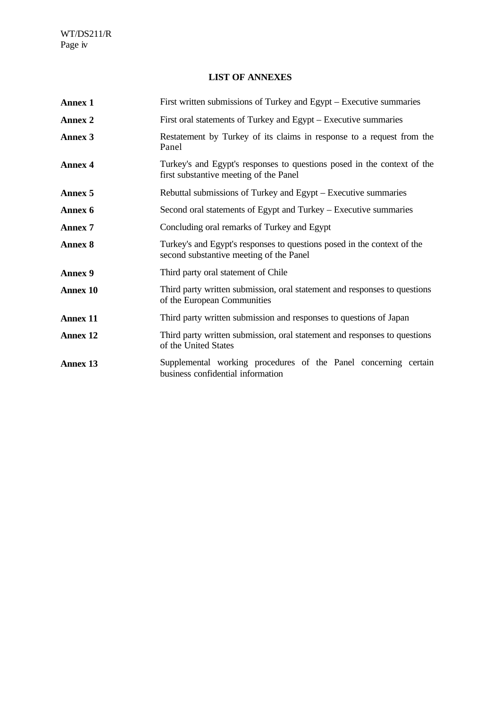# **LIST OF ANNEXES**

| <b>Annex 1</b>  | First written submissions of Turkey and Egypt – Executive summaries                                                |
|-----------------|--------------------------------------------------------------------------------------------------------------------|
| <b>Annex 2</b>  | First oral statements of Turkey and Egypt – Executive summaries                                                    |
| Annex 3         | Restatement by Turkey of its claims in response to a request from the<br>Panel                                     |
| <b>Annex 4</b>  | Turkey's and Egypt's responses to questions posed in the context of the<br>first substantive meeting of the Panel  |
| <b>Annex 5</b>  | Rebuttal submissions of Turkey and Egypt - Executive summaries                                                     |
| Annex 6         | Second oral statements of Egypt and Turkey – Executive summaries                                                   |
| <b>Annex 7</b>  | Concluding oral remarks of Turkey and Egypt                                                                        |
| <b>Annex 8</b>  | Turkey's and Egypt's responses to questions posed in the context of the<br>second substantive meeting of the Panel |
| <b>Annex 9</b>  | Third party oral statement of Chile                                                                                |
| <b>Annex 10</b> | Third party written submission, oral statement and responses to questions<br>of the European Communities           |
| <b>Annex 11</b> | Third party written submission and responses to questions of Japan                                                 |
| <b>Annex 12</b> | Third party written submission, oral statement and responses to questions<br>of the United States                  |
| <b>Annex 13</b> | Supplemental working procedures of the Panel concerning certain<br>business confidential information               |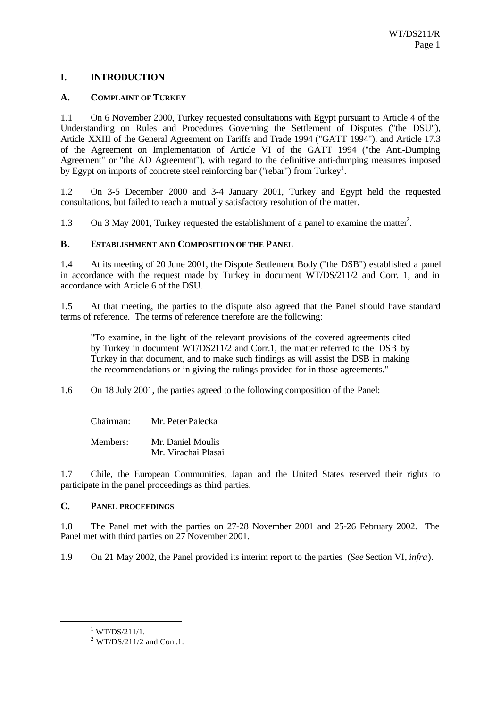# **I. INTRODUCTION**

#### **A. COMPLAINT OF TURKEY**

1.1 On 6 November 2000, Turkey requested consultations with Egypt pursuant to Article 4 of the Understanding on Rules and Procedures Governing the Settlement of Disputes ("the DSU"), Article XXIII of the General Agreement on Tariffs and Trade 1994 ("GATT 1994"), and Article 17.3 of the Agreement on Implementation of Article VI of the GATT 1994 ("the Anti-Dumping Agreement" or "the AD Agreement"), with regard to the definitive anti-dumping measures imposed by Egypt on imports of concrete steel reinforcing bar ("rebar") from Turkey<sup>1</sup>.

1.2 On 3-5 December 2000 and 3-4 January 2001, Turkey and Egypt held the requested consultations, but failed to reach a mutually satisfactory resolution of the matter.

1.3 On 3 May 2001, Turkey requested the establishment of a panel to examine the matter<sup>2</sup>.

#### **B. ESTABLISHMENT AND COMPOSITION OF THE PANEL**

1.4 At its meeting of 20 June 2001, the Dispute Settlement Body ("the DSB") established a panel in accordance with the request made by Turkey in document WT/DS/211/2 and Corr. 1, and in accordance with Article 6 of the DSU.

1.5 At that meeting, the parties to the dispute also agreed that the Panel should have standard terms of reference. The terms of reference therefore are the following:

"To examine, in the light of the relevant provisions of the covered agreements cited by Turkey in document WT/DS211/2 and Corr.1, the matter referred to the DSB by Turkey in that document, and to make such findings as will assist the DSB in making the recommendations or in giving the rulings provided for in those agreements."

1.6 On 18 July 2001, the parties agreed to the following composition of the Panel:

Chairman: Mr. Peter Palecka

Members: Mr. Daniel Moulis Mr. Virachai Plasai

1.7 Chile, the European Communities, Japan and the United States reserved their rights to participate in the panel proceedings as third parties.

#### **C. PANEL PROCEEDINGS**

1.8 The Panel met with the parties on 27-28 November 2001 and 25-26 February 2002. The Panel met with third parties on 27 November 2001.

1.9 On 21 May 2002, the Panel provided its interim report to the parties (*See* Section VI, *infra*).

 $1$  WT/DS/211/1.

 $2$  WT/DS/211/2 and Corr.1.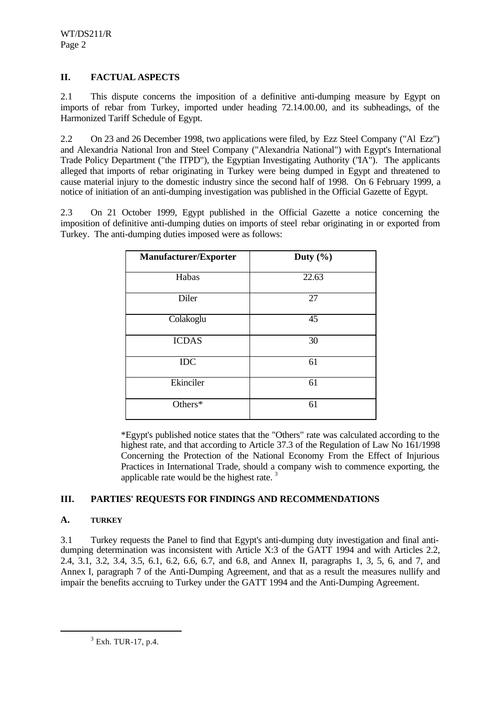# **II. FACTUAL ASPECTS**

2.1 This dispute concerns the imposition of a definitive anti-dumping measure by Egypt on imports of rebar from Turkey, imported under heading 72.14.00.00, and its subheadings, of the Harmonized Tariff Schedule of Egypt.

2.2 On 23 and 26 December 1998, two applications were filed, by Ezz Steel Company ("Al Ezz") and Alexandria National Iron and Steel Company ("Alexandria National") with Egypt's International Trade Policy Department ("the ITPD"), the Egyptian Investigating Authority ("IA"). The applicants alleged that imports of rebar originating in Turkey were being dumped in Egypt and threatened to cause material injury to the domestic industry since the second half of 1998. On 6 February 1999, a notice of initiation of an anti-dumping investigation was published in the Official Gazette of Egypt.

2.3 On 21 October 1999, Egypt published in the Official Gazette a notice concerning the imposition of definitive anti-dumping duties on imports of steel rebar originating in or exported from Turkey. The anti-dumping duties imposed were as follows:

| <b>Manufacturer/Exporter</b> | Duty $(\% )$ |
|------------------------------|--------------|
| Habas                        | 22.63        |
| Diler                        | 27           |
| Colakoglu                    | 45           |
| <b>ICDAS</b>                 | 30           |
| <b>IDC</b>                   | 61           |
| Ekinciler                    | 61           |
| Others*                      | 61           |

\*Egypt's published notice states that the "Others" rate was calculated according to the highest rate, and that according to Article 37.3 of the Regulation of Law No 161/1998 Concerning the Protection of the National Economy From the Effect of Injurious Practices in International Trade, should a company wish to commence exporting, the applicable rate would be the highest rate.  $3$ 

# **III. PARTIES' REQUESTS FOR FINDINGS AND RECOMMENDATIONS**

# **A. TURKEY**

l

3.1 Turkey requests the Panel to find that Egypt's anti-dumping duty investigation and final antidumping determination was inconsistent with Article X:3 of the GATT 1994 and with Articles 2.2, 2.4, 3.1, 3.2, 3.4, 3.5, 6.1, 6.2, 6.6, 6.7, and 6.8, and Annex II, paragraphs 1, 3, 5, 6, and 7, and Annex I, paragraph 7 of the Anti-Dumping Agreement, and that as a result the measures nullify and impair the benefits accruing to Turkey under the GATT 1994 and the Anti-Dumping Agreement.

 $3$  Exh. TUR-17, p.4.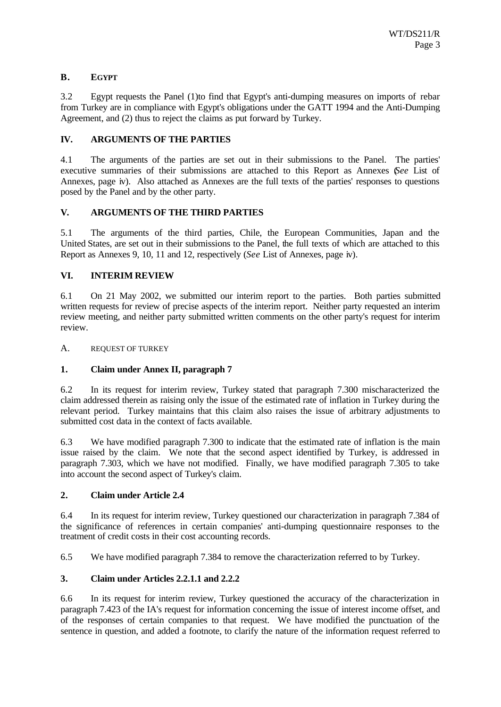# **B. EGYPT**

3.2 Egypt requests the Panel (1)to find that Egypt's anti-dumping measures on imports of rebar from Turkey are in compliance with Egypt's obligations under the GATT 1994 and the Anti-Dumping Agreement, and (2) thus to reject the claims as put forward by Turkey.

# **IV. ARGUMENTS OF THE PARTIES**

4.1 The arguments of the parties are set out in their submissions to the Panel. The parties' executive summaries of their submissions are attached to this Report as Annexes (*See* List of Annexes, page iv). Also attached as Annexes are the full texts of the parties' responses to questions posed by the Panel and by the other party.

# **V. ARGUMENTS OF THE THIRD PARTIES**

5.1 The arguments of the third parties, Chile, the European Communities, Japan and the United States, are set out in their submissions to the Panel, the full texts of which are attached to this Report as Annexes 9, 10, 11 and 12, respectively (*See* List of Annexes, page iv).

# **VI. INTERIM REVIEW**

6.1 On 21 May 2002, we submitted our interim report to the parties. Both parties submitted written requests for review of precise aspects of the interim report. Neither party requested an interim review meeting, and neither party submitted written comments on the other party's request for interim review.

#### A. REQUEST OF TURKEY

# **1. Claim under Annex II, paragraph 7**

6.2 In its request for interim review, Turkey stated that paragraph 7.300 mischaracterized the claim addressed therein as raising only the issue of the estimated rate of inflation in Turkey during the relevant period. Turkey maintains that this claim also raises the issue of arbitrary adjustments to submitted cost data in the context of facts available.

6.3 We have modified paragraph 7.300 to indicate that the estimated rate of inflation is the main issue raised by the claim. We note that the second aspect identified by Turkey, is addressed in paragraph 7.303, which we have not modified. Finally, we have modified paragraph 7.305 to take into account the second aspect of Turkey's claim.

# **2. Claim under Article 2.4**

6.4 In its request for interim review, Turkey questioned our characterization in paragraph 7.384 of the significance of references in certain companies' anti-dumping questionnaire responses to the treatment of credit costs in their cost accounting records.

6.5 We have modified paragraph 7.384 to remove the characterization referred to by Turkey.

# **3. Claim under Articles 2.2.1.1 and 2.2.2**

6.6 In its request for interim review, Turkey questioned the accuracy of the characterization in paragraph 7.423 of the IA's request for information concerning the issue of interest income offset, and of the responses of certain companies to that request. We have modified the punctuation of the sentence in question, and added a footnote, to clarify the nature of the information request referred to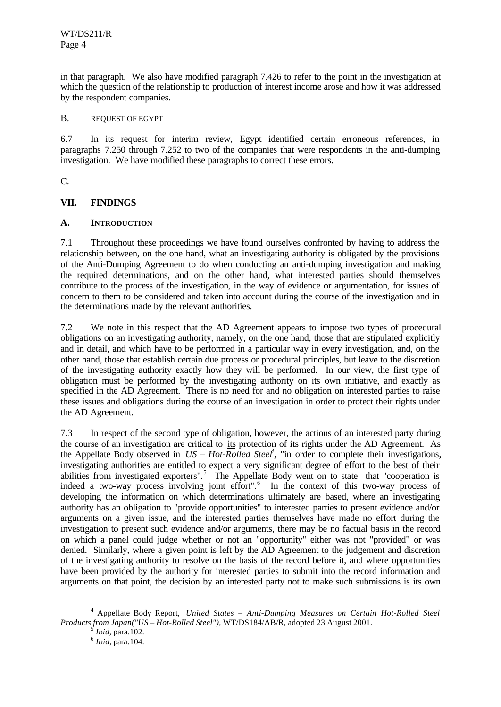in that paragraph. We also have modified paragraph 7.426 to refer to the point in the investigation at which the question of the relationship to production of interest income arose and how it was addressed by the respondent companies.

#### B. REQUEST OF EGYPT

6.7 In its request for interim review, Egypt identified certain erroneous references, in paragraphs 7.250 through 7.252 to two of the companies that were respondents in the anti-dumping investigation. We have modified these paragraphs to correct these errors.

C.

# **VII. FINDINGS**

# **A. INTRODUCTION**

7.1 Throughout these proceedings we have found ourselves confronted by having to address the relationship between, on the one hand, what an investigating authority is obligated by the provisions of the Anti-Dumping Agreement to do when conducting an anti-dumping investigation and making the required determinations, and on the other hand, what interested parties should themselves contribute to the process of the investigation, in the way of evidence or argumentation, for issues of concern to them to be considered and taken into account during the course of the investigation and in the determinations made by the relevant authorities.

7.2 We note in this respect that the AD Agreement appears to impose two types of procedural obligations on an investigating authority, namely, on the one hand, those that are stipulated explicitly and in detail, and which have to be performed in a particular way in every investigation, and, on the other hand, those that establish certain due process or procedural principles, but leave to the discretion of the investigating authority exactly how they will be performed. In our view, the first type of obligation must be performed by the investigating authority on its own initiative, and exactly as specified in the AD Agreement. There is no need for and no obligation on interested parties to raise these issues and obligations during the course of an investigation in order to protect their rights under the AD Agreement.

7.3 In respect of the second type of obligation, however, the actions of an interested party during the course of an investigation are critical to its protection of its rights under the AD Agreement. As the Appellate Body observed in *US – Hot-Rolled Steel<sup>4</sup>* , "in order to complete their investigations, investigating authorities are entitled to expect a very significant degree of effort to the best of their abilities from investigated exporters".<sup>5</sup> The Appellate Body went on to state that "cooperation is indeed a two-way process involving joint effort".<sup>6</sup> In the context of this two-way process of developing the information on which determinations ultimately are based, where an investigating authority has an obligation to "provide opportunities" to interested parties to present evidence and/or arguments on a given issue, and the interested parties themselves have made no effort during the investigation to present such evidence and/or arguments, there may be no factual basis in the record on which a panel could judge whether or not an "opportunity" either was not "provided" or was denied. Similarly, where a given point is left by the AD Agreement to the judgement and discretion of the investigating authority to resolve on the basis of the record before it, and where opportunities have been provided by the authority for interested parties to submit into the record information and arguments on that point, the decision by an interested party not to make such submissions is its own

<sup>4</sup> Appellate Body Report, *United States – Anti-Dumping Measures on Certain Hot-Rolled Steel Products from Japan("US – Hot-Rolled Steel"),* WT/DS184/AB/R, adopted 23 August 2001.

<sup>5</sup> *Ibid,* para.102.

<sup>6</sup> *Ibid*, para*.*104.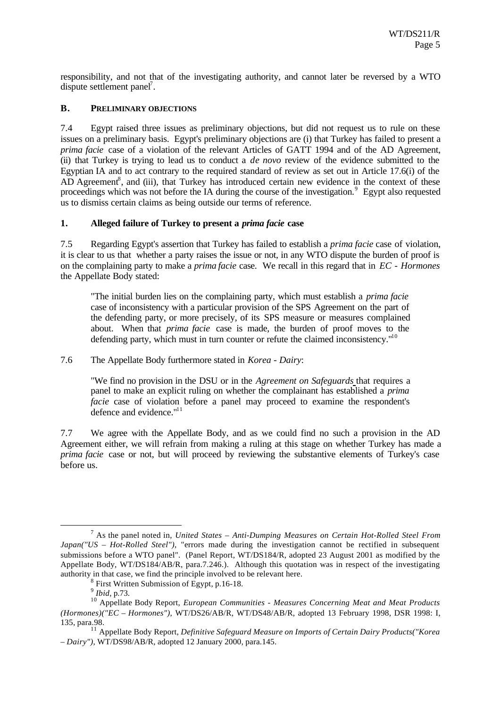responsibility, and not that of the investigating authority, and cannot later be reversed by a WTO dispute settlement panel<sup>7</sup>.

#### **B. PRELIMINARY OBJECTIONS**

7.4 Egypt raised three issues as preliminary objections, but did not request us to rule on these issues on a preliminary basis. Egypt's preliminary objections are (i) that Turkey has failed to present a *prima facie* case of a violation of the relevant Articles of GATT 1994 and of the AD Agreement, (ii) that Turkey is trying to lead us to conduct a *de novo* review of the evidence submitted to the Egyptian IA and to act contrary to the required standard of review as set out in Article 17.6(i) of the  $AD$  Agreement<sup>8</sup>, and (iii), that Turkey has introduced certain new evidence in the context of these proceedings which was not before the IA during the course of the investigation.<sup>9</sup> Egypt also requested us to dismiss certain claims as being outside our terms of reference.

#### **1. Alleged failure of Turkey to present a** *prima facie* **case**

7.5 Regarding Egypt's assertion that Turkey has failed to establish a *prima facie* case of violation, it is clear to us that whether a party raises the issue or not, in any WTO dispute the burden of proof is on the complaining party to make a *prima facie* case. We recall in this regard that in *EC - Hormones* the Appellate Body stated:

"The initial burden lies on the complaining party, which must establish a *prima facie* case of inconsistency with a particular provision of the SPS Agreement on the part of the defending party, or more precisely, of its SPS measure or measures complained about. When that *prima facie* case is made, the burden of proof moves to the defending party, which must in turn counter or refute the claimed inconsistency."<sup>10</sup>

# 7.6 The Appellate Body furthermore stated in *Korea - Dairy*:

"We find no provision in the DSU or in the *Agreement on Safeguards* that requires a panel to make an explicit ruling on whether the complainant has established a *prima facie* case of violation before a panel may proceed to examine the respondent's defence and evidence."<sup>11</sup>

7.7 We agree with the Appellate Body, and as we could find no such a provision in the AD Agreement either, we will refrain from making a ruling at this stage on whether Turkey has made a *prima facie* case or not, but will proceed by reviewing the substantive elements of Turkey's case before us.

<sup>7</sup> As the panel noted in, *United States – Anti-Dumping Measures on Certain Hot-Rolled Steel From Japan("US – Hot-Rolled Steel")*, "errors made during the investigation cannot be rectified in subsequent submissions before a WTO panel". (Panel Report, WT/DS184/R, adopted 23 August 2001 as modified by the Appellate Body, WT/DS184/AB/R, para.7.246.). Although this quotation was in respect of the investigating authority in that case, we find the principle involved to be relevant here.

<sup>&</sup>lt;sup>8</sup> First Written Submission of Egypt, p.16-18.

<sup>9</sup> *Ibid*, p.73.

<sup>10</sup> Appellate Body Report, *European Communities - Measures Concerning Meat and Meat Products (Hormones)("EC – Hormones")*, WT/DS26/AB/R, WT/DS48/AB/R, adopted 13 February 1998, DSR 1998: I, 135, para.98.

<sup>11</sup> Appellate Body Report, *Definitive Safeguard Measure on Imports of Certain Dairy Products("Korea – Dairy")*, WT/DS98/AB/R, adopted 12 January 2000, para.145.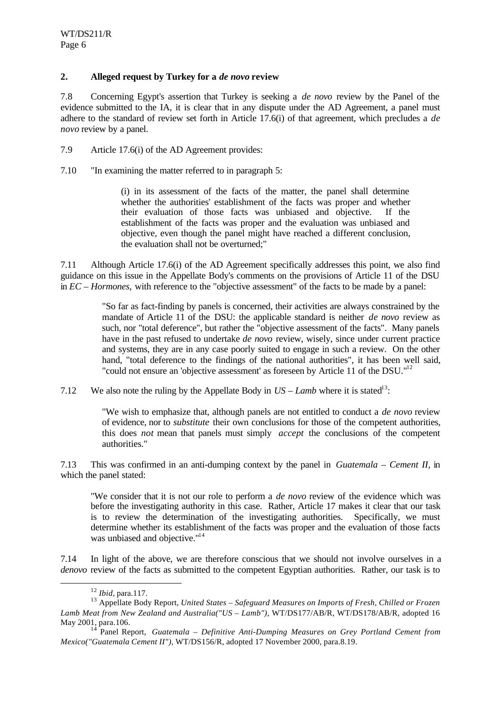#### **2. Alleged request by Turkey for a** *de novo* **review**

7.8 Concerning Egypt's assertion that Turkey is seeking a *de novo* review by the Panel of the evidence submitted to the IA, it is clear that in any dispute under the AD Agreement, a panel must adhere to the standard of review set forth in Article 17.6(i) of that agreement, which precludes a *de novo* review by a panel.

- 7.9 Article 17.6(i) of the AD Agreement provides:
- 7.10 "In examining the matter referred to in paragraph 5:

(i) in its assessment of the facts of the matter, the panel shall determine whether the authorities' establishment of the facts was proper and whether their evaluation of those facts was unbiased and objective. If the establishment of the facts was proper and the evaluation was unbiased and objective, even though the panel might have reached a different conclusion, the evaluation shall not be overturned;"

7.11 Although Article 17.6(i) of the AD Agreement specifically addresses this point, we also find guidance on this issue in the Appellate Body's comments on the provisions of Article 11 of the DSU in *EC – Hormones,* with reference to the "objective assessment" of the facts to be made by a panel:

> "So far as fact-finding by panels is concerned, their activities are always constrained by the mandate of Article 11 of the DSU: the applicable standard is neither *de novo* review as such, nor "total deference", but rather the "objective assessment of the facts". Many panels have in the past refused to undertake *de novo* review, wisely, since under current practice and systems, they are in any case poorly suited to engage in such a review. On the other hand, "total deference to the findings of the national authorities", it has been well said, "could not ensure an 'objective assessment' as foreseen by Article 11 of the DSU."<sup>12</sup>

7.12 We also note the ruling by the Appellate Body in  $US - Lamb$  where it is stated<sup>13</sup>:

"We wish to emphasize that, although panels are not entitled to conduct a *de novo* review of evidence, nor to *substitute* their own conclusions for those of the competent authorities, this does *not* mean that panels must simply *accept* the conclusions of the competent authorities."

7.13 This was confirmed in an anti-dumping context by the panel in *Guatemala – Cement II,* in which the panel stated:

"We consider that it is not our role to perform a *de novo* review of the evidence which was before the investigating authority in this case. Rather, Article 17 makes it clear that our task is to review the determination of the investigating authorities. Specifically, we must determine whether its establishment of the facts was proper and the evaluation of those facts was unbiased and objective."<sup>14</sup>

7.14 In light of the above, we are therefore conscious that we should not involve ourselves in a *denovo* review of the facts as submitted to the competent Egyptian authorities. Rather, our task is to

<sup>12</sup> *Ibid*, para.117.

<sup>13</sup> Appellate Body Report, *United States – Safeguard Measures on Imports of Fresh, Chilled or Frozen Lamb Meat from New Zealand and Australia("US – Lamb")*, WT/DS177/AB/R, WT/DS178/AB/R, adopted 16 May 2001, para.106.

<sup>14</sup> Panel Report, *Guatemala – Definitive Anti-Dumping Measures on Grey Portland Cement from Mexico("Guatemala Cement II")*, WT/DS156/R, adopted 17 November 2000, para.8.19.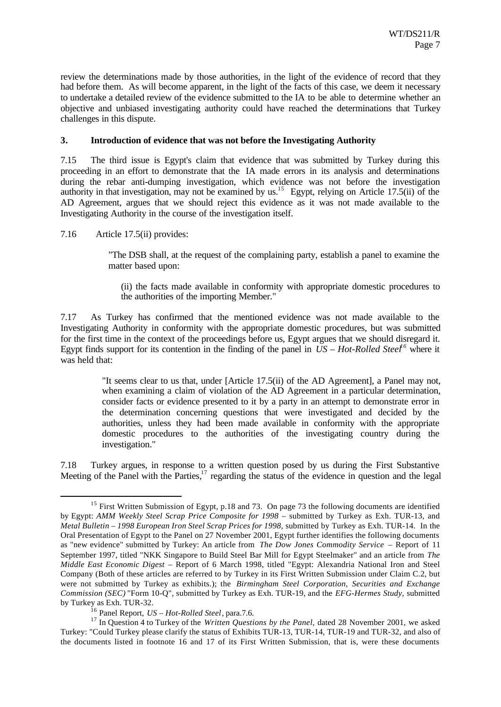review the determinations made by those authorities, in the light of the evidence of record that they had before them. As will become apparent, in the light of the facts of this case, we deem it necessary to undertake a detailed review of the evidence submitted to the IA to be able to determine whether an objective and unbiased investigating authority could have reached the determinations that Turkey challenges in this dispute.

#### **3. Introduction of evidence that was not before the Investigating Authority**

7.15 The third issue is Egypt's claim that evidence that was submitted by Turkey during this proceeding in an effort to demonstrate that the IA made errors in its analysis and determinations during the rebar anti-dumping investigation, which evidence was not before the investigation authority in that investigation, may not be examined by us.<sup>15</sup> Egypt, relying on Article 17.5(ii) of the AD Agreement, argues that we should reject this evidence as it was not made available to the Investigating Authority in the course of the investigation itself.

7.16 Article 17.5(ii) provides:

l

"The DSB shall, at the request of the complaining party, establish a panel to examine the matter based upon:

(ii) the facts made available in conformity with appropriate domestic procedures to the authorities of the importing Member."

7.17 As Turkey has confirmed that the mentioned evidence was not made available to the Investigating Authority in conformity with the appropriate domestic procedures, but was submitted for the first time in the context of the proceedings before us, Egypt argues that we should disregard it. Egypt finds support for its contention in the finding of the panel in *US – Hot-Rolled Steel<sup>16</sup>* where it was held that:

> "It seems clear to us that, under [Article 17.5(ii) of the AD Agreement], a Panel may not, when examining a claim of violation of the AD Agreement in a particular determination, consider facts or evidence presented to it by a party in an attempt to demonstrate error in the determination concerning questions that were investigated and decided by the authorities, unless they had been made available in conformity with the appropriate domestic procedures to the authorities of the investigating country during the investigation."

7.18 Turkey argues, in response to a written question posed by us during the First Substantive Meeting of the Panel with the Parties, $17$  regarding the status of the evidence in question and the legal

<sup>&</sup>lt;sup>15</sup> First Written Submission of Egypt, p.18 and 73. On page 73 the following documents are identified by Egypt: *AMM Weekly Steel Scrap Price Composite for 1998* – submitted by Turkey as Exh. TUR-13, and *Metal Bulletin – 1998 European Iron Steel Scrap Prices for 1998*, submitted by Turkey as Exh. TUR-14. In the Oral Presentation of Egypt to the Panel on 27 November 2001, Egypt further identifies the following documents as "new evidence" submitted by Turkey: An article from *The Dow Jones Commodity Service* – Report of 11 September 1997, titled "NKK Singapore to Build Steel Bar Mill for Egypt Steelmaker" and an article from *The Middle East Economic Digest* – Report of 6 March 1998, titled "Egypt: Alexandria National Iron and Steel Company (Both of these articles are referred to by Turkey in its First Written Submission under Claim C.2, but were not submitted by Turkey as exhibits.); the *Birmingham Steel Corporation, Securities and Exchange Commission (SEC)* "Form 10-Q", submitted by Turkey as Exh. TUR-19, and the *EFG-Hermes Study*, submitted by Turkey as Exh. TUR-32.

<sup>16</sup> Panel Report, *US – Hot-Rolled Steel*, para.7.6.

<sup>&</sup>lt;sup>17</sup> In Question 4 to Turkey of the *Written Questions by the Panel*, dated 28 November 2001, we asked Turkey: "Could Turkey please clarify the status of Exhibits TUR-13, TUR-14, TUR-19 and TUR-32, and also of the documents listed in footnote 16 and 17 of its First Written Submission, that is, were these documents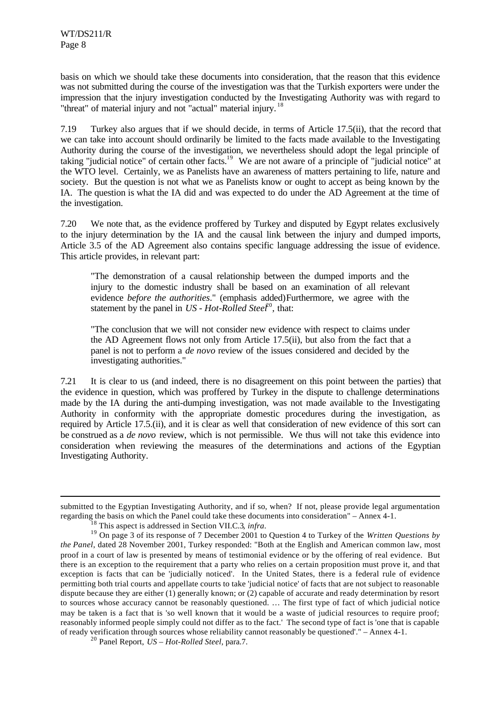l

basis on which we should take these documents into consideration, that the reason that this evidence was not submitted during the course of the investigation was that the Turkish exporters were under the impression that the injury investigation conducted by the Investigating Authority was with regard to "threat" of material injury and not "actual" material injury.<sup>18</sup>

7.19 Turkey also argues that if we should decide, in terms of Article 17.5(ii), that the record that we can take into account should ordinarily be limited to the facts made available to the Investigating Authority during the course of the investigation, we nevertheless should adopt the legal principle of taking "judicial notice" of certain other facts.<sup>19</sup> We are not aware of a principle of "judicial notice" at the WTO level. Certainly, we as Panelists have an awareness of matters pertaining to life, nature and society. But the question is not what we as Panelists know or ought to accept as being known by the IA. The question is what the IA did and was expected to do under the AD Agreement at the time of the investigation.

7.20 We note that, as the evidence proffered by Turkey and disputed by Egypt relates exclusively to the injury determination by the IA and the causal link between the injury and dumped imports, Article 3.5 of the AD Agreement also contains specific language addressing the issue of evidence. This article provides, in relevant part:

"The demonstration of a causal relationship between the dumped imports and the injury to the domestic industry shall be based on an examination of all relevant evidence *before the authorities*." (emphasis added)Furthermore, we agree with the statement by the panel in US - Hot-Rolled Steet<sup>20</sup>, that:

"The conclusion that we will not consider new evidence with respect to claims under the AD Agreement flows not only from Article 17.5(ii), but also from the fact that a panel is not to perform a *de novo* review of the issues considered and decided by the investigating authorities."

7.21 It is clear to us (and indeed, there is no disagreement on this point between the parties) that the evidence in question, which was proffered by Turkey in the dispute to challenge determinations made by the IA during the anti-dumping investigation, was not made available to the Investigating Authority in conformity with the appropriate domestic procedures during the investigation, as required by Article 17.5.(ii), and it is clear as well that consideration of new evidence of this sort can be construed as a *de novo* review, which is not permissible. We thus will not take this evidence into consideration when reviewing the measures of the determinations and actions of the Egyptian Investigating Authority.

submitted to the Egyptian Investigating Authority, and if so, when? If not, please provide legal argumentation regarding the basis on which the Panel could take these documents into consideration" – Annex 4-1.

<sup>18</sup> This aspect is addressed in Section VII.C.3, *infra.*

<sup>19</sup> On page 3 of its response of 7 December 2001 to Question 4 to Turkey of the *Written Questions by the Panel*, dated 28 November 2001, Turkey responded: "Both at the English and American common law, most proof in a court of law is presented by means of testimonial evidence or by the offering of real evidence. But there is an exception to the requirement that a party who relies on a certain proposition must prove it, and that exception is facts that can be 'judicially noticed'. In the United States, there is a federal rule of evidence permitting both trial courts and appellate courts to take 'judicial notice' of facts that are not subject to reasonable dispute because they are either (1) generally known; or (2) capable of accurate and ready determination by resort to sources whose accuracy cannot be reasonably questioned. … The first type of fact of which judicial notice may be taken is a fact that is 'so well known that it would be a waste of judicial resources to require proof; reasonably informed people simply could not differ as to the fact.' The second type of fact is 'one that is capable of ready verification through sources whose reliability cannot reasonably be questioned'." – Annex 4-1.

<sup>20</sup> Panel Report, *US – Hot-Rolled Steel,* para.7.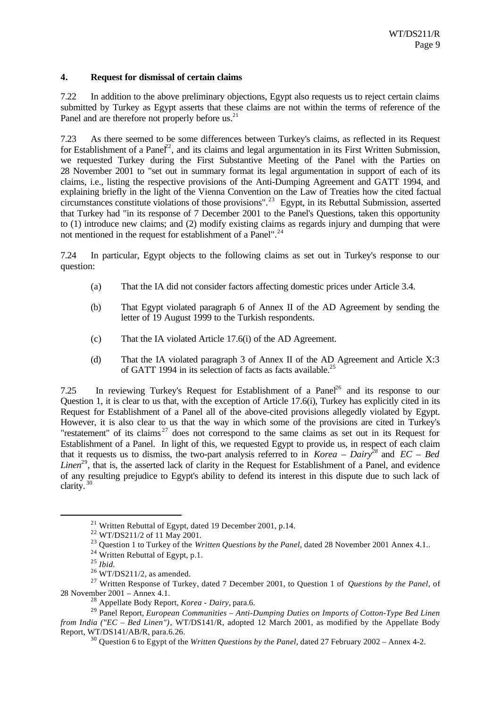#### **4. Request for dismissal of certain claims**

7.22 In addition to the above preliminary objections, Egypt also requests us to reject certain claims submitted by Turkey as Egypt asserts that these claims are not within the terms of reference of the Panel and are therefore not properly before us.<sup>21</sup>

7.23 As there seemed to be some differences between Turkey's claims, as reflected in its Request for Establishment of a Panel<sup>22</sup>, and its claims and legal argumentation in its First Written Submission, we requested Turkey during the First Substantive Meeting of the Panel with the Parties on 28 November 2001 to "set out in summary format its legal argumentation in support of each of its claims, i.e., listing the respective provisions of the Anti-Dumping Agreement and GATT 1994, and explaining briefly in the light of the Vienna Convention on the Law of Treaties how the cited factual circumstances constitute violations of those provisions".<sup>23</sup> Egypt, in its Rebuttal Submission, asserted that Turkey had "in its response of 7 December 2001 to the Panel's Questions, taken this opportunity to (1) introduce new claims; and (2) modify existing claims as regards injury and dumping that were not mentioned in the request for establishment of a Panel".<sup>24</sup>

7.24 In particular, Egypt objects to the following claims as set out in Turkey's response to our question:

- (a) That the IA did not consider factors affecting domestic prices under Article 3.4.
- (b) That Egypt violated paragraph 6 of Annex II of the AD Agreement by sending the letter of 19 August 1999 to the Turkish respondents.
- (c) That the IA violated Article 17.6(i) of the AD Agreement.
- (d) That the IA violated paragraph 3 of Annex II of the AD Agreement and Article X:3 of GATT 1994 in its selection of facts as facts available.<sup>25</sup>

7.25 In reviewing Turkey's Request for Establishment of a Panel<sup>26</sup> and its response to our Question 1, it is clear to us that, with the exception of Article 17.6(i), Turkey has explicitly cited in its Request for Establishment of a Panel all of the above-cited provisions allegedly violated by Egypt. However, it is also clear to us that the way in which some of the provisions are cited in Turkey's "restatement" of its claims<sup>27</sup> does not correspond to the same claims as set out in its Request for Establishment of a Panel. In light of this, we requested Egypt to provide us, in respect of each claim that it requests us to dismiss, the two-part analysis referred to in *Korea – Dairy<sup>28</sup>* and *EC – Bed Linen*<sup>29</sup>, that is, the asserted lack of clarity in the Request for Establishment of a Panel, and evidence of any resulting prejudice to Egypt's ability to defend its interest in this dispute due to such lack of clarity.<sup>30</sup>

<sup>&</sup>lt;sup>21</sup> Written Rebuttal of Egypt, dated 19 December 2001, p.14.

<sup>22</sup> WT/DS211/2 of 11 May 2001.

<sup>&</sup>lt;sup>23</sup> Question 1 to Turkey of the *Written Questions by the Panel*, dated 28 November 2001 Annex 4.1..

<sup>&</sup>lt;sup>24</sup> Written Rebuttal of Egypt, p.1.

<sup>25</sup> *Ibid.*

 $26$  WT/DS211/2, as amended.

<sup>27</sup> Written Response of Turkey, dated 7 December 2001, to Question 1 of *Questions by the Panel,* of 28 November 2001 – Annex 4.1.

<sup>28</sup> Appellate Body Report, *Korea - Dairy*, para.6.

<sup>29</sup> Panel Report, *European Communities – Anti-Dumping Duties on Imports of Cotton-Type Bed Linen from India ("EC – Bed Linen")*, WT/DS141/R, adopted 12 March 2001, as modified by the Appellate Body Report, WT/DS141/AB/R, para.6.26.

<sup>30</sup> Question 6 to Egypt of the *Written Questions by the Panel*, dated 27 February 2002 – Annex 4-2.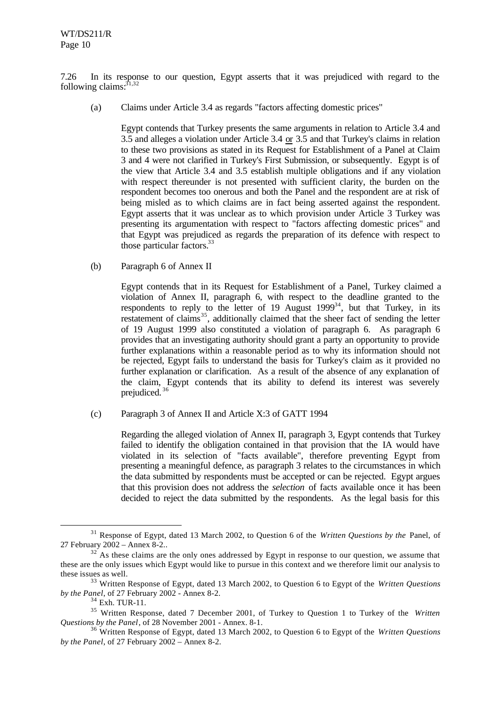7.26 In its response to our question, Egypt asserts that it was prejudiced with regard to the following claims: $31,32$ 

(a) Claims under Article 3.4 as regards "factors affecting domestic prices"

Egypt contends that Turkey presents the same arguments in relation to Article 3.4 and 3.5 and alleges a violation under Article 3.4 or 3.5 and that Turkey's claims in relation to these two provisions as stated in its Request for Establishment of a Panel at Claim 3 and 4 were not clarified in Turkey's First Submission, or subsequently. Egypt is of the view that Article 3.4 and 3.5 establish multiple obligations and if any violation with respect thereunder is not presented with sufficient clarity, the burden on the respondent becomes too onerous and both the Panel and the respondent are at risk of being misled as to which claims are in fact being asserted against the respondent. Egypt asserts that it was unclear as to which provision under Article 3 Turkey was presenting its argumentation with respect to "factors affecting domestic prices" and that Egypt was prejudiced as regards the preparation of its defence with respect to those particular factors.<sup>33</sup>

(b) Paragraph 6 of Annex II

Egypt contends that in its Request for Establishment of a Panel, Turkey claimed a violation of Annex II, paragraph 6, with respect to the deadline granted to the respondents to reply to the letter of 19 August  $1999^{34}$ , but that Turkey, in its restatement of claims<sup>35</sup>, additionally claimed that the sheer fact of sending the letter of 19 August 1999 also constituted a violation of paragraph 6. As paragraph 6 provides that an investigating authority should grant a party an opportunity to provide further explanations within a reasonable period as to why its information should not be rejected, Egypt fails to understand the basis for Turkey's claim as it provided no further explanation or clarification. As a result of the absence of any explanation of the claim, Egypt contends that its ability to defend its interest was severely prejudiced. <sup>36</sup>

(c) Paragraph 3 of Annex II and Article X:3 of GATT 1994

Regarding the alleged violation of Annex II, paragraph 3, Egypt contends that Turkey failed to identify the obligation contained in that provision that the IA would have violated in its selection of "facts available", therefore preventing Egypt from presenting a meaningful defence, as paragraph 3 relates to the circumstances in which the data submitted by respondents must be accepted or can be rejected. Egypt argues that this provision does not address the *selection* of facts available once it has been decided to reject the data submitted by the respondents. As the legal basis for this

<sup>31</sup> Response of Egypt, dated 13 March 2002, to Question 6 of the *Written Questions by the* Panel, of 27 February 2002 – Annex 8-2..

 $32$ <sup>32</sup> As these claims are the only ones addressed by Egypt in response to our question, we assume that these are the only issues which Egypt would like to pursue in this context and we therefore limit our analysis to these issues as well.

<sup>33</sup> Written Response of Egypt, dated 13 March 2002, to Question 6 to Egypt of the *Written Questions by the Panel*, of 27 February 2002 - Annex 8-2.

<sup>34</sup> Exh. TUR-11.

<sup>35</sup> Written Response, dated 7 December 2001, of Turkey to Question 1 to Turkey of the *Written Questions by the Panel*, of 28 November 2001 - Annex. 8-1.

<sup>36</sup> Written Response of Egypt, dated 13 March 2002, to Question 6 to Egypt of the *Written Questions by the Panel*, of 27 February 2002 – Annex 8-2.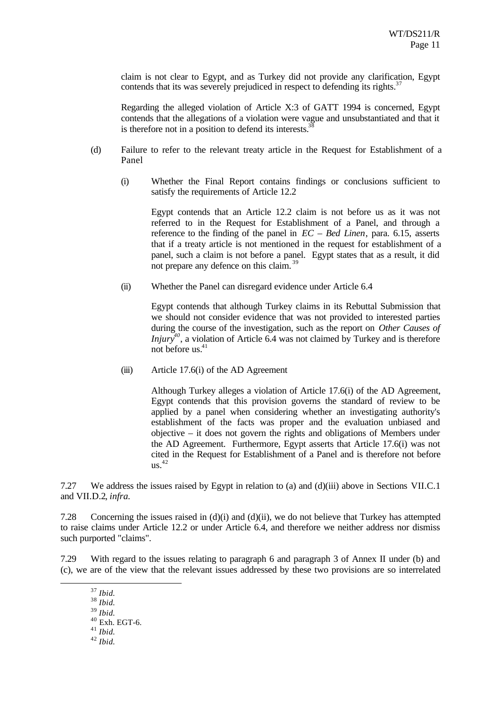claim is not clear to Egypt, and as Turkey did not provide any clarification, Egypt contends that its was severely prejudiced in respect to defending its rights.<sup>37</sup>

Regarding the alleged violation of Article X:3 of GATT 1994 is concerned, Egypt contends that the allegations of a violation were vague and unsubstantiated and that it is therefore not in a position to defend its interests. $38$ 

- (d) Failure to refer to the relevant treaty article in the Request for Establishment of a Panel
	- (i) Whether the Final Report contains findings or conclusions sufficient to satisfy the requirements of Article 12.2

Egypt contends that an Article 12.2 claim is not before us as it was not referred to in the Request for Establishment of a Panel, and through a reference to the finding of the panel in *EC – Bed Linen*, para. 6.15, asserts that if a treaty article is not mentioned in the request for establishment of a panel, such a claim is not before a panel. Egypt states that as a result, it did not prepare any defence on this claim. <sup>39</sup>

(ii) Whether the Panel can disregard evidence under Article 6.4

Egypt contends that although Turkey claims in its Rebuttal Submission that we should not consider evidence that was not provided to interested parties during the course of the investigation, such as the report on *Other Causes of Injury<sup>40</sup>*, a violation of Article 6.4 was not claimed by Turkey and is therefore not before us. $41$ 

(iii) Article 17.6(i) of the AD Agreement

Although Turkey alleges a violation of Article 17.6(i) of the AD Agreement, Egypt contends that this provision governs the standard of review to be applied by a panel when considering whether an investigating authority's establishment of the facts was proper and the evaluation unbiased and objective – it does not govern the rights and obligations of Members under the AD Agreement. Furthermore, Egypt asserts that Article 17.6(i) was not cited in the Request for Establishment of a Panel and is therefore not before us. 42

7.27 We address the issues raised by Egypt in relation to (a) and (d)(iii) above in Sections VII.C.1 and VII.D.2, *infra.*

7.28 Concerning the issues raised in (d)(i) and (d)(ii), we do not believe that Turkey has attempted to raise claims under Article 12.2 or under Article 6.4, and therefore we neither address nor dismiss such purported "claims".

7.29 With regard to the issues relating to paragraph 6 and paragraph 3 of Annex II under (b) and (c), we are of the view that the relevant issues addressed by these two provisions are so interrelated

- <sup>41</sup> *Ibid.*
- <sup>42</sup> *Ibid.*

<sup>37</sup> *Ibid.*

<sup>38</sup> *Ibid.*

<sup>39</sup> *Ibid.*

<sup>40</sup> Exh. EGT-6.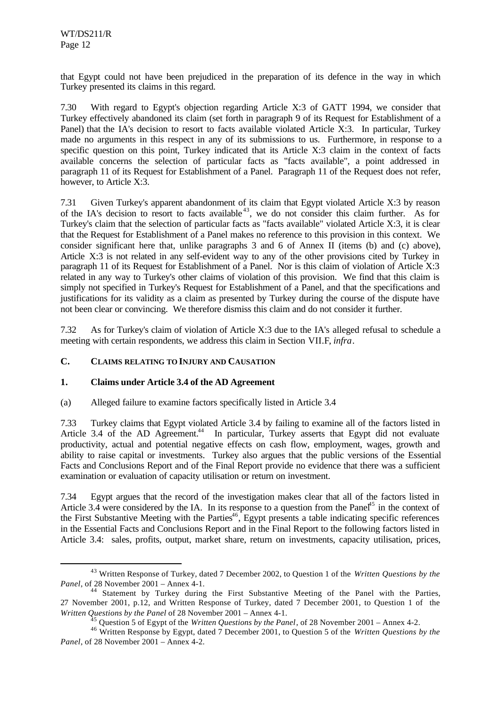l

that Egypt could not have been prejudiced in the preparation of its defence in the way in which Turkey presented its claims in this regard.

7.30 With regard to Egypt's objection regarding Article X:3 of GATT 1994, we consider that Turkey effectively abandoned its claim (set forth in paragraph 9 of its Request for Establishment of a Panel) that the IA's decision to resort to facts available violated Article X:3. In particular, Turkey made no arguments in this respect in any of its submissions to us. Furthermore, in response to a specific question on this point, Turkey indicated that its Article X:3 claim in the context of facts available concerns the selection of particular facts as "facts available", a point addressed in paragraph 11 of its Request for Establishment of a Panel. Paragraph 11 of the Request does not refer, however, to Article X:3.

7.31 Given Turkey's apparent abandonment of its claim that Egypt violated Article X:3 by reason of the IA's decision to resort to facts available<sup>43</sup>, we do not consider this claim further. As for Turkey's claim that the selection of particular facts as "facts available" violated Article X:3, it is clear that the Request for Establishment of a Panel makes no reference to this provision in this context. We consider significant here that, unlike paragraphs 3 and 6 of Annex II (items (b) and (c) above), Article X:3 is not related in any self-evident way to any of the other provisions cited by Turkey in paragraph 11 of its Request for Establishment of a Panel. Nor is this claim of violation of Article X:3 related in any way to Turkey's other claims of violation of this provision. We find that this claim is simply not specified in Turkey's Request for Establishment of a Panel, and that the specifications and justifications for its validity as a claim as presented by Turkey during the course of the dispute have not been clear or convincing. We therefore dismiss this claim and do not consider it further.

7.32 As for Turkey's claim of violation of Article X:3 due to the IA's alleged refusal to schedule a meeting with certain respondents, we address this claim in Section VII.F, *infra*.

# **C. CLAIMS RELATING TO INJURY AND CAUSATION**

# **1. Claims under Article 3.4 of the AD Agreement**

(a) Alleged failure to examine factors specifically listed in Article 3.4

7.33 Turkey claims that Egypt violated Article 3.4 by failing to examine all of the factors listed in Article 3.4 of the AD Agreement.<sup>44</sup> In particular, Turkey asserts that Egypt did not evaluate productivity, actual and potential negative effects on cash flow, employment, wages, growth and ability to raise capital or investments. Turkey also argues that the public versions of the Essential Facts and Conclusions Report and of the Final Report provide no evidence that there was a sufficient examination or evaluation of capacity utilisation or return on investment.

7.34 Egypt argues that the record of the investigation makes clear that all of the factors listed in Article 3.4 were considered by the IA. In its response to a question from the Panel<sup>45</sup> in the context of the First Substantive Meeting with the Parties<sup>46</sup>, Egypt presents a table indicating specific references in the Essential Facts and Conclusions Report and in the Final Report to the following factors listed in Article 3.4: sales, profits, output, market share, return on investments, capacity utilisation, prices,

<sup>43</sup> Written Response of Turkey, dated 7 December 2002, to Question 1 of the *Written Questions by the Panel*, of 28 November 2001 – Annex 4-1.

<sup>&</sup>lt;sup>44</sup> Statement by Turkey during the First Substantive Meeting of the Panel with the Parties, 27 November 2001, p.12, and Written Response of Turkey, dated 7 December 2001, to Question 1 of the *Written Questions by the Panel* of 28 November 2001 – Annex 4-1.

<sup>45</sup> Question 5 of Egypt of the *Written Questions by the Panel*, of 28 November 2001 – Annex 4-2.

<sup>46</sup> Written Response by Egypt, dated 7 December 2001, to Question 5 of the *Written Questions by the Panel*, of 28 November 2001 – Annex 4-2.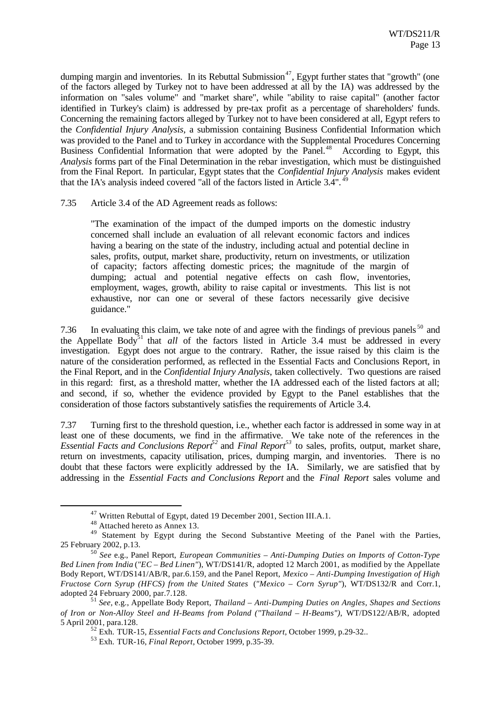dumping margin and inventories. In its Rebuttal Submission<sup>47</sup>, Egypt further states that "growth" (one of the factors alleged by Turkey not to have been addressed at all by the IA) was addressed by the information on "sales volume" and "market share", while "ability to raise capital" (another factor identified in Turkey's claim) is addressed by pre-tax profit as a percentage of shareholders' funds. Concerning the remaining factors alleged by Turkey not to have been considered at all, Egypt refers to the *Confidential Injury Analysis*, a submission containing Business Confidential Information which was provided to the Panel and to Turkey in accordance with the Supplemental Procedures Concerning Business Confidential Information that were adopted by the Panel.<sup>48</sup> According to Egypt, this *Analysis* forms part of the Final Determination in the rebar investigation, which must be distinguished from the Final Report. In particular, Egypt states that the *Confidential Injury Analysis* makes evident that the IA's analysis indeed covered "all of the factors listed in Article 3.4".<sup>49</sup>

7.35 Article 3.4 of the AD Agreement reads as follows:

"The examination of the impact of the dumped imports on the domestic industry concerned shall include an evaluation of all relevant economic factors and indices having a bearing on the state of the industry, including actual and potential decline in sales, profits, output, market share, productivity, return on investments, or utilization of capacity; factors affecting domestic prices; the magnitude of the margin of dumping; actual and potential negative effects on cash flow, inventories, employment, wages, growth, ability to raise capital or investments. This list is not exhaustive, nor can one or several of these factors necessarily give decisive guidance."

7.36 In evaluating this claim, we take note of and agree with the findings of previous panels<sup>50</sup> and the Appellate Body<sup>51</sup> that *all* of the factors listed in Article 3.4 must be addressed in every investigation. Egypt does not argue to the contrary. Rather, the issue raised by this claim is the nature of the consideration performed, as reflected in the Essential Facts and Conclusions Report, in the Final Report, and in the *Confidential Injury Analysis*, taken collectively. Two questions are raised in this regard: first, as a threshold matter, whether the IA addressed each of the listed factors at all; and second, if so, whether the evidence provided by Egypt to the Panel establishes that the consideration of those factors substantively satisfies the requirements of Article 3.4.

7.37 Turning first to the threshold question, i.e., whether each factor is addressed in some way in at least one of these documents, we find in the affirmative. We take note of the references in the *Essential Facts and Conclusions Report<sup>52</sup>* and *Final Report<sup>53</sup>* to sales, profits, output, market share, return on investments, capacity utilisation, prices, dumping margin, and inventories. There is no doubt that these factors were explicitly addressed by the IA. Similarly, we are satisfied that by addressing in the *Essential Facts and Conclusions Report* and the *Final Report* sales volume and

<sup>&</sup>lt;sup>47</sup> Written Rebuttal of Egypt, dated 19 December 2001, Section III.A.1.

<sup>48</sup> Attached hereto as Annex 13.

<sup>&</sup>lt;sup>49</sup> Statement by Egypt during the Second Substantive Meeting of the Panel with the Parties, 25 February 2002, p.13.

<sup>50</sup> *See* e.g., Panel Report, *European Communities – Anti-Dumping Duties on Imports of Cotton-Type Bed Linen from India* (*"EC – Bed Linen"*), WT/DS141/R, adopted 12 March 2001, as modified by the Appellate Body Report, WT/DS141/AB/R, par.6.159, and the Panel Report, *Mexico – Anti-Dumping Investigation of High Fructose Corn Syrup (HFCS) from the United States* (*"Mexico – Corn Syrup"*), WT/DS132/R and Corr.1, adopted 24 February 2000, par.7.128.

<sup>51</sup> *See,* e.g., Appellate Body Report, *Thailand – Anti-Dumping Duties on Angles, Shapes and Sections of Iron or Non-Alloy Steel and H-Beams from Poland ("Thailand – H-Beams")*, WT/DS122/AB/R, adopted 5 April 2001, para.128.

<sup>52</sup> Exh. TUR-15, *Essential Facts and Conclusions Report*, October 1999, p.29-32..

<sup>53</sup> Exh. TUR-16, *Final Report*, October 1999, p.35-39.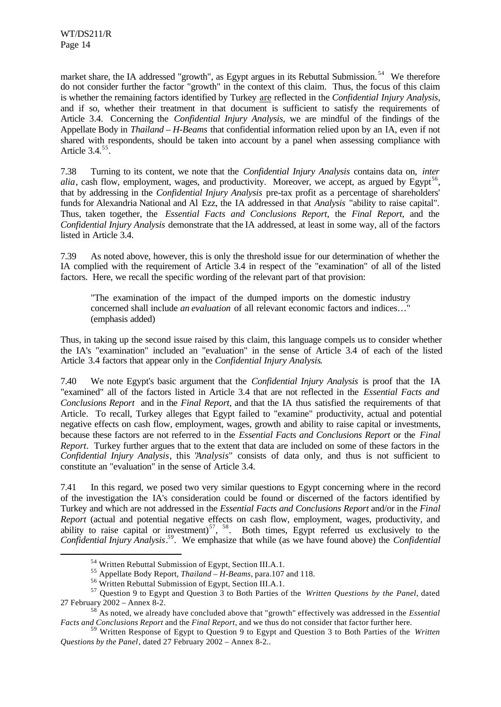l

market share, the IA addressed "growth", as Egypt argues in its Rebuttal Submission.<sup>54</sup> We therefore do not consider further the factor "growth" in the context of this claim. Thus, the focus of this claim is whether the remaining factors identified by Turkey are reflected in the *Confidential Injury Analysis*, and if so, whether their treatment in that document is sufficient to satisfy the requirements of Article 3.4. Concerning the *Confidential Injury Analysis*, we are mindful of the findings of the Appellate Body in *Thailand – H-Beams* that confidential information relied upon by an IA, even if not shared with respondents, should be taken into account by a panel when assessing compliance with Article  $3.4.^{55}$ .

7.38 Turning to its content, we note that the *Confidential Injury Analysis* contains data on, *inter*  $alia$ , cash flow, employment, wages, and productivity. Moreover, we accept, as argued by Egypt<sup>56</sup>, that by addressing in the *Confidential Injury Analysis* pre-tax profit as a percentage of shareholders' funds for Alexandria National and Al Ezz, the IA addressed in that *Analysis* "ability to raise capital". Thus, taken together, the *Essential Facts and Conclusions Report*, the *Final Report*, and the *Confidential Injury Analysis* demonstrate that the IA addressed, at least in some way, all of the factors listed in Article 3.4.

7.39 As noted above, however, this is only the threshold issue for our determination of whether the IA complied with the requirement of Article 3.4 in respect of the "examination" of all of the listed factors. Here, we recall the specific wording of the relevant part of that provision:

"The examination of the impact of the dumped imports on the domestic industry concerned shall include *an evaluation* of all relevant economic factors and indices…" (emphasis added)

Thus, in taking up the second issue raised by this claim, this language compels us to consider whether the IA's "examination" included an "evaluation" in the sense of Article 3.4 of each of the listed Article 3.4 factors that appear only in the *Confidential Injury Analysis*.

7.40 We note Egypt's basic argument that the *Confidential Injury Analysis* is proof that the IA "examined" all of the factors listed in Article 3.4 that are not reflected in the *Essential Facts and Conclusions Report* and in the *Final Report*, and that the IA thus satisfied the requirements of that Article. To recall, Turkey alleges that Egypt failed to "examine" productivity, actual and potential negative effects on cash flow, employment, wages, growth and ability to raise capital or investments, because these factors are not referred to in the *Essential Facts and Conclusions Report* or the *Final Report*. Turkey further argues that to the extent that data are included on some of these factors in the *Confidential Injury Analysis*, this "*Analysis*" consists of data only, and thus is not sufficient to constitute an "evaluation" in the sense of Article 3.4.

7.41 In this regard, we posed two very similar questions to Egypt concerning where in the record of the investigation the IA's consideration could be found or discerned of the factors identified by Turkey and which are not addressed in the *Essential Facts and Conclusions Report* and/or in the *Final Report* (actual and potential negative effects on cash flow, employment, wages, productivity, and ability to raise capital or investment)<sup>57</sup>,  $^{58}$ . Both times, Egypt referred us exclusively to the *Confidential Injury Analysis*. *<sup>59</sup>*. We emphasize that while (as we have found above) the *Confidential*

<sup>54</sup> Written Rebuttal Submission of Egypt, Section III.A.1.

<sup>55</sup> Appellate Body Report, *Thailand – H-Beams*, para.107 and 118.

<sup>56</sup> Written Rebuttal Submission of Egypt, Section III.A.1.

<sup>57</sup> Question 9 to Egypt and Question 3 to Both Parties of the *Written Questions by the Panel,* dated 27 February 2002 – Annex 8-2.

<sup>58</sup> As noted, we already have concluded above that "growth" effectively was addressed in the *Essential Facts and Conclusions Report* and the *Final Report*, and we thus do not consider that factor further here.

<sup>59</sup> Written Response of Egypt to Question 9 to Egypt and Question 3 to Both Parties of the *Written Questions by the Panel*, dated 27 February 2002 – Annex 8-2..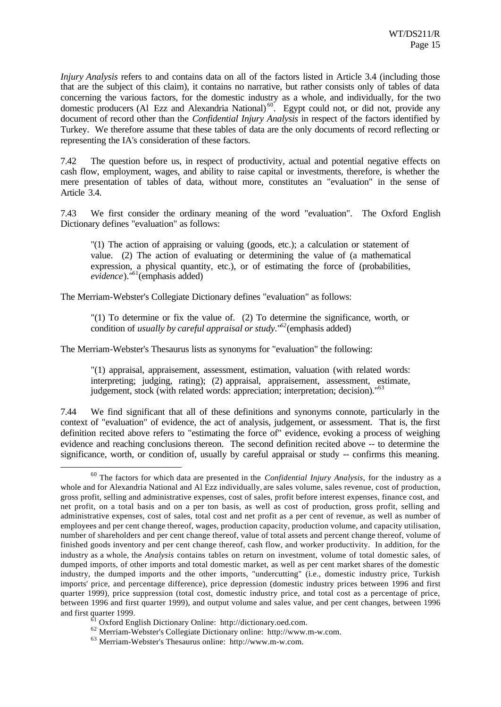*Injury Analysis* refers to and contains data on all of the factors listed in Article 3.4 (including those that are the subject of this claim), it contains no narrative, but rather consists only of tables of data concerning the various factors, for the domestic industry as a whole, and individually, for the two domestic producers (Al Ezz and Alexandria National)<sup>60</sup>. Egypt could not, or did not, provide any document of record other than the *Confidential Injury Analysis* in respect of the factors identified by Turkey. We therefore assume that these tables of data are the only documents of record reflecting or representing the IA's consideration of these factors.

7.42 The question before us, in respect of productivity, actual and potential negative effects on cash flow, employment, wages, and ability to raise capital or investments, therefore, is whether the mere presentation of tables of data, without more, constitutes an "evaluation" in the sense of Article 3.4.

7.43 We first consider the ordinary meaning of the word "evaluation". The Oxford English Dictionary defines "evaluation" as follows:

"(1) The action of appraising or valuing (goods, etc.); a calculation or statement of value. (2) The action of evaluating or determining the value of (a mathematical expression, a physical quantity, etc.), or of estimating the force of (probabilities, *evidence*)."<sup>61</sup>(emphasis added)

The Merriam-Webster's Collegiate Dictionary defines "evaluation" as follows:

"(1) To determine or fix the value of. (2) To determine the significance, worth, or condition of *usually by careful appraisal or study.*" *<sup>62</sup>*(emphasis added)

The Merriam-Webster's Thesaurus lists as synonyms for "evaluation" the following:

"(1) appraisal, appraisement, assessment, estimation, valuation (with related words: interpreting; judging, rating); (2) appraisal, appraisement, assessment, estimate, judgement, stock (with related words: appreciation; interpretation; decision)."<sup>63</sup>

7.44 We find significant that all of these definitions and synonyms connote, particularly in the context of "evaluation" of evidence, the act of analysis, judgement, or assessment. That is, the first definition recited above refers to "estimating the force of" evidence, evoking a process of weighing evidence and reaching conclusions thereon. The second definition recited above -- to determine the significance, worth, or condition of, usually by careful appraisal or study -- confirms this meaning.

<sup>60</sup> The factors for which data are presented in the *Confidential Injury Analysis*, for the industry as a whole and for Alexandria National and Al Ezz individually, are sales volume, sales revenue, cost of production, gross profit, selling and administrative expenses, cost of sales, profit before interest expenses, finance cost, and net profit, on a total basis and on a per ton basis, as well as cost of production, gross profit, selling and administrative expenses, cost of sales, total cost and net profit as a per cent of revenue, as well as number of employees and per cent change thereof, wages, production capacity, production volume, and capacity utilisation, number of shareholders and per cent change thereof, value of total assets and percent change thereof, volume of finished goods inventory and per cent change thereof, cash flow, and worker productivity. In addition, for the industry as a whole, the *Analysis* contains tables on return on investment, volume of total domestic sales, of dumped imports, of other imports and total domestic market, as well as per cent market shares of the domestic industry, the dumped imports and the other imports, "undercutting" (i.e., domestic industry price, Turkish imports' price, and percentage difference), price depression (domestic industry prices between 1996 and first quarter 1999), price suppression (total cost, domestic industry price, and total cost as a percentage of price, between 1996 and first quarter 1999), and output volume and sales value, and per cent changes, between 1996 and first quarter 1999.

<sup>61</sup> Oxford English Dictionary Online: http://dictionary.oed.com.

<sup>62</sup> Merriam-Webster's Collegiate Dictionary online: http://www.m-w.com.

<sup>63</sup> Merriam-Webster's Thesaurus online: http://www.m-w.com.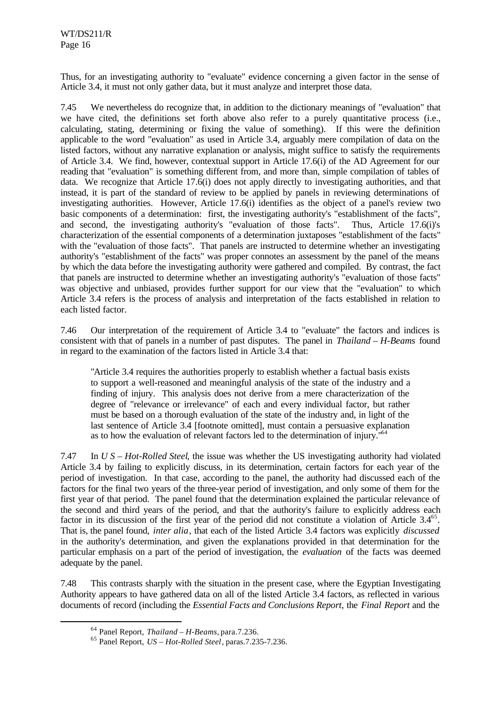Thus, for an investigating authority to "evaluate" evidence concerning a given factor in the sense of Article 3.4, it must not only gather data, but it must analyze and interpret those data.

7.45 We nevertheless do recognize that, in addition to the dictionary meanings of "evaluation" that we have cited, the definitions set forth above also refer to a purely quantitative process (i.e., calculating, stating, determining or fixing the value of something). If this were the definition applicable to the word "evaluation" as used in Article 3.4, arguably mere compilation of data on the listed factors, without any narrative explanation or analysis, might suffice to satisfy the requirements of Article 3.4. We find, however, contextual support in Article 17.6(i) of the AD Agreement for our reading that "evaluation" is something different from, and more than, simple compilation of tables of data. We recognize that Article 17.6(i) does not apply directly to investigating authorities, and that instead, it is part of the standard of review to be applied by panels in reviewing determinations of investigating authorities. However, Article 17.6(i) identifies as the object of a panel's review two basic components of a determination: first, the investigating authority's "establishment of the facts", and second, the investigating authority's "evaluation of those facts". Thus, Article 17.6(i)'s characterization of the essential components of a determination juxtaposes "establishment of the facts" with the "evaluation of those facts". That panels are instructed to determine whether an investigating authority's "establishment of the facts" was proper connotes an assessment by the panel of the means by which the data before the investigating authority were gathered and compiled. By contrast, the fact that panels are instructed to determine whether an investigating authority's "evaluation of those facts" was objective and unbiased, provides further support for our view that the "evaluation" to which Article 3.4 refers is the process of analysis and interpretation of the facts established in relation to each listed factor.

7.46 Our interpretation of the requirement of Article 3.4 to "evaluate" the factors and indices is consistent with that of panels in a number of past disputes. The panel in *Thailand – H-Beams* found in regard to the examination of the factors listed in Article 3.4 that:

"Article 3.4 requires the authorities properly to establish whether a factual basis exists to support a well-reasoned and meaningful analysis of the state of the industry and a finding of injury. This analysis does not derive from a mere characterization of the degree of "relevance or irrelevance" of each and every individual factor, but rather must be based on a thorough evaluation of the state of the industry and, in light of the last sentence of Article 3.4 [footnote omitted], must contain a persuasive explanation as to how the evaluation of relevant factors led to the determination of injury."<sup>64</sup>

7.47 In *U S – Hot-Rolled Steel*, the issue was whether the US investigating authority had violated Article 3.4 by failing to explicitly discuss, in its determination, certain factors for each year of the period of investigation. In that case, according to the panel, the authority had discussed each of the factors for the final two years of the three-year period of investigation, and only some of them for the first year of that period. The panel found that the determination explained the particular relevance of the second and third years of the period, and that the authority's failure to explicitly address each factor in its discussion of the first year of the period did not constitute a violation of Article 3.4<sup>65</sup>. That is, the panel found, *inter alia*, that each of the listed Article 3.4 factors was explicitly *discussed* in the authority's determination, and given the explanations provided in that determination for the particular emphasis on a part of the period of investigation, the *evaluation* of the facts was deemed adequate by the panel.

7.48 This contrasts sharply with the situation in the present case, where the Egyptian Investigating Authority appears to have gathered data on all of the listed Article 3.4 factors, as reflected in various documents of record (including the *Essential Facts and Conclusions Report*, the *Final Report* and the

<sup>64</sup> Panel Report, *Thailand – H-Beams,* para.7.236.

<sup>65</sup> Panel Report, *US – Hot-Rolled Steel*, paras.7.235-7.236.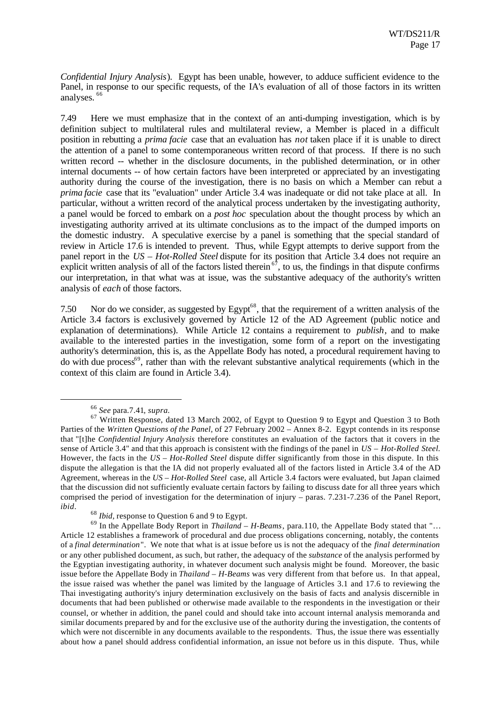*Confidential Injury Analysis*). Egypt has been unable, however, to adduce sufficient evidence to the Panel, in response to our specific requests, of the IA's evaluation of all of those factors in its written analyses. <sup>66</sup>

7.49 Here we must emphasize that in the context of an anti-dumping investigation, which is by definition subject to multilateral rules and multilateral review, a Member is placed in a difficult position in rebutting a *prima facie* case that an evaluation has *not* taken place if it is unable to direct the attention of a panel to some contemporaneous written record of that process. If there is no such written record -- whether in the disclosure documents, in the published determination, or in other internal documents -- of how certain factors have been interpreted or appreciated by an investigating authority during the course of the investigation, there is no basis on which a Member can rebut a *prima facie* case that its "evaluation" under Article 3.4 was inadequate or did not take place at all. In particular, without a written record of the analytical process undertaken by the investigating authority, a panel would be forced to embark on a *post hoc* speculation about the thought process by which an investigating authority arrived at its ultimate conclusions as to the impact of the dumped imports on the domestic industry. A speculative exercise by a panel is something that the special standard of review in Article 17.6 is intended to prevent. Thus, while Egypt attempts to derive support from the panel report in the *US – Hot-Rolled Steel* dispute for its position that Article 3.4 does not require an explicit written analysis of all of the factors listed therein<sup>67</sup>, to us, the findings in that dispute confirms our interpretation, in that what was at issue, was the substantive adequacy of the authority's written analysis of *each* of those factors.

7.50 Nor do we consider, as suggested by Egypt<sup>68</sup>, that the requirement of a written analysis of the Article 3.4 factors is exclusively governed by Article 12 of the AD Agreement (public notice and explanation of determinations). While Article 12 contains a requirement to *publish*, and to make available to the interested parties in the investigation, some form of a report on the investigating authority's determination, this is, as the Appellate Body has noted, a procedural requirement having to do with due process<sup>69</sup>, rather than with the relevant substantive analytical requirements (which in the context of this claim are found in Article 3.4).

<sup>66</sup> *See* para.7.41, *supra.*

<sup>&</sup>lt;sup>67</sup> Written Response, dated 13 March 2002, of Egypt to Question 9 to Egypt and Question 3 to Both Parties of the *Written Questions of the Panel,* of 27 February 2002 – Annex 8-2. Egypt contends in its response that "[t]he *Confidential Injury Analysis* therefore constitutes an evaluation of the factors that it covers in the sense of Article 3.4" and that this approach is consistent with the findings of the panel in *US – Hot-Rolled Steel.* However, the facts in the *US – Hot-Rolled Steel* dispute differ significantly from those in this dispute. In this dispute the allegation is that the IA did not properly evaluated all of the factors listed in Article 3.4 of the AD Agreement, whereas in the *US – Hot-Rolled Steel* case, all Article 3.4 factors were evaluated, but Japan claimed that the discussion did not sufficiently evaluate certain factors by failing to discuss date for all three years which comprised the period of investigation for the determination of injury – paras. 7.231-7.236 of the Panel Report, *ibid*.

<sup>68</sup> *Ibid,* response to Question 6 and 9 to Egypt.

<sup>69</sup> In the Appellate Body Report in *Thailand – H-Beams*, para.110, the Appellate Body stated that "… Article 12 establishes a framework of procedural and due process obligations concerning, notably, the contents of a *final determination*". We note that what is at issue before us is not the adequacy of the *final determination* or any other published document, as such, but rather, the adequacy of the *substance* of the analysis performed by the Egyptian investigating authority, in whatever document such analysis might be found. Moreover, the basic issue before the Appellate Body in *Thailand – H-Beams* was very different from that before us. In that appeal, the issue raised was whether the panel was limited by the language of Articles 3.1 and 17.6 to reviewing the Thai investigating authority's injury determination exclusively on the basis of facts and analysis discernible in documents that had been published or otherwise made available to the respondents in the investigation or their counsel, or whether in addition, the panel could and should take into account internal analysis memoranda and similar documents prepared by and for the exclusive use of the authority during the investigation, the contents of which were not discernible in any documents available to the respondents. Thus, the issue there was essentially about how a panel should address confidential information, an issue not before us in this dispute. Thus, while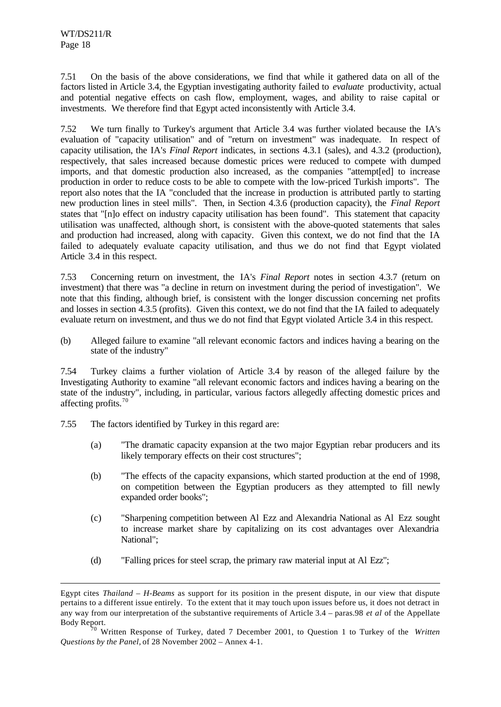l

7.51 On the basis of the above considerations, we find that while it gathered data on all of the factors listed in Article 3.4, the Egyptian investigating authority failed to *evaluate* productivity, actual and potential negative effects on cash flow, employment, wages, and ability to raise capital or investments. We therefore find that Egypt acted inconsistently with Article 3.4.

7.52 We turn finally to Turkey's argument that Article 3.4 was further violated because the IA's evaluation of "capacity utilisation" and of "return on investment" was inadequate. In respect of capacity utilisation, the IA's *Final Report* indicates, in sections 4.3.1 (sales), and 4.3.2 (production), respectively, that sales increased because domestic prices were reduced to compete with dumped imports, and that domestic production also increased, as the companies "attempt[ed] to increase production in order to reduce costs to be able to compete with the low-priced Turkish imports". The report also notes that the IA "concluded that the increase in production is attributed partly to starting new production lines in steel mills". Then, in Section 4.3.6 (production capacity), the *Final Report* states that "[n]o effect on industry capacity utilisation has been found". This statement that capacity utilisation was unaffected, although short, is consistent with the above-quoted statements that sales and production had increased, along with capacity. Given this context, we do not find that the IA failed to adequately evaluate capacity utilisation, and thus we do not find that Egypt violated Article 3.4 in this respect.

7.53 Concerning return on investment, the IA's *Final Report* notes in section 4.3.7 (return on investment) that there was "a decline in return on investment during the period of investigation". We note that this finding, although brief, is consistent with the longer discussion concerning net profits and losses in section 4.3.5 (profits). Given this context, we do not find that the IA failed to adequately evaluate return on investment, and thus we do not find that Egypt violated Article 3.4 in this respect.

(b) Alleged failure to examine "all relevant economic factors and indices having a bearing on the state of the industry"

7.54 Turkey claims a further violation of Article 3.4 by reason of the alleged failure by the Investigating Authority to examine "all relevant economic factors and indices having a bearing on the state of the industry", including, in particular, various factors allegedly affecting domestic prices and affecting profits.<sup>70</sup>

- 7.55 The factors identified by Turkey in this regard are:
	- (a) "The dramatic capacity expansion at the two major Egyptian rebar producers and its likely temporary effects on their cost structures";
	- (b) "The effects of the capacity expansions, which started production at the end of 1998, on competition between the Egyptian producers as they attempted to fill newly expanded order books";
	- (c) "Sharpening competition between Al Ezz and Alexandria National as Al Ezz sought to increase market share by capitalizing on its cost advantages over Alexandria National";
	- (d) "Falling prices for steel scrap, the primary raw material input at Al Ezz";

Egypt cites *Thailand – H-Beams* as support for its position in the present dispute, in our view that dispute pertains to a different issue entirely. To the extent that it may touch upon issues before us, it does not detract in any way from our interpretation of the substantive requirements of Article 3.4 – paras.98 *et al* of the Appellate Body Report.

<sup>70</sup> Written Response of Turkey, dated 7 December 2001, to Question 1 to Turkey of the *Written Questions by the Panel,* of 28 November 2002 – Annex 4-1.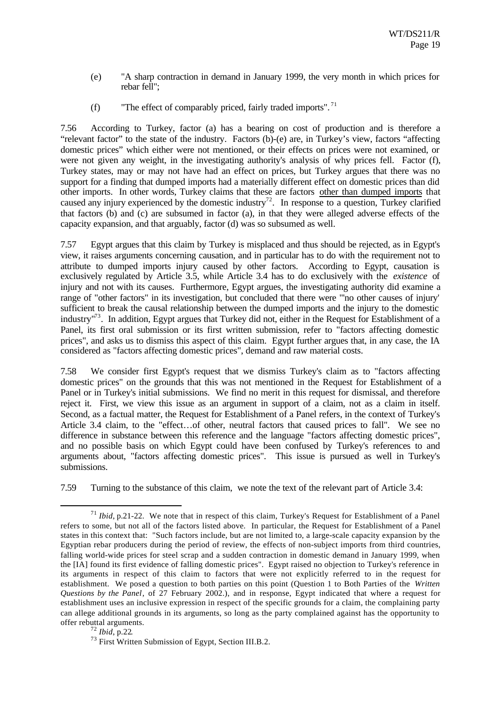- (e) "A sharp contraction in demand in January 1999, the very month in which prices for rebar fell";
- (f) "The effect of comparably priced, fairly traded imports".  $71$

7.56 According to Turkey, factor (a) has a bearing on cost of production and is therefore a "relevant factor" to the state of the industry. Factors (b)-(e) are, in Turkey's view, factors "affecting domestic prices" which either were not mentioned, or their effects on prices were not examined, or were not given any weight, in the investigating authority's analysis of why prices fell. Factor (f), Turkey states, may or may not have had an effect on prices, but Turkey argues that there was no support for a finding that dumped imports had a materially different effect on domestic prices than did other imports. In other words, Turkey claims that these are factors other than dumped imports that caused any injury experienced by the domestic industry<sup>72</sup>. In response to a question, Turkey clarified that factors (b) and (c) are subsumed in factor (a), in that they were alleged adverse effects of the capacity expansion, and that arguably, factor (d) was so subsumed as well.

7.57 Egypt argues that this claim by Turkey is misplaced and thus should be rejected, as in Egypt's view, it raises arguments concerning causation, and in particular has to do with the requirement not to attribute to dumped imports injury caused by other factors. According to Egypt, causation is exclusively regulated by Article 3.5, while Article 3.4 has to do exclusively with the *existence* of injury and not with its causes. Furthermore, Egypt argues, the investigating authority did examine a range of "other factors" in its investigation, but concluded that there were "'no other causes of injury' sufficient to break the causal relationship between the dumped imports and the injury to the domestic industry"<sup>73</sup>. In addition, Egypt argues that Turkey did not, either in the Request for Establishment of a Panel, its first oral submission or its first written submission, refer to "factors affecting domestic prices", and asks us to dismiss this aspect of this claim. Egypt further argues that, in any case, the IA considered as "factors affecting domestic prices", demand and raw material costs.

7.58 We consider first Egypt's request that we dismiss Turkey's claim as to "factors affecting domestic prices" on the grounds that this was not mentioned in the Request for Establishment of a Panel or in Turkey's initial submissions. We find no merit in this request for dismissal, and therefore reject it. First, we view this issue as an argument in support of a claim, not as a claim in itself. Second, as a factual matter, the Request for Establishment of a Panel refers, in the context of Turkey's Article 3.4 claim, to the "effect…of other, neutral factors that caused prices to fall". We see no difference in substance between this reference and the language "factors affecting domestic prices", and no possible basis on which Egypt could have been confused by Turkey's references to and arguments about, "factors affecting domestic prices". This issue is pursued as well in Turkey's submissions.

7.59 Turning to the substance of this claim, we note the text of the relevant part of Article 3.4:

<sup>72</sup> *Ibid*, p.22*.*

<sup>71</sup> *Ibid*, p.21-22. We note that in respect of this claim, Turkey's Request for Establishment of a Panel refers to some, but not all of the factors listed above. In particular, the Request for Establishment of a Panel states in this context that: "Such factors include, but are not limited to, a large-scale capacity expansion by the Egyptian rebar producers during the period of review, the effects of non-subject imports from third countries, falling world-wide prices for steel scrap and a sudden contraction in domestic demand in January 1999, when the [IA] found its first evidence of falling domestic prices". Egypt raised no objection to Turkey's reference in its arguments in respect of this claim to factors that were not explicitly referred to in the request for establishment. We posed a question to both parties on this point (Question 1 to Both Parties of the *Written Questions by the Panel*, of 27 February 2002.), and in response, Egypt indicated that where a request for establishment uses an inclusive expression in respect of the specific grounds for a claim, the complaining party can allege additional grounds in its arguments, so long as the party complained against has the opportunity to offer rebuttal arguments.

<sup>73</sup> First Written Submission of Egypt, Section III.B.2.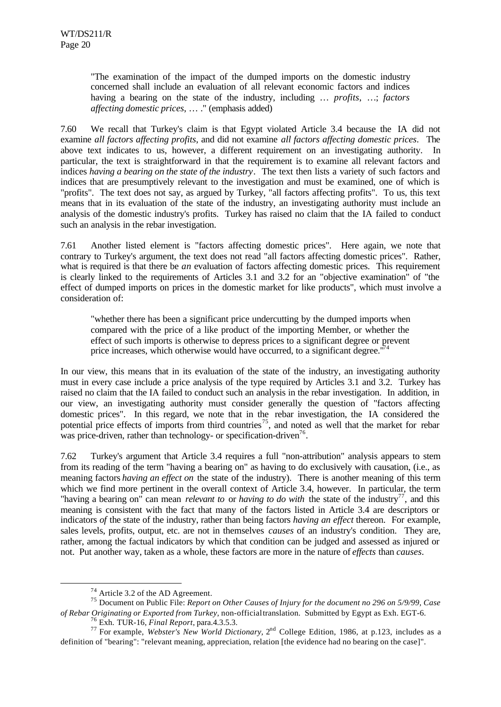"The examination of the impact of the dumped imports on the domestic industry concerned shall include an evaluation of all relevant economic factors and indices having a bearing on the state of the industry, including … *profits*, …; *factors affecting domestic prices*, … ." (emphasis added)

7.60 We recall that Turkey's claim is that Egypt violated Article 3.4 because the IA did not examine *all factors affecting profits*, and did not examine *all factors affecting domestic prices*. The above text indicates to us, however, a different requirement on an investigating authority. In particular, the text is straightforward in that the requirement is to examine all relevant factors and indices *having a bearing on the state of the industry*. The text then lists a variety of such factors and indices that are presumptively relevant to the investigation and must be examined, one of which is "profits". The text does not say, as argued by Turkey, "all factors affecting profits". To us, this text means that in its evaluation of the state of the industry, an investigating authority must include an analysis of the domestic industry's profits. Turkey has raised no claim that the IA failed to conduct such an analysis in the rebar investigation.

7.61 Another listed element is "factors affecting domestic prices". Here again, we note that contrary to Turkey's argument, the text does not read "all factors affecting domestic prices". Rather, what is required is that there be *an* evaluation of factors affecting domestic prices. This requirement is clearly linked to the requirements of Articles 3.1 and 3.2 for an "objective examination" of "the effect of dumped imports on prices in the domestic market for like products", which must involve a consideration of:

"whether there has been a significant price undercutting by the dumped imports when compared with the price of a like product of the importing Member, or whether the effect of such imports is otherwise to depress prices to a significant degree or prevent price increases, which otherwise would have occurred, to a significant degree."

In our view, this means that in its evaluation of the state of the industry, an investigating authority must in every case include a price analysis of the type required by Articles 3.1 and 3.2. Turkey has raised no claim that the IA failed to conduct such an analysis in the rebar investigation. In addition, in our view, an investigating authority must consider generally the question of "factors affecting domestic prices". In this regard, we note that in the rebar investigation, the IA considered the potential price effects of imports from third countries<sup>75</sup>, and noted as well that the market for rebar was price-driven, rather than technology- or specification-driven<sup>76</sup>.

7.62 Turkey's argument that Article 3.4 requires a full "non-attribution" analysis appears to stem from its reading of the term "having a bearing on" as having to do exclusively with causation, (i.e., as meaning factors *having an effect on* the state of the industry). There is another meaning of this term which we find more pertinent in the overall context of Article 3.4, however. In particular, the term "having a bearing on" can mean *relevant to* or *having to do with* the state of the industry<sup>77</sup>, and this meaning is consistent with the fact that many of the factors listed in Article 3.4 are descriptors or indicators *of* the state of the industry, rather than being factors *having an effect* thereon. For example, sales levels, profits, output, etc. are not in themselves *causes* of an industry's condition. They are, rather, among the factual indicators by which that condition can be judged and assessed as injured or not. Put another way, taken as a whole, these factors are more in the nature of *effects* than *causes*.

<sup>74</sup> Article 3.2 of the AD Agreement.

<sup>75</sup> Document on Public File: *Report on Other Causes of Injury for the document no 296 on 5/9/99, Case of Rebar Originating or Exported from Turkey,* non-officialtranslation. Submitted by Egypt as Exh. EGT-6.

<sup>76</sup> Exh. TUR-16, *Final Report*, para.4.3.5.3.

<sup>77</sup> For example, *Webster's New World Dictionary,* 2nd College Edition, 1986, at p.123, includes as a definition of "bearing": "relevant meaning, appreciation, relation [the evidence had no bearing on the case]".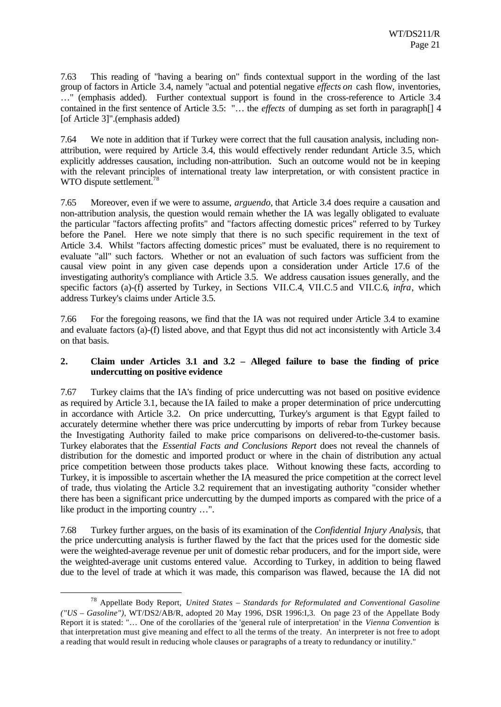7.63 This reading of "having a bearing on" finds contextual support in the wording of the last group of factors in Article 3.4, namely "actual and potential negative *effects on* cash flow, inventories, …" (emphasis added). Further contextual support is found in the cross-reference to Article 3.4 contained in the first sentence of Article 3.5: "… the *effects* of dumping as set forth in paragraph[] 4 [of Article 3]".(emphasis added)

7.64 We note in addition that if Turkey were correct that the full causation analysis, including nonattribution, were required by Article 3.4, this would effectively render redundant Article 3.5, which explicitly addresses causation, including non-attribution. Such an outcome would not be in keeping with the relevant principles of international treaty law interpretation, or with consistent practice in WTO dispute settlement.<sup>78</sup>

7.65 Moreover, even if we were to assume, *arguendo,* that Article 3.4 does require a causation and non-attribution analysis, the question would remain whether the IA was legally obligated to evaluate the particular "factors affecting profits" and "factors affecting domestic prices" referred to by Turkey before the Panel. Here we note simply that there is no such specific requirement in the text of Article 3.4. Whilst "factors affecting domestic prices" must be evaluated, there is no requirement to evaluate "all" such factors. Whether or not an evaluation of such factors was sufficient from the causal view point in any given case depends upon a consideration under Article 17.6 of the investigating authority's compliance with Article 3.5. We address causation issues generally, and the specific factors (a)-(f) asserted by Turkey, in Sections VII.C.4, VII.C.5 and VII.C.6, *infra*, which address Turkey's claims under Article 3.5.

7.66 For the foregoing reasons, we find that the IA was not required under Article 3.4 to examine and evaluate factors (a)-(f) listed above, and that Egypt thus did not act inconsistently with Article 3.4 on that basis.

# **2. Claim under Articles 3.1 and 3.2 – Alleged failure to base the finding of price undercutting on positive evidence**

7.67 Turkey claims that the IA's finding of price undercutting was not based on positive evidence as required by Article 3.1, because the IA failed to make a proper determination of price undercutting in accordance with Article 3.2. On price undercutting, Turkey's argument is that Egypt failed to accurately determine whether there was price undercutting by imports of rebar from Turkey because the Investigating Authority failed to make price comparisons on delivered-to-the-customer basis. Turkey elaborates that the *Essential Facts and Conclusions Report* does not reveal the channels of distribution for the domestic and imported product or where in the chain of distribution any actual price competition between those products takes place. Without knowing these facts, according to Turkey, it is impossible to ascertain whether the IA measured the price competition at the correct level of trade, thus violating the Article 3.2 requirement that an investigating authority "consider whether there has been a significant price undercutting by the dumped imports as compared with the price of a like product in the importing country …".

7.68 Turkey further argues, on the basis of its examination of the *Confidential Injury Analysis*, that the price undercutting analysis is further flawed by the fact that the prices used for the domestic side were the weighted-average revenue per unit of domestic rebar producers, and for the import side, were the weighted-average unit customs entered value. According to Turkey, in addition to being flawed due to the level of trade at which it was made, this comparison was flawed, because the IA did not

<sup>78</sup> Appellate Body Report, *United States – Standards for Reformulated and Conventional Gasoline ("US – Gasoline")*, WT/DS2/AB/R, adopted 20 May 1996, DSR 1996:I,3. On page 23 of the Appellate Body Report it is stated: "… One of the corollaries of the 'general rule of interpretation' in the *Vienna Convention* is that interpretation must give meaning and effect to all the terms of the treaty. An interpreter is not free to adopt a reading that would result in reducing whole clauses or paragraphs of a treaty to redundancy or inutility."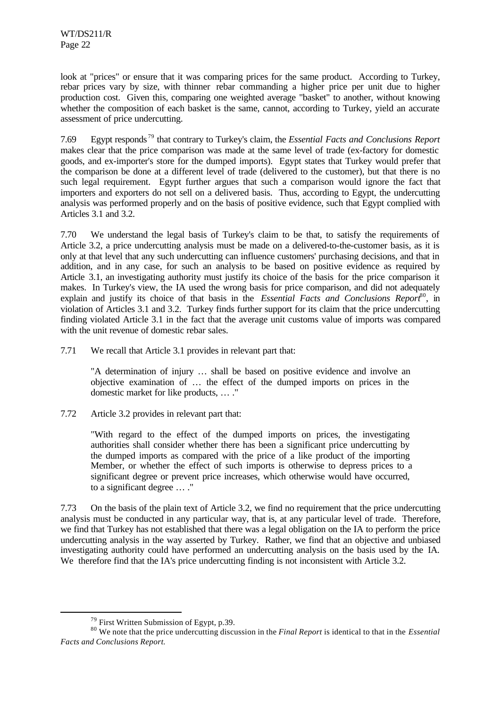look at "prices" or ensure that it was comparing prices for the same product. According to Turkey, rebar prices vary by size, with thinner rebar commanding a higher price per unit due to higher production cost. Given this, comparing one weighted average "basket" to another, without knowing whether the composition of each basket is the same, cannot, according to Turkey, yield an accurate assessment of price undercutting.

7.69 Egypt responds <sup>79</sup> that contrary to Turkey's claim, the *Essential Facts and Conclusions Report* makes clear that the price comparison was made at the same level of trade (ex-factory for domestic goods, and ex-importer's store for the dumped imports). Egypt states that Turkey would prefer that the comparison be done at a different level of trade (delivered to the customer), but that there is no such legal requirement. Egypt further argues that such a comparison would ignore the fact that importers and exporters do not sell on a delivered basis. Thus, according to Egypt, the undercutting analysis was performed properly and on the basis of positive evidence, such that Egypt complied with Articles 3.1 and 3.2.

7.70 We understand the legal basis of Turkey's claim to be that, to satisfy the requirements of Article 3.2, a price undercutting analysis must be made on a delivered-to-the-customer basis, as it is only at that level that any such undercutting can influence customers' purchasing decisions, and that in addition, and in any case, for such an analysis to be based on positive evidence as required by Article 3.1, an investigating authority must justify its choice of the basis for the price comparison it makes. In Turkey's view, the IA used the wrong basis for price comparison, and did not adequately explain and justify its choice of that basis in the *Essential Facts and Conclusions Report*<sup>80</sup>, in violation of Articles 3.1 and 3.2. Turkey finds further support for its claim that the price undercutting finding violated Article 3.1 in the fact that the average unit customs value of imports was compared with the unit revenue of domestic rebar sales.

7.71 We recall that Article 3.1 provides in relevant part that:

"A determination of injury … shall be based on positive evidence and involve an objective examination of … the effect of the dumped imports on prices in the domestic market for like products, … ."

7.72 Article 3.2 provides in relevant part that:

"With regard to the effect of the dumped imports on prices, the investigating authorities shall consider whether there has been a significant price undercutting by the dumped imports as compared with the price of a like product of the importing Member, or whether the effect of such imports is otherwise to depress prices to a significant degree or prevent price increases, which otherwise would have occurred, to a significant degree … ."

7.73 On the basis of the plain text of Article 3.2, we find no requirement that the price undercutting analysis must be conducted in any particular way, that is, at any particular level of trade. Therefore, we find that Turkey has not established that there was a legal obligation on the IA to perform the price undercutting analysis in the way asserted by Turkey. Rather, we find that an objective and unbiased investigating authority could have performed an undercutting analysis on the basis used by the IA. We therefore find that the IA's price undercutting finding is not inconsistent with Article 3.2.

<sup>79</sup> First Written Submission of Egypt, p.39.

<sup>80</sup> We note that the price undercutting discussion in the *Final Report* is identical to that in the *Essential Facts and Conclusions Report.*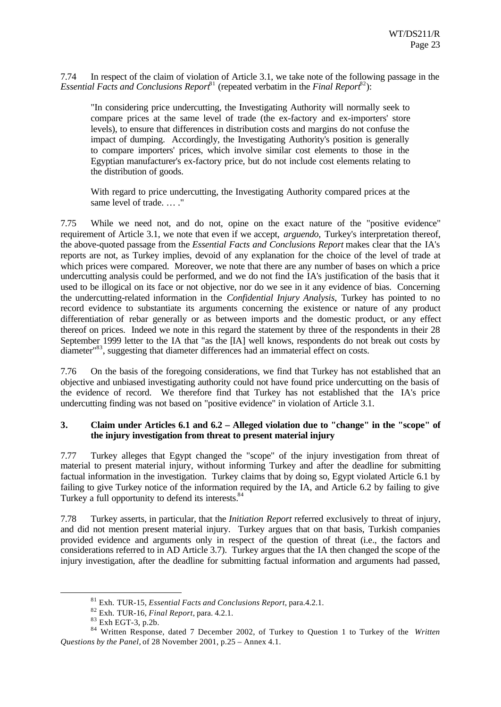7.74 In respect of the claim of violation of Article 3.1, we take note of the following passage in the *Essential Facts and Conclusions Report*<sup>81</sup> (repeated verbatim in the *Final Report*<sup>82</sup>):

"In considering price undercutting, the Investigating Authority will normally seek to compare prices at the same level of trade (the ex-factory and ex-importers' store levels), to ensure that differences in distribution costs and margins do not confuse the impact of dumping. Accordingly, the Investigating Authority's position is generally to compare importers' prices, which involve similar cost elements to those in the Egyptian manufacturer's ex-factory price, but do not include cost elements relating to the distribution of goods.

With regard to price undercutting, the Investigating Authority compared prices at the same level of trade. … ."

7.75 While we need not, and do not, opine on the exact nature of the "positive evidence" requirement of Article 3.1, we note that even if we accept, *arguendo,* Turkey's interpretation thereof, the above-quoted passage from the *Essential Facts and Conclusions Report* makes clear that the IA's reports are not, as Turkey implies, devoid of any explanation for the choice of the level of trade at which prices were compared. Moreover, we note that there are any number of bases on which a price undercutting analysis could be performed, and we do not find the IA's justification of the basis that it used to be illogical on its face or not objective, nor do we see in it any evidence of bias. Concerning the undercutting-related information in the *Confidential Injury Analysis*, Turkey has pointed to no record evidence to substantiate its arguments concerning the existence or nature of any product differentiation of rebar generally or as between imports and the domestic product, or any effect thereof on prices. Indeed we note in this regard the statement by three of the respondents in their 28 September 1999 letter to the IA that "as the [IA] well knows, respondents do not break out costs by diameter<sup>83</sup>, suggesting that diameter differences had an immaterial effect on costs.

7.76 On the basis of the foregoing considerations, we find that Turkey has not established that an objective and unbiased investigating authority could not have found price undercutting on the basis of the evidence of record. We therefore find that Turkey has not established that the IA's price undercutting finding was not based on "positive evidence" in violation of Article 3.1.

#### **3. Claim under Articles 6.1 and 6.2 – Alleged violation due to "change" in the "scope" of the injury investigation from threat to present material injury**

7.77 Turkey alleges that Egypt changed the "scope" of the injury investigation from threat of material to present material injury, without informing Turkey and after the deadline for submitting factual information in the investigation. Turkey claims that by doing so, Egypt violated Article 6.1 by failing to give Turkey notice of the information required by the IA, and Article 6.2 by failing to give Turkey a full opportunity to defend its interests.<sup>84</sup>

7.78 Turkey asserts, in particular, that the *Initiation Report* referred exclusively to threat of injury, and did not mention present material injury. Turkey argues that on that basis, Turkish companies provided evidence and arguments only in respect of the question of threat (i.e., the factors and considerations referred to in AD Article 3.7). Turkey argues that the IA then changed the scope of the injury investigation, after the deadline for submitting factual information and arguments had passed,

<sup>81</sup> Exh. TUR-15, *Essential Facts and Conclusions Report*, para.4.2.1.

<sup>82</sup> Exh. TUR-16, *Final Report*, para. 4.2.1.

<sup>83</sup> Exh EGT-3, p.2b.

<sup>84</sup> Written Response, dated 7 December 2002, of Turkey to Question 1 to Turkey of the *Written Questions by the Panel,* of 28 November 2001, p.25 – Annex 4.1.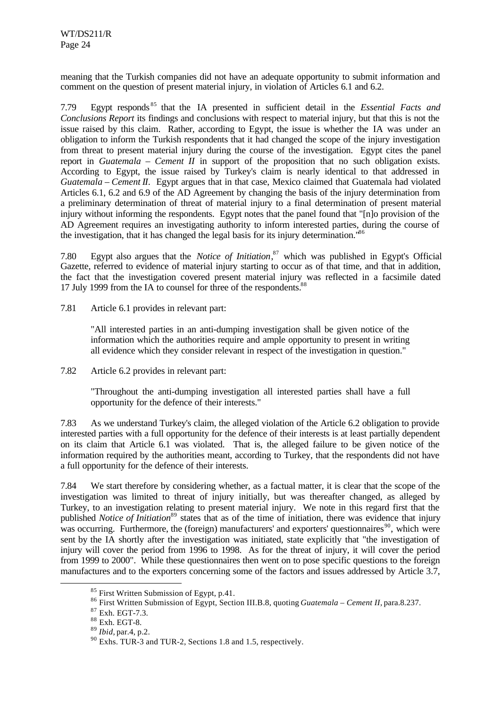meaning that the Turkish companies did not have an adequate opportunity to submit information and comment on the question of present material injury, in violation of Articles 6.1 and 6.2.

7.79 Egypt responds <sup>85</sup> that the IA presented in sufficient detail in the *Essential Facts and Conclusions Report* its findings and conclusions with respect to material injury, but that this is not the issue raised by this claim. Rather, according to Egypt, the issue is whether the IA was under an obligation to inform the Turkish respondents that it had changed the scope of the injury investigation from threat to present material injury during the course of the investigation. Egypt cites the panel report in *Guatemala – Cement II* in support of the proposition that no such obligation exists. According to Egypt, the issue raised by Turkey's claim is nearly identical to that addressed in *Guatemala – Cement II*. Egypt argues that in that case, Mexico claimed that Guatemala had violated Articles 6.1, 6.2 and 6.9 of the AD Agreement by changing the basis of the injury determination from a preliminary determination of threat of material injury to a final determination of present material injury without informing the respondents. Egypt notes that the panel found that "[n]o provision of the AD Agreement requires an investigating authority to inform interested parties, during the course of the investigation, that it has changed the legal basis for its injury determination."<sup>86</sup>

7.80 Egypt also argues that the *Notice of Initiation*, <sup>87</sup> which was published in Egypt's Official Gazette, referred to evidence of material injury starting to occur as of that time, and that in addition, the fact that the investigation covered present material injury was reflected in a facsimile dated 17 July 1999 from the IA to counsel for three of the respondents.<sup>8</sup>

7.81 Article 6.1 provides in relevant part:

"All interested parties in an anti-dumping investigation shall be given notice of the information which the authorities require and ample opportunity to present in writing all evidence which they consider relevant in respect of the investigation in question."

7.82 Article 6.2 provides in relevant part:

"Throughout the anti-dumping investigation all interested parties shall have a full opportunity for the defence of their interests."

7.83 As we understand Turkey's claim, the alleged violation of the Article 6.2 obligation to provide interested parties with a full opportunity for the defence of their interests is at least partially dependent on its claim that Article 6.1 was violated. That is, the alleged failure to be given notice of the information required by the authorities meant, according to Turkey, that the respondents did not have a full opportunity for the defence of their interests.

7.84 We start therefore by considering whether, as a factual matter, it is clear that the scope of the investigation was limited to threat of injury initially, but was thereafter changed, as alleged by Turkey, to an investigation relating to present material injury. We note in this regard first that the published *Notice of Initiation*<sup>89</sup> states that as of the time of initiation, there was evidence that injury was occurring. Furthermore, the (foreign) manufacturers' and exporters' questionnaires<sup>90</sup>, which were sent by the IA shortly after the investigation was initiated, state explicitly that "the investigation of injury will cover the period from 1996 to 1998. As for the threat of injury, it will cover the period from 1999 to 2000". While these questionnaires then went on to pose specific questions to the foreign manufactures and to the exporters concerning some of the factors and issues addressed by Article 3.7,

<sup>&</sup>lt;sup>85</sup> First Written Submission of Egypt, p.41.

<sup>86</sup> First Written Submission of Egypt, Section III.B.8, quoting *Guatemala – Cement II,* para.8.237.

<sup>87</sup> Exh. EGT-7.3.

 $88$  Exh. EGT-8.

<sup>89</sup> *Ibid,* par.4, p.2.

<sup>&</sup>lt;sup>90</sup> Exhs. TUR-3 and TUR-2, Sections 1.8 and 1.5, respectively.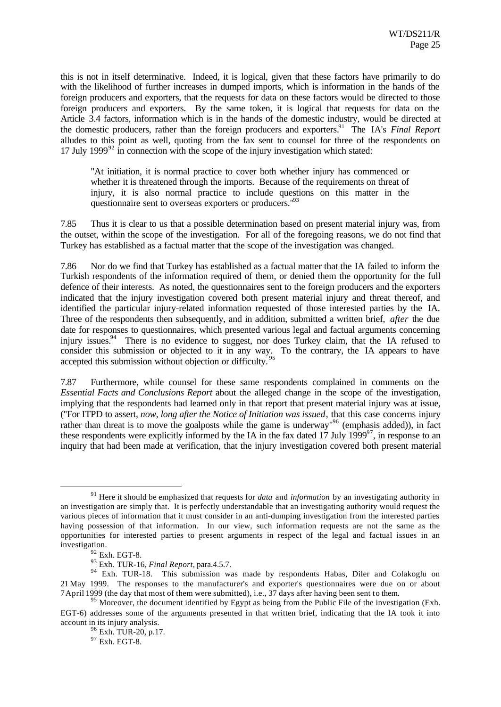this is not in itself determinative. Indeed, it is logical, given that these factors have primarily to do with the likelihood of further increases in dumped imports, which is information in the hands of the foreign producers and exporters, that the requests for data on these factors would be directed to those foreign producers and exporters. By the same token, it is logical that requests for data on the Article 3.4 factors, information which is in the hands of the domestic industry, would be directed at the domestic producers, rather than the foreign producers and exporters.<sup>91</sup> The IA's *Final Report* alludes to this point as well, quoting from the fax sent to counsel for three of the respondents on 17 July 1999 $92$  in connection with the scope of the injury investigation which stated:

"At initiation, it is normal practice to cover both whether injury has commenced or whether it is threatened through the imports. Because of the requirements on threat of injury, it is also normal practice to include questions on this matter in the questionnaire sent to overseas exporters or producers."<sup>93</sup>

7.85 Thus it is clear to us that a possible determination based on present material injury was, from the outset, within the scope of the investigation. For all of the foregoing reasons, we do not find that Turkey has established as a factual matter that the scope of the investigation was changed.

7.86 Nor do we find that Turkey has established as a factual matter that the IA failed to inform the Turkish respondents of the information required of them, or denied them the opportunity for the full defence of their interests. As noted, the questionnaires sent to the foreign producers and the exporters indicated that the injury investigation covered both present material injury and threat thereof, and identified the particular injury-related information requested of those interested parties by the IA. Three of the respondents then subsequently, and in addition, submitted a written brief, *after* the due date for responses to questionnaires, which presented various legal and factual arguments concerning injury issues.<sup>94</sup> There is no evidence to suggest, nor does Turkey claim, that the IA refused to consider this submission or objected to it in any way. To the contrary, the IA appears to have accepted this submission without objection or difficulty. <sup>95</sup>

7.87 Furthermore, while counsel for these same respondents complained in comments on the *Essential Facts and Conclusions Report* about the alleged change in the scope of the investigation, implying that the respondents had learned only in that report that present material injury was at issue, ("For ITPD to assert, *now, long after the Notice of Initiation was issued*, that this case concerns injury rather than threat is to move the goalposts while the game is underway<sup>"96</sup> (emphasis added)), in fact these respondents were explicitly informed by the IA in the fax dated 17 July  $1999^{97}$ , in response to an inquiry that had been made at verification, that the injury investigation covered both present material

<sup>91</sup> Here it should be emphasized that requests for *data* and *information* by an investigating authority in an investigation are simply that. It is perfectly understandable that an investigating authority would request the various pieces of information that it must consider in an anti-dumping investigation from the interested parties having possession of that information. In our view, such information requests are not the same as the opportunities for interested parties to present arguments in respect of the legal and factual issues in an investigation.

<sup>92</sup> Exh. EGT-8.

<sup>93</sup> Exh. TUR-16, *Final Report*, para.4.5.7.

<sup>94</sup> Exh. TUR-18. This submission was made by respondents Habas, Diler and Colakoglu on 21 May 1999. The responses to the manufacturer's and exporter's questionnaires were due on or about 7 April 1999 (the day that most of them were submitted), i.e., 37 days after having been sent to them.

<sup>&</sup>lt;sup>95</sup> Moreover, the document identified by Egypt as being from the Public File of the investigation (Exh. EGT-6) addresses some of the arguments presented in that written brief, indicating that the IA took it into account in its injury analysis.

<sup>96</sup> Exh. TUR-20, p.17.

<sup>97</sup> Exh. EGT-8.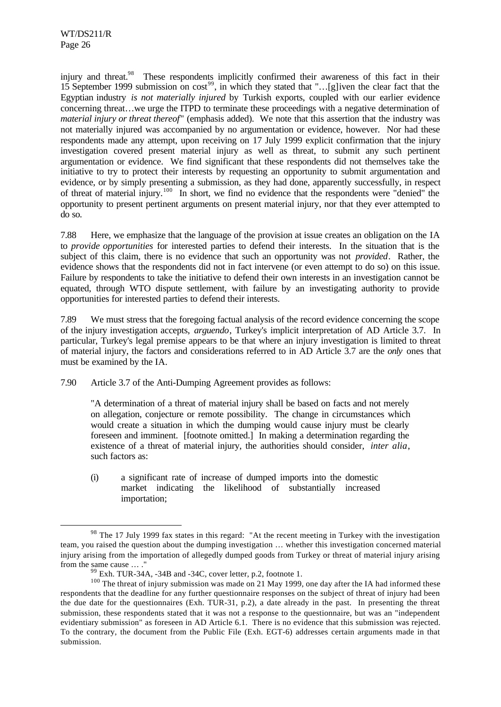l

injury and threat.<sup>98</sup> These respondents implicitly confirmed their awareness of this fact in their 15 September 1999 submission on cost<sup>99</sup>, in which they stated that "...[g]iven the clear fact that the Egyptian industry *is not materially injured* by Turkish exports, coupled with our earlier evidence concerning threat…we urge the ITPD to terminate these proceedings with a negative determination of *material injury or threat thereof*" (emphasis added). We note that this assertion that the industry was not materially injured was accompanied by no argumentation or evidence, however. Nor had these respondents made any attempt, upon receiving on 17 July 1999 explicit confirmation that the injury investigation covered present material injury as well as threat, to submit any such pertinent argumentation or evidence. We find significant that these respondents did not themselves take the initiative to try to protect their interests by requesting an opportunity to submit argumentation and evidence, or by simply presenting a submission, as they had done, apparently successfully, in respect of threat of material injury.<sup>100</sup> In short, we find no evidence that the respondents were "denied" the opportunity to present pertinent arguments on present material injury, nor that they ever attempted to do so.

7.88 Here, we emphasize that the language of the provision at issue creates an obligation on the IA to *provide opportunities* for interested parties to defend their interests. In the situation that is the subject of this claim, there is no evidence that such an opportunity was not *provided*. Rather, the evidence shows that the respondents did not in fact intervene (or even attempt to do so) on this issue. Failure by respondents to take the initiative to defend their own interests in an investigation cannot be equated, through WTO dispute settlement, with failure by an investigating authority to provide opportunities for interested parties to defend their interests.

7.89 We must stress that the foregoing factual analysis of the record evidence concerning the scope of the injury investigation accepts, *arguendo*, Turkey's implicit interpretation of AD Article 3.7. In particular, Turkey's legal premise appears to be that where an injury investigation is limited to threat of material injury, the factors and considerations referred to in AD Article 3.7 are the *only* ones that must be examined by the IA.

7.90 Article 3.7 of the Anti-Dumping Agreement provides as follows:

"A determination of a threat of material injury shall be based on facts and not merely on allegation, conjecture or remote possibility. The change in circumstances which would create a situation in which the dumping would cause injury must be clearly foreseen and imminent. [footnote omitted.] In making a determination regarding the existence of a threat of material injury, the authorities should consider, *inter alia*, such factors as:

(i) a significant rate of increase of dumped imports into the domestic market indicating the likelihood of substantially increased importation;

<sup>&</sup>lt;sup>98</sup> The 17 July 1999 fax states in this regard: "At the recent meeting in Turkey with the investigation team, you raised the question about the dumping investigation … whether this investigation concerned material injury arising from the importation of allegedly dumped goods from Turkey or threat of material injury arising from the same cause … ."

<sup>99</sup> Exh. TUR-34A, -34B and -34C, cover letter, p.2, footnote 1.

<sup>&</sup>lt;sup>100</sup> The threat of injury submission was made on 21 May 1999, one day after the IA had informed these respondents that the deadline for any further questionnaire responses on the subject of threat of injury had been the due date for the questionnaires (Exh. TUR-31, p.2), a date already in the past. In presenting the threat submission, these respondents stated that it was not a response to the questionnaire, but was an "independent evidentiary submission" as foreseen in AD Article 6.1. There is no evidence that this submission was rejected. To the contrary, the document from the Public File (Exh. EGT-6) addresses certain arguments made in that submission.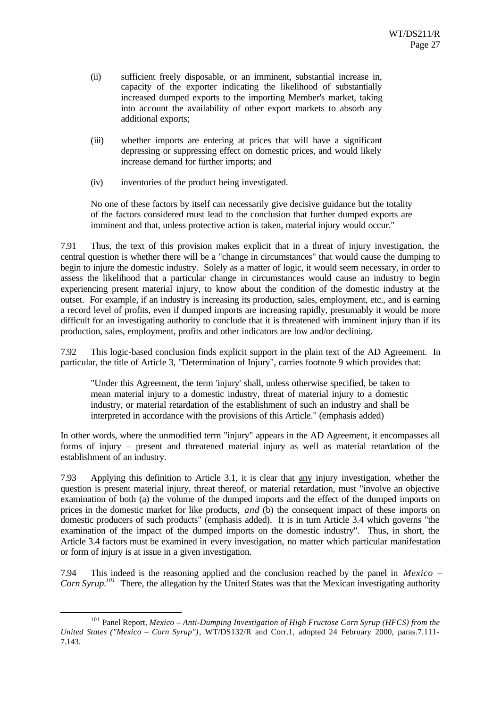- (ii) sufficient freely disposable, or an imminent, substantial increase in, capacity of the exporter indicating the likelihood of substantially increased dumped exports to the importing Member's market, taking into account the availability of other export markets to absorb any additional exports;
- (iii) whether imports are entering at prices that will have a significant depressing or suppressing effect on domestic prices, and would likely increase demand for further imports; and
- (iv) inventories of the product being investigated.

No one of these factors by itself can necessarily give decisive guidance but the totality of the factors considered must lead to the conclusion that further dumped exports are imminent and that, unless protective action is taken, material injury would occur."

7.91 Thus, the text of this provision makes explicit that in a threat of injury investigation, the central question is whether there will be a "change in circumstances" that would cause the dumping to begin to injure the domestic industry. Solely as a matter of logic, it would seem necessary, in order to assess the likelihood that a particular change in circumstances would cause an industry to begin experiencing present material injury, to know about the condition of the domestic industry at the outset. For example, if an industry is increasing its production, sales, employment, etc., and is earning a record level of profits, even if dumped imports are increasing rapidly, presumably it would be more difficult for an investigating authority to conclude that it is threatened with imminent injury than if its production, sales, employment, profits and other indicators are low and/or declining.

7.92 This logic-based conclusion finds explicit support in the plain text of the AD Agreement. In particular, the title of Article 3, "Determination of Injury", carries footnote 9 which provides that:

"Under this Agreement, the term 'injury' shall, unless otherwise specified, be taken to mean material injury to a domestic industry, threat of material injury to a domestic industry, or material retardation of the establishment of such an industry and shall be interpreted in accordance with the provisions of this Article." (emphasis added)

In other words, where the unmodified term "injury" appears in the AD Agreement, it encompasses all forms of injury – present and threatened material injury as well as material retardation of the establishment of an industry.

7.93 Applying this definition to Article 3.1, it is clear that any injury investigation, whether the question is present material injury, threat thereof, or material retardation, must "involve an objective examination of both (a) the volume of the dumped imports and the effect of the dumped imports on prices in the domestic market for like products, *and* (b) the consequent impact of these imports on domestic producers of such products" (emphasis added). It is in turn Article 3.4 which governs "the examination of the impact of the dumped imports on the domestic industry". Thus, in short, the Article 3.4 factors must be examined in every investigation, no matter which particular manifestation or form of injury is at issue in a given investigation.

7.94 This indeed is the reasoning applied and the conclusion reached by the panel in *Mexico – Corn Syrup.<sup>101</sup>* There, the allegation by the United States was that the Mexican investigating authority

<sup>101</sup> Panel Report, *Mexico – Anti-Dumping Investigation of High Fructose Corn Syrup (HFCS) from the United States ("Mexico – Corn Syrup")*, WT/DS132/R and Corr.1, adopted 24 February 2000, paras.7.111- 7.143.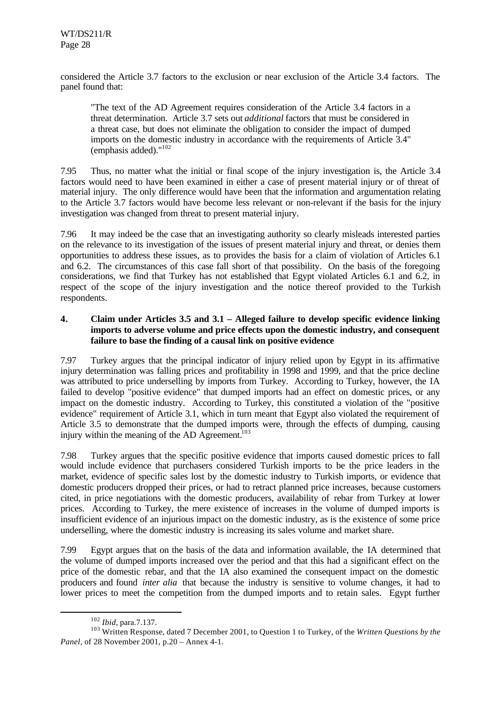considered the Article 3.7 factors to the exclusion or near exclusion of the Article 3.4 factors. The panel found that:

"The text of the AD Agreement requires consideration of the Article 3.4 factors in a threat determination. Article 3.7 sets out *additional* factors that must be considered in a threat case, but does not eliminate the obligation to consider the impact of dumped imports on the domestic industry in accordance with the requirements of Article 3.4" (emphasis added)."<sup>102</sup>

7.95 Thus, no matter what the initial or final scope of the injury investigation is, the Article 3.4 factors would need to have been examined in either a case of present material injury or of threat of material injury. The only difference would have been that the information and argumentation relating to the Article 3.7 factors would have become less relevant or non-relevant if the basis for the injury investigation was changed from threat to present material injury.

7.96 It may indeed be the case that an investigating authority so clearly misleads interested parties on the relevance to its investigation of the issues of present material injury and threat, or denies them opportunities to address these issues, as to provides the basis for a claim of violation of Articles 6.1 and 6.2. The circumstances of this case fall short of that possibility. On the basis of the foregoing considerations, we find that Turkey has not established that Egypt violated Articles 6.1 and 6.2, in respect of the scope of the injury investigation and the notice thereof provided to the Turkish respondents.

# **4. Claim under Articles 3.5 and 3.1 – Alleged failure to develop specific evidence linking imports to adverse volume and price effects upon the domestic industry, and consequent failure to base the finding of a causal link on positive evidence**

7.97 Turkey argues that the principal indicator of injury relied upon by Egypt in its affirmative injury determination was falling prices and profitability in 1998 and 1999, and that the price decline was attributed to price underselling by imports from Turkey. According to Turkey, however, the IA failed to develop "positive evidence" that dumped imports had an effect on domestic prices, or any impact on the domestic industry. According to Turkey, this constituted a violation of the "positive evidence" requirement of Article 3.1, which in turn meant that Egypt also violated the requirement of Article 3.5 to demonstrate that the dumped imports were, through the effects of dumping, causing injury within the meaning of the AD Agreement.<sup>103</sup>

7.98 Turkey argues that the specific positive evidence that imports caused domestic prices to fall would include evidence that purchasers considered Turkish imports to be the price leaders in the market, evidence of specific sales lost by the domestic industry to Turkish imports, or evidence that domestic producers dropped their prices, or had to retract planned price increases, because customers cited, in price negotiations with the domestic producers, availability of rebar from Turkey at lower prices. According to Turkey, the mere existence of increases in the volume of dumped imports is insufficient evidence of an injurious impact on the domestic industry, as is the existence of some price underselling, where the domestic industry is increasing its sales volume and market share.

7.99 Egypt argues that on the basis of the data and information available, the IA determined that the volume of dumped imports increased over the period and that this had a significant effect on the price of the domestic rebar, and that the IA also examined the consequent impact on the domestic producers and found *inter alia* that because the industry is sensitive to volume changes, it had to lower prices to meet the competition from the dumped imports and to retain sales. Egypt further

<sup>102</sup> *Ibid*, para.7.137.

<sup>103</sup> Written Response, dated 7 December 2001, to Question 1 to Turkey, of the *Written Questions by the Panel,* of 28 November 2001, p.20 – Annex 4-1.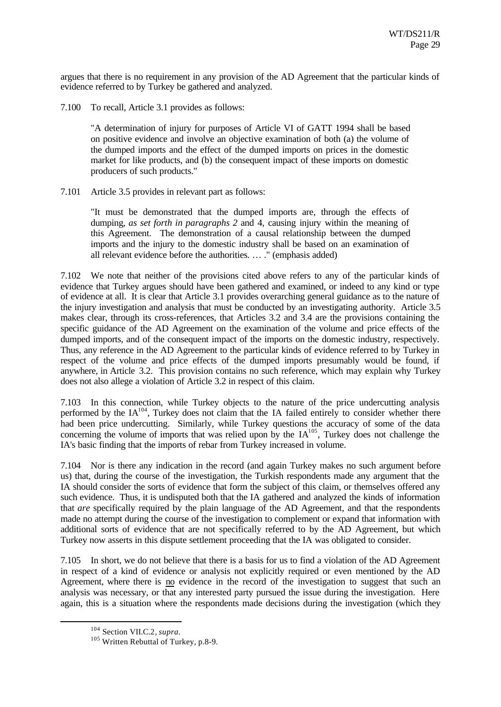argues that there is no requirement in any provision of the AD Agreement that the particular kinds of evidence referred to by Turkey be gathered and analyzed.

7.100 To recall, Article 3.1 provides as follows:

"A determination of injury for purposes of Article VI of GATT 1994 shall be based on positive evidence and involve an objective examination of both (a) the volume of the dumped imports and the effect of the dumped imports on prices in the domestic market for like products, and (b) the consequent impact of these imports on domestic producers of such products."

7.101 Article 3.5 provides in relevant part as follows:

"It must be demonstrated that the dumped imports are, through the effects of dumping, *as set forth in paragraphs 2* and 4, causing injury within the meaning of this Agreement. The demonstration of a causal relationship between the dumped imports and the injury to the domestic industry shall be based on an examination of all relevant evidence before the authorities. … ." (emphasis added)

7.102 We note that neither of the provisions cited above refers to any of the particular kinds of evidence that Turkey argues should have been gathered and examined, or indeed to any kind or type of evidence at all. It is clear that Article 3.1 provides overarching general guidance as to the nature of the injury investigation and analysis that must be conducted by an investigating authority. Article 3.5 makes clear, through its cross-references, that Articles 3.2 and 3.4 are the provisions containing the specific guidance of the AD Agreement on the examination of the volume and price effects of the dumped imports, and of the consequent impact of the imports on the domestic industry, respectively. Thus, any reference in the AD Agreement to the particular kinds of evidence referred to by Turkey in respect of the volume and price effects of the dumped imports presumably would be found, if anywhere, in Article 3.2. This provision contains no such reference, which may explain why Turkey does not also allege a violation of Article 3.2 in respect of this claim.

7.103 In this connection, while Turkey objects to the nature of the price undercutting analysis performed by the  $IA^{104}$ , Turkey does not claim that the IA failed entirely to consider whether there had been price undercutting. Similarly, while Turkey questions the accuracy of some of the data concerning the volume of imports that was relied upon by the  $IA^{105}$ , Turkey does not challenge the IA's basic finding that the imports of rebar from Turkey increased in volume.

7.104 Nor is there any indication in the record (and again Turkey makes no such argument before us) that, during the course of the investigation, the Turkish respondents made any argument that the IA should consider the sorts of evidence that form the subject of this claim, or themselves offered any such evidence. Thus, it is undisputed both that the IA gathered and analyzed the kinds of information that *are* specifically required by the plain language of the AD Agreement, and that the respondents made no attempt during the course of the investigation to complement or expand that information with additional sorts of evidence that are not specifically referred to by the AD Agreement, but which Turkey now asserts in this dispute settlement proceeding that the IA was obligated to consider.

7.105 In short, we do not believe that there is a basis for us to find a violation of the AD Agreement in respect of a kind of evidence or analysis not explicitly required or even mentioned by the AD Agreement, where there is no evidence in the record of the investigation to suggest that such an analysis was necessary, or that any interested party pursued the issue during the investigation. Here again, this is a situation where the respondents made decisions during the investigation (which they

<sup>104</sup> Section VII.C.2, *supra.*

 $105$  Written Rebuttal of Turkey, p.8-9.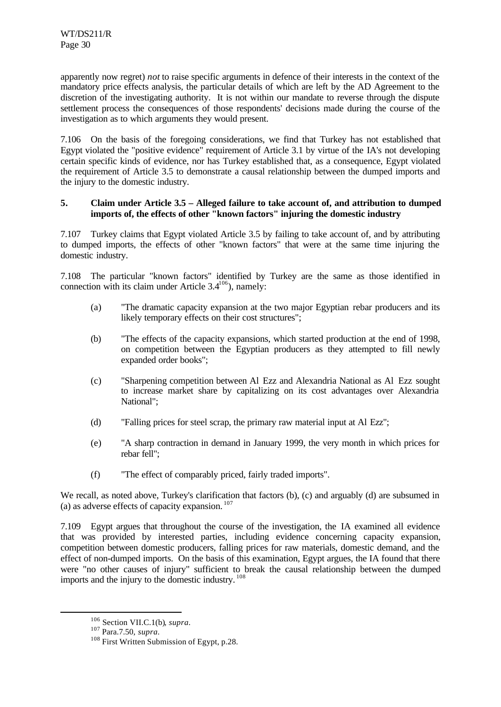apparently now regret) *not* to raise specific arguments in defence of their interests in the context of the mandatory price effects analysis, the particular details of which are left by the AD Agreement to the discretion of the investigating authority. It is not within our mandate to reverse through the dispute settlement process the consequences of those respondents' decisions made during the course of the investigation as to which arguments they would present.

7.106 On the basis of the foregoing considerations, we find that Turkey has not established that Egypt violated the "positive evidence" requirement of Article 3.1 by virtue of the IA's not developing certain specific kinds of evidence, nor has Turkey established that, as a consequence, Egypt violated the requirement of Article 3.5 to demonstrate a causal relationship between the dumped imports and the injury to the domestic industry.

#### **5. Claim under Article 3.5 – Alleged failure to take account of, and attribution to dumped imports of, the effects of other "known factors" injuring the domestic industry**

7.107 Turkey claims that Egypt violated Article 3.5 by failing to take account of, and by attributing to dumped imports, the effects of other "known factors" that were at the same time injuring the domestic industry.

7.108 The particular "known factors" identified by Turkey are the same as those identified in connection with its claim under Article  $3.4^{106}$ ), namely:

- (a) "The dramatic capacity expansion at the two major Egyptian rebar producers and its likely temporary effects on their cost structures";
- (b) "The effects of the capacity expansions, which started production at the end of 1998, on competition between the Egyptian producers as they attempted to fill newly expanded order books";
- (c) "Sharpening competition between Al Ezz and Alexandria National as Al Ezz sought to increase market share by capitalizing on its cost advantages over Alexandria National";
- (d) "Falling prices for steel scrap, the primary raw material input at Al Ezz";
- (e) "A sharp contraction in demand in January 1999, the very month in which prices for rebar fell";
- (f) "The effect of comparably priced, fairly traded imports".

We recall, as noted above, Turkey's clarification that factors (b), (c) and arguably (d) are subsumed in (a) as adverse effects of capacity expansion.  $107$ 

7.109 Egypt argues that throughout the course of the investigation, the IA examined all evidence that was provided by interested parties, including evidence concerning capacity expansion, competition between domestic producers, falling prices for raw materials, domestic demand, and the effect of non-dumped imports. On the basis of this examination, Egypt argues, the IA found that there were "no other causes of injury" sufficient to break the causal relationship between the dumped imports and the injury to the domestic industry. <sup>108</sup>

<sup>106</sup> Section VII.C.1(b), *supra.*

<sup>107</sup> Para.7.50, *supra.*

<sup>&</sup>lt;sup>108</sup> First Written Submission of Egypt, p.28.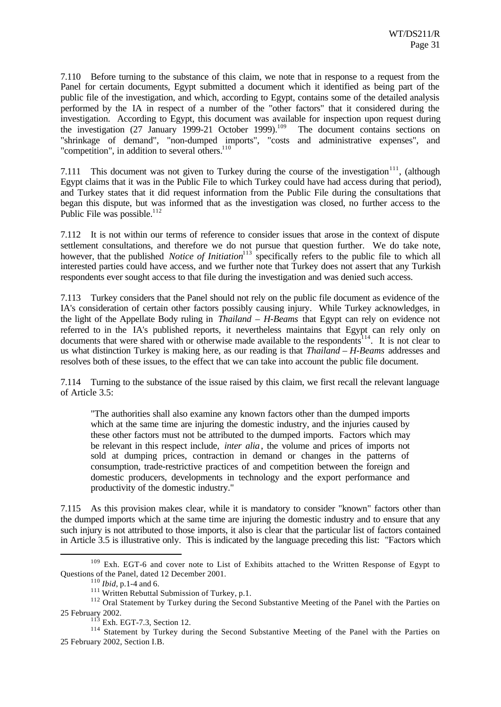7.110 Before turning to the substance of this claim, we note that in response to a request from the Panel for certain documents, Egypt submitted a document which it identified as being part of the public file of the investigation, and which, according to Egypt, contains some of the detailed analysis performed by the IA in respect of a number of the "other factors" that it considered during the investigation. According to Egypt, this document was available for inspection upon request during the investigation (27 January 1999-21 October 1999).<sup>109</sup> The document contains sections on "shrinkage of demand", "non-dumped imports", "costs and administrative expenses", and "competition", in addition to several others.<sup>110</sup>

7.111 This document was not given to Turkey during the course of the investigation<sup>111</sup>, (although Egypt claims that it was in the Public File to which Turkey could have had access during that period), and Turkey states that it did request information from the Public File during the consultations that began this dispute, but was informed that as the investigation was closed, no further access to the Public File was possible.<sup>112</sup>

7.112 It is not within our terms of reference to consider issues that arose in the context of dispute settlement consultations, and therefore we do not pursue that question further. We do take note, however, that the published *Notice of Initiation*<sup>113</sup> specifically refers to the public file to which all interested parties could have access, and we further note that Turkey does not assert that any Turkish respondents ever sought access to that file during the investigation and was denied such access.

7.113 Turkey considers that the Panel should not rely on the public file document as evidence of the IA's consideration of certain other factors possibly causing injury. While Turkey acknowledges, in the light of the Appellate Body ruling in *Thailand – H-Beams* that Egypt can rely on evidence not referred to in the IA's published reports, it nevertheless maintains that Egypt can rely only on documents that were shared with or otherwise made available to the respondents<sup>114</sup>. It is not clear to us what distinction Turkey is making here, as our reading is that *Thailand – H-Beams* addresses and resolves both of these issues, to the effect that we can take into account the public file document.

7.114 Turning to the substance of the issue raised by this claim, we first recall the relevant language of Article 3.5:

"The authorities shall also examine any known factors other than the dumped imports which at the same time are injuring the domestic industry, and the injuries caused by these other factors must not be attributed to the dumped imports. Factors which may be relevant in this respect include, *inter alia*, the volume and prices of imports not sold at dumping prices, contraction in demand or changes in the patterns of consumption, trade-restrictive practices of and competition between the foreign and domestic producers, developments in technology and the export performance and productivity of the domestic industry."

7.115 As this provision makes clear, while it is mandatory to consider "known" factors other than the dumped imports which at the same time are injuring the domestic industry and to ensure that any such injury is not attributed to those imports, it also is clear that the particular list of factors contained in Article 3.5 is illustrative only. This is indicated by the language preceding this list: "Factors which

<sup>&</sup>lt;sup>109</sup> Exh. EGT-6 and cover note to List of Exhibits attached to the Written Response of Egypt to Questions of the Panel, dated 12 December 2001.

<sup>110</sup> *Ibid*, p.1-4 and 6.

<sup>&</sup>lt;sup>111</sup> Written Rebuttal Submission of Turkey, p.1.

<sup>&</sup>lt;sup>112</sup> Oral Statement by Turkey during the Second Substantive Meeting of the Panel with the Parties on 25 February 2002.

 $11<sup>3</sup>$  Exh. EGT-7.3, Section 12.

<sup>&</sup>lt;sup>114</sup> Statement by Turkey during the Second Substantive Meeting of the Panel with the Parties on 25 February 2002, Section I.B.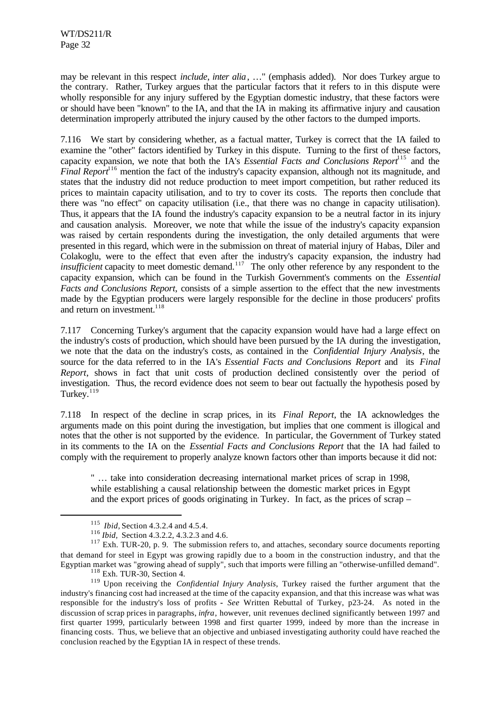may be relevant in this respect *include*, *inter alia*, …" (emphasis added). Nor does Turkey argue to the contrary. Rather, Turkey argues that the particular factors that it refers to in this dispute were wholly responsible for any injury suffered by the Egyptian domestic industry, that these factors were or should have been "known" to the IA, and that the IA in making its affirmative injury and causation determination improperly attributed the injury caused by the other factors to the dumped imports.

7.116 We start by considering whether, as a factual matter, Turkey is correct that the IA failed to examine the "other" factors identified by Turkey in this dispute. Turning to the first of these factors, capacity expansion, we note that both the IA's *Essential Facts and Conclusions Report*<sup>115</sup> and the *Final Report*<sup>116</sup> mention the fact of the industry's capacity expansion, although not its magnitude, and states that the industry did not reduce production to meet import competition, but rather reduced its prices to maintain capacity utilisation, and to try to cover its costs. The reports then conclude that there was "no effect" on capacity utilisation (i.e., that there was no change in capacity utilisation). Thus, it appears that the IA found the industry's capacity expansion to be a neutral factor in its injury and causation analysis. Moreover, we note that while the issue of the industry's capacity expansion was raised by certain respondents during the investigation, the only detailed arguments that were presented in this regard, which were in the submission on threat of material injury of Habas, Diler and Colakoglu, were to the effect that even after the industry's capacity expansion, the industry had *insufficient* capacity to meet domestic demand.<sup>117</sup> The only other reference by any respondent to the capacity expansion, which can be found in the Turkish Government's comments on the *Essential Facts and Conclusions Report*, consists of a simple assertion to the effect that the new investments made by the Egyptian producers were largely responsible for the decline in those producers' profits and return on investment. $118$ 

7.117 Concerning Turkey's argument that the capacity expansion would have had a large effect on the industry's costs of production, which should have been pursued by the IA during the investigation, we note that the data on the industry's costs, as contained in the *Confidential Injury Analysis*, the source for the data referred to in the IA's *Essential Facts and Conclusions Report* and its *Final Report*, shows in fact that unit costs of production declined consistently over the period of investigation. Thus, the record evidence does not seem to bear out factually the hypothesis posed by Turkey.<sup>119</sup>

7.118 In respect of the decline in scrap prices, in its *Final Report*, the IA acknowledges the arguments made on this point during the investigation, but implies that one comment is illogical and notes that the other is not supported by the evidence. In particular, the Government of Turkey stated in its comments to the IA on the *Essential Facts and Conclusions Report* that the IA had failed to comply with the requirement to properly analyze known factors other than imports because it did not:

" … take into consideration decreasing international market prices of scrap in 1998, while establishing a causal relationship between the domestic market prices in Egypt and the export prices of goods originating in Turkey. In fact, as the prices of scrap –

117 Exh. TUR-20, p. 9. The submission refers to, and attaches, secondary source documents reporting that demand for steel in Egypt was growing rapidly due to a boom in the construction industry, and that the Egyptian market was "growing ahead of supply", such that imports were filling an "otherwise-unfilled demand".

<sup>118</sup> Exh. TUR-30, Section 4.

l

<sup>119</sup> Upon receiving the *Confidential Injury Analysis*, Turkey raised the further argument that the industry's financing cost had increased at the time of the capacity expansion, and that this increase was what was responsible for the industry's loss of profits **-** *See* Written Rebuttal of Turkey, p23-24. As noted in the discussion of scrap prices in paragraphs, *infra*, however, unit revenues declined significantly between 1997 and first quarter 1999, particularly between 1998 and first quarter 1999, indeed by more than the increase in financing costs. Thus, we believe that an objective and unbiased investigating authority could have reached the conclusion reached by the Egyptian IA in respect of these trends.

<sup>&</sup>lt;sup>115</sup> *Ibid*, Section 4.3.2.4 and 4.5.4.

<sup>116</sup> *Ibid,* Section 4.3.2.2, 4.3.2.3 and 4.6.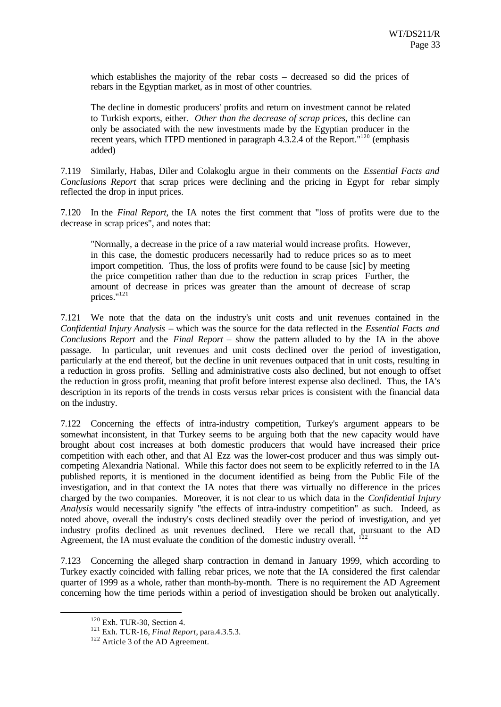which establishes the majority of the rebar costs – decreased so did the prices of rebars in the Egyptian market, as in most of other countries.

The decline in domestic producers' profits and return on investment cannot be related to Turkish exports, either. *Other than the decrease of scrap prices*, this decline can only be associated with the new investments made by the Egyptian producer in the recent years, which ITPD mentioned in paragraph 4.3.2.4 of the Report."<sup>120</sup> (emphasis added)

7.119 Similarly, Habas, Diler and Colakoglu argue in their comments on the *Essential Facts and Conclusions Report* that scrap prices were declining and the pricing in Egypt for rebar simply reflected the drop in input prices.

7.120 In the *Final Report*, the IA notes the first comment that "loss of profits were due to the decrease in scrap prices", and notes that:

"Normally, a decrease in the price of a raw material would increase profits. However, in this case, the domestic producers necessarily had to reduce prices so as to meet import competition. Thus, the loss of profits were found to be cause [sic] by meeting the price competition rather than due to the reduction in scrap prices Further, the amount of decrease in prices was greater than the amount of decrease of scrap prices."<sup>121</sup>

7.121 We note that the data on the industry's unit costs and unit revenues contained in the *Confidential Injury Analysis* – which was the source for the data reflected in the *Essential Facts and Conclusions Report* and the *Final Report* – show the pattern alluded to by the IA in the above passage. In particular, unit revenues and unit costs declined over the period of investigation, particularly at the end thereof, but the decline in unit revenues outpaced that in unit costs, resulting in a reduction in gross profits. Selling and administrative costs also declined, but not enough to offset the reduction in gross profit, meaning that profit before interest expense also declined. Thus, the IA's description in its reports of the trends in costs versus rebar prices is consistent with the financial data on the industry.

7.122 Concerning the effects of intra-industry competition, Turkey's argument appears to be somewhat inconsistent, in that Turkey seems to be arguing both that the new capacity would have brought about cost increases at both domestic producers that would have increased their price competition with each other, and that Al Ezz was the lower-cost producer and thus was simply outcompeting Alexandria National. While this factor does not seem to be explicitly referred to in the IA published reports, it is mentioned in the document identified as being from the Public File of the investigation, and in that context the IA notes that there was virtually no difference in the prices charged by the two companies. Moreover, it is not clear to us which data in the *Confidential Injury Analysis* would necessarily signify "the effects of intra-industry competition" as such. Indeed, as noted above, overall the industry's costs declined steadily over the period of investigation, and yet industry profits declined as unit revenues declined. Here we recall that, pursuant to the AD Agreement, the IA must evaluate the condition of the domestic industry overall.

7.123 Concerning the alleged sharp contraction in demand in January 1999, which according to Turkey exactly coincided with falling rebar prices, we note that the IA considered the first calendar quarter of 1999 as a whole, rather than month-by-month. There is no requirement the AD Agreement concerning how the time periods within a period of investigation should be broken out analytically.

<sup>120</sup> Exh. TUR-30, Section 4.

<sup>121</sup> Exh. TUR-16, *Final Report*, para.4.3.5.3.

<sup>&</sup>lt;sup>122</sup> Article 3 of the AD Agreement.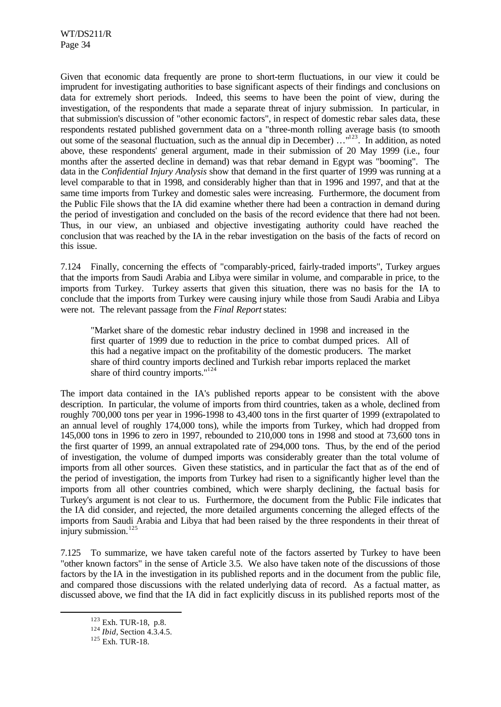Given that economic data frequently are prone to short-term fluctuations, in our view it could be imprudent for investigating authorities to base significant aspects of their findings and conclusions on data for extremely short periods. Indeed, this seems to have been the point of view, during the investigation, of the respondents that made a separate threat of injury submission. In particular, in that submission's discussion of "other economic factors", in respect of domestic rebar sales data, these respondents restated published government data on a "three-month rolling average basis (to smooth out some of the seasonal fluctuation, such as the annual dip in December) …"<sup>123</sup>. In addition, as noted above, these respondents' general argument, made in their submission of 20 May 1999 (i.e., four months after the asserted decline in demand) was that rebar demand in Egypt was "booming". The data in the *Confidential Injury Analysis* show that demand in the first quarter of 1999 was running at a level comparable to that in 1998, and considerably higher than that in 1996 and 1997, and that at the same time imports from Turkey and domestic sales were increasing. Furthermore, the document from the Public File shows that the IA did examine whether there had been a contraction in demand during the period of investigation and concluded on the basis of the record evidence that there had not been. Thus, in our view, an unbiased and objective investigating authority could have reached the conclusion that was reached by the IA in the rebar investigation on the basis of the facts of record on this issue.

7.124 Finally, concerning the effects of "comparably-priced, fairly-traded imports", Turkey argues that the imports from Saudi Arabia and Libya were similar in volume, and comparable in price, to the imports from Turkey. Turkey asserts that given this situation, there was no basis for the IA to conclude that the imports from Turkey were causing injury while those from Saudi Arabia and Libya were not. The relevant passage from the *Final Report* states:

"Market share of the domestic rebar industry declined in 1998 and increased in the first quarter of 1999 due to reduction in the price to combat dumped prices. All of this had a negative impact on the profitability of the domestic producers. The market share of third country imports declined and Turkish rebar imports replaced the market share of third country imports."<sup>124</sup>

The import data contained in the IA's published reports appear to be consistent with the above description. In particular, the volume of imports from third countries, taken as a whole, declined from roughly 700,000 tons per year in 1996-1998 to 43,400 tons in the first quarter of 1999 (extrapolated to an annual level of roughly 174,000 tons), while the imports from Turkey, which had dropped from 145,000 tons in 1996 to zero in 1997, rebounded to 210,000 tons in 1998 and stood at 73,600 tons in the first quarter of 1999, an annual extrapolated rate of 294,000 tons. Thus, by the end of the period of investigation, the volume of dumped imports was considerably greater than the total volume of imports from all other sources. Given these statistics, and in particular the fact that as of the end of the period of investigation, the imports from Turkey had risen to a significantly higher level than the imports from all other countries combined, which were sharply declining, the factual basis for Turkey's argument is not clear to us. Furthermore, the document from the Public File indicates that the IA did consider, and rejected, the more detailed arguments concerning the alleged effects of the imports from Saudi Arabia and Libya that had been raised by the three respondents in their threat of injury submission. $125$ 

7.125 To summarize, we have taken careful note of the factors asserted by Turkey to have been "other known factors" in the sense of Article 3.5. We also have taken note of the discussions of those factors by the IA in the investigation in its published reports and in the document from the public file, and compared those discussions with the related underlying data of record. As a factual matter, as discussed above, we find that the IA did in fact explicitly discuss in its published reports most of the

<sup>123</sup> Exh. TUR-18, p.8.

<sup>124</sup> *Ibid,* Section 4.3.4.5.

 $125$  Exh. TUR-18.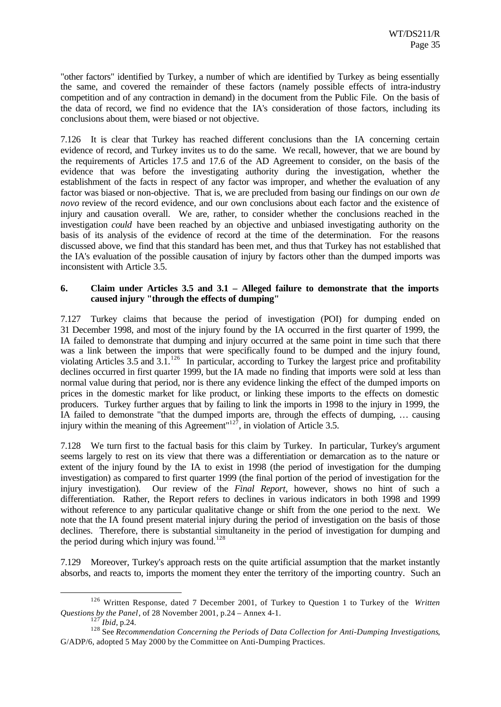"other factors" identified by Turkey, a number of which are identified by Turkey as being essentially the same, and covered the remainder of these factors (namely possible effects of intra-industry competition and of any contraction in demand) in the document from the Public File. On the basis of the data of record, we find no evidence that the IA's consideration of those factors, including its conclusions about them, were biased or not objective.

7.126 It is clear that Turkey has reached different conclusions than the IA concerning certain evidence of record, and Turkey invites us to do the same. We recall, however, that we are bound by the requirements of Articles 17.5 and 17.6 of the AD Agreement to consider, on the basis of the evidence that was before the investigating authority during the investigation, whether the establishment of the facts in respect of any factor was improper, and whether the evaluation of any factor was biased or non-objective. That is, we are precluded from basing our findings on our own *de novo* review of the record evidence, and our own conclusions about each factor and the existence of injury and causation overall. We are, rather, to consider whether the conclusions reached in the investigation *could* have been reached by an objective and unbiased investigating authority on the basis of its analysis of the evidence of record at the time of the determination. For the reasons discussed above, we find that this standard has been met, and thus that Turkey has not established that the IA's evaluation of the possible causation of injury by factors other than the dumped imports was inconsistent with Article 3.5.

#### **6. Claim under Articles 3.5 and 3.1 – Alleged failure to demonstrate that the imports caused injury "through the effects of dumping"**

7.127 Turkey claims that because the period of investigation (POI) for dumping ended on 31 December 1998, and most of the injury found by the IA occurred in the first quarter of 1999, the IA failed to demonstrate that dumping and injury occurred at the same point in time such that there was a link between the imports that were specifically found to be dumped and the injury found, violating Articles 3.5 and 3.1. $^{126}$  In particular, according to Turkey the largest price and profitability declines occurred in first quarter 1999, but the IA made no finding that imports were sold at less than normal value during that period, nor is there any evidence linking the effect of the dumped imports on prices in the domestic market for like product, or linking these imports to the effects on domestic producers. Turkey further argues that by failing to link the imports in 1998 to the injury in 1999, the IA failed to demonstrate "that the dumped imports are, through the effects of dumping, … causing injury within the meaning of this Agreement"<sup>127</sup>, in violation of Article 3.5.

7.128 We turn first to the factual basis for this claim by Turkey. In particular, Turkey's argument seems largely to rest on its view that there was a differentiation or demarcation as to the nature or extent of the injury found by the IA to exist in 1998 (the period of investigation for the dumping investigation) as compared to first quarter 1999 (the final portion of the period of investigation for the injury investigation). Our review of the *Final Report*, however, shows no hint of such a differentiation. Rather, the Report refers to declines in various indicators in both 1998 and 1999 without reference to any particular qualitative change or shift from the one period to the next. We note that the IA found present material injury during the period of investigation on the basis of those declines. Therefore, there is substantial simultaneity in the period of investigation for dumping and the period during which injury was found.<sup>128</sup>

7.129 Moreover, Turkey's approach rests on the quite artificial assumption that the market instantly absorbs, and reacts to, imports the moment they enter the territory of the importing country. Such an

<sup>126</sup> Written Response, dated 7 December 2001, of Turkey to Question 1 to Turkey of the *Written Questions by the Panel*, of 28 November 2001, p.24 – Annex 4-1.

<sup>127</sup> *Ibid*, p.24.

<sup>128</sup> See *Recommendation Concerning the Periods of Data Collection for Anti-Dumping Investigations*, G/ADP/6, adopted 5 May 2000 by the Committee on Anti-Dumping Practices.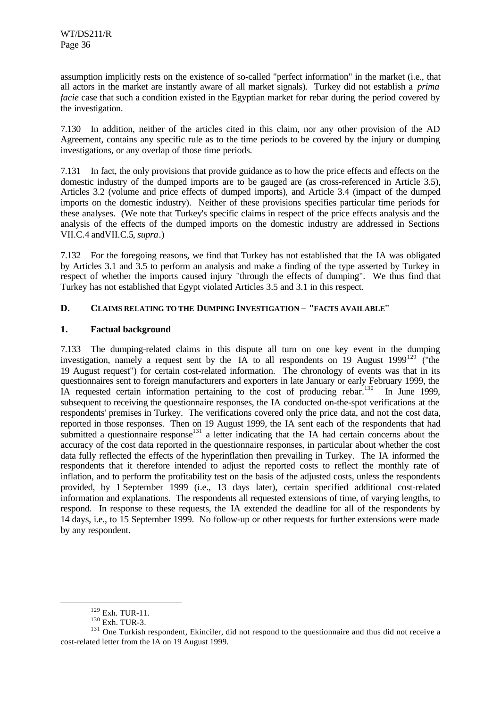assumption implicitly rests on the existence of so-called "perfect information" in the market (i.e., that all actors in the market are instantly aware of all market signals). Turkey did not establish a *prima facie* case that such a condition existed in the Egyptian market for rebar during the period covered by the investigation.

7.130 In addition, neither of the articles cited in this claim, nor any other provision of the AD Agreement, contains any specific rule as to the time periods to be covered by the injury or dumping investigations, or any overlap of those time periods.

7.131 In fact, the only provisions that provide guidance as to how the price effects and effects on the domestic industry of the dumped imports are to be gauged are (as cross-referenced in Article 3.5), Articles 3.2 (volume and price effects of dumped imports), and Article 3.4 (impact of the dumped imports on the domestic industry). Neither of these provisions specifies particular time periods for these analyses. (We note that Turkey's specific claims in respect of the price effects analysis and the analysis of the effects of the dumped imports on the domestic industry are addressed in Sections VII.C.4 andVII.C.5, *supra*.)

7.132 For the foregoing reasons, we find that Turkey has not established that the IA was obligated by Articles 3.1 and 3.5 to perform an analysis and make a finding of the type asserted by Turkey in respect of whether the imports caused injury "through the effects of dumping". We thus find that Turkey has not established that Egypt violated Articles 3.5 and 3.1 in this respect.

# **D. CLAIMS RELATING TO THE DUMPING INVESTIGATION – "FACTS AVAILABLE"**

## **1. Factual background**

7.133 The dumping-related claims in this dispute all turn on one key event in the dumping investigation, namely a request sent by the IA to all respondents on 19 August 1999<sup>129</sup> ("the 19 August request") for certain cost-related information. The chronology of events was that in its questionnaires sent to foreign manufacturers and exporters in late January or early February 1999, the IA requested certain information pertaining to the cost of producing rebar.<sup>130</sup> In June 1999, subsequent to receiving the questionnaire responses, the IA conducted on-the-spot verifications at the respondents' premises in Turkey. The verifications covered only the price data, and not the cost data, reported in those responses. Then on 19 August 1999, the IA sent each of the respondents that had submitted a questionnaire response<sup>131</sup> a letter indicating that the IA had certain concerns about the accuracy of the cost data reported in the questionnaire responses, in particular about whether the cost data fully reflected the effects of the hyperinflation then prevailing in Turkey. The IA informed the respondents that it therefore intended to adjust the reported costs to reflect the monthly rate of inflation, and to perform the profitability test on the basis of the adjusted costs, unless the respondents provided, by 1 September 1999 (i.e., 13 days later), certain specified additional cost-related information and explanations. The respondents all requested extensions of time, of varying lengths, to respond. In response to these requests, the IA extended the deadline for all of the respondents by 14 days, i.e., to 15 September 1999. No follow-up or other requests for further extensions were made by any respondent.

<sup>129</sup> Exh. TUR-11.

 $130$  Exh. TUR-3.

<sup>&</sup>lt;sup>131</sup> One Turkish respondent, Ekinciler, did not respond to the questionnaire and thus did not receive a cost-related letter from the IA on 19 August 1999.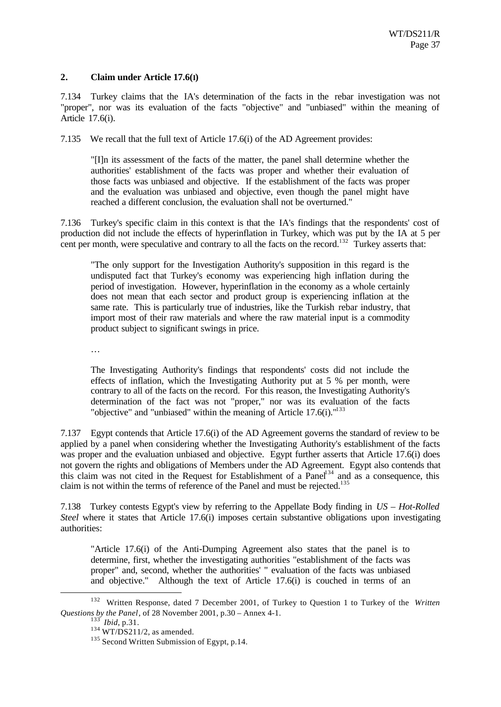### **2. Claim under Article 17.6(I)**

7.134 Turkey claims that the IA's determination of the facts in the rebar investigation was not "proper", nor was its evaluation of the facts "objective" and "unbiased" within the meaning of Article 17.6(i).

7.135 We recall that the full text of Article 17.6(i) of the AD Agreement provides:

"[I]n its assessment of the facts of the matter, the panel shall determine whether the authorities' establishment of the facts was proper and whether their evaluation of those facts was unbiased and objective. If the establishment of the facts was proper and the evaluation was unbiased and objective, even though the panel might have reached a different conclusion, the evaluation shall not be overturned."

7.136 Turkey's specific claim in this context is that the IA's findings that the respondents' cost of production did not include the effects of hyperinflation in Turkey, which was put by the IA at 5 per cent per month, were speculative and contrary to all the facts on the record.<sup>132</sup> Turkey asserts that:

"The only support for the Investigation Authority's supposition in this regard is the undisputed fact that Turkey's economy was experiencing high inflation during the period of investigation. However, hyperinflation in the economy as a whole certainly does not mean that each sector and product group is experiencing inflation at the same rate. This is particularly true of industries, like the Turkish rebar industry, that import most of their raw materials and where the raw material input is a commodity product subject to significant swings in price.

…

The Investigating Authority's findings that respondents' costs did not include the effects of inflation, which the Investigating Authority put at 5 % per month, were contrary to all of the facts on the record. For this reason, the Investigating Authority's determination of the fact was not "proper," nor was its evaluation of the facts "objective" and "unbiased" within the meaning of Article  $17.6(i)$ ."<sup>133</sup>

7.137 Egypt contends that Article 17.6(i) of the AD Agreement governs the standard of review to be applied by a panel when considering whether the Investigating Authority's establishment of the facts was proper and the evaluation unbiased and objective. Egypt further asserts that Article 17.6(i) does not govern the rights and obligations of Members under the AD Agreement. Egypt also contends that this claim was not cited in the Request for Establishment of a Panel<sup>134</sup> and as a consequence, this claim is not within the terms of reference of the Panel and must be rejected.<sup>135</sup>

7.138 Turkey contests Egypt's view by referring to the Appellate Body finding in *US – Hot-Rolled Steel* where it states that Article 17.6(i) imposes certain substantive obligations upon investigating authorities:

"Article 17.6(i) of the Anti-Dumping Agreement also states that the panel is to determine, first, whether the investigating authorities "establishment of the facts was proper" and, second, whether the authorities' " evaluation of the facts was unbiased and objective." Although the text of Article 17.6(i) is couched in terms of an

<sup>132</sup> Written Response, dated 7 December 2001, of Turkey to Question 1 to Turkey of the *Written Questions by the Panel*, of 28 November 2001, p.30 – Annex 4-1.

<sup>133</sup> *Ibid*, p.31.

 $134$  WT/DS211/2, as amended.

<sup>&</sup>lt;sup>135</sup> Second Written Submission of Egypt, p.14.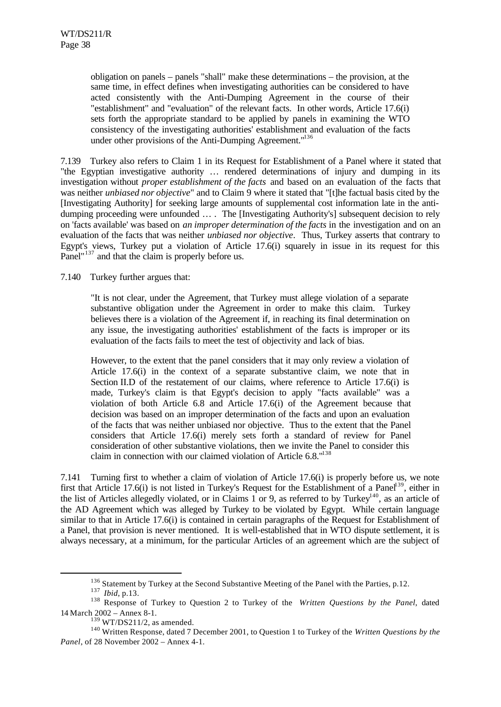obligation on panels – panels "shall" make these determinations – the provision, at the same time, in effect defines when investigating authorities can be considered to have acted consistently with the Anti-Dumping Agreement in the course of their "establishment" and "evaluation" of the relevant facts. In other words, Article 17.6(i) sets forth the appropriate standard to be applied by panels in examining the WTO consistency of the investigating authorities' establishment and evaluation of the facts under other provisions of the Anti-Dumping Agreement.<sup>"136</sup>

7.139 Turkey also refers to Claim 1 in its Request for Establishment of a Panel where it stated that "the Egyptian investigative authority … rendered determinations of injury and dumping in its investigation without *proper establishment of the facts* and based on an evaluation of the facts that was neither *unbiased nor objective*" and to Claim 9 where it stated that "[t]he factual basis cited by the [Investigating Authority] for seeking large amounts of supplemental cost information late in the antidumping proceeding were unfounded … . The [Investigating Authority's] subsequent decision to rely on 'facts available' was based on *an improper determination of the facts* in the investigation and on an evaluation of the facts that was neither *unbiased nor objective*. Thus, Turkey asserts that contrary to Egypt's views, Turkey put a violation of Article 17.6(i) squarely in issue in its request for this Panel<sup>"137</sup> and that the claim is properly before us.

7.140 Turkey further argues that:

"It is not clear, under the Agreement, that Turkey must allege violation of a separate substantive obligation under the Agreement in order to make this claim. Turkey believes there is a violation of the Agreement if, in reaching its final determination on any issue, the investigating authorities' establishment of the facts is improper or its evaluation of the facts fails to meet the test of objectivity and lack of bias.

However, to the extent that the panel considers that it may only review a violation of Article 17.6(i) in the context of a separate substantive claim, we note that in Section II.D of the restatement of our claims, where reference to Article 17.6(i) is made, Turkey's claim is that Egypt's decision to apply "facts available" was a violation of both Article 6.8 and Article 17.6(i) of the Agreement because that decision was based on an improper determination of the facts and upon an evaluation of the facts that was neither unbiased nor objective. Thus to the extent that the Panel considers that Article 17.6(i) merely sets forth a standard of review for Panel consideration of other substantive violations, then we invite the Panel to consider this claim in connection with our claimed violation of Article 6.8."<sup>138</sup>

7.141 Turning first to whether a claim of violation of Article 17.6(i) is properly before us, we note first that Article 17.6(i) is not listed in Turkey's Request for the Establishment of a Panel<sup>139</sup>, either in the list of Articles allegedly violated, or in Claims 1 or 9, as referred to by Turkey<sup>140</sup>, as an article of the AD Agreement which was alleged by Turkey to be violated by Egypt. While certain language similar to that in Article 17.6(i) is contained in certain paragraphs of the Request for Establishment of a Panel, that provision is never mentioned. It is well-established that in WTO dispute settlement, it is always necessary, at a minimum, for the particular Articles of an agreement which are the subject of

<sup>&</sup>lt;sup>136</sup> Statement by Turkey at the Second Substantive Meeting of the Panel with the Parties, p.12.

<sup>137</sup> *Ibid*, p.13.

<sup>138</sup> Response of Turkey to Question 2 to Turkey of the *Written Questions by the Panel*, dated 14 March 2002 – Annex 8-1.

 $139$  WT/DS211/2, as amended.

<sup>140</sup> Written Response, dated 7 December 2001, to Question 1 to Turkey of the *Written Questions by the Panel*, of 28 November 2002 – Annex 4-1.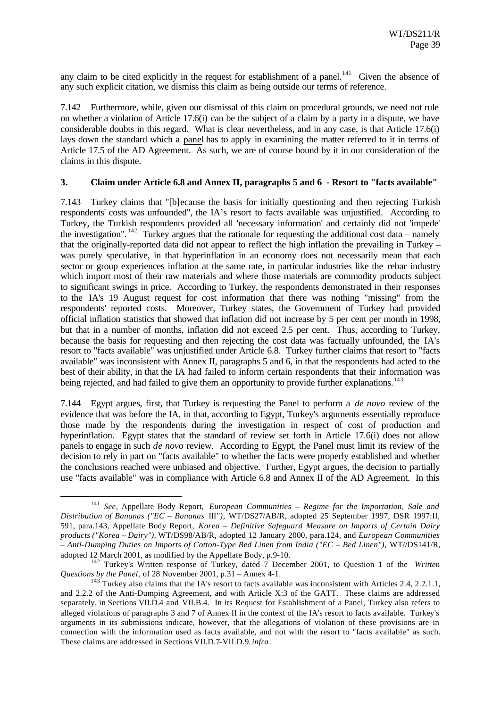any claim to be cited explicitly in the request for establishment of a panel.<sup>141</sup> Given the absence of any such explicit citation, we dismiss this claim as being outside our terms of reference.

7.142 Furthermore, while, given our dismissal of this claim on procedural grounds, we need not rule on whether a violation of Article 17.6(i) can be the subject of a claim by a party in a dispute, we have considerable doubts in this regard. What is clear nevertheless, and in any case, is that Article 17.6(i) lays down the standard which a panel has to apply in examining the matter referred to it in terms of Article 17.5 of the AD Agreement. As such, we are of course bound by it in our consideration of the claims in this dispute.

### **3. Claim under Article 6.8 and Annex II, paragraphs 5 and 6 - Resort to "facts available"**

7.143 Turkey claims that "[b]ecause the basis for initially questioning and then rejecting Turkish respondents' costs was unfounded", the IA's resort to facts available was unjustified. According to Turkey, the Turkish respondents provided all 'necessary information' and certainly did not 'impede' the investigation".  $\frac{142}{12}$  Turkey argues that the rationale for requesting the additional cost data – namely that the originally-reported data did not appear to reflect the high inflation the prevailing in Turkey – was purely speculative, in that hyperinflation in an economy does not necessarily mean that each sector or group experiences inflation at the same rate, in particular industries like the rebar industry which import most of their raw materials and where those materials are commodity products subject to significant swings in price. According to Turkey, the respondents demonstrated in their responses to the IA's 19 August request for cost information that there was nothing "missing" from the respondents' reported costs. Moreover, Turkey states, the Government of Turkey had provided official inflation statistics that showed that inflation did not increase by 5 per cent per month in 1998, but that in a number of months, inflation did not exceed 2.5 per cent. Thus, according to Turkey, because the basis for requesting and then rejecting the cost data was factually unfounded, the IA's resort to "facts available" was unjustified under Article 6.8. Turkey further claims that resort to "facts available" was inconsistent with Annex II, paragraphs 5 and 6, in that the respondents had acted to the best of their ability, in that the IA had failed to inform certain respondents that their information was being rejected, and had failed to give them an opportunity to provide further explanations.<sup>143</sup>

7.144 Egypt argues, first, that Turkey is requesting the Panel to perform a *de novo* review of the evidence that was before the IA, in that, according to Egypt, Turkey's arguments essentially reproduce those made by the respondents during the investigation in respect of cost of production and hyperinflation. Egypt states that the standard of review set forth in Article 17.6(i) does not allow panels to engage in such *de novo* review. According to Egypt, the Panel must limit its review of the decision to rely in part on "facts available" to whether the facts were properly established and whether the conclusions reached were unbiased and objective. Further, Egypt argues, the decision to partially use "facts available" was in compliance with Article 6.8 and Annex II of the AD Agreement. In this

<sup>141</sup> *See*, Appellate Body Report, *European Communities – Regime for the Importation, Sale and Distribution of Bananas ("EC – Bananas* III*")*, WT/DS27/AB/R, adopted 25 September 1997, DSR 1997:II, 591, para.143, Appellate Body Report, *Korea – Definitive Safeguard Measure on Imports of Certain Dairy products ("Korea – Dairy"),* WT/DS98/AB/R, adopted 12 January 2000, para.124, and *European Communities – Anti-Dumping Duties on Imports of Cotton-Type Bed Linen from India ("EC – Bed Linen")*, WT//DS141/R, adopted 12 March 2001, as modified by the Appellate Body, p.9-10.

<sup>142</sup> Turkey's Written response of Turkey, dated 7 December 2001, to Question 1 of the *Written Questions by the Panel*, of 28 November 2001, p.31 – Annex 4-1.

 $143$ <sup>Turkey</sup> also claims that the IA's resort to facts available was inconsistent with Articles 2.4, 2.2.1.1, and 2.2.2 of the Anti-Dumping Agreement, and with Article X:3 of the GATT. These claims are addressed separately, in Sections VII.D.4 and VII.B.4. In its Request for Establishment of a Panel, Turkey also refers to alleged violations of paragraphs 3 and 7 of Annex II in the context of the IA's resort to facts available. Turkey's arguments in its submissions indicate, however, that the allegations of violation of these provisions are in connection with the information used as facts available, and not with the resort to "facts available" as such. These claims are addressed in Sections VII.D.7-VII.D.9. *infra*.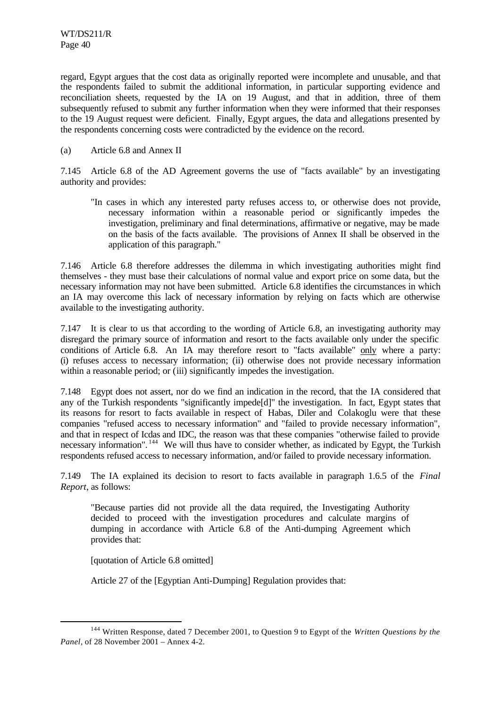regard, Egypt argues that the cost data as originally reported were incomplete and unusable, and that the respondents failed to submit the additional information, in particular supporting evidence and reconciliation sheets, requested by the IA on 19 August, and that in addition, three of them subsequently refused to submit any further information when they were informed that their responses to the 19 August request were deficient. Finally, Egypt argues, the data and allegations presented by the respondents concerning costs were contradicted by the evidence on the record.

(a) Article 6.8 and Annex II

7.145 Article 6.8 of the AD Agreement governs the use of "facts available" by an investigating authority and provides:

"In cases in which any interested party refuses access to, or otherwise does not provide, necessary information within a reasonable period or significantly impedes the investigation, preliminary and final determinations, affirmative or negative, may be made on the basis of the facts available. The provisions of Annex II shall be observed in the application of this paragraph."

7.146 Article 6.8 therefore addresses the dilemma in which investigating authorities might find themselves - they must base their calculations of normal value and export price on some data, but the necessary information may not have been submitted. Article 6.8 identifies the circumstances in which an IA may overcome this lack of necessary information by relying on facts which are otherwise available to the investigating authority.

7.147 It is clear to us that according to the wording of Article 6.8, an investigating authority may disregard the primary source of information and resort to the facts available only under the specific conditions of Article 6.8. An IA may therefore resort to "facts available" only where a party: (i) refuses access to necessary information; (ii) otherwise does not provide necessary information within a reasonable period; or (iii) significantly impedes the investigation.

7.148 Egypt does not assert, nor do we find an indication in the record, that the IA considered that any of the Turkish respondents "significantly impede[d]" the investigation. In fact, Egypt states that its reasons for resort to facts available in respect of Habas, Diler and Colakoglu were that these companies "refused access to necessary information" and "failed to provide necessary information", and that in respect of Icdas and IDC, the reason was that these companies "otherwise failed to provide necessary information".<sup>144</sup> We will thus have to consider whether, as indicated by Egypt, the Turkish respondents refused access to necessary information, and/or failed to provide necessary information.

7.149 The IA explained its decision to resort to facts available in paragraph 1.6.5 of the *Final Report*, as follows:

"Because parties did not provide all the data required, the Investigating Authority decided to proceed with the investigation procedures and calculate margins of dumping in accordance with Article 6.8 of the Anti-dumping Agreement which provides that:

[quotation of Article 6.8 omitted]

l

Article 27 of the [Egyptian Anti-Dumping] Regulation provides that:

<sup>144</sup> Written Response, dated 7 December 2001, to Question 9 to Egypt of the *Written Questions by the Panel*, of 28 November 2001 – Annex 4-2.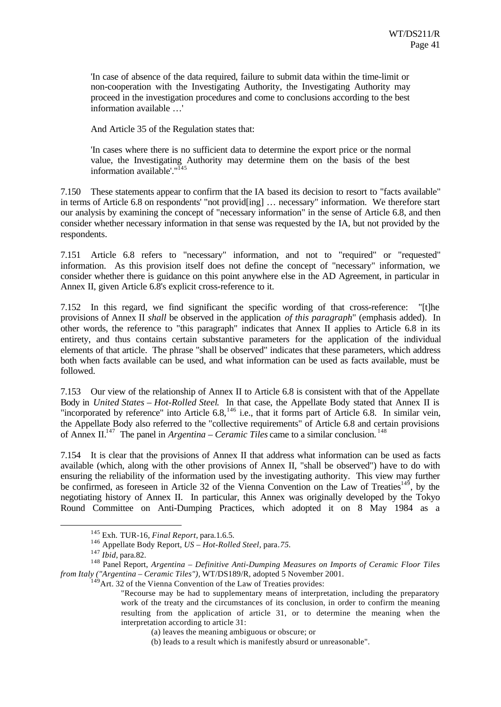'In case of absence of the data required, failure to submit data within the time-limit or non-cooperation with the Investigating Authority, the Investigating Authority may proceed in the investigation procedures and come to conclusions according to the best information available …'

And Article 35 of the Regulation states that:

'In cases where there is no sufficient data to determine the export price or the normal value, the Investigating Authority may determine them on the basis of the best information available'." $145$ 

7.150 These statements appear to confirm that the IA based its decision to resort to "facts available" in terms of Article 6.8 on respondents' "not provid[ing] … necessary" information. We therefore start our analysis by examining the concept of "necessary information" in the sense of Article 6.8, and then consider whether necessary information in that sense was requested by the IA, but not provided by the respondents.

7.151 Article 6.8 refers to "necessary" information, and not to "required" or "requested" information. As this provision itself does not define the concept of "necessary" information, we consider whether there is guidance on this point anywhere else in the AD Agreement, in particular in Annex II, given Article 6.8's explicit cross-reference to it.

7.152 In this regard, we find significant the specific wording of that cross-reference: "[t]he provisions of Annex II *shall* be observed in the application *of this paragraph*" (emphasis added). In other words, the reference to "this paragraph" indicates that Annex II applies to Article 6.8 in its entirety, and thus contains certain substantive parameters for the application of the individual elements of that article. The phrase "shall be observed" indicates that these parameters, which address both when facts available can be used, and what information can be used as facts available, must be followed.

7.153 Our view of the relationship of Annex II to Article 6.8 is consistent with that of the Appellate Body in *United States – Hot-Rolled Steel*. In that case, the Appellate Body stated that Annex II is "incorporated by reference" into Article  $6.8$ ,  $^{146}$  i.e., that it forms part of Article 6.8. In similar vein, the Appellate Body also referred to the "collective requirements" of Article 6.8 and certain provisions of Annex II.<sup>147</sup> The panel in *Argentina – Ceramic Tiles* came to a similar conclusion.<sup>148</sup>

7.154 It is clear that the provisions of Annex II that address what information can be used as facts available (which, along with the other provisions of Annex II, "shall be observed") have to do with ensuring the reliability of the information used by the investigating authority. This view may further be confirmed, as foreseen in Article 32 of the Vienna Convention on the Law of Treaties<sup>149</sup>, by the negotiating history of Annex II. In particular, this Annex was originally developed by the Tokyo Round Committee on Anti-Dumping Practices, which adopted it on 8 May 1984 as a

<sup>145</sup> Exh. TUR-16, *Final Report*, para.1.6.5.

<sup>146</sup> Appellate Body Report, *US – Hot-Rolled Steel,* para*.75.*

<sup>147</sup> *Ibid*, para.82.

<sup>148</sup> Panel Report, *Argentina – Definitive Anti-Dumping Measures on Imports of Ceramic Floor Tiles from Italy ("Argentina – Ceramic Tiles"),* WT/DS189/R, adopted 5 November 2001.

 $149$ Art. 32 of the Vienna Convention of the Law of Treaties provides:

<sup>&</sup>quot;Recourse may be had to supplementary means of interpretation, including the preparatory work of the treaty and the circumstances of its conclusion, in order to confirm the meaning resulting from the application of article 31, or to determine the meaning when the interpretation according to article 31:

<sup>(</sup>a) leaves the meaning ambiguous or obscure; or

<sup>(</sup>b) leads to a result which is manifestly absurd or unreasonable".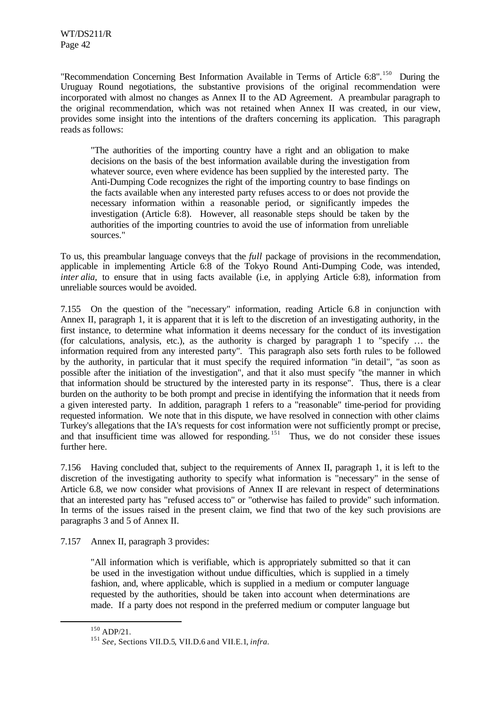"Recommendation Concerning Best Information Available in Terms of Article 6:8".<sup>150</sup> During the Uruguay Round negotiations, the substantive provisions of the original recommendation were incorporated with almost no changes as Annex II to the AD Agreement. A preambular paragraph to the original recommendation, which was not retained when Annex II was created, in our view, provides some insight into the intentions of the drafters concerning its application. This paragraph reads as follows:

"The authorities of the importing country have a right and an obligation to make decisions on the basis of the best information available during the investigation from whatever source, even where evidence has been supplied by the interested party. The Anti-Dumping Code recognizes the right of the importing country to base findings on the facts available when any interested party refuses access to or does not provide the necessary information within a reasonable period, or significantly impedes the investigation (Article 6:8). However, all reasonable steps should be taken by the authorities of the importing countries to avoid the use of information from unreliable sources."

To us, this preambular language conveys that the *full* package of provisions in the recommendation, applicable in implementing Article 6:8 of the Tokyo Round Anti-Dumping Code, was intended, *inter alia,* to ensure that in using facts available (i.e, in applying Article 6:8), information from unreliable sources would be avoided.

7.155 On the question of the "necessary" information, reading Article 6.8 in conjunction with Annex II, paragraph 1, it is apparent that it is left to the discretion of an investigating authority, in the first instance, to determine what information it deems necessary for the conduct of its investigation (for calculations, analysis, etc.), as the authority is charged by paragraph 1 to "specify … the information required from any interested party". This paragraph also sets forth rules to be followed by the authority, in particular that it must specify the required information "in detail", "as soon as possible after the initiation of the investigation", and that it also must specify "the manner in which that information should be structured by the interested party in its response". Thus, there is a clear burden on the authority to be both prompt and precise in identifying the information that it needs from a given interested party. In addition, paragraph 1 refers to a "reasonable" time-period for providing requested information. We note that in this dispute, we have resolved in connection with other claims Turkey's allegations that the IA's requests for cost information were not sufficiently prompt or precise, and that insufficient time was allowed for responding.<sup>151</sup> Thus, we do not consider these issues further here.

7.156 Having concluded that, subject to the requirements of Annex II, paragraph 1, it is left to the discretion of the investigating authority to specify what information is "necessary" in the sense of Article 6.8, we now consider what provisions of Annex II are relevant in respect of determinations that an interested party has "refused access to" or "otherwise has failed to provide" such information. In terms of the issues raised in the present claim, we find that two of the key such provisions are paragraphs 3 and 5 of Annex II.

7.157 Annex II, paragraph 3 provides:

"All information which is verifiable, which is appropriately submitted so that it can be used in the investigation without undue difficulties, which is supplied in a timely fashion, and, where applicable, which is supplied in a medium or computer language requested by the authorities, should be taken into account when determinations are made. If a party does not respond in the preferred medium or computer language but

 $150$  ADP/21.

<sup>151</sup> *See*, Sections VII.D.5, VII.D.6 and VII.E.1, *infra.*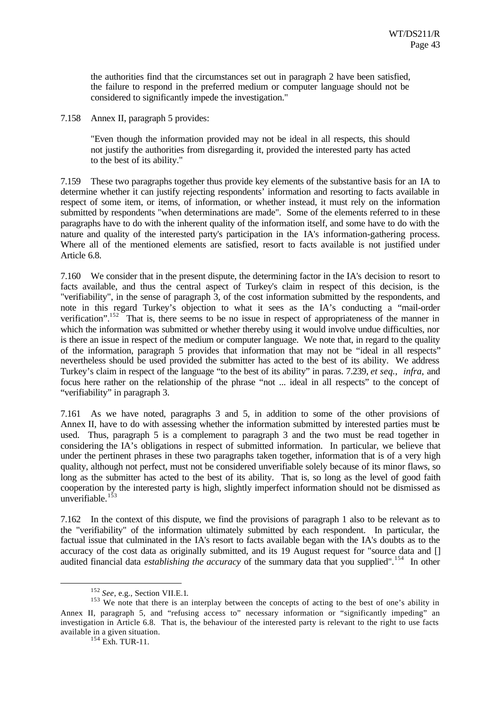the authorities find that the circumstances set out in paragraph 2 have been satisfied, the failure to respond in the preferred medium or computer language should not be considered to significantly impede the investigation."

7.158 Annex II, paragraph 5 provides:

"Even though the information provided may not be ideal in all respects, this should not justify the authorities from disregarding it, provided the interested party has acted to the best of its ability."

7.159 These two paragraphs together thus provide key elements of the substantive basis for an IA to determine whether it can justify rejecting respondents' information and resorting to facts available in respect of some item, or items, of information, or whether instead, it must rely on the information submitted by respondents "when determinations are made". Some of the elements referred to in these paragraphs have to do with the inherent quality of the information itself, and some have to do with the nature and quality of the interested party's participation in the IA's information-gathering process. Where all of the mentioned elements are satisfied, resort to facts available is not justified under Article 6.8

7.160 We consider that in the present dispute, the determining factor in the IA's decision to resort to facts available, and thus the central aspect of Turkey's claim in respect of this decision, is the "verifiability", in the sense of paragraph 3, of the cost information submitted by the respondents, and note in this regard Turkey's objection to what it sees as the IA's conducting a "mail-order verification".<sup>152</sup> That is, there seems to be no issue in respect of appropriateness of the manner in which the information was submitted or whether thereby using it would involve undue difficulties, nor is there an issue in respect of the medium or computer language. We note that, in regard to the quality of the information, paragraph 5 provides that information that may not be "ideal in all respects" nevertheless should be used provided the submitter has acted to the best of its ability. We address Turkey's claim in respect of the language "to the best of its ability" in paras. 7.239, *et seq.*, *infra*, and focus here rather on the relationship of the phrase "not ... ideal in all respects" to the concept of "verifiability" in paragraph 3.

7.161 As we have noted, paragraphs 3 and 5, in addition to some of the other provisions of Annex II, have to do with assessing whether the information submitted by interested parties must be used. Thus, paragraph 5 is a complement to paragraph 3 and the two must be read together in considering the IA's obligations in respect of submitted information. In particular, we believe that under the pertinent phrases in these two paragraphs taken together, information that is of a very high quality, although not perfect, must not be considered unverifiable solely because of its minor flaws, so long as the submitter has acted to the best of its ability. That is, so long as the level of good faith cooperation by the interested party is high, slightly imperfect information should not be dismissed as unverifiable. $153$ 

7.162 In the context of this dispute, we find the provisions of paragraph 1 also to be relevant as to the "verifiability" of the information ultimately submitted by each respondent. In particular, the factual issue that culminated in the IA's resort to facts available began with the IA's doubts as to the accuracy of the cost data as originally submitted, and its 19 August request for "source data and [] audited financial data *establishing the accuracy* of the summary data that you supplied".<sup>154</sup> In other

<sup>152</sup> *See*, e.g., Section VII.E.1.

<sup>&</sup>lt;sup>153</sup> We note that there is an interplay between the concepts of acting to the best of one's ability in Annex II, paragraph 5, and "refusing access to" necessary information or "significantly impeding" an investigation in Article 6.8. That is, the behaviour of the interested party is relevant to the right to use facts available in a given situation.

 $154$  Exh. TUR-11.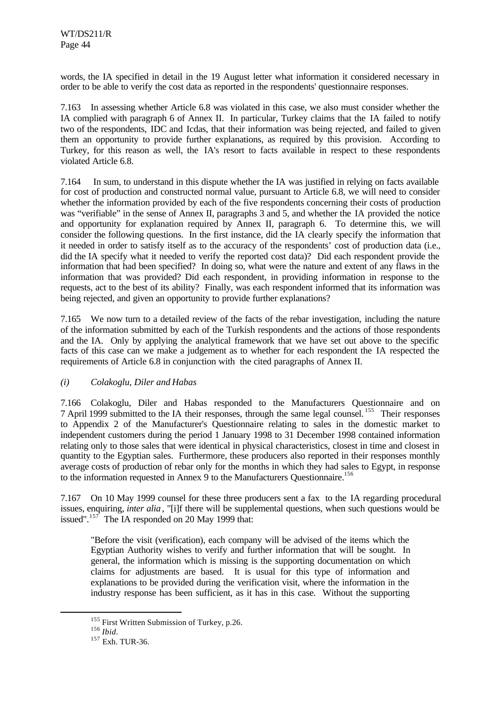words, the IA specified in detail in the 19 August letter what information it considered necessary in order to be able to verify the cost data as reported in the respondents' questionnaire responses.

7.163 In assessing whether Article 6.8 was violated in this case, we also must consider whether the IA complied with paragraph 6 of Annex II. In particular, Turkey claims that the IA failed to notify two of the respondents, IDC and Icdas, that their information was being rejected, and failed to given them an opportunity to provide further explanations, as required by this provision. According to Turkey, for this reason as well, the IA's resort to facts available in respect to these respondents violated Article 6.8.

7.164 In sum, to understand in this dispute whether the IA was justified in relying on facts available for cost of production and constructed normal value, pursuant to Article 6.8, we will need to consider whether the information provided by each of the five respondents concerning their costs of production was "verifiable" in the sense of Annex II, paragraphs 3 and 5, and whether the IA provided the notice and opportunity for explanation required by Annex II, paragraph 6. To determine this, we will consider the following questions. In the first instance, did the IA clearly specify the information that it needed in order to satisfy itself as to the accuracy of the respondents' cost of production data (i.e., did the IA specify what it needed to verify the reported cost data)? Did each respondent provide the information that had been specified? In doing so, what were the nature and extent of any flaws in the information that was provided? Did each respondent, in providing information in response to the requests, act to the best of its ability? Finally, was each respondent informed that its information was being rejected, and given an opportunity to provide further explanations?

7.165 We now turn to a detailed review of the facts of the rebar investigation, including the nature of the information submitted by each of the Turkish respondents and the actions of those respondents and the IA. Only by applying the analytical framework that we have set out above to the specific facts of this case can we make a judgement as to whether for each respondent the IA respected the requirements of Article 6.8 in conjunction with the cited paragraphs of Annex II.

## *(i) Colakoglu, Diler and Habas*

7.166 Colakoglu, Diler and Habas responded to the Manufacturers Questionnaire and on 7 April 1999 submitted to the IA their responses, through the same legal counsel. <sup>155</sup> Their responses to Appendix 2 of the Manufacturer's Questionnaire relating to sales in the domestic market to independent customers during the period 1 January 1998 to 31 December 1998 contained information relating only to those sales that were identical in physical characteristics, closest in time and closest in quantity to the Egyptian sales. Furthermore, these producers also reported in their responses monthly average costs of production of rebar only for the months in which they had sales to Egypt, in response to the information requested in Annex 9 to the Manufacturers Ouestionnaire.<sup>156</sup>

7.167 On 10 May 1999 counsel for these three producers sent a fax to the IA regarding procedural issues, enquiring, *inter alia*, "[i]f there will be supplemental questions, when such questions would be issued".<sup>157</sup> The IA responded on 20 May 1999 that:

"Before the visit (verification), each company will be advised of the items which the Egyptian Authority wishes to verify and further information that will be sought. In general, the information which is missing is the supporting documentation on which claims for adjustments are based. It is usual for this type of information and explanations to be provided during the verification visit, where the information in the industry response has been sufficient, as it has in this case. Without the supporting

<sup>&</sup>lt;sup>155</sup> First Written Submission of Turkey, p.26.

<sup>156</sup> *Ibid.*

<sup>157</sup> Exh. TUR-36.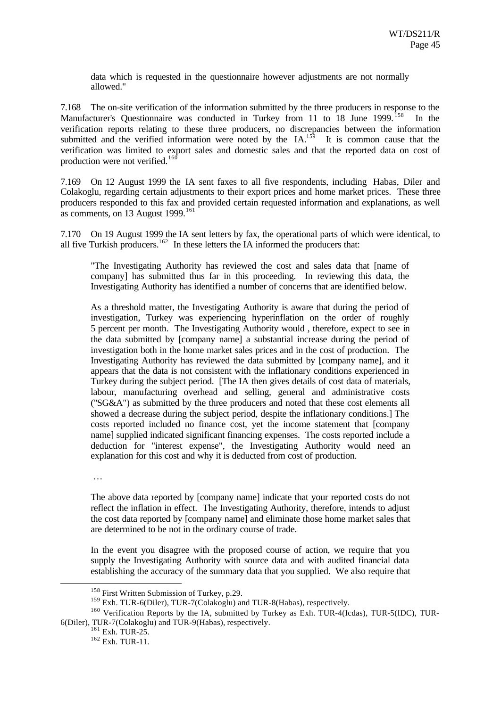data which is requested in the questionnaire however adjustments are not normally allowed."

7.168 The on-site verification of the information submitted by the three producers in response to the Manufacturer's Questionnaire was conducted in Turkey from 11 to 18 June 1999.<sup>158</sup> In the verification reports relating to these three producers, no discrepancies between the information submitted and the verified information were noted by the  $IA.159$  It is common cause that the verification was limited to export sales and domestic sales and that the reported data on cost of production were not verified.<sup>160</sup>

7.169 On 12 August 1999 the IA sent faxes to all five respondents, including Habas, Diler and Colakoglu, regarding certain adjustments to their export prices and home market prices. These three producers responded to this fax and provided certain requested information and explanations, as well as comments, on 13 August  $1999$ <sup>161</sup>

7.170 On 19 August 1999 the IA sent letters by fax, the operational parts of which were identical, to all five Turkish producers.<sup>162</sup> In these letters the IA informed the producers that:

"The Investigating Authority has reviewed the cost and sales data that [name of company] has submitted thus far in this proceeding. In reviewing this data, the Investigating Authority has identified a number of concerns that are identified below.

As a threshold matter, the Investigating Authority is aware that during the period of investigation, Turkey was experiencing hyperinflation on the order of roughly 5 percent per month. The Investigating Authority would , therefore, expect to see in the data submitted by [company name] a substantial increase during the period of investigation both in the home market sales prices and in the cost of production. The Investigating Authority has reviewed the data submitted by [company name], and it appears that the data is not consistent with the inflationary conditions experienced in Turkey during the subject period. [The IA then gives details of cost data of materials, labour, manufacturing overhead and selling, general and administrative costs ("SG&A") as submitted by the three producers and noted that these cost elements all showed a decrease during the subject period, despite the inflationary conditions.] The costs reported included no finance cost, yet the income statement that [company name] supplied indicated significant financing expenses. The costs reported include a deduction for "interest expense", the Investigating Authority would need an explanation for this cost and why it is deducted from cost of production.

…

l

The above data reported by [company name] indicate that your reported costs do not reflect the inflation in effect. The Investigating Authority, therefore, intends to adjust the cost data reported by [company name] and eliminate those home market sales that are determined to be not in the ordinary course of trade.

In the event you disagree with the proposed course of action, we require that you supply the Investigating Authority with source data and with audited financial data establishing the accuracy of the summary data that you supplied. We also require that

<sup>&</sup>lt;sup>158</sup> First Written Submission of Turkey, p.29.

<sup>&</sup>lt;sup>159</sup> Exh. TUR-6(Diler), TUR-7(Colakoglu) and TUR-8(Habas), respectively.

<sup>&</sup>lt;sup>160</sup> Verification Reports by the IA, submitted by Turkey as Exh. TUR-4(Icdas), TUR-5(IDC), TUR-6(Diler), TUR-7(Colakoglu) and TUR-9(Habas), respectively.

 $161$  Exh. TUR-25.

<sup>162</sup> Exh. TUR-11.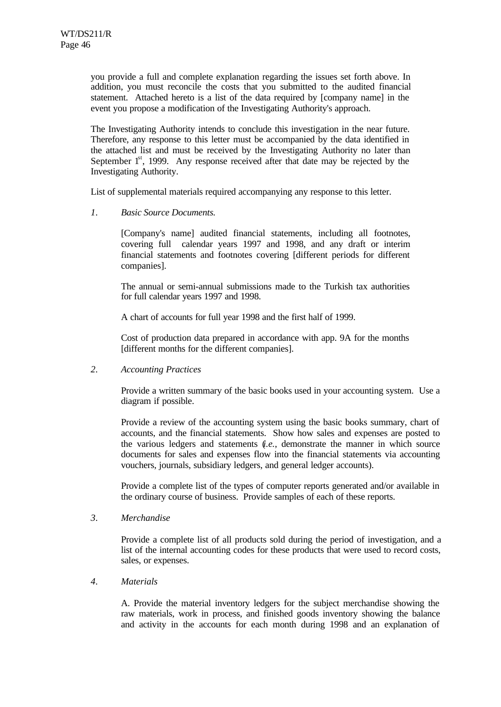you provide a full and complete explanation regarding the issues set forth above. In addition, you must reconcile the costs that you submitted to the audited financial statement. Attached hereto is a list of the data required by [company name] in the event you propose a modification of the Investigating Authority's approach.

The Investigating Authority intends to conclude this investigation in the near future. Therefore, any response to this letter must be accompanied by the data identified in the attached list and must be received by the Investigating Authority no later than September  $1<sup>st</sup>$ , 1999. Any response received after that date may be rejected by the Investigating Authority.

List of supplemental materials required accompanying any response to this letter.

*1. Basic Source Documents.*

[Company's name] audited financial statements, including all footnotes, covering full calendar years 1997 and 1998, and any draft or interim financial statements and footnotes covering [different periods for different companies].

The annual or semi-annual submissions made to the Turkish tax authorities for full calendar years 1997 and 1998.

A chart of accounts for full year 1998 and the first half of 1999.

Cost of production data prepared in accordance with app. 9A for the months [different months for the different companies].

*2. Accounting Practices*

Provide a written summary of the basic books used in your accounting system. Use a diagram if possible.

Provide a review of the accounting system using the basic books summary, chart of accounts, and the financial statements. Show how sales and expenses are posted to the various ledgers and statements  $(i.e.,$  demonstrate the manner in which source documents for sales and expenses flow into the financial statements via accounting vouchers, journals, subsidiary ledgers, and general ledger accounts).

Provide a complete list of the types of computer reports generated and/or available in the ordinary course of business. Provide samples of each of these reports.

*3. Merchandise*

Provide a complete list of all products sold during the period of investigation, and a list of the internal accounting codes for these products that were used to record costs, sales, or expenses.

*4. Materials*

A. Provide the material inventory ledgers for the subject merchandise showing the raw materials, work in process, and finished goods inventory showing the balance and activity in the accounts for each month during 1998 and an explanation of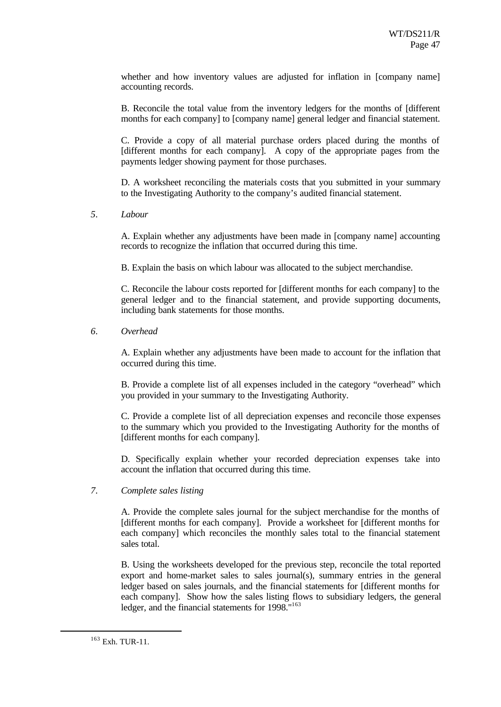whether and how inventory values are adjusted for inflation in [company name] accounting records.

B. Reconcile the total value from the inventory ledgers for the months of [different months for each company] to [company name] general ledger and financial statement.

C. Provide a copy of all material purchase orders placed during the months of [different months for each company]. A copy of the appropriate pages from the payments ledger showing payment for those purchases.

D. A worksheet reconciling the materials costs that you submitted in your summary to the Investigating Authority to the company's audited financial statement.

#### *5. Labour*

A. Explain whether any adjustments have been made in [company name] accounting records to recognize the inflation that occurred during this time.

B. Explain the basis on which labour was allocated to the subject merchandise.

C. Reconcile the labour costs reported for [different months for each company] to the general ledger and to the financial statement, and provide supporting documents, including bank statements for those months.

*6. Overhead*

A. Explain whether any adjustments have been made to account for the inflation that occurred during this time.

B. Provide a complete list of all expenses included in the category "overhead" which you provided in your summary to the Investigating Authority.

C. Provide a complete list of all depreciation expenses and reconcile those expenses to the summary which you provided to the Investigating Authority for the months of [different months for each company].

D. Specifically explain whether your recorded depreciation expenses take into account the inflation that occurred during this time.

#### *7. Complete sales listing*

A. Provide the complete sales journal for the subject merchandise for the months of [different months for each company]. Provide a worksheet for [different months for each company] which reconciles the monthly sales total to the financial statement sales total.

B. Using the worksheets developed for the previous step, reconcile the total reported export and home-market sales to sales journal(s), summary entries in the general ledger based on sales journals, and the financial statements for [different months for each company]. Show how the sales listing flows to subsidiary ledgers, the general ledger, and the financial statements for 1998."<sup>163</sup>

<sup>163</sup> Exh. TUR-11.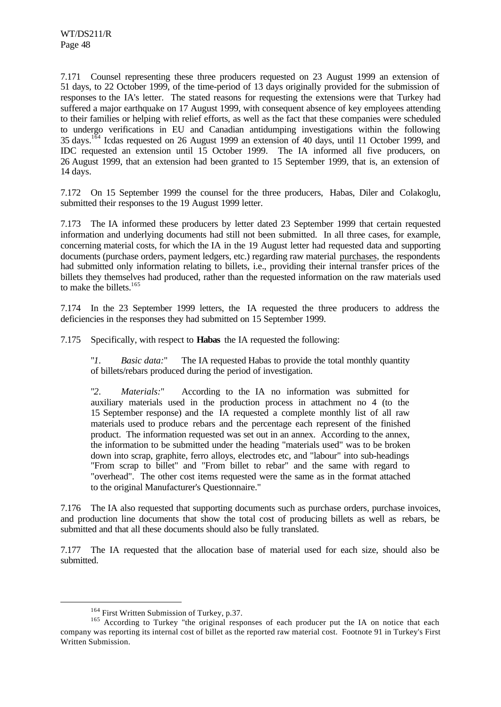7.171 Counsel representing these three producers requested on 23 August 1999 an extension of 51 days, to 22 October 1999, of the time-period of 13 days originally provided for the submission of responses to the IA's letter. The stated reasons for requesting the extensions were that Turkey had suffered a major earthquake on 17 August 1999, with consequent absence of key employees attending to their families or helping with relief efforts, as well as the fact that these companies were scheduled to undergo verifications in EU and Canadian antidumping investigations within the following 35 days.<sup>164</sup> Icdas requested on 26 August 1999 an extension of 40 days, until 11 October 1999, and IDC requested an extension until 15 October 1999. The IA informed all five producers, on 26 August 1999, that an extension had been granted to 15 September 1999, that is, an extension of 14 days.

7.172 On 15 September 1999 the counsel for the three producers, Habas, Diler and Colakoglu, submitted their responses to the 19 August 1999 letter.

7.173 The IA informed these producers by letter dated 23 September 1999 that certain requested information and underlying documents had still not been submitted. In all three cases, for example, concerning material costs, for which the IA in the 19 August letter had requested data and supporting documents (purchase orders, payment ledgers, etc.) regarding raw material purchases, the respondents had submitted only information relating to billets, i.e., providing their internal transfer prices of the billets they themselves had produced, rather than the requested information on the raw materials used to make the billets.<sup>165</sup>

7.174 In the 23 September 1999 letters, the IA requested the three producers to address the deficiencies in the responses they had submitted on 15 September 1999.

7.175 Specifically, with respect to **Habas** the IA requested the following:

"*1. Basic data:*" The IA requested Habas to provide the total monthly quantity of billets/rebars produced during the period of investigation.

"*2. Materials:*" According to the IA no information was submitted for auxiliary materials used in the production process in attachment no 4 (to the 15 September response) and the IA requested a complete monthly list of all raw materials used to produce rebars and the percentage each represent of the finished product. The information requested was set out in an annex. According to the annex, the information to be submitted under the heading "materials used" was to be broken down into scrap, graphite, ferro alloys, electrodes etc, and "labour" into sub-headings "From scrap to billet" and "From billet to rebar" and the same with regard to "overhead". The other cost items requested were the same as in the format attached to the original Manufacturer's Questionnaire."

7.176 The IA also requested that supporting documents such as purchase orders, purchase invoices, and production line documents that show the total cost of producing billets as well as rebars, be submitted and that all these documents should also be fully translated.

7.177 The IA requested that the allocation base of material used for each size, should also be submitted.

<sup>&</sup>lt;sup>164</sup> First Written Submission of Turkey, p.37.

<sup>&</sup>lt;sup>165</sup> According to Turkey "the original responses of each producer put the IA on notice that each company was reporting its internal cost of billet as the reported raw material cost. Footnote 91 in Turkey's First Written Submission.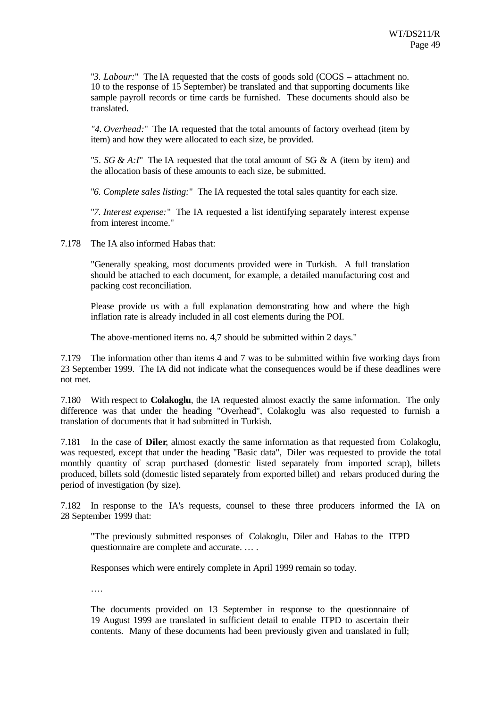"*3. Labour:*" The IA requested that the costs of goods sold (COGS – attachment no. 10 to the response of 15 September) be translated and that supporting documents like sample payroll records or time cards be furnished. These documents should also be translated.

*"4. Overhead:*" The IA requested that the total amounts of factory overhead (item by item) and how they were allocated to each size, be provided.

"*5. SG & A:I*" The IA requested that the total amount of SG & A (item by item) and the allocation basis of these amounts to each size, be submitted.

"*6. Complete sales listing:*" The IA requested the total sales quantity for each size.

"*7. Interest expense:*" The IA requested a list identifying separately interest expense from interest income."

7.178 The IA also informed Habas that:

"Generally speaking, most documents provided were in Turkish. A full translation should be attached to each document, for example, a detailed manufacturing cost and packing cost reconciliation.

Please provide us with a full explanation demonstrating how and where the high inflation rate is already included in all cost elements during the POI.

The above-mentioned items no. 4,7 should be submitted within 2 days."

7.179 The information other than items 4 and 7 was to be submitted within five working days from 23 September 1999. The IA did not indicate what the consequences would be if these deadlines were not met.

7.180 With respect to **Colakoglu**, the IA requested almost exactly the same information. The only difference was that under the heading "Overhead", Colakoglu was also requested to furnish a translation of documents that it had submitted in Turkish.

7.181 In the case of **Diler**, almost exactly the same information as that requested from Colakoglu, was requested, except that under the heading "Basic data", Diler was requested to provide the total monthly quantity of scrap purchased (domestic listed separately from imported scrap), billets produced, billets sold (domestic listed separately from exported billet) and rebars produced during the period of investigation (by size).

7.182 In response to the IA's requests, counsel to these three producers informed the IA on 28 September 1999 that:

"The previously submitted responses of Colakoglu, Diler and Habas to the ITPD questionnaire are complete and accurate. … .

Responses which were entirely complete in April 1999 remain so today.

….

The documents provided on 13 September in response to the questionnaire of 19 August 1999 are translated in sufficient detail to enable ITPD to ascertain their contents. Many of these documents had been previously given and translated in full;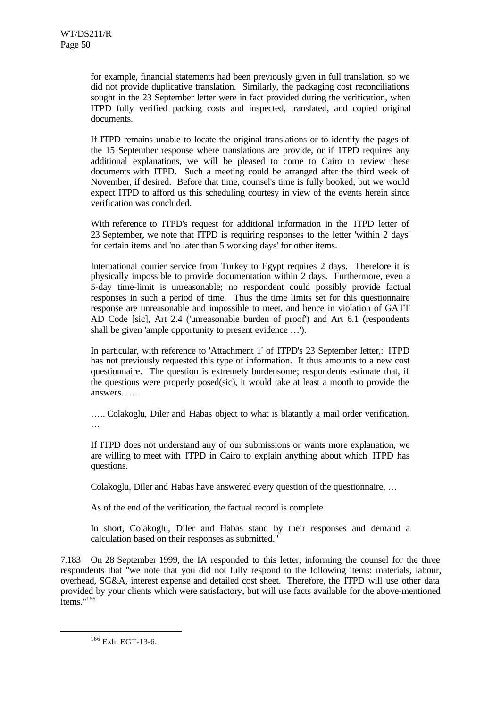for example, financial statements had been previously given in full translation, so we did not provide duplicative translation. Similarly, the packaging cost reconciliations sought in the 23 September letter were in fact provided during the verification, when ITPD fully verified packing costs and inspected, translated, and copied original documents.

If ITPD remains unable to locate the original translations or to identify the pages of the 15 September response where translations are provide, or if ITPD requires any additional explanations, we will be pleased to come to Cairo to review these documents with ITPD. Such a meeting could be arranged after the third week of November, if desired. Before that time, counsel's time is fully booked, but we would expect ITPD to afford us this scheduling courtesy in view of the events herein since verification was concluded.

With reference to ITPD's request for additional information in the ITPD letter of 23 September, we note that ITPD is requiring responses to the letter 'within 2 days' for certain items and 'no later than 5 working days' for other items.

International courier service from Turkey to Egypt requires 2 days. Therefore it is physically impossible to provide documentation within 2 days. Furthermore, even a 5-day time-limit is unreasonable; no respondent could possibly provide factual responses in such a period of time. Thus the time limits set for this questionnaire response are unreasonable and impossible to meet, and hence in violation of GATT AD Code [sic], Art 2.4 ('unreasonable burden of proof') and Art 6.1 (respondents shall be given 'ample opportunity to present evidence …').

In particular, with reference to 'Attachment 1' of ITPD's 23 September letter,: ITPD has not previously requested this type of information. It thus amounts to a new cost questionnaire. The question is extremely burdensome; respondents estimate that, if the questions were properly posed(sic), it would take at least a month to provide the answers. ….

….. Colakoglu, Diler and Habas object to what is blatantly a mail order verification. …

If ITPD does not understand any of our submissions or wants more explanation, we are willing to meet with ITPD in Cairo to explain anything about which ITPD has questions.

Colakoglu, Diler and Habas have answered every question of the questionnaire, …

As of the end of the verification, the factual record is complete.

In short, Colakoglu, Diler and Habas stand by their responses and demand a calculation based on their responses as submitted."

7.183 On 28 September 1999, the IA responded to this letter, informing the counsel for the three respondents that "we note that you did not fully respond to the following items: materials, labour, overhead, SG&A, interest expense and detailed cost sheet. Therefore, the ITPD will use other data provided by your clients which were satisfactory, but will use facts available for the above-mentioned  $\frac{1}{1}$ tems."<sup>166</sup>

<sup>166</sup> Exh. EGT-13-6.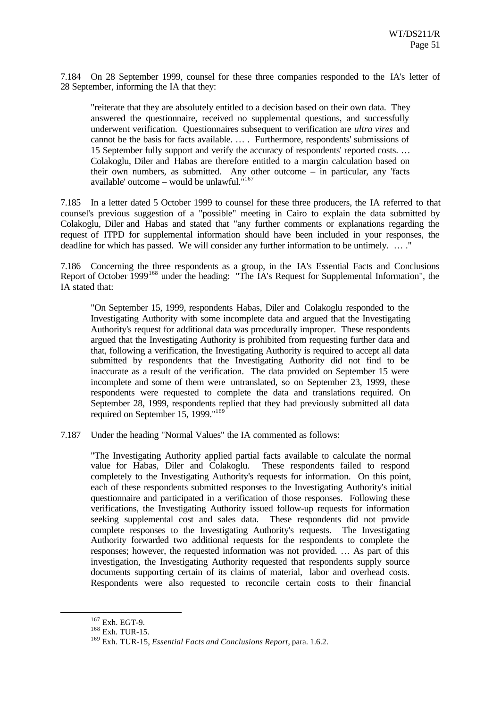7.184 On 28 September 1999, counsel for these three companies responded to the IA's letter of 28 September, informing the IA that they:

"reiterate that they are absolutely entitled to a decision based on their own data. They answered the questionnaire, received no supplemental questions, and successfully underwent verification. Questionnaires subsequent to verification are *ultra vires* and cannot be the basis for facts available. … . Furthermore, respondents' submissions of 15 September fully support and verify the accuracy of respondents' reported costs. … Colakoglu, Diler and Habas are therefore entitled to a margin calculation based on their own numbers, as submitted. Any other outcome – in particular, any 'facts available' outcome – would be unlawful. $167$ 

7.185 In a letter dated 5 October 1999 to counsel for these three producers, the IA referred to that counsel's previous suggestion of a "possible" meeting in Cairo to explain the data submitted by Colakoglu, Diler and Habas and stated that "any further comments or explanations regarding the request of ITPD for supplemental information should have been included in your responses, the deadline for which has passed. We will consider any further information to be untimely. … ."

7.186 Concerning the three respondents as a group, in the IA's Essential Facts and Conclusions Report of October 1999<sup>168</sup> under the heading: "The IA's Request for Supplemental Information", the IA stated that:

"On September 15, 1999, respondents Habas, Diler and Colakoglu responded to the Investigating Authority with some incomplete data and argued that the Investigating Authority's request for additional data was procedurally improper. These respondents argued that the Investigating Authority is prohibited from requesting further data and that, following a verification, the Investigating Authority is required to accept all data submitted by respondents that the Investigating Authority did not find to be inaccurate as a result of the verification. The data provided on September 15 were incomplete and some of them were untranslated, so on September 23, 1999, these respondents were requested to complete the data and translations required. On September 28, 1999, respondents replied that they had previously submitted all data required on September 15, 1999."<sup>169</sup>

7.187 Under the heading "Normal Values" the IA commented as follows:

"The Investigating Authority applied partial facts available to calculate the normal value for Habas, Diler and Colakoglu. These respondents failed to respond completely to the Investigating Authority's requests for information. On this point, each of these respondents submitted responses to the Investigating Authority's initial questionnaire and participated in a verification of those responses. Following these verifications, the Investigating Authority issued follow-up requests for information seeking supplemental cost and sales data. These respondents did not provide complete responses to the Investigating Authority's requests. The Investigating Authority forwarded two additional requests for the respondents to complete the responses; however, the requested information was not provided. … As part of this investigation, the Investigating Authority requested that respondents supply source documents supporting certain of its claims of material, labor and overhead costs. Respondents were also requested to reconcile certain costs to their financial

<sup>167</sup> Exh. EGT-9.

 $168$  Exh. TUR-15.

<sup>169</sup> Exh. TUR-15, *Essential Facts and Conclusions Report*, para. 1.6.2.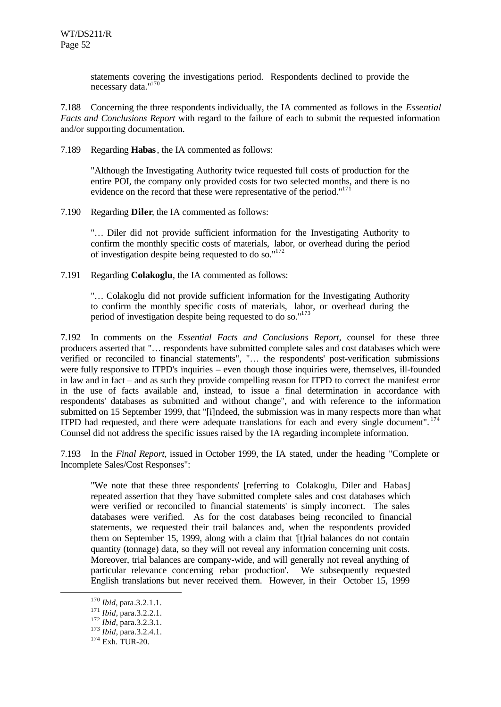statements covering the investigations period. Respondents declined to provide the necessary data."<sup>17</sup>

7.188 Concerning the three respondents individually, the IA commented as follows in the *Essential Facts and Conclusions Report* with regard to the failure of each to submit the requested information and/or supporting documentation.

7.189 Regarding **Habas**, the IA commented as follows:

"Although the Investigating Authority twice requested full costs of production for the entire POI, the company only provided costs for two selected months, and there is no evidence on the record that these were representative of the period."<sup>171</sup>

7.190 Regarding **Diler**, the IA commented as follows:

"… Diler did not provide sufficient information for the Investigating Authority to confirm the monthly specific costs of materials, labor, or overhead during the period of investigation despite being requested to do so."<sup>172</sup>

7.191 Regarding **Colakoglu**, the IA commented as follows:

"… Colakoglu did not provide sufficient information for the Investigating Authority to confirm the monthly specific costs of materials, labor, or overhead during the period of investigation despite being requested to do so."<sup>173</sup>

7.192 In comments on the *Essential Facts and Conclusions Report*, counsel for these three producers asserted that "… respondents have submitted complete sales and cost databases which were verified or reconciled to financial statements", "… the respondents' post-verification submissions were fully responsive to ITPD's inquiries – even though those inquiries were, themselves, ill-founded in law and in fact – and as such they provide compelling reason for ITPD to correct the manifest error in the use of facts available and, instead, to issue a final determination in accordance with respondents' databases as submitted and without change", and with reference to the information submitted on 15 September 1999, that "[i]ndeed, the submission was in many respects more than what ITPD had requested, and there were adequate translations for each and every single document".  $174$ Counsel did not address the specific issues raised by the IA regarding incomplete information.

7.193 In the *Final Report*, issued in October 1999, the IA stated, under the heading "Complete or Incomplete Sales/Cost Responses":

"We note that these three respondents' [referring to Colakoglu, Diler and Habas] repeated assertion that they 'have submitted complete sales and cost databases which were verified or reconciled to financial statements' is simply incorrect. The sales databases were verified. As for the cost databases being reconciled to financial statements, we requested their trail balances and, when the respondents provided them on September 15, 1999, along with a claim that '[t]rial balances do not contain quantity (tonnage) data, so they will not reveal any information concerning unit costs. Moreover, trial balances are company-wide, and will generally not reveal anything of particular relevance concerning rebar production'. We subsequently requested English translations but never received them. However, in their October 15, 1999

<sup>170</sup> *Ibid,* para*.*3.2.1.1.

<sup>171</sup> *Ibid*, para.3.2.2.1.

<sup>172</sup> *Ibid*, para.3.2.3.1.

<sup>173</sup> *Ibid*, para.3.2.4.1.

<sup>174</sup> Exh. TUR-20.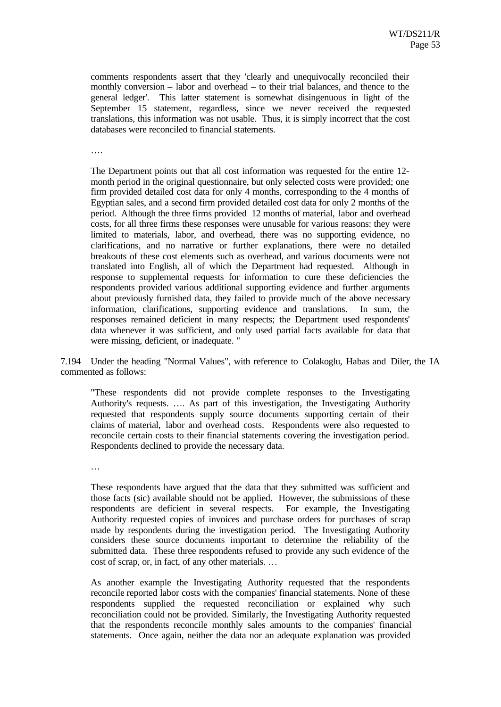comments respondents assert that they 'clearly and unequivocally reconciled their monthly conversion – labor and overhead – to their trial balances, and thence to the general ledger'. This latter statement is somewhat disingenuous in light of the September 15 statement, regardless, since we never received the requested translations, this information was not usable. Thus, it is simply incorrect that the cost databases were reconciled to financial statements.

….

The Department points out that all cost information was requested for the entire 12 month period in the original questionnaire, but only selected costs were provided; one firm provided detailed cost data for only 4 months, corresponding to the 4 months of Egyptian sales, and a second firm provided detailed cost data for only 2 months of the period. Although the three firms provided 12 months of material, labor and overhead costs, for all three firms these responses were unusable for various reasons: they were limited to materials, labor, and overhead, there was no supporting evidence, no clarifications, and no narrative or further explanations, there were no detailed breakouts of these cost elements such as overhead, and various documents were not translated into English, all of which the Department had requested. Although in response to supplemental requests for information to cure these deficiencies the respondents provided various additional supporting evidence and further arguments about previously furnished data, they failed to provide much of the above necessary information, clarifications, supporting evidence and translations. In sum, the responses remained deficient in many respects; the Department used respondents' data whenever it was sufficient, and only used partial facts available for data that were missing, deficient, or inadequate. "

7.194 Under the heading "Normal Values", with reference to Colakoglu, Habas and Diler, the IA commented as follows:

"These respondents did not provide complete responses to the Investigating Authority's requests. …. As part of this investigation, the Investigating Authority requested that respondents supply source documents supporting certain of their claims of material, labor and overhead costs. Respondents were also requested to reconcile certain costs to their financial statements covering the investigation period. Respondents declined to provide the necessary data.

…

These respondents have argued that the data that they submitted was sufficient and those facts (sic) available should not be applied. However, the submissions of these respondents are deficient in several respects. For example, the Investigating Authority requested copies of invoices and purchase orders for purchases of scrap made by respondents during the investigation period. The Investigating Authority considers these source documents important to determine the reliability of the submitted data. These three respondents refused to provide any such evidence of the cost of scrap, or, in fact, of any other materials. …

As another example the Investigating Authority requested that the respondents reconcile reported labor costs with the companies' financial statements. None of these respondents supplied the requested reconciliation or explained why such reconciliation could not be provided. Similarly, the Investigating Authority requested that the respondents reconcile monthly sales amounts to the companies' financial statements. Once again, neither the data nor an adequate explanation was provided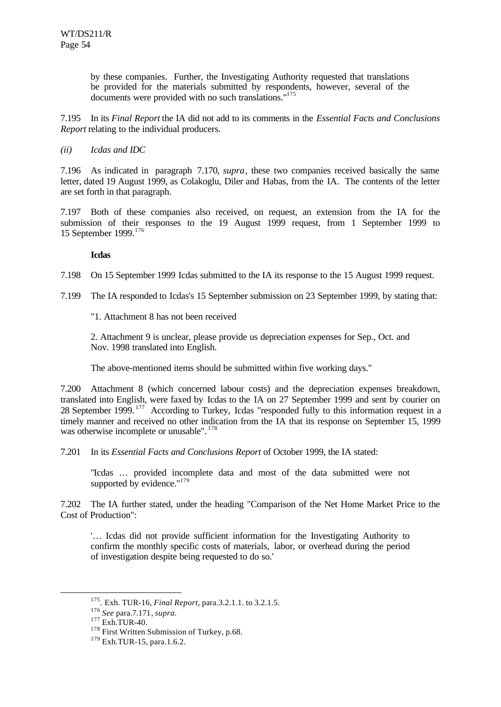by these companies. Further, the Investigating Authority requested that translations be provided for the materials submitted by respondents, however, several of the documents were provided with no such translations."<sup>175</sup>

7.195 In its *Final Report* the IA did not add to its comments in the *Essential Facts and Conclusions Report* relating to the individual producers.

#### *(ii) Icdas and IDC*

7.196 As indicated in paragraph 7.170, *supra*, these two companies received basically the same letter, dated 19 August 1999, as Colakoglu, Diler and Habas, from the IA. The contents of the letter are set forth in that paragraph.

7.197 Both of these companies also received, on request, an extension from the IA for the submission of their responses to the 19 August 1999 request, from 1 September 1999 to 15 September 1999.<sup>176</sup>

### **Icdas**

7.198 On 15 September 1999 Icdas submitted to the IA its response to the 15 August 1999 request.

7.199 The IA responded to Icdas's 15 September submission on 23 September 1999, by stating that:

"1. Attachment 8 has not been received

2. Attachment 9 is unclear, please provide us depreciation expenses for Sep., Oct. and Nov. 1998 translated into English.

The above-mentioned items should be submitted within five working days."

7.200 Attachment 8 (which concerned labour costs) and the depreciation expenses breakdown, translated into English, were faxed by Icdas to the IA on 27 September 1999 and sent by courier on 28 September 1999.<sup>177</sup> According to Turkey, Icdas "responded fully to this information request in a timely manner and received no other indication from the IA that its response on September 15, 1999 was otherwise incomplete or unusable".<sup>17</sup>

7.201 In its *Essential Facts and Conclusions Report* of October 1999, the IA stated:

"Icdas … provided incomplete data and most of the data submitted were not supported by evidence."<sup>179</sup>

7.202 The IA further stated, under the heading "Comparison of the Net Home Market Price to the Cost of Production":

'… Icdas did not provide sufficient information for the Investigating Authority to confirm the monthly specific costs of materials, labor, or overhead during the period of investigation despite being requested to do so.'

<sup>175</sup> . Exh. TUR-16, *Final Report*, para.3.2.1.1. to 3.2.1.5.

<sup>176</sup> *See* para.7.171, *supra.*

<sup>&</sup>lt;sup>177</sup> Exh.TUR-40.

<sup>&</sup>lt;sup>178</sup> First Written Submission of Turkey, p.68.

<sup>179</sup> Exh.TUR-15, para.1.6.2.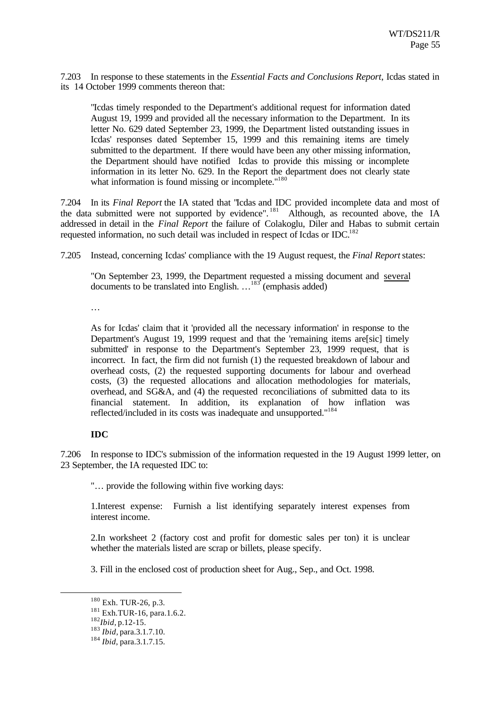7.203 In response to these statements in the *Essential Facts and Conclusions Report*, Icdas stated in its 14 October 1999 comments thereon that:

"Icdas timely responded to the Department's additional request for information dated August 19, 1999 and provided all the necessary information to the Department. In its letter No. 629 dated September 23, 1999, the Department listed outstanding issues in Icdas' responses dated September 15, 1999 and this remaining items are timely submitted to the department. If there would have been any other missing information, the Department should have notified Icdas to provide this missing or incomplete information in its letter No. 629. In the Report the department does not clearly state what information is found missing or incomplete."<sup>180</sup>

7.204 In its *Final Report* the IA stated that "Icdas and IDC provided incomplete data and most of the data submitted were not supported by evidence".<sup>181</sup> Although, as recounted above, the IA addressed in detail in the *Final Report* the failure of Colakoglu, Diler and Habas to submit certain requested information, no such detail was included in respect of Icdas or IDC.<sup>182</sup>

7.205 Instead, concerning Icdas' compliance with the 19 August request, the *Final Report* states:

"On September 23, 1999, the Department requested a missing document and several documents to be translated into English.  $\frac{183}{183}$  (emphasis added)

…

As for Icdas' claim that it 'provided all the necessary information' in response to the Department's August 19, 1999 request and that the 'remaining items are[sic] timely submitted' in response to the Department's September 23, 1999 request, that is incorrect. In fact, the firm did not furnish (1) the requested breakdown of labour and overhead costs, (2) the requested supporting documents for labour and overhead costs, (3) the requested allocations and allocation methodologies for materials, overhead, and SG&A, and (4) the requested reconciliations of submitted data to its financial statement. In addition, its explanation of how inflation was reflected/included in its costs was inadequate and unsupported."<sup>184</sup>

#### **IDC**

7.206 In response to IDC's submission of the information requested in the 19 August 1999 letter, on 23 September, the IA requested IDC to:

"… provide the following within five working days:

1.Interest expense: Furnish a list identifying separately interest expenses from interest income.

2.In worksheet 2 (factory cost and profit for domestic sales per ton) it is unclear whether the materials listed are scrap or billets, please specify.

3. Fill in the enclosed cost of production sheet for Aug., Sep., and Oct. 1998.

<sup>180</sup> Exh. TUR-26, p.3.

<sup>181</sup> Exh.TUR-16, para.1.6.2.

<sup>182</sup>*Ibid,* p.12-15.

<sup>183</sup> *Ibid,* para.3.1.7.10.

<sup>184</sup> *Ibid*, para.3.1.7.15.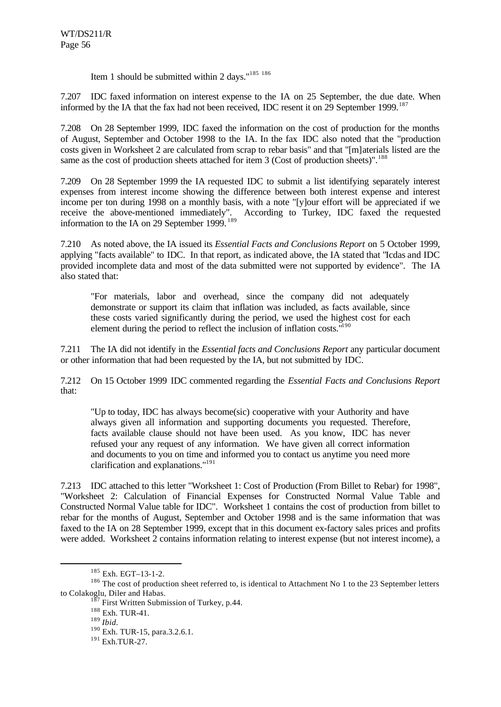Item 1 should be submitted within 2 days."<sup>185</sup> <sup>186</sup>

7.207 IDC faxed information on interest expense to the IA on 25 September, the due date. When informed by the IA that the fax had not been received, IDC resent it on  $29$  September 1999.<sup>187</sup>

7.208 On 28 September 1999, IDC faxed the information on the cost of production for the months of August, September and October 1998 to the IA. In the fax IDC also noted that the "production costs given in Worksheet 2 are calculated from scrap to rebar basis" and that "[m]aterials listed are the same as the cost of production sheets attached for item 3 (Cost of production sheets)".<sup>188</sup>

7.209 On 28 September 1999 the IA requested IDC to submit a list identifying separately interest expenses from interest income showing the difference between both interest expense and interest income per ton during 1998 on a monthly basis, with a note "[y]our effort will be appreciated if we According to Turkey, IDC faxed the requested receive the above-mentioned immediately".<br>information to the IA on 29 September 1999.<sup>189</sup>

7.210 As noted above, the IA issued its *Essential Facts and Conclusions Report* on 5 October 1999, applying "facts available" to IDC. In that report, as indicated above, the IA stated that "Icdas and IDC provided incomplete data and most of the data submitted were not supported by evidence". The IA also stated that:

"For materials, labor and overhead, since the company did not adequately demonstrate or support its claim that inflation was included, as facts available, since these costs varied significantly during the period, we used the highest cost for each element during the period to reflect the inclusion of inflation costs.<sup>"190</sup>

7.211 The IA did not identify in the *Essential facts and Conclusions Report* any particular document or other information that had been requested by the IA, but not submitted by IDC.

7.212 On 15 October 1999 IDC commented regarding the *Essential Facts and Conclusions Report* that:

"Up to today, IDC has always become(sic) cooperative with your Authority and have always given all information and supporting documents you requested. Therefore, facts available clause should not have been used. As you know, IDC has never refused your any request of any information. We have given all correct information and documents to you on time and informed you to contact us anytime you need more clarification and explanations."<sup>191</sup>

7.213 IDC attached to this letter "Worksheet 1: Cost of Production (From Billet to Rebar) for 1998", "Worksheet 2: Calculation of Financial Expenses for Constructed Normal Value Table and Constructed Normal Value table for IDC". Worksheet 1 contains the cost of production from billet to rebar for the months of August, September and October 1998 and is the same information that was faxed to the IA on 28 September 1999, except that in this document ex-factory sales prices and profits were added. Worksheet 2 contains information relating to interest expense (but not interest income), a

<sup>185</sup> Exh. EGT–13-1-2.

<sup>&</sup>lt;sup>186</sup> The cost of production sheet referred to, is identical to Attachment No 1 to the 23 September letters to Colakoglu, Diler and Habas.

 $187$  First Written Submission of Turkey, p.44.

<sup>188</sup> Exh. TUR-41.

<sup>189</sup> *Ibid.*

<sup>190</sup> Exh. TUR-15, para.3.2.6.1.

<sup>191</sup> Exh.TUR-27.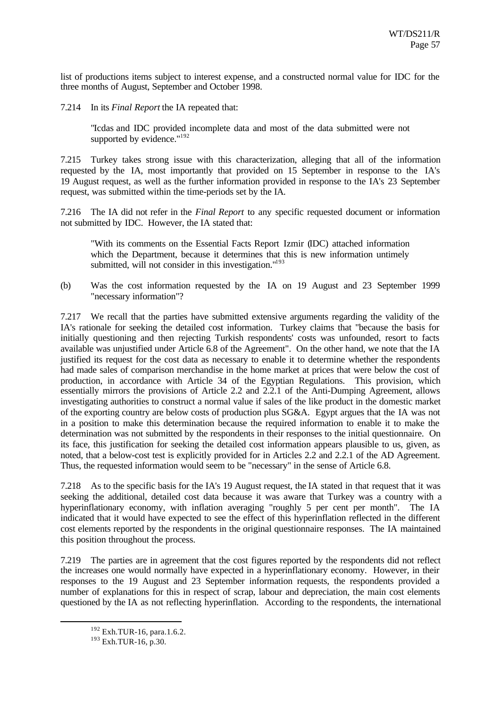list of productions items subject to interest expense, and a constructed normal value for IDC for the three months of August, September and October 1998.

7.214 In its *Final Report* the IA repeated that:

"Icdas and IDC provided incomplete data and most of the data submitted were not supported by evidence."<sup>192</sup>

7.215 Turkey takes strong issue with this characterization, alleging that all of the information requested by the IA, most importantly that provided on 15 September in response to the IA's 19 August request, as well as the further information provided in response to the IA's 23 September request, was submitted within the time-periods set by the IA.

7.216 The IA did not refer in the *Final Report* to any specific requested document or information not submitted by IDC. However, the IA stated that:

"With its comments on the Essential Facts Report Izmir (IDC) attached information which the Department, because it determines that this is new information untimely submitted, will not consider in this investigation."<sup>193</sup>

(b) Was the cost information requested by the IA on 19 August and 23 September 1999 "necessary information"?

7.217 We recall that the parties have submitted extensive arguments regarding the validity of the IA's rationale for seeking the detailed cost information. Turkey claims that "because the basis for initially questioning and then rejecting Turkish respondents' costs was unfounded, resort to facts available was unjustified under Article 6.8 of the Agreement". On the other hand, we note that the IA justified its request for the cost data as necessary to enable it to determine whether the respondents had made sales of comparison merchandise in the home market at prices that were below the cost of production, in accordance with Article 34 of the Egyptian Regulations. This provision, which essentially mirrors the provisions of Article 2.2 and 2.2.1 of the Anti-Dumping Agreement, allows investigating authorities to construct a normal value if sales of the like product in the domestic market of the exporting country are below costs of production plus SG&A. Egypt argues that the IA was not in a position to make this determination because the required information to enable it to make the determination was not submitted by the respondents in their responses to the initial questionnaire. On its face, this justification for seeking the detailed cost information appears plausible to us, given, as noted, that a below-cost test is explicitly provided for in Articles 2.2 and 2.2.1 of the AD Agreement. Thus, the requested information would seem to be "necessary" in the sense of Article 6.8.

7.218 As to the specific basis for the IA's 19 August request, the IA stated in that request that it was seeking the additional, detailed cost data because it was aware that Turkey was a country with a hyperinflationary economy, with inflation averaging "roughly 5 per cent per month". The IA indicated that it would have expected to see the effect of this hyperinflation reflected in the different cost elements reported by the respondents in the original questionnaire responses. The IA maintained this position throughout the process.

7.219 The parties are in agreement that the cost figures reported by the respondents did not reflect the increases one would normally have expected in a hyperinflationary economy. However, in their responses to the 19 August and 23 September information requests, the respondents provided a number of explanations for this in respect of scrap, labour and depreciation, the main cost elements questioned by the IA as not reflecting hyperinflation. According to the respondents, the international

<sup>192</sup> Exh.TUR-16, para.1.6.2.

<sup>193</sup> Exh.TUR-16, p.30.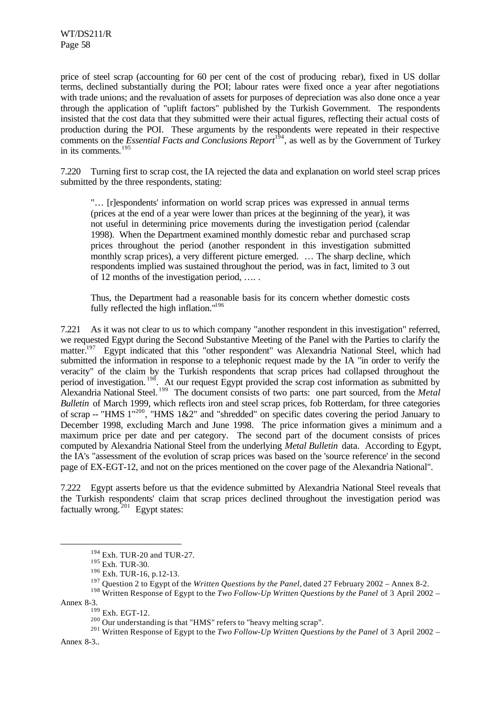price of steel scrap (accounting for 60 per cent of the cost of producing rebar), fixed in US dollar terms, declined substantially during the POI; labour rates were fixed once a year after negotiations with trade unions; and the revaluation of assets for purposes of depreciation was also done once a year through the application of "uplift factors" published by the Turkish Government. The respondents insisted that the cost data that they submitted were their actual figures, reflecting their actual costs of production during the POI. These arguments by the respondents were repeated in their respective comments on the *Essential Facts and Conclusions Report*<sup>194</sup>, as well as by the Government of Turkey in its comments.<sup>195</sup>

7.220 Turning first to scrap cost, the IA rejected the data and explanation on world steel scrap prices submitted by the three respondents, stating:

"… [r]espondents' information on world scrap prices was expressed in annual terms (prices at the end of a year were lower than prices at the beginning of the year), it was not useful in determining price movements during the investigation period (calendar 1998). When the Department examined monthly domestic rebar and purchased scrap prices throughout the period (another respondent in this investigation submitted monthly scrap prices), a very different picture emerged. … The sharp decline, which respondents implied was sustained throughout the period, was in fact, limited to 3 out of 12 months of the investigation period, …. .

Thus, the Department had a reasonable basis for its concern whether domestic costs fully reflected the high inflation."<sup>196</sup>

7.221 As it was not clear to us to which company "another respondent in this investigation" referred, we requested Egypt during the Second Substantive Meeting of the Panel with the Parties to clarify the matter.<sup>197</sup> Egypt indicated that this "other respondent" was Alexandria National Steel, which had submitted the information in response to a telephonic request made by the IA "in order to verify the veracity" of the claim by the Turkish respondents that scrap prices had collapsed throughout the period of investigation.<sup>198</sup>. At our request Egypt provided the scrap cost information as submitted by Alexandria National Steel. <sup>199</sup> The document consists of two parts: one part sourced, from the *Metal Bulletin* of March 1999, which reflects iron and steel scrap prices, fob Rotterdam, for three categories of scrap -- "HMS 1<sup>"200</sup>, "HMS 1&2" and "shredded" on specific dates covering the period January to December 1998, excluding March and June 1998. The price information gives a minimum and a maximum price per date and per category. The second part of the document consists of prices computed by Alexandria National Steel from the underlying *Metal Bulletin* data. According to Egypt, the IA's "assessment of the evolution of scrap prices was based on the 'source reference' in the second page of EX-EGT-12, and not on the prices mentioned on the cover page of the Alexandria National".

7.222 Egypt asserts before us that the evidence submitted by Alexandria National Steel reveals that the Turkish respondents' claim that scrap prices declined throughout the investigation period was factually wrong. $^{201}$  Egypt states:

Annex 8-3.

<sup>194</sup> Exh. TUR-20 and TUR-27.

<sup>195</sup> Exh. TUR-30.

<sup>196</sup> Exh. TUR-16, p.12-13.

<sup>197</sup> Question 2 to Egypt of the *Written Questions by the Panel,* dated 27 February 2002 – Annex 8-2.

<sup>198</sup> Written Response of Egypt to the *Two Follow-Up Written Questions by the Panel* of 3 April 2002 –

<sup>199</sup> Exh. EGT-12.

<sup>&</sup>lt;sup>200</sup> Our understanding is that "HMS" refers to "heavy melting scrap".

<sup>&</sup>lt;sup>201</sup> Written Response of Egypt to the *Two Follow-Up Written Questions by the Panel* of 3 April 2002 –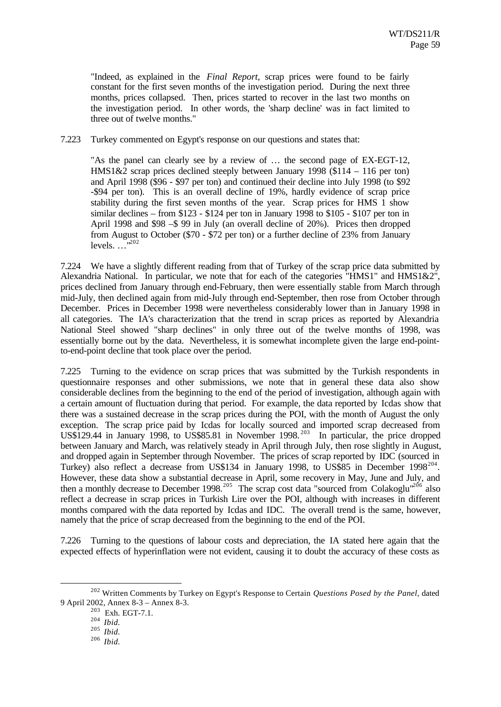"Indeed, as explained in the *Final Report*, scrap prices were found to be fairly constant for the first seven months of the investigation period. During the next three months, prices collapsed. Then, prices started to recover in the last two months on the investigation period. In other words, the 'sharp decline' was in fact limited to three out of twelve months."

7.223 Turkey commented on Egypt's response on our questions and states that:

"As the panel can clearly see by a review of … the second page of EX-EGT-12, HMS1&2 scrap prices declined steeply between January 1998 (\$114 – 116 per ton) and April 1998 (\$96 - \$97 per ton) and continued their decline into July 1998 (to \$92 -\$94 per ton). This is an overall decline of 19%, hardly evidence of scrap price stability during the first seven months of the year. Scrap prices for HMS 1 show similar declines – from \$123 - \$124 per ton in January 1998 to \$105 - \$107 per ton in April 1998 and \$98 –\$ 99 in July (an overall decline of 20%). Prices then dropped from August to October (\$70 - \$72 per ton) or a further decline of 23% from January levels. …"<sup>202</sup>

7.224 We have a slightly different reading from that of Turkey of the scrap price data submitted by Alexandria National. In particular, we note that for each of the categories "HMS1" and HMS1&2", prices declined from January through end-February, then were essentially stable from March through mid-July, then declined again from mid-July through end-September, then rose from October through December. Prices in December 1998 were nevertheless considerably lower than in January 1998 in all categories. The IA's characterization that the trend in scrap prices as reported by Alexandria National Steel showed "sharp declines" in only three out of the twelve months of 1998, was essentially borne out by the data. Nevertheless, it is somewhat incomplete given the large end-pointto-end-point decline that took place over the period.

7.225 Turning to the evidence on scrap prices that was submitted by the Turkish respondents in questionnaire responses and other submissions, we note that in general these data also show considerable declines from the beginning to the end of the period of investigation, although again with a certain amount of fluctuation during that period. For example, the data reported by Icdas show that there was a sustained decrease in the scrap prices during the POI, with the month of August the only exception. The scrap price paid by Icdas for locally sourced and imported scrap decreased from US\$129.44 in January 1998, to US\$85.81 in November 1998.<sup>203</sup> In particular, the price dropped between January and March, was relatively steady in April through July, then rose slightly in August, and dropped again in September through November. The prices of scrap reported by IDC (sourced in Turkey) also reflect a decrease from US\$134 in January 1998, to US\$85 in December 1998<sup>204</sup>. However, these data show a substantial decrease in April, some recovery in May, June and July, and then a monthly decrease to December 1998.<sup>205</sup> The scrap cost data "sourced from Colakoglu<sup>n206</sup> also reflect a decrease in scrap prices in Turkish Lire over the POI, although with increases in different months compared with the data reported by Icdas and IDC. The overall trend is the same, however, namely that the price of scrap decreased from the beginning to the end of the POI.

7.226 Turning to the questions of labour costs and depreciation, the IA stated here again that the expected effects of hyperinflation were not evident, causing it to doubt the accuracy of these costs as

<sup>203</sup> Exh. EGT-7.1.

<sup>202</sup> Written Comments by Turkey on Egypt's Response to Certain *Questions Posed by the Panel*, dated 9 April 2002, Annex 8-3 – Annex 8-3.

<sup>204</sup> *Ibid.*

<sup>205</sup> *Ibid.*

<sup>206</sup> *Ibid.*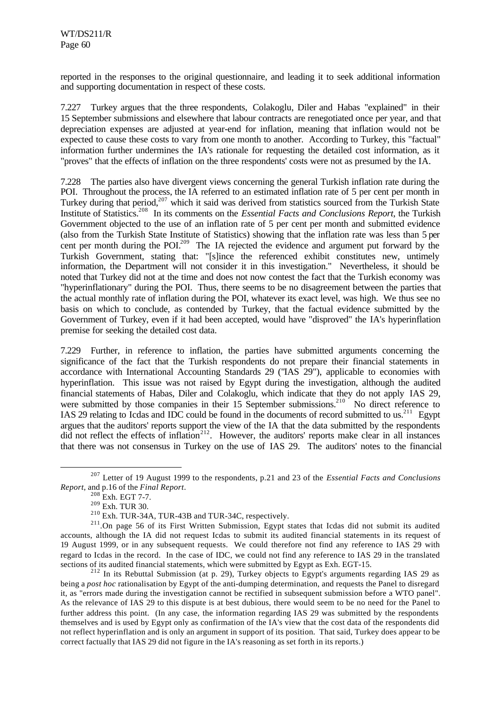reported in the responses to the original questionnaire, and leading it to seek additional information and supporting documentation in respect of these costs.

7.227 Turkey argues that the three respondents, Colakoglu, Diler and Habas "explained" in their 15 September submissions and elsewhere that labour contracts are renegotiated once per year, and that depreciation expenses are adjusted at year-end for inflation, meaning that inflation would not be expected to cause these costs to vary from one month to another. According to Turkey, this "factual" information further undermines the IA's rationale for requesting the detailed cost information, as it "proves" that the effects of inflation on the three respondents' costs were not as presumed by the IA.

7.228 The parties also have divergent views concerning the general Turkish inflation rate during the POI. Throughout the process, the IA referred to an estimated inflation rate of 5 per cent per month in Turkey during that period,<sup>207</sup> which it said was derived from statistics sourced from the Turkish State Institute of Statistics.<sup>208</sup> In its comments on the *Essential Facts and Conclusions Report*, the Turkish Government objected to the use of an inflation rate of 5 per cent per month and submitted evidence (also from the Turkish State Institute of Statistics) showing that the inflation rate was less than 5 per cent per month during the POI.<sup>209</sup> The IA rejected the evidence and argument put forward by the Turkish Government, stating that: "[s]ince the referenced exhibit constitutes new, untimely information, the Department will not consider it in this investigation." Nevertheless, it should be noted that Turkey did not at the time and does not now contest the fact that the Turkish economy was "hyperinflationary" during the POI. Thus, there seems to be no disagreement between the parties that the actual monthly rate of inflation during the POI, whatever its exact level, was high. We thus see no basis on which to conclude, as contended by Turkey, that the factual evidence submitted by the Government of Turkey, even if it had been accepted, would have "disproved" the IA's hyperinflation premise for seeking the detailed cost data.

7.229 Further, in reference to inflation, the parties have submitted arguments concerning the significance of the fact that the Turkish respondents do not prepare their financial statements in accordance with International Accounting Standards 29 ("IAS 29"), applicable to economies with hyperinflation. This issue was not raised by Egypt during the investigation, although the audited financial statements of Habas, Diler and Colakoglu, which indicate that they do not apply IAS 29, were submitted by those companies in their 15 September submissions.<sup>210</sup> No direct reference to IAS 29 relating to Icdas and IDC could be found in the documents of record submitted to us.<sup>211</sup> Egypt argues that the auditors' reports support the view of the IA that the data submitted by the respondents did not reflect the effects of inflation<sup>212</sup>. However, the auditors' reports make clear in all instances that there was not consensus in Turkey on the use of IAS 29. The auditors' notes to the financial

<sup>207</sup> Letter of 19 August 1999 to the respondents, p.21 and 23 of the *Essential Facts and Conclusions Report*, and p.16 of the *Final Report*.

<sup>208</sup> Exh. EGT 7-7.

<sup>209</sup> Exh. TUR 30.

<sup>210</sup> Exh. TUR-34A, TUR-43B and TUR-34C, respectively.

<sup>&</sup>lt;sup>211</sup>. On page 56 of its First Written Submission, Egypt states that Icdas did not submit its audited accounts, although the IA did not request Icdas to submit its audited financial statements in its request of 19 August 1999, or in any subsequent requests. We could therefore not find any reference to IAS 29 with regard to Icdas in the record. In the case of IDC, we could not find any reference to IAS 29 in the translated sections of its audited financial statements, which were submitted by Egypt as Exh. EGT-15.

<sup>212</sup> In its Rebuttal Submission (at p. 29), Turkey objects to Egypt's arguments regarding IAS 29 as being a *post hoc* rationalisation by Egypt of the anti-dumping determination, and requests the Panel to disregard it, as "errors made during the investigation cannot be rectified in subsequent submission before a WTO panel". As the relevance of IAS 29 to this dispute is at best dubious, there would seem to be no need for the Panel to further address this point. (In any case, the information regarding IAS 29 was submitted by the respondents themselves and is used by Egypt only as confirmation of the IA's view that the cost data of the respondents did not reflect hyperinflation and is only an argument in support of its position. That said, Turkey does appear to be correct factually that IAS 29 did not figure in the IA's reasoning as set forth in its reports.)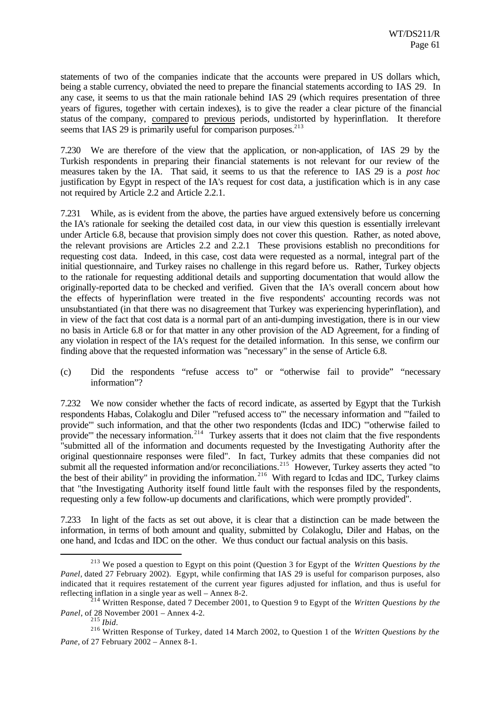statements of two of the companies indicate that the accounts were prepared in US dollars which, being a stable currency, obviated the need to prepare the financial statements according to IAS 29. In any case, it seems to us that the main rationale behind IAS 29 (which requires presentation of three years of figures, together with certain indexes), is to give the reader a clear picture of the financial status of the company, compared to previous periods, undistorted by hyperinflation. It therefore seems that IAS 29 is primarily useful for comparison purposes.<sup>213</sup>

7.230 We are therefore of the view that the application, or non-application, of IAS 29 by the Turkish respondents in preparing their financial statements is not relevant for our review of the measures taken by the IA. That said, it seems to us that the reference to IAS 29 is a *post hoc* justification by Egypt in respect of the IA's request for cost data, a justification which is in any case not required by Article 2.2 and Article 2.2.1.

7.231 While, as is evident from the above, the parties have argued extensively before us concerning the IA's rationale for seeking the detailed cost data, in our view this question is essentially irrelevant under Article 6.8, because that provision simply does not cover this question. Rather, as noted above, the relevant provisions are Articles 2.2 and 2.2.1 These provisions establish no preconditions for requesting cost data. Indeed, in this case, cost data were requested as a normal, integral part of the initial questionnaire, and Turkey raises no challenge in this regard before us. Rather, Turkey objects to the rationale for requesting additional details and supporting documentation that would allow the originally-reported data to be checked and verified. Given that the IA's overall concern about how the effects of hyperinflation were treated in the five respondents' accounting records was not unsubstantiated (in that there was no disagreement that Turkey was experiencing hyperinflation), and in view of the fact that cost data is a normal part of an anti-dumping investigation, there is in our view no basis in Article 6.8 or for that matter in any other provision of the AD Agreement, for a finding of any violation in respect of the IA's request for the detailed information. In this sense, we confirm our finding above that the requested information was "necessary" in the sense of Article 6.8.

(c) Did the respondents "refuse access to" or "otherwise fail to provide" "necessary information"?

7.232 We now consider whether the facts of record indicate, as asserted by Egypt that the Turkish respondents Habas, Colakoglu and Diler "'refused access to'" the necessary information and "'failed to provide'" such information, and that the other two respondents (Icdas and IDC) "'otherwise failed to provide''' the necessary information.<sup>214</sup> Turkey asserts that it does not claim that the five respondents "submitted all of the information and documents requested by the Investigating Authority after the original questionnaire responses were filed". In fact, Turkey admits that these companies did not submit all the requested information and/or reconciliations.<sup>215</sup> However, Turkey asserts they acted "to the best of their ability" in providing the information.<sup>216</sup> With regard to Icdas and IDC, Turkey claims that "the Investigating Authority itself found little fault with the responses filed by the respondents, requesting only a few follow-up documents and clarifications, which were promptly provided".

7.233 In light of the facts as set out above, it is clear that a distinction can be made between the information, in terms of both amount and quality, submitted by Colakoglu, Diler and Habas, on the one hand, and Icdas and IDC on the other. We thus conduct our factual analysis on this basis.

<sup>213</sup> We posed a question to Egypt on this point (Question 3 for Egypt of the *Written Questions by the Panel*, dated 27 February 2002). Egypt, while confirming that IAS 29 is useful for comparison purposes, also indicated that it requires restatement of the current year figures adjusted for inflation, and thus is useful for reflecting inflation in a single year as well – Annex 8-2.

<sup>214</sup> Written Response, dated 7 December 2001, to Question 9 to Egypt of the *Written Questions by the Panel*, of 28 November 2001 – Annex 4-2.

<sup>215</sup> *Ibid*.

<sup>216</sup> Written Response of Turkey, dated 14 March 2002, to Question 1 of the *Written Questions by the Pane,* of 27 February 2002 – Annex 8-1.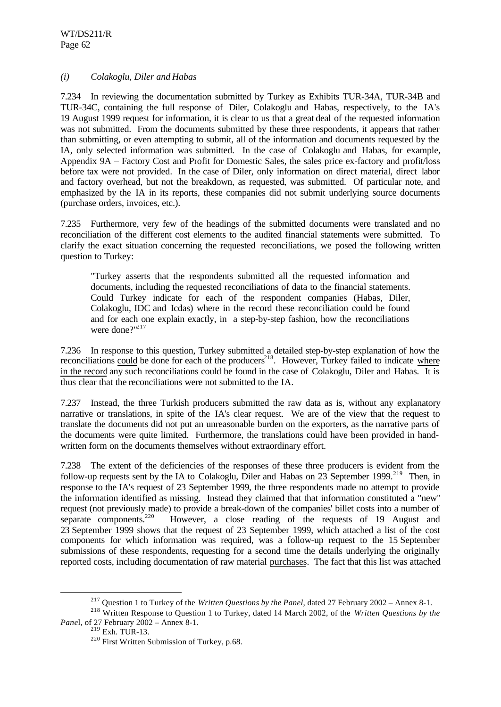## *(i) Colakoglu, Diler and Habas*

7.234 In reviewing the documentation submitted by Turkey as Exhibits TUR-34A, TUR-34B and TUR-34C, containing the full response of Diler, Colakoglu and Habas, respectively, to the IA's 19 August 1999 request for information, it is clear to us that a great deal of the requested information was not submitted. From the documents submitted by these three respondents, it appears that rather than submitting, or even attempting to submit, all of the information and documents requested by the IA, only selected information was submitted. In the case of Colakoglu and Habas, for example, Appendix 9A – Factory Cost and Profit for Domestic Sales, the sales price ex-factory and profit/loss before tax were not provided. In the case of Diler, only information on direct material, direct labor and factory overhead, but not the breakdown, as requested, was submitted. Of particular note, and emphasized by the IA in its reports, these companies did not submit underlying source documents (purchase orders, invoices, etc.).

7.235 Furthermore, very few of the headings of the submitted documents were translated and no reconciliation of the different cost elements to the audited financial statements were submitted. To clarify the exact situation concerning the requested reconciliations, we posed the following written question to Turkey:

"Turkey asserts that the respondents submitted all the requested information and documents, including the requested reconciliations of data to the financial statements. Could Turkey indicate for each of the respondent companies (Habas, Diler, Colakoglu, IDC and Icdas) where in the record these reconciliation could be found and for each one explain exactly, in a step-by-step fashion, how the reconciliations were done?"<sup>217</sup>

7.236 In response to this question, Turkey submitted a detailed step-by-step explanation of how the reconciliations could be done for each of the producers<sup>218</sup>. However, Turkey failed to indicate where in the record any such reconciliations could be found in the case of Colakoglu, Diler and Habas. It is thus clear that the reconciliations were not submitted to the IA.

7.237 Instead, the three Turkish producers submitted the raw data as is, without any explanatory narrative or translations, in spite of the IA's clear request. We are of the view that the request to translate the documents did not put an unreasonable burden on the exporters, as the narrative parts of the documents were quite limited. Furthermore, the translations could have been provided in handwritten form on the documents themselves without extraordinary effort.

7.238 The extent of the deficiencies of the responses of these three producers is evident from the follow-up requests sent by the IA to Colakoglu, Diler and Habas on  $23$  September 1999.<sup>219</sup> Then, in response to the IA's request of 23 September 1999, the three respondents made no attempt to provide the information identified as missing. Instead they claimed that that information constituted a "new" request (not previously made) to provide a break-down of the companies' billet costs into a number of separate components.<sup>220</sup> However, a close reading of the requests of 19 August and However, a close reading of the requests of 19 August and 23 September 1999 shows that the request of 23 September 1999, which attached a list of the cost components for which information was required, was a follow-up request to the 15 September submissions of these respondents, requesting for a second time the details underlying the originally reported costs, including documentation of raw material purchases. The fact that this list was attached

<sup>217</sup> Question 1 to Turkey of the *Written Questions by the Panel*, dated 27 February 2002 – Annex 8-1.

<sup>218</sup> Written Response to Question 1 to Turkey, dated 14 March 2002, of the *Written Questions by the Pane*l, of 27 February 2002 – Annex 8-1.

 $^{219}$  Exh. TUR-13.

<sup>220</sup> First Written Submission of Turkey, p.68.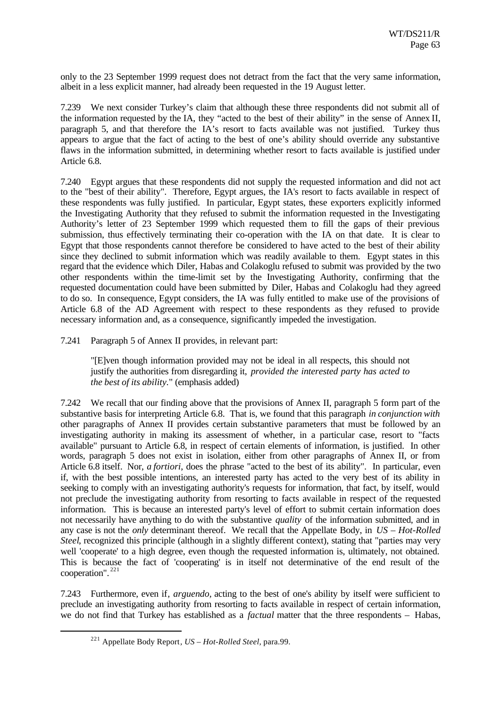only to the 23 September 1999 request does not detract from the fact that the very same information, albeit in a less explicit manner, had already been requested in the 19 August letter.

7.239 We next consider Turkey's claim that although these three respondents did not submit all of the information requested by the IA, they "acted to the best of their ability" in the sense of Annex II, paragraph 5, and that therefore the IA's resort to facts available was not justified. Turkey thus appears to argue that the fact of acting to the best of one's ability should override any substantive flaws in the information submitted, in determining whether resort to facts available is justified under Article 6.8.

7.240 Egypt argues that these respondents did not supply the requested information and did not act to the "best of their ability". Therefore, Egypt argues, the IA's resort to facts available in respect of these respondents was fully justified. In particular, Egypt states, these exporters explicitly informed the Investigating Authority that they refused to submit the information requested in the Investigating Authority's letter of 23 September 1999 which requested them to fill the gaps of their previous submission, thus effectively terminating their co-operation with the IA on that date. It is clear to Egypt that those respondents cannot therefore be considered to have acted to the best of their ability since they declined to submit information which was readily available to them. Egypt states in this regard that the evidence which Diler, Habas and Colakoglu refused to submit was provided by the two other respondents within the time-limit set by the Investigating Authority, confirming that the requested documentation could have been submitted by Diler, Habas and Colakoglu had they agreed to do so. In consequence, Egypt considers, the IA was fully entitled to make use of the provisions of Article 6.8 of the AD Agreement with respect to these respondents as they refused to provide necessary information and, as a consequence, significantly impeded the investigation.

7.241 Paragraph 5 of Annex II provides, in relevant part:

"[E]ven though information provided may not be ideal in all respects, this should not justify the authorities from disregarding it, *provided the interested party has acted to the best of its ability.*" (emphasis added)

7.242 We recall that our finding above that the provisions of Annex II, paragraph 5 form part of the substantive basis for interpreting Article 6.8. That is, we found that this paragraph *in conjunction with* other paragraphs of Annex II provides certain substantive parameters that must be followed by an investigating authority in making its assessment of whether, in a particular case, resort to "facts available" pursuant to Article 6.8, in respect of certain elements of information, is justified. In other words, paragraph 5 does not exist in isolation, either from other paragraphs of Annex II, or from Article 6.8 itself. Nor, *a fortiori*, does the phrase "acted to the best of its ability". In particular, even if, with the best possible intentions, an interested party has acted to the very best of its ability in seeking to comply with an investigating authority's requests for information, that fact, by itself, would not preclude the investigating authority from resorting to facts available in respect of the requested information. This is because an interested party's level of effort to submit certain information does not necessarily have anything to do with the substantive *quality* of the information submitted, and in any case is not the *only* determinant thereof. We recall that the Appellate Body, in *US – Hot-Rolled Steel*, recognized this principle (although in a slightly different context), stating that "parties may very well 'cooperate' to a high degree, even though the requested information is, ultimately, not obtained. This is because the fact of 'cooperating' is in itself not determinative of the end result of the cooperation". <sup>221</sup>

7.243 Furthermore, even if*, arguendo,* acting to the best of one's ability by itself were sufficient to preclude an investigating authority from resorting to facts available in respect of certain information, we do not find that Turkey has established as a *factual* matter that the three respondents – Habas,

<sup>221</sup> Appellate Body Report*, US – Hot-Rolled Steel,* para.99.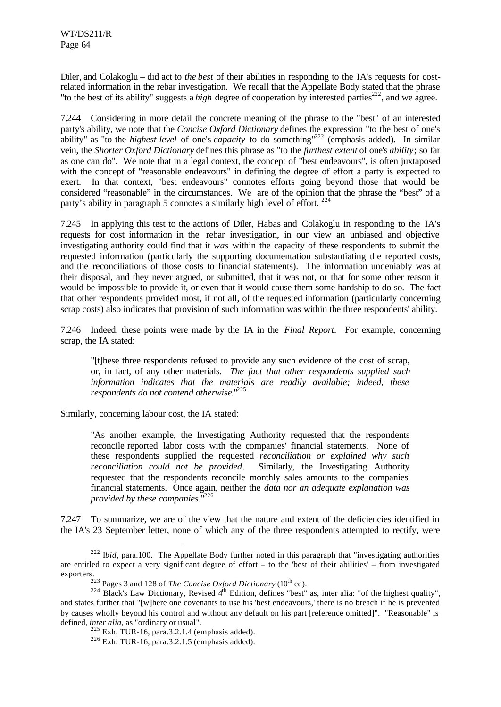Diler, and Colakoglu – did act to *the best* of their abilities in responding to the IA's requests for costrelated information in the rebar investigation. We recall that the Appellate Body stated that the phrase "to the best of its ability" suggests a *high* degree of cooperation by interested parties<sup>222</sup>, and we agree.

7.244 Considering in more detail the concrete meaning of the phrase to the "best" of an interested party's ability, we note that the *Concise Oxford Dictionary* defines the expression "to the best of one's ability" as "to the *highest level* of one's *capacity* to do something"*<sup>223</sup>* (emphasis added). In similar vein, the *Shorter Oxford Dictionary* defines this phrase as "to the *furthest extent* of one's *ability*; so far as one can do". We note that in a legal context, the concept of "best endeavours", is often juxtaposed with the concept of "reasonable endeavours" in defining the degree of effort a party is expected to exert. In that context, "best endeavours" connotes efforts going beyond those that would be considered "reasonable" in the circumstances. We are of the opinion that the phrase the "best" of a party's ability in paragraph 5 connotes a similarly high level of effort. <sup>224</sup>

7.245 In applying this test to the actions of Diler, Habas and Colakoglu in responding to the IA's requests for cost information in the rebar investigation, in our view an unbiased and objective investigating authority could find that it *was* within the capacity of these respondents to submit the requested information (particularly the supporting documentation substantiating the reported costs, and the reconciliations of those costs to financial statements). The information undeniably was at their disposal, and they never argued, or submitted, that it was not, or that for some other reason it would be impossible to provide it, or even that it would cause them some hardship to do so. The fact that other respondents provided most, if not all, of the requested information (particularly concerning scrap costs) also indicates that provision of such information was within the three respondents' ability.

7.246 Indeed, these points were made by the IA in the *Final Report*. For example, concerning scrap, the IA stated:

"[t]hese three respondents refused to provide any such evidence of the cost of scrap, or, in fact, of any other materials. *The fact that other respondents supplied such information indicates that the materials are readily available; indeed, these respondents do not contend otherwise*."<sup>225</sup>

Similarly, concerning labour cost, the IA stated:

l

"As another example, the Investigating Authority requested that the respondents reconcile reported labor costs with the companies' financial statements. None of these respondents supplied the requested *reconciliation or explained why such reconciliation could not be provided*. Similarly, the Investigating Authority requested that the respondents reconcile monthly sales amounts to the companies' financial statements. Once again, neither the *data nor an adequate explanation was provided by these companies.*"<sup>226</sup>

7.247 To summarize, we are of the view that the nature and extent of the deficiencies identified in the IA's 23 September letter, none of which any of the three respondents attempted to rectify, were

<sup>&</sup>lt;sup>222</sup> Ibid, para.100. The Appellate Body further noted in this paragraph that "investigating authorities" are entitled to expect a very significant degree of effort – to the 'best of their abilities' – from investigated exporters.

<sup>&</sup>lt;sup>223</sup> Pages 3 and 128 of *The Concise Oxford Dictionary* (10<sup>th</sup> ed).

<sup>&</sup>lt;sup>224</sup> Black's Law Dictionary, Revised 4<sup>th</sup> Edition, defines "best" as, inter alia: "of the highest quality", and states further that "[w]here one covenants to use his 'best endeavours,' there is no breach if he is prevented by causes wholly beyond his control and without any default on his part [reference omitted]". "Reasonable" is defined, *inter alia*, as "ordinary or usual".

 $225$  Exh. TUR-16, para.3.2.1.4 (emphasis added).

<sup>226</sup> Exh. TUR-16, para.3.2.1.5 (emphasis added).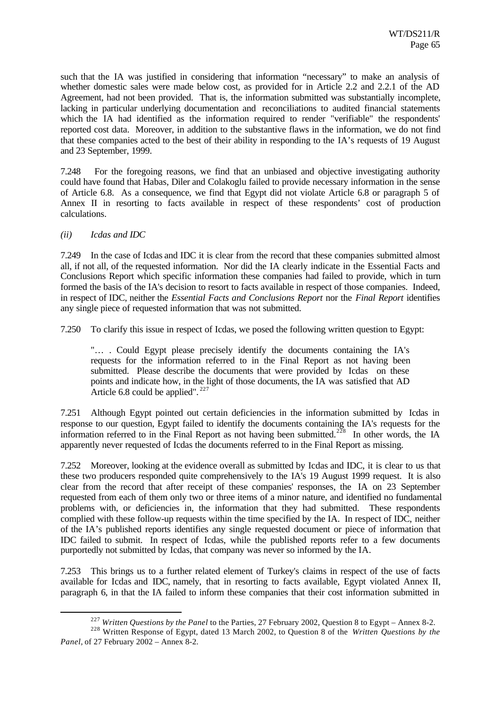such that the IA was justified in considering that information "necessary" to make an analysis of whether domestic sales were made below cost, as provided for in Article 2.2 and 2.2.1 of the AD Agreement, had not been provided. That is, the information submitted was substantially incomplete, lacking in particular underlying documentation and reconciliations to audited financial statements which the IA had identified as the information required to render "verifiable" the respondents' reported cost data. Moreover, in addition to the substantive flaws in the information, we do not find that these companies acted to the best of their ability in responding to the IA's requests of 19 August and 23 September, 1999.

7.248 For the foregoing reasons, we find that an unbiased and objective investigating authority could have found that Habas, Diler and Colakoglu failed to provide necessary information in the sense of Article 6.8. As a consequence, we find that Egypt did not violate Article 6.8 or paragraph 5 of Annex II in resorting to facts available in respect of these respondents' cost of production calculations.

#### *(ii) Icdas and IDC*

l

7.249 In the case of Icdas and IDC it is clear from the record that these companies submitted almost all, if not all, of the requested information. Nor did the IA clearly indicate in the Essential Facts and Conclusions Report which specific information these companies had failed to provide, which in turn formed the basis of the IA's decision to resort to facts available in respect of those companies. Indeed, in respect of IDC, neither the *Essential Facts and Conclusions Report* nor the *Final Report* identifies any single piece of requested information that was not submitted.

7.250 To clarify this issue in respect of Icdas, we posed the following written question to Egypt:

"… . Could Egypt please precisely identify the documents containing the IA's requests for the information referred to in the Final Report as not having been submitted. Please describe the documents that were provided by Icdas on these points and indicate how, in the light of those documents, the IA was satisfied that AD Article 6.8 could be applied".  $227$ 

7.251 Although Egypt pointed out certain deficiencies in the information submitted by Icdas in response to our question, Egypt failed to identify the documents containing the IA's requests for the information referred to in the Final Report as not having been submitted.<sup>228</sup> In other words, the IA apparently never requested of Icdas the documents referred to in the Final Report as missing.

7.252 Moreover, looking at the evidence overall as submitted by Icdas and IDC, it is clear to us that these two producers responded quite comprehensively to the IA's 19 August 1999 request. It is also clear from the record that after receipt of these companies' responses, the IA on 23 September requested from each of them only two or three items of a minor nature, and identified no fundamental problems with, or deficiencies in, the information that they had submitted. These respondents complied with these follow-up requests within the time specified by the IA. In respect of IDC, neither of the IA's published reports identifies any single requested document or piece of information that IDC failed to submit. In respect of Icdas, while the published reports refer to a few documents purportedly not submitted by Icdas, that company was never so informed by the IA.

7.253 This brings us to a further related element of Turkey's claims in respect of the use of facts available for Icdas and IDC, namely, that in resorting to facts available, Egypt violated Annex II, paragraph 6, in that the IA failed to inform these companies that their cost information submitted in

<sup>227</sup> *Written Questions by the Panel* to the Parties, 27 February 2002, Question 8 to Egypt – Annex 8-2.

<sup>228</sup> Written Response of Egypt, dated 13 March 2002, to Question 8 of the *Written Questions by the Panel,* of 27 February 2002 – Annex 8-2.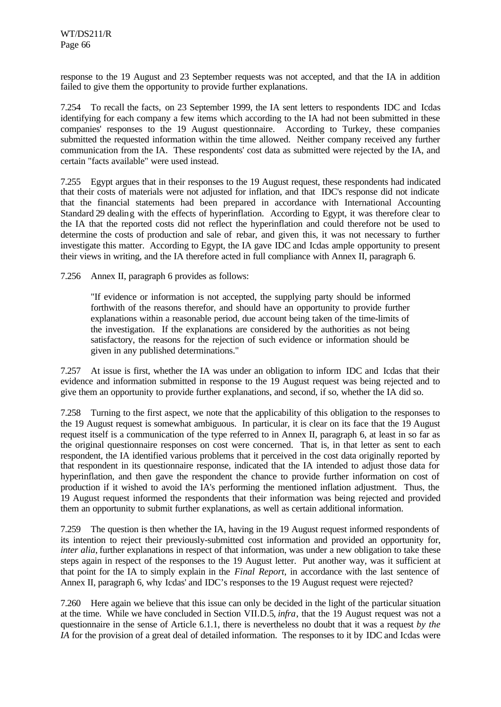response to the 19 August and 23 September requests was not accepted, and that the IA in addition failed to give them the opportunity to provide further explanations.

7.254 To recall the facts, on 23 September 1999, the IA sent letters to respondents IDC and Icdas identifying for each company a few items which according to the IA had not been submitted in these companies' responses to the 19 August questionnaire. According to Turkey, these companies submitted the requested information within the time allowed. Neither company received any further communication from the IA. These respondents' cost data as submitted were rejected by the IA, and certain "facts available" were used instead.

7.255 Egypt argues that in their responses to the 19 August request, these respondents had indicated that their costs of materials were not adjusted for inflation, and that IDC's response did not indicate that the financial statements had been prepared in accordance with International Accounting Standard 29 dealing with the effects of hyperinflation. According to Egypt, it was therefore clear to the IA that the reported costs did not reflect the hyperinflation and could therefore not be used to determine the costs of production and sale of rebar, and given this, it was not necessary to further investigate this matter. According to Egypt, the IA gave IDC and Icdas ample opportunity to present their views in writing, and the IA therefore acted in full compliance with Annex II, paragraph 6.

7.256 Annex II, paragraph 6 provides as follows:

"If evidence or information is not accepted, the supplying party should be informed forthwith of the reasons therefor, and should have an opportunity to provide further explanations within a reasonable period, due account being taken of the time-limits of the investigation. If the explanations are considered by the authorities as not being satisfactory, the reasons for the rejection of such evidence or information should be given in any published determinations."

7.257 At issue is first, whether the IA was under an obligation to inform IDC and Icdas that their evidence and information submitted in response to the 19 August request was being rejected and to give them an opportunity to provide further explanations, and second, if so, whether the IA did so.

7.258 Turning to the first aspect, we note that the applicability of this obligation to the responses to the 19 August request is somewhat ambiguous. In particular, it is clear on its face that the 19 August request itself is a communication of the type referred to in Annex II, paragraph 6, at least in so far as the original questionnaire responses on cost were concerned. That is, in that letter as sent to each respondent, the IA identified various problems that it perceived in the cost data originally reported by that respondent in its questionnaire response, indicated that the IA intended to adjust those data for hyperinflation, and then gave the respondent the chance to provide further information on cost of production if it wished to avoid the IA's performing the mentioned inflation adjustment. Thus, the 19 August request informed the respondents that their information was being rejected and provided them an opportunity to submit further explanations, as well as certain additional information.

7.259 The question is then whether the IA, having in the 19 August request informed respondents of its intention to reject their previously-submitted cost information and provided an opportunity for, *inter alia*, further explanations in respect of that information, was under a new obligation to take these steps again in respect of the responses to the 19 August letter. Put another way, was it sufficient at that point for the IA to simply explain in the *Final Report*, in accordance with the last sentence of Annex II, paragraph 6, why Icdas' and IDC's responses to the 19 August request were rejected?

7.260 Here again we believe that this issue can only be decided in the light of the particular situation at the time. While we have concluded in Section VII.D.5, *infra*, that the 19 August request was not a questionnaire in the sense of Article 6.1.1, there is nevertheless no doubt that it was a request *by the IA* for the provision of a great deal of detailed information. The responses to it by IDC and Icdas were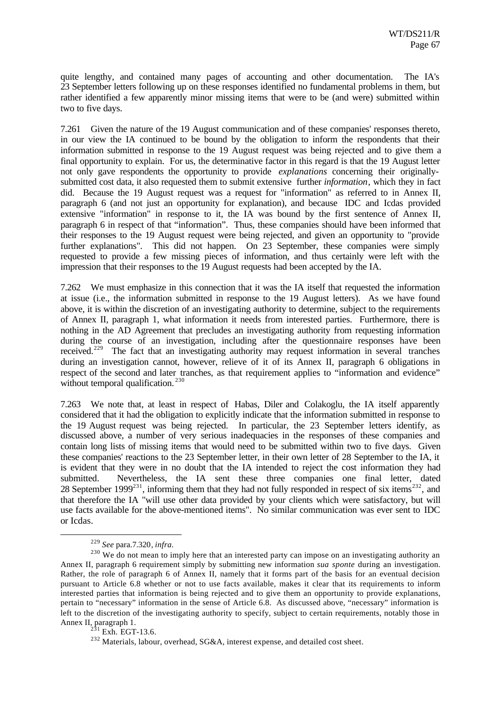quite lengthy, and contained many pages of accounting and other documentation. The IA's 23 September letters following up on these responses identified no fundamental problems in them, but rather identified a few apparently minor missing items that were to be (and were) submitted within two to five days.

7.261 Given the nature of the 19 August communication and of these companies' responses thereto, in our view the IA continued to be bound by the obligation to inform the respondents that their information submitted in response to the 19 August request was being rejected and to give them a final opportunity to explain. For us, the determinative factor in this regard is that the 19 August letter not only gave respondents the opportunity to provide *explanations* concerning their originallysubmitted cost data, it also requested them to submit extensive further *information*, which they in fact did. Because the 19 August request was a request for "information" as referred to in Annex II, paragraph 6 (and not just an opportunity for explanation), and because IDC and Icdas provided extensive "information" in response to it, the IA was bound by the first sentence of Annex II, paragraph 6 in respect of that "information". Thus, these companies should have been informed that their responses to the 19 August request were being rejected, and given an opportunity to "provide further explanations". This did not happen. On 23 September, these companies were simply requested to provide a few missing pieces of information, and thus certainly were left with the impression that their responses to the 19 August requests had been accepted by the IA.

7.262 We must emphasize in this connection that it was the IA itself that requested the information at issue (i.e., the information submitted in response to the 19 August letters). As we have found above, it is within the discretion of an investigating authority to determine, subject to the requirements of Annex II, paragraph 1, what information it needs from interested parties. Furthermore, there is nothing in the AD Agreement that precludes an investigating authority from requesting information during the course of an investigation, including after the questionnaire responses have been received.<sup>229</sup> The fact that an investigating authority may request information in several tranches during an investigation cannot, however, relieve of it of its Annex II, paragraph 6 obligations in respect of the second and later tranches, as that requirement applies to "information and evidence" without temporal qualification.<sup>230</sup>

7.263 We note that, at least in respect of Habas, Diler and Colakoglu, the IA itself apparently considered that it had the obligation to explicitly indicate that the information submitted in response to the 19 August request was being rejected. In particular, the 23 September letters identify, as discussed above, a number of very serious inadequacies in the responses of these companies and contain long lists of missing items that would need to be submitted within two to five days. Given these companies' reactions to the 23 September letter, in their own letter of 28 September to the IA, it is evident that they were in no doubt that the IA intended to reject the cost information they had submitted. Nevertheless, the IA sent these three companies one final letter, dated 28 September 1999<sup>231</sup>, informing them that they had not fully responded in respect of six items<sup>232</sup>, and that therefore the IA "will use other data provided by your clients which were satisfactory, but will use facts available for the above-mentioned items". No similar communication was ever sent to IDC or Icdas.

<sup>229</sup> *See* para.7.320, *infra.*

<sup>&</sup>lt;sup>230</sup> We do not mean to imply here that an interested party can impose on an investigating authority an Annex II, paragraph 6 requirement simply by submitting new information *sua sponte* during an investigation. Rather, the role of paragraph 6 of Annex II, namely that it forms part of the basis for an eventual decision pursuant to Article 6.8 whether or not to use facts available, makes it clear that its requirements to inform interested parties that information is being rejected and to give them an opportunity to provide explanations, pertain to "necessary" information in the sense of Article 6.8. As discussed above, "necessary" information is left to the discretion of the investigating authority to specify, subject to certain requirements, notably those in Annex II, paragraph 1.

 $231$  Exh. EGT-13.6.

<sup>232</sup> Materials, labour, overhead, SG&A, interest expense, and detailed cost sheet.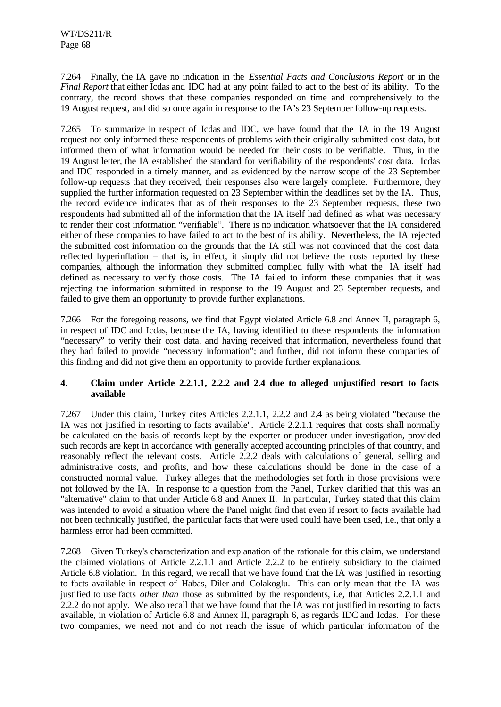7.264 Finally, the IA gave no indication in the *Essential Facts and Conclusions Report* or in the *Final Report* that either Icdas and IDC had at any point failed to act to the best of its ability. To the contrary, the record shows that these companies responded on time and comprehensively to the 19 August request, and did so once again in response to the IA's 23 September follow-up requests.

7.265 To summarize in respect of Icdas and IDC, we have found that the IA in the 19 August request not only informed these respondents of problems with their originally-submitted cost data, but informed them of what information would be needed for their costs to be verifiable. Thus, in the 19 August letter, the IA established the standard for verifiability of the respondents' cost data. Icdas and IDC responded in a timely manner, and as evidenced by the narrow scope of the 23 September follow-up requests that they received, their responses also were largely complete. Furthermore, they supplied the further information requested on 23 September within the deadlines set by the IA. Thus, the record evidence indicates that as of their responses to the 23 September requests, these two respondents had submitted all of the information that the IA itself had defined as what was necessary to render their cost information "verifiable". There is no indication whatsoever that the IA considered either of these companies to have failed to act to the best of its ability. Nevertheless, the IA rejected the submitted cost information on the grounds that the IA still was not convinced that the cost data reflected hyperinflation – that is, in effect, it simply did not believe the costs reported by these companies, although the information they submitted complied fully with what the IA itself had defined as necessary to verify those costs. The IA failed to inform these companies that it was rejecting the information submitted in response to the 19 August and 23 September requests, and failed to give them an opportunity to provide further explanations.

7.266 For the foregoing reasons, we find that Egypt violated Article 6.8 and Annex II, paragraph 6, in respect of IDC and Icdas, because the IA, having identified to these respondents the information "necessary" to verify their cost data, and having received that information, nevertheless found that they had failed to provide "necessary information"; and further, did not inform these companies of this finding and did not give them an opportunity to provide further explanations.

# **4. Claim under Article 2.2.1.1, 2.2.2 and 2.4 due to alleged unjustified resort to facts available**

7.267 Under this claim, Turkey cites Articles 2.2.1.1, 2.2.2 and 2.4 as being violated "because the IA was not justified in resorting to facts available". Article 2.2.1.1 requires that costs shall normally be calculated on the basis of records kept by the exporter or producer under investigation, provided such records are kept in accordance with generally accepted accounting principles of that country, and reasonably reflect the relevant costs. Article 2.2.2 deals with calculations of general, selling and administrative costs, and profits, and how these calculations should be done in the case of a constructed normal value. Turkey alleges that the methodologies set forth in those provisions were not followed by the IA. In response to a question from the Panel, Turkey clarified that this was an "alternative" claim to that under Article 6.8 and Annex II. In particular, Turkey stated that this claim was intended to avoid a situation where the Panel might find that even if resort to facts available had not been technically justified, the particular facts that were used could have been used, i.e., that only a harmless error had been committed.

7.268 Given Turkey's characterization and explanation of the rationale for this claim, we understand the claimed violations of Article 2.2.1.1 and Article 2.2.2 to be entirely subsidiary to the claimed Article 6.8 violation. In this regard, we recall that we have found that the IA was justified in resorting to facts available in respect of Habas, Diler and Colakoglu. This can only mean that the IA was justified to use facts *other than* those as submitted by the respondents, i.e, that Articles 2.2.1.1 and 2.2.2 do not apply. We also recall that we have found that the IA was not justified in resorting to facts available, in violation of Article 6.8 and Annex II, paragraph 6, as regards IDC and Icdas. For these two companies, we need not and do not reach the issue of which particular information of the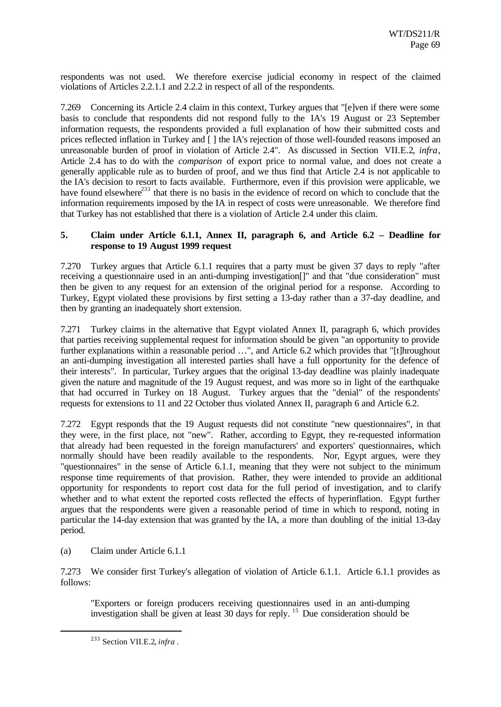respondents was not used. We therefore exercise judicial economy in respect of the claimed violations of Articles 2.2.1.1 and 2.2.2 in respect of all of the respondents.

7.269 Concerning its Article 2.4 claim in this context, Turkey argues that "[e]ven if there were some basis to conclude that respondents did not respond fully to the IA's 19 August or 23 September information requests, the respondents provided a full explanation of how their submitted costs and prices reflected inflation in Turkey and [ ] the IA's rejection of those well-founded reasons imposed an unreasonable burden of proof in violation of Article 2.4". As discussed in Section VII.E.2, *infra*, Article 2.4 has to do with the *comparison* of export price to normal value, and does not create a generally applicable rule as to burden of proof, and we thus find that Article 2.4 is not applicable to the IA's decision to resort to facts available. Furthermore, even if this provision were applicable, we have found elsewhere<sup>233</sup> that there is no basis in the evidence of record on which to conclude that the information requirements imposed by the IA in respect of costs were unreasonable. We therefore find that Turkey has not established that there is a violation of Article 2.4 under this claim.

## **5. Claim under Article 6.1.1, Annex II, paragraph 6, and Article 6.2 – Deadline for response to 19 August 1999 request**

7.270 Turkey argues that Article 6.1.1 requires that a party must be given 37 days to reply "after receiving a questionnaire used in an anti-dumping investigation[]" and that "due consideration" must then be given to any request for an extension of the original period for a response. According to Turkey, Egypt violated these provisions by first setting a 13-day rather than a 37-day deadline, and then by granting an inadequately short extension.

7.271 Turkey claims in the alternative that Egypt violated Annex II, paragraph 6, which provides that parties receiving supplemental request for information should be given "an opportunity to provide further explanations within a reasonable period …", and Article 6.2 which provides that "[t]hroughout an anti-dumping investigation all interested parties shall have a full opportunity for the defence of their interests". In particular, Turkey argues that the original 13-day deadline was plainly inadequate given the nature and magnitude of the 19 August request, and was more so in light of the earthquake that had occurred in Turkey on 18 August. Turkey argues that the "denial" of the respondents' requests for extensions to 11 and 22 October thus violated Annex II, paragraph 6 and Article 6.2.

7.272 Egypt responds that the 19 August requests did not constitute "new questionnaires", in that they were, in the first place, not "new". Rather, according to Egypt, they re-requested information that already had been requested in the foreign manufacturers' and exporters' questionnaires, which normally should have been readily available to the respondents. Nor, Egypt argues, were they "questionnaires" in the sense of Article 6.1.1, meaning that they were not subject to the minimum response time requirements of that provision. Rather, they were intended to provide an additional opportunity for respondents to report cost data for the full period of investigation, and to clarify whether and to what extent the reported costs reflected the effects of hyperinflation. Egypt further argues that the respondents were given a reasonable period of time in which to respond, noting in particular the 14-day extension that was granted by the IA, a more than doubling of the initial 13-day period.

(a) Claim under Article 6.1.1

7.273 We consider first Turkey's allegation of violation of Article 6.1.1. Article 6.1.1 provides as follows:

"Exporters or foreign producers receiving questionnaires used in an anti-dumping investigation shall be given at least 30 days for reply.<sup>15</sup> Due consideration should be

<sup>233</sup> Section VII.E.2, *infra .*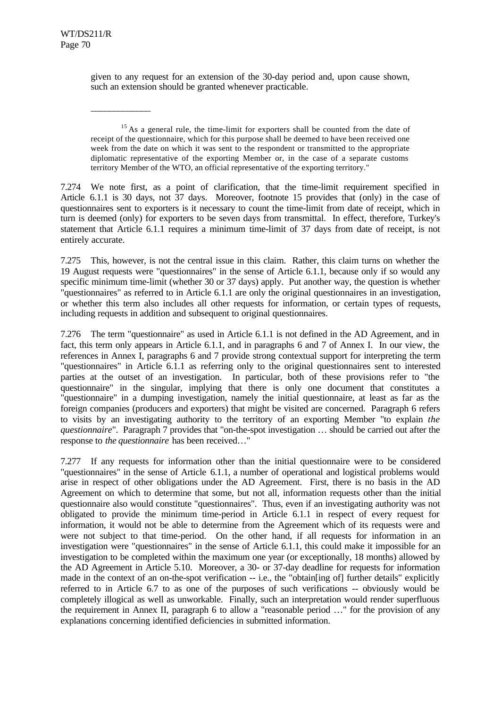\_\_\_\_\_\_\_\_\_\_\_\_\_

given to any request for an extension of the 30-day period and, upon cause shown, such an extension should be granted whenever practicable.

7.274 We note first, as a point of clarification, that the time-limit requirement specified in Article 6.1.1 is 30 days, not 37 days. Moreover, footnote 15 provides that (only) in the case of questionnaires sent to exporters is it necessary to count the time-limit from date of receipt, which in turn is deemed (only) for exporters to be seven days from transmittal. In effect, therefore, Turkey's statement that Article 6.1.1 requires a minimum time-limit of 37 days from date of receipt, is not entirely accurate.

7.275 This, however, is not the central issue in this claim. Rather, this claim turns on whether the 19 August requests were "questionnaires" in the sense of Article 6.1.1, because only if so would any specific minimum time-limit (whether 30 or 37 days) apply. Put another way, the question is whether "questionnaires" as referred to in Article 6.1.1 are only the original questionnaires in an investigation, or whether this term also includes all other requests for information, or certain types of requests, including requests in addition and subsequent to original questionnaires.

7.276 The term "questionnaire" as used in Article 6.1.1 is not defined in the AD Agreement, and in fact, this term only appears in Article 6.1.1, and in paragraphs 6 and 7 of Annex I. In our view, the references in Annex I, paragraphs 6 and 7 provide strong contextual support for interpreting the term "questionnaires" in Article 6.1.1 as referring only to the original questionnaires sent to interested parties at the outset of an investigation. In particular, both of these provisions refer to "the questionnaire" in the singular, implying that there is only one document that constitutes a "questionnaire" in a dumping investigation, namely the initial questionnaire, at least as far as the foreign companies (producers and exporters) that might be visited are concerned. Paragraph 6 refers to visits by an investigating authority to the territory of an exporting Member "to explain *the questionnaire*". Paragraph 7 provides that "on-the-spot investigation … should be carried out after the response to *the questionnaire* has been received…"

7.277 If any requests for information other than the initial questionnaire were to be considered "questionnaires" in the sense of Article 6.1.1, a number of operational and logistical problems would arise in respect of other obligations under the AD Agreement. First, there is no basis in the AD Agreement on which to determine that some, but not all, information requests other than the initial questionnaire also would constitute "questionnaires". Thus, even if an investigating authority was not obligated to provide the minimum time-period in Article 6.1.1 in respect of every request for information, it would not be able to determine from the Agreement which of its requests were and were not subject to that time-period. On the other hand, if all requests for information in an investigation were "questionnaires" in the sense of Article 6.1.1, this could make it impossible for an investigation to be completed within the maximum one year (or exceptionally, 18 months) allowed by the AD Agreement in Article 5.10. Moreover, a 30- or 37-day deadline for requests for information made in the context of an on-the-spot verification -- i.e., the "obtain [ing of] further details" explicitly referred to in Article 6.7 to as one of the purposes of such verifications -- obviously would be completely illogical as well as unworkable. Finally, such an interpretation would render superfluous the requirement in Annex II, paragraph 6 to allow a "reasonable period …" for the provision of any explanations concerning identified deficiencies in submitted information.

<sup>&</sup>lt;sup>15</sup>As a general rule, the time-limit for exporters shall be counted from the date of receipt of the questionnaire, which for this purpose shall be deemed to have been received one week from the date on which it was sent to the respondent or transmitted to the appropriate diplomatic representative of the exporting Member or, in the case of a separate customs territory Member of the WTO, an official representative of the exporting territory."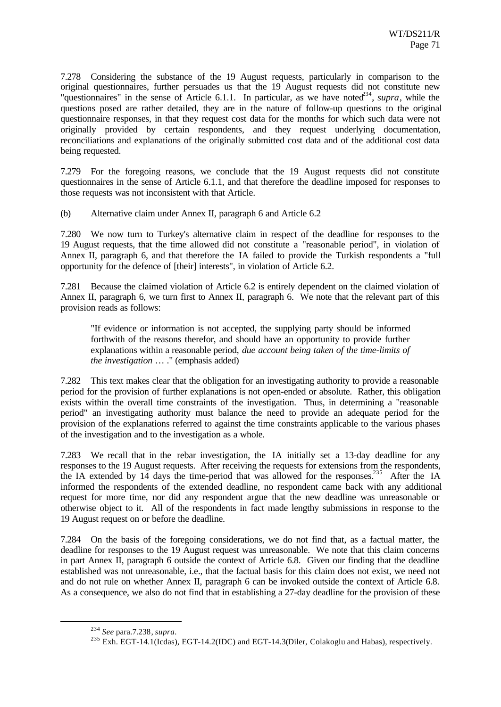7.278 Considering the substance of the 19 August requests, particularly in comparison to the original questionnaires, further persuades us that the 19 August requests did not constitute new "questionnaires" in the sense of Article 6.1.1. In particular, as we have noted<sup>34</sup>, *supra*, while the questions posed are rather detailed, they are in the nature of follow-up questions to the original questionnaire responses, in that they request cost data for the months for which such data were not originally provided by certain respondents, and they request underlying documentation, reconciliations and explanations of the originally submitted cost data and of the additional cost data being requested.

7.279 For the foregoing reasons, we conclude that the 19 August requests did not constitute questionnaires in the sense of Article 6.1.1, and that therefore the deadline imposed for responses to those requests was not inconsistent with that Article.

(b) Alternative claim under Annex II, paragraph 6 and Article 6.2

7.280 We now turn to Turkey's alternative claim in respect of the deadline for responses to the 19 August requests, that the time allowed did not constitute a "reasonable period", in violation of Annex II, paragraph 6, and that therefore the IA failed to provide the Turkish respondents a "full opportunity for the defence of [their] interests", in violation of Article 6.2.

7.281 Because the claimed violation of Article 6.2 is entirely dependent on the claimed violation of Annex II, paragraph 6, we turn first to Annex II, paragraph 6. We note that the relevant part of this provision reads as follows:

"If evidence or information is not accepted, the supplying party should be informed forthwith of the reasons therefor, and should have an opportunity to provide further explanations within a reasonable period, *due account being taken of the time-limits of the investigation* … ." (emphasis added)

7.282 This text makes clear that the obligation for an investigating authority to provide a reasonable period for the provision of further explanations is not open-ended or absolute. Rather, this obligation exists within the overall time constraints of the investigation. Thus, in determining a "reasonable period" an investigating authority must balance the need to provide an adequate period for the provision of the explanations referred to against the time constraints applicable to the various phases of the investigation and to the investigation as a whole.

7.283 We recall that in the rebar investigation, the IA initially set a 13-day deadline for any responses to the 19 August requests. After receiving the requests for extensions from the respondents, the IA extended by 14 days the time-period that was allowed for the responses.<sup>235</sup> After the IA informed the respondents of the extended deadline, no respondent came back with any additional request for more time, nor did any respondent argue that the new deadline was unreasonable or otherwise object to it. All of the respondents in fact made lengthy submissions in response to the 19 August request on or before the deadline.

7.284 On the basis of the foregoing considerations, we do not find that, as a factual matter, the deadline for responses to the 19 August request was unreasonable. We note that this claim concerns in part Annex II, paragraph 6 outside the context of Article 6.8. Given our finding that the deadline established was not unreasonable, i.e., that the factual basis for this claim does not exist, we need not and do not rule on whether Annex II, paragraph 6 can be invoked outside the context of Article 6.8. As a consequence, we also do not find that in establishing a 27-day deadline for the provision of these

<sup>234</sup> *See* para.7.238, *supra.*

<sup>&</sup>lt;sup>235</sup> Exh. EGT-14.1(Icdas), EGT-14.2(IDC) and EGT-14.3(Diler, Colakoglu and Habas), respectively.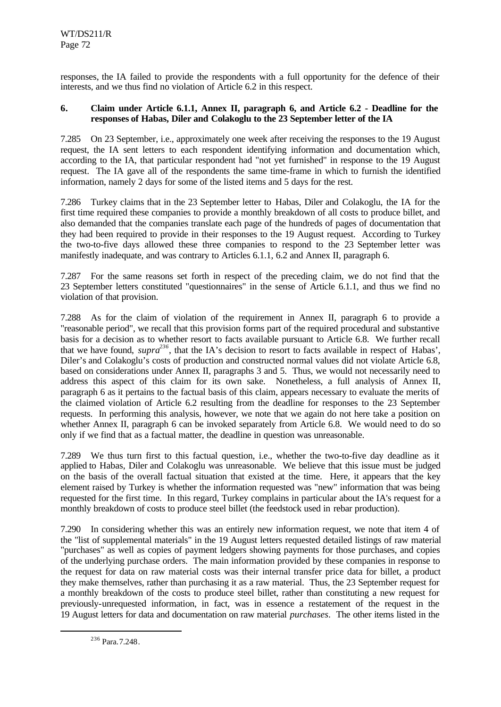responses, the IA failed to provide the respondents with a full opportunity for the defence of their interests, and we thus find no violation of Article 6.2 in this respect.

## **6. Claim under Article 6.1.1, Annex II, paragraph 6, and Article 6.2 - Deadline for the responses of Habas, Diler and Colakoglu to the 23 September letter of the IA**

7.285 On 23 September, i.e., approximately one week after receiving the responses to the 19 August request, the IA sent letters to each respondent identifying information and documentation which, according to the IA, that particular respondent had "not yet furnished" in response to the 19 August request. The IA gave all of the respondents the same time-frame in which to furnish the identified information, namely 2 days for some of the listed items and 5 days for the rest.

7.286 Turkey claims that in the 23 September letter to Habas, Diler and Colakoglu, the IA for the first time required these companies to provide a monthly breakdown of all costs to produce billet, and also demanded that the companies translate each page of the hundreds of pages of documentation that they had been required to provide in their responses to the 19 August request. According to Turkey the two-to-five days allowed these three companies to respond to the 23 September letter was manifestly inadequate, and was contrary to Articles 6.1.1, 6.2 and Annex II, paragraph 6.

7.287 For the same reasons set forth in respect of the preceding claim, we do not find that the 23 September letters constituted "questionnaires" in the sense of Article 6.1.1, and thus we find no violation of that provision.

7.288 As for the claim of violation of the requirement in Annex II, paragraph 6 to provide a "reasonable period", we recall that this provision forms part of the required procedural and substantive basis for a decision as to whether resort to facts available pursuant to Article 6.8. We further recall that we have found, *supra <sup>236</sup>*, that the IA's decision to resort to facts available in respect of Habas', Diler's and Colakoglu's costs of production and constructed normal values did not violate Article 6.8, based on considerations under Annex II, paragraphs 3 and 5. Thus, we would not necessarily need to address this aspect of this claim for its own sake. Nonetheless, a full analysis of Annex II, paragraph 6 as it pertains to the factual basis of this claim, appears necessary to evaluate the merits of the claimed violation of Article 6.2 resulting from the deadline for responses to the 23 September requests. In performing this analysis, however, we note that we again do not here take a position on whether Annex II, paragraph 6 can be invoked separately from Article 6.8. We would need to do so only if we find that as a factual matter, the deadline in question was unreasonable.

7.289 We thus turn first to this factual question, i.e., whether the two-to-five day deadline as it applied to Habas, Diler and Colakoglu was unreasonable. We believe that this issue must be judged on the basis of the overall factual situation that existed at the time. Here, it appears that the key element raised by Turkey is whether the information requested was "new" information that was being requested for the first time. In this regard, Turkey complains in particular about the IA's request for a monthly breakdown of costs to produce steel billet (the feedstock used in rebar production).

7.290 In considering whether this was an entirely new information request, we note that item 4 of the "list of supplemental materials" in the 19 August letters requested detailed listings of raw material "purchases" as well as copies of payment ledgers showing payments for those purchases, and copies of the underlying purchase orders. The main information provided by these companies in response to the request for data on raw material costs was their internal transfer price data for billet, a product they make themselves, rather than purchasing it as a raw material. Thus, the 23 September request for a monthly breakdown of the costs to produce steel billet, rather than constituting a new request for previously-unrequested information, in fact, was in essence a restatement of the request in the 19 August letters for data and documentation on raw material *purchases*. The other items listed in the

<sup>236</sup> Para.7.248.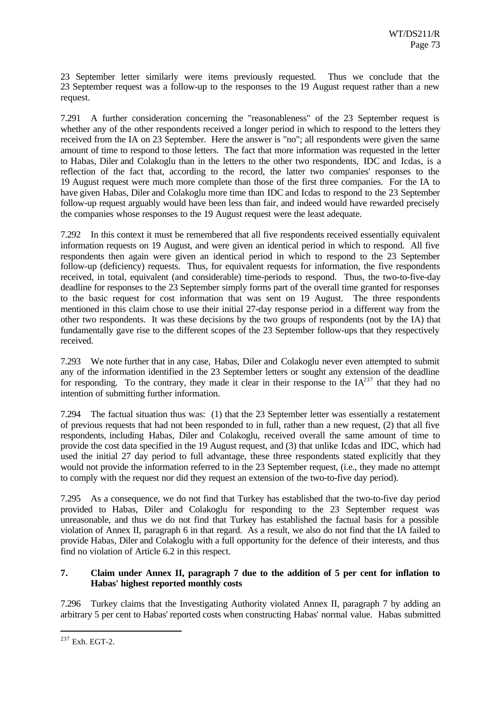23 September letter similarly were items previously requested. Thus we conclude that the 23 September request was a follow-up to the responses to the 19 August request rather than a new request.

7.291 A further consideration concerning the "reasonableness" of the 23 September request is whether any of the other respondents received a longer period in which to respond to the letters they received from the IA on 23 September. Here the answer is "no"; all respondents were given the same amount of time to respond to those letters. The fact that more information was requested in the letter to Habas, Diler and Colakoglu than in the letters to the other two respondents, IDC and Icdas, is a reflection of the fact that, according to the record, the latter two companies' responses to the 19 August request were much more complete than those of the first three companies. For the IA to have given Habas, Diler and Colakoglu more time than IDC and Icdas to respond to the 23 September follow-up request arguably would have been less than fair, and indeed would have rewarded precisely the companies whose responses to the 19 August request were the least adequate.

7.292 In this context it must be remembered that all five respondents received essentially equivalent information requests on 19 August, and were given an identical period in which to respond. All five respondents then again were given an identical period in which to respond to the 23 September follow-up (deficiency) requests. Thus, for equivalent requests for information, the five respondents received, in total, equivalent (and considerable) time-periods to respond. Thus, the two-to-five-day deadline for responses to the 23 September simply forms part of the overall time granted for responses to the basic request for cost information that was sent on 19 August. The three respondents mentioned in this claim chose to use their initial 27-day response period in a different way from the other two respondents. It was these decisions by the two groups of respondents (not by the IA) that fundamentally gave rise to the different scopes of the 23 September follow-ups that they respectively received.

7.293 We note further that in any case, Habas, Diler and Colakoglu never even attempted to submit any of the information identified in the 23 September letters or sought any extension of the deadline for responding. To the contrary, they made it clear in their response to the  $IA^{237}$  that they had no intention of submitting further information.

7.294 The factual situation thus was: (1) that the 23 September letter was essentially a restatement of previous requests that had not been responded to in full, rather than a new request, (2) that all five respondents, including Habas, Diler and Colakoglu, received overall the same amount of time to provide the cost data specified in the 19 August request, and (3) that unlike Icdas and IDC, which had used the initial 27 day period to full advantage, these three respondents stated explicitly that they would not provide the information referred to in the 23 September request, (i.e., they made no attempt to comply with the request nor did they request an extension of the two-to-five day period).

7.295 As a consequence, we do not find that Turkey has established that the two-to-five day period provided to Habas, Diler and Colakoglu for responding to the 23 September request was unreasonable, and thus we do not find that Turkey has established the factual basis for a possible violation of Annex II, paragraph 6 in that regard. As a result, we also do not find that the IA failed to provide Habas, Diler and Colakoglu with a full opportunity for the defence of their interests, and thus find no violation of Article 6.2 in this respect.

## **7. Claim under Annex II, paragraph 7 due to the addition of 5 per cent for inflation to Habas' highest reported monthly costs**

7.296 Turkey claims that the Investigating Authority violated Annex II, paragraph 7 by adding an arbitrary 5 per cent to Habas' reported costs when constructing Habas' normal value. Habas submitted

<sup>237</sup> Exh. EGT-2.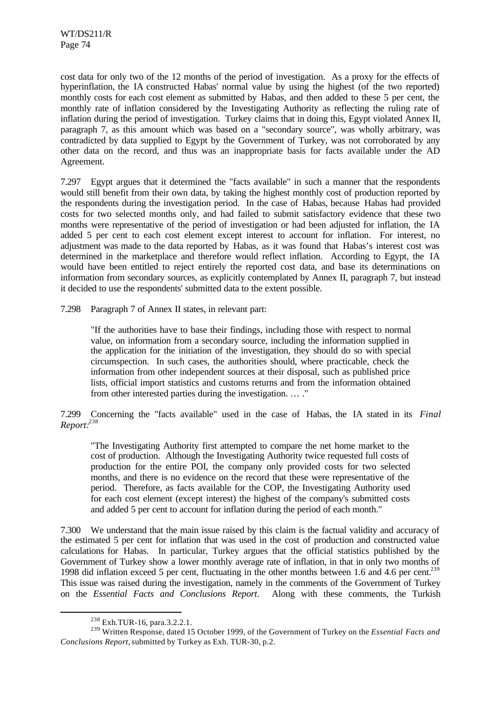cost data for only two of the 12 months of the period of investigation. As a proxy for the effects of hyperinflation, the IA constructed Habas' normal value by using the highest (of the two reported) monthly costs for each cost element as submitted by Habas, and then added to these 5 per cent, the monthly rate of inflation considered by the Investigating Authority as reflecting the ruling rate of inflation during the period of investigation. Turkey claims that in doing this, Egypt violated Annex II, paragraph 7, as this amount which was based on a "secondary source", was wholly arbitrary, was contradicted by data supplied to Egypt by the Government of Turkey, was not corroborated by any other data on the record, and thus was an inappropriate basis for facts available under the AD Agreement.

7.297 Egypt argues that it determined the "facts available" in such a manner that the respondents would still benefit from their own data, by taking the highest monthly cost of production reported by the respondents during the investigation period. In the case of Habas, because Habas had provided costs for two selected months only, and had failed to submit satisfactory evidence that these two months were representative of the period of investigation or had been adjusted for inflation, the IA added 5 per cent to each cost element except interest to account for inflation. For interest, no adjustment was made to the data reported by Habas, as it was found that Habas's interest cost was determined in the marketplace and therefore would reflect inflation. According to Egypt, the IA would have been entitled to reject entirely the reported cost data, and base its determinations on information from secondary sources, as explicitly contemplated by Annex II, paragraph 7, but instead it decided to use the respondents' submitted data to the extent possible.

7.298 Paragraph 7 of Annex II states, in relevant part:

"If the authorities have to base their findings, including those with respect to normal value, on information from a secondary source, including the information supplied in the application for the initiation of the investigation, they should do so with special circumspection. In such cases, the authorities should, where practicable, check the information from other independent sources at their disposal, such as published price lists, official import statistics and customs returns and from the information obtained from other interested parties during the investigation. … ."

7.299 Concerning the "facts available" used in the case of Habas, the IA stated in its *Final Report:*<sup>238</sup>

"The Investigating Authority first attempted to compare the net home market to the cost of production. Although the Investigating Authority twice requested full costs of production for the entire POI, the company only provided costs for two selected months, and there is no evidence on the record that these were representative of the period. Therefore, as facts available for the COP, the Investigating Authority used for each cost element (except interest) the highest of the company's submitted costs and added 5 per cent to account for inflation during the period of each month."

7.300 We understand that the main issue raised by this claim is the factual validity and accuracy of the estimated 5 per cent for inflation that was used in the cost of production and constructed value calculations for Habas. In particular, Turkey argues that the official statistics published by the Government of Turkey show a lower monthly average rate of inflation, in that in only two months of 1998 did inflation exceed 5 per cent, fluctuating in the other months between 1.6 and 4.6 per cent.<sup>239</sup> This issue was raised during the investigation, namely in the comments of the Government of Turkey on the *Essential Facts and Conclusions Report*. Along with these comments, the Turkish

<sup>238</sup> Exh.TUR-16, para.3.2.2.1.

<sup>239</sup> Written Response, dated 15 October 1999, of the Government of Turkey on the *Essential Facts and Conclusions Report,* submitted by Turkey as Exh. TUR-30, p.2.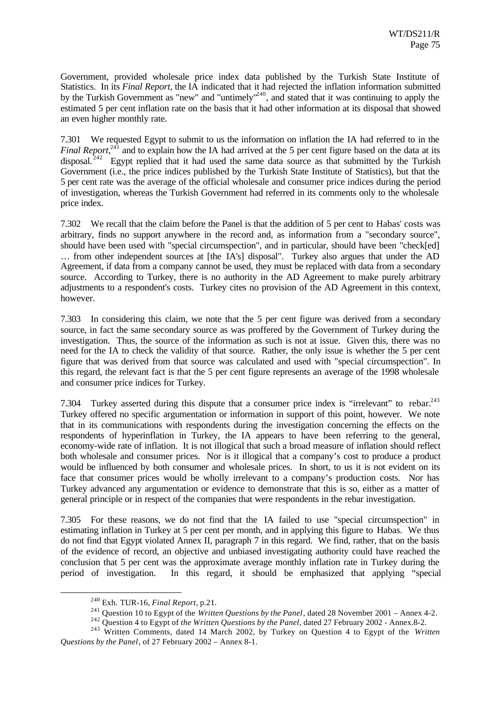Government, provided wholesale price index data published by the Turkish State Institute of Statistics. In its *Final Report*, the IA indicated that it had rejected the inflation information submitted by the Turkish Government as "new" and "untimely"<sup>240</sup>, and stated that it was continuing to apply the estimated 5 per cent inflation rate on the basis that it had other information at its disposal that showed an even higher monthly rate.

7.301 We requested Egypt to submit to us the information on inflation the IA had referred to in the Final Report,<sup>241</sup> and to explain how the IA had arrived at the 5 per cent figure based on the data at its disposal.<sup>242</sup> Egypt replied that it had used the same data source as that submitted by the Turkish Government (i.e., the price indices published by the Turkish State Institute of Statistics), but that the 5 per cent rate was the average of the official wholesale and consumer price indices during the period of investigation, whereas the Turkish Government had referred in its comments only to the wholesale price index.

7.302 We recall that the claim before the Panel is that the addition of 5 per cent to Habas' costs was arbitrary, finds no support anywhere in the record and, as information from a "secondary source", should have been used with "special circumspection", and in particular, should have been "check[ed] … from other independent sources at [the IA's] disposal". Turkey also argues that under the AD Agreement, if data from a company cannot be used, they must be replaced with data from a secondary source. According to Turkey, there is no authority in the AD Agreement to make purely arbitrary adjustments to a respondent's costs. Turkey cites no provision of the AD Agreement in this context, however.

7.303 In considering this claim, we note that the 5 per cent figure was derived from a secondary source, in fact the same secondary source as was proffered by the Government of Turkey during the investigation. Thus, the source of the information as such is not at issue. Given this, there was no need for the IA to check the validity of that source. Rather, the only issue is whether the 5 per cent figure that was derived from that source was calculated and used with "special circumspection". In this regard, the relevant fact is that the 5 per cent figure represents an average of the 1998 wholesale and consumer price indices for Turkey.

7.304 Turkey asserted during this dispute that a consumer price index is "irrelevant" to rebar.<sup>243</sup> Turkey offered no specific argumentation or information in support of this point, however. We note that in its communications with respondents during the investigation concerning the effects on the respondents of hyperinflation in Turkey, the IA appears to have been referring to the general, economy-wide rate of inflation. It is not illogical that such a broad measure of inflation should reflect both wholesale and consumer prices. Nor is it illogical that a company's cost to produce a product would be influenced by both consumer and wholesale prices. In short, to us it is not evident on its face that consumer prices would be wholly irrelevant to a company's production costs. Nor has Turkey advanced any argumentation or evidence to demonstrate that this is so, either as a matter of general principle or in respect of the companies that were respondents in the rebar investigation.

7.305 For these reasons, we do not find that the IA failed to use "special circumspection" in estimating inflation in Turkey at 5 per cent per month, and in applying this figure to Habas. We thus do not find that Egypt violated Annex II, paragraph 7 in this regard. We find, rather, that on the basis of the evidence of record, an objective and unbiased investigating authority could have reached the conclusion that 5 per cent was the approximate average monthly inflation rate in Turkey during the period of investigation. In this regard, it should be emphasized that applying "special

<sup>240</sup> Exh. TUR-16, *Final Report*, p.21.

<sup>241</sup> Question 10 to Egypt of the *Written Questions by the Panel*, dated 28 November 2001 – Annex 4-2.

<sup>242</sup> Question 4 to Egypt of *the Written Questions by the Panel*, dated 27 February 2002 - Annex.8-2.

<sup>243</sup> Written Comments, dated 14 March 2002, by Turkey on Question 4 to Egypt of the *Written Questions by the Panel*, of 27 February 2002 – Annex 8-1.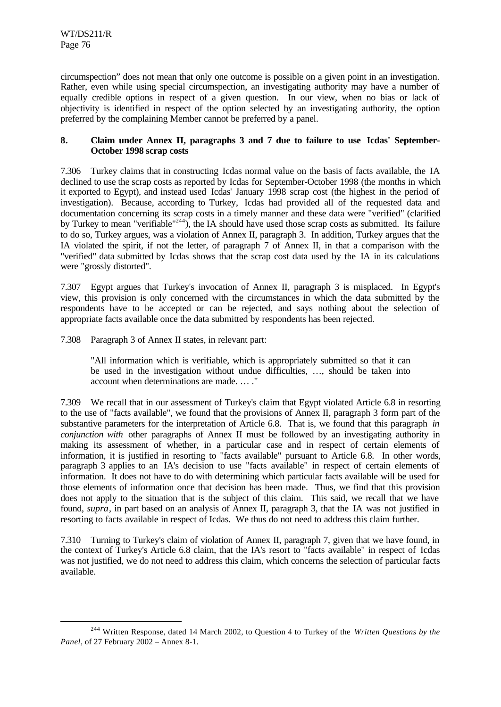l

circumspection" does not mean that only one outcome is possible on a given point in an investigation. Rather, even while using special circumspection, an investigating authority may have a number of equally credible options in respect of a given question. In our view, when no bias or lack of objectivity is identified in respect of the option selected by an investigating authority, the option preferred by the complaining Member cannot be preferred by a panel.

# **8. Claim under Annex II, paragraphs 3 and 7 due to failure to use Icdas' September-October 1998 scrap costs**

7.306 Turkey claims that in constructing Icdas normal value on the basis of facts available, the IA declined to use the scrap costs as reported by Icdas for September-October 1998 (the months in which it exported to Egypt), and instead used Icdas' January 1998 scrap cost (the highest in the period of investigation). Because, according to Turkey, Icdas had provided all of the requested data and documentation concerning its scrap costs in a timely manner and these data were "verified" (clarified by Turkey to mean "verifiable"<sup>244</sup>), the IA should have used those scrap costs as submitted. Its failure to do so, Turkey argues, was a violation of Annex II, paragraph 3. In addition, Turkey argues that the IA violated the spirit, if not the letter, of paragraph 7 of Annex II, in that a comparison with the "verified" data submitted by Icdas shows that the scrap cost data used by the IA in its calculations were "grossly distorted".

7.307 Egypt argues that Turkey's invocation of Annex II, paragraph 3 is misplaced. In Egypt's view, this provision is only concerned with the circumstances in which the data submitted by the respondents have to be accepted or can be rejected, and says nothing about the selection of appropriate facts available once the data submitted by respondents has been rejected.

7.308 Paragraph 3 of Annex II states, in relevant part:

"All information which is verifiable, which is appropriately submitted so that it can be used in the investigation without undue difficulties, …, should be taken into account when determinations are made. … ."

7.309 We recall that in our assessment of Turkey's claim that Egypt violated Article 6.8 in resorting to the use of "facts available", we found that the provisions of Annex II, paragraph 3 form part of the substantive parameters for the interpretation of Article 6.8. That is, we found that this paragraph *in conjunction with* other paragraphs of Annex II must be followed by an investigating authority in making its assessment of whether, in a particular case and in respect of certain elements of information, it is justified in resorting to "facts available" pursuant to Article 6.8. In other words, paragraph 3 applies to an IA's decision to use "facts available" in respect of certain elements of information. It does not have to do with determining which particular facts available will be used for those elements of information once that decision has been made. Thus, we find that this provision does not apply to the situation that is the subject of this claim. This said, we recall that we have found, *supra*, in part based on an analysis of Annex II, paragraph 3, that the IA was not justified in resorting to facts available in respect of Icdas. We thus do not need to address this claim further.

7.310 Turning to Turkey's claim of violation of Annex II, paragraph 7, given that we have found, in the context of Turkey's Article 6.8 claim, that the IA's resort to "facts available" in respect of Icdas was not justified, we do not need to address this claim, which concerns the selection of particular facts available.

<sup>244</sup> Written Response, dated 14 March 2002, to Question 4 to Turkey of the *Written Questions by the Panel*, of 27 February 2002 – Annex 8-1.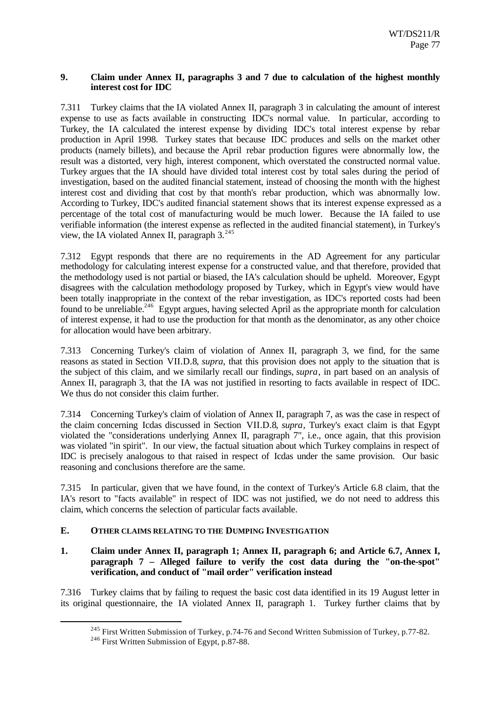### **9. Claim under Annex II, paragraphs 3 and 7 due to calculation of the highest monthly interest cost for IDC**

7.311 Turkey claims that the IA violated Annex II, paragraph 3 in calculating the amount of interest expense to use as facts available in constructing IDC's normal value. In particular, according to Turkey, the IA calculated the interest expense by dividing IDC's total interest expense by rebar production in April 1998. Turkey states that because IDC produces and sells on the market other products (namely billets), and because the April rebar production figures were abnormally low, the result was a distorted, very high, interest component, which overstated the constructed normal value. Turkey argues that the IA should have divided total interest cost by total sales during the period of investigation, based on the audited financial statement, instead of choosing the month with the highest interest cost and dividing that cost by that month's rebar production, which was abnormally low. According to Turkey, IDC's audited financial statement shows that its interest expense expressed as a percentage of the total cost of manufacturing would be much lower. Because the IA failed to use verifiable information (the interest expense as reflected in the audited financial statement), in Turkey's view, the IA violated Annex II, paragraph  $3^{245}$ 

7.312 Egypt responds that there are no requirements in the AD Agreement for any particular methodology for calculating interest expense for a constructed value, and that therefore, provided that the methodology used is not partial or biased, the IA's calculation should be upheld. Moreover, Egypt disagrees with the calculation methodology proposed by Turkey, which in Egypt's view would have been totally inappropriate in the context of the rebar investigation, as IDC's reported costs had been found to be unreliable.<sup>246</sup> Egypt argues, having selected April as the appropriate month for calculation of interest expense, it had to use the production for that month as the denominator, as any other choice for allocation would have been arbitrary.

7.313 Concerning Turkey's claim of violation of Annex II, paragraph 3, we find, for the same reasons as stated in Section VII.D.8, *supra*, that this provision does not apply to the situation that is the subject of this claim, and we similarly recall our findings, *supra*, in part based on an analysis of Annex II, paragraph 3, that the IA was not justified in resorting to facts available in respect of IDC. We thus do not consider this claim further.

7.314 Concerning Turkey's claim of violation of Annex II, paragraph 7, as was the case in respect of the claim concerning Icdas discussed in Section VII.D.8, *supra*, Turkey's exact claim is that Egypt violated the "considerations underlying Annex II, paragraph 7", i.e., once again, that this provision was violated "in spirit". In our view, the factual situation about which Turkey complains in respect of IDC is precisely analogous to that raised in respect of Icdas under the same provision. Our basic reasoning and conclusions therefore are the same.

7.315 In particular, given that we have found, in the context of Turkey's Article 6.8 claim, that the IA's resort to "facts available" in respect of IDC was not justified, we do not need to address this claim, which concerns the selection of particular facts available.

# **E. OTHER CLAIMS RELATING TO THE DUMPING INVESTIGATION**

## **1. Claim under Annex II, paragraph 1; Annex II, paragraph 6; and Article 6.7, Annex I, paragraph 7 – Alleged failure to verify the cost data during the "on-the-spot" verification, and conduct of "mail order" verification instead**

7.316 Turkey claims that by failing to request the basic cost data identified in its 19 August letter in its original questionnaire, the IA violated Annex II, paragraph 1. Turkey further claims that by

<sup>&</sup>lt;sup>245</sup> First Written Submission of Turkey, p.74-76 and Second Written Submission of Turkey, p.77-82.

<sup>&</sup>lt;sup>246</sup> First Written Submission of Egypt, p.87-88.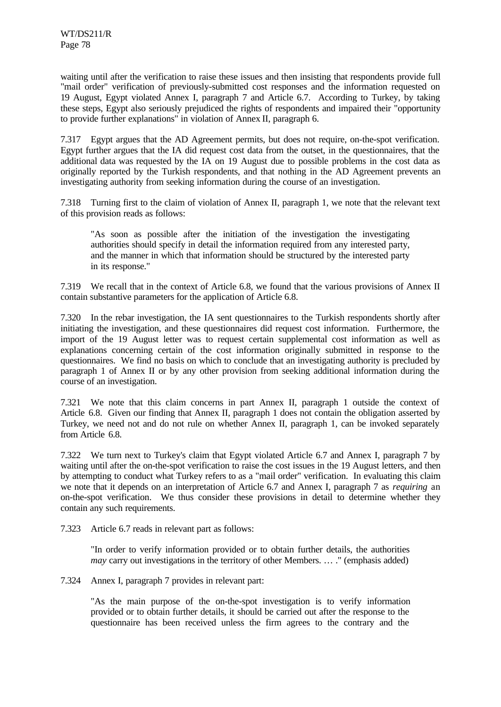waiting until after the verification to raise these issues and then insisting that respondents provide full "mail order" verification of previously-submitted cost responses and the information requested on 19 August, Egypt violated Annex I, paragraph 7 and Article 6.7. According to Turkey, by taking these steps, Egypt also seriously prejudiced the rights of respondents and impaired their "opportunity to provide further explanations" in violation of Annex II, paragraph 6.

7.317 Egypt argues that the AD Agreement permits, but does not require, on-the-spot verification. Egypt further argues that the IA did request cost data from the outset, in the questionnaires, that the additional data was requested by the IA on 19 August due to possible problems in the cost data as originally reported by the Turkish respondents, and that nothing in the AD Agreement prevents an investigating authority from seeking information during the course of an investigation.

7.318 Turning first to the claim of violation of Annex II, paragraph 1, we note that the relevant text of this provision reads as follows:

"As soon as possible after the initiation of the investigation the investigating authorities should specify in detail the information required from any interested party, and the manner in which that information should be structured by the interested party in its response."

7.319 We recall that in the context of Article 6.8, we found that the various provisions of Annex II contain substantive parameters for the application of Article 6.8.

7.320 In the rebar investigation, the IA sent questionnaires to the Turkish respondents shortly after initiating the investigation, and these questionnaires did request cost information. Furthermore, the import of the 19 August letter was to request certain supplemental cost information as well as explanations concerning certain of the cost information originally submitted in response to the questionnaires. We find no basis on which to conclude that an investigating authority is precluded by paragraph 1 of Annex II or by any other provision from seeking additional information during the course of an investigation.

7.321 We note that this claim concerns in part Annex II, paragraph 1 outside the context of Article 6.8. Given our finding that Annex II, paragraph 1 does not contain the obligation asserted by Turkey, we need not and do not rule on whether Annex II, paragraph 1, can be invoked separately from Article 6.8.

7.322 We turn next to Turkey's claim that Egypt violated Article 6.7 and Annex I, paragraph 7 by waiting until after the on-the-spot verification to raise the cost issues in the 19 August letters, and then by attempting to conduct what Turkey refers to as a "mail order" verification. In evaluating this claim we note that it depends on an interpretation of Article 6.7 and Annex I, paragraph 7 as *requiring* an on-the-spot verification. We thus consider these provisions in detail to determine whether they contain any such requirements.

7.323 Article 6.7 reads in relevant part as follows:

"In order to verify information provided or to obtain further details, the authorities *may* carry out investigations in the territory of other Members. ...." (emphasis added)

7.324 Annex I, paragraph 7 provides in relevant part:

"As the main purpose of the on-the-spot investigation is to verify information provided or to obtain further details, it should be carried out after the response to the questionnaire has been received unless the firm agrees to the contrary and the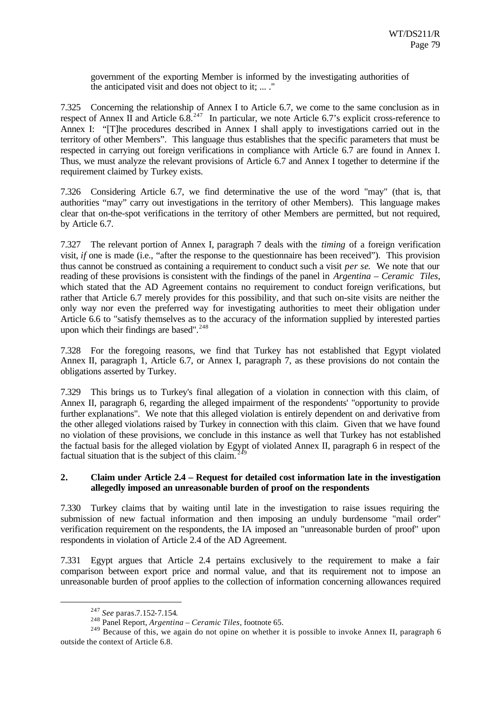government of the exporting Member is informed by the investigating authorities of the anticipated visit and does not object to it; ... ."

7.325 Concerning the relationship of Annex I to Article 6.7, we come to the same conclusion as in respect of Annex II and Article  $6.8^{247}$  In particular, we note Article 6.7's explicit cross-reference to Annex I: "[T]he procedures described in Annex I shall apply to investigations carried out in the territory of other Members". This language thus establishes that the specific parameters that must be respected in carrying out foreign verifications in compliance with Article 6.7 are found in Annex I. Thus, we must analyze the relevant provisions of Article 6.7 and Annex I together to determine if the requirement claimed by Turkey exists.

7.326 Considering Article 6.7, we find determinative the use of the word "may" (that is, that authorities "may" carry out investigations in the territory of other Members). This language makes clear that on-the-spot verifications in the territory of other Members are permitted, but not required, by Article 6.7.

7.327 The relevant portion of Annex I, paragraph 7 deals with the *timing* of a foreign verification visit, *if* one is made (i.e., "after the response to the questionnaire has been received"). This provision thus cannot be construed as containing a requirement to conduct such a visit *per se*. We note that our reading of these provisions is consistent with the findings of the panel in *Argentina – Ceramic Tiles*, which stated that the AD Agreement contains no requirement to conduct foreign verifications, but rather that Article 6.7 merely provides for this possibility, and that such on-site visits are neither the only way nor even the preferred way for investigating authorities to meet their obligation under Article 6.6 to "satisfy themselves as to the accuracy of the information supplied by interested parties upon which their findings are based".<sup>248</sup>

7.328 For the foregoing reasons, we find that Turkey has not established that Egypt violated Annex II, paragraph 1, Article 6.7, or Annex I, paragraph 7, as these provisions do not contain the obligations asserted by Turkey.

7.329 This brings us to Turkey's final allegation of a violation in connection with this claim, of Annex II, paragraph 6, regarding the alleged impairment of the respondents' "opportunity to provide further explanations". We note that this alleged violation is entirely dependent on and derivative from the other alleged violations raised by Turkey in connection with this claim. Given that we have found no violation of these provisions, we conclude in this instance as well that Turkey has not established the factual basis for the alleged violation by Egypt of violated Annex II, paragraph 6 in respect of the factual situation that is the subject of this claim.

## **2. Claim under Article 2.4 – Request for detailed cost information late in the investigation allegedly imposed an unreasonable burden of proof on the respondents**

7.330 Turkey claims that by waiting until late in the investigation to raise issues requiring the submission of new factual information and then imposing an unduly burdensome "mail order" verification requirement on the respondents, the IA imposed an "unreasonable burden of proof" upon respondents in violation of Article 2.4 of the AD Agreement.

7.331 Egypt argues that Article 2.4 pertains exclusively to the requirement to make a fair comparison between export price and normal value, and that its requirement not to impose an unreasonable burden of proof applies to the collection of information concerning allowances required

<sup>247</sup> *See* paras.7.152-7.154.

<sup>248</sup> Panel Report, *Argentina – Ceramic Tiles,* footnote 65.

<sup>&</sup>lt;sup>249</sup> Because of this, we again do not opine on whether it is possible to invoke Annex II, paragraph 6 outside the context of Article 6.8.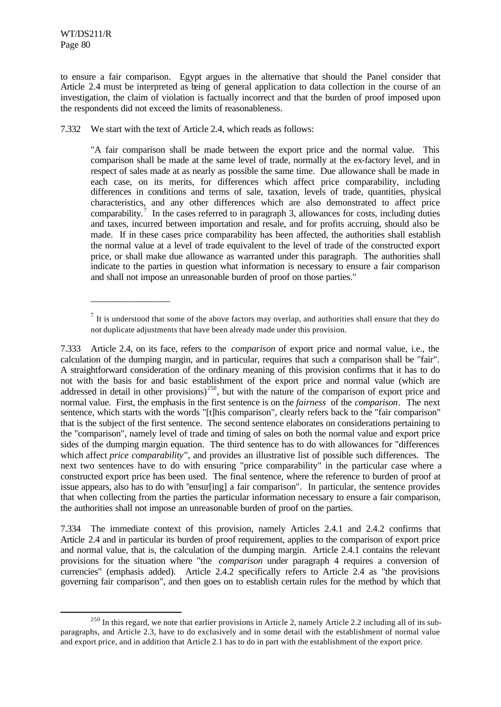to ensure a fair comparison. Egypt argues in the alternative that should the Panel consider that Article 2.4 must be interpreted as being of general application to data collection in the course of an investigation, the claim of violation is factually incorrect and that the burden of proof imposed upon the respondents did not exceed the limits of reasonableness.

7.332 We start with the text of Article 2.4, which reads as follows:

\_\_\_\_\_\_\_\_\_\_\_\_\_\_\_\_\_

l

"A fair comparison shall be made between the export price and the normal value. This comparison shall be made at the same level of trade, normally at the ex-factory level, and in respect of sales made at as nearly as possible the same time. Due allowance shall be made in each case, on its merits, for differences which affect price comparability, including differences in conditions and terms of sale, taxation, levels of trade, quantities, physical characteristics, and any other differences which are also demonstrated to affect price comparability.<sup>7</sup> In the cases referred to in paragraph 3, allowances for costs, including duties and taxes, incurred between importation and resale, and for profits accruing, should also be made. If in these cases price comparability has been affected, the authorities shall establish the normal value at a level of trade equivalent to the level of trade of the constructed export price, or shall make due allowance as warranted under this paragraph. The authorities shall indicate to the parties in question what information is necessary to ensure a fair comparison and shall not impose an unreasonable burden of proof on those parties."

7.334 The immediate context of this provision, namely Articles 2.4.1 and 2.4.2 confirms that Article 2.4 and in particular its burden of proof requirement, applies to the comparison of export price and normal value, that is, the calculation of the dumping margin. Article 2.4.1 contains the relevant provisions for the situation where "the *comparison* under paragraph 4 requires a conversion of currencies" (emphasis added). Article 2.4.2 specifically refers to Article 2.4 as "the provisions governing fair comparison", and then goes on to establish certain rules for the method by which that

 $<sup>7</sup>$  It is understood that some of the above factors may overlap, and authorities shall ensure that they do</sup> not duplicate adjustments that have been already made under this provision.

<sup>7.333</sup> Article 2.4, on its face, refers to the *comparison* of export price and normal value, i.e., the calculation of the dumping margin, and in particular, requires that such a comparison shall be "fair". A straightforward consideration of the ordinary meaning of this provision confirms that it has to do not with the basis for and basic establishment of the export price and normal value (which are addressed in detail in other provisions)<sup>250</sup>, but with the nature of the comparison of export price and normal value. First, the emphasis in the first sentence is on the *fairness* of the *comparison*. The next sentence, which starts with the words "[t]his comparison", clearly refers back to the "fair comparison" that is the subject of the first sentence. The second sentence elaborates on considerations pertaining to the "comparison", namely level of trade and timing of sales on both the normal value and export price sides of the dumping margin equation. The third sentence has to do with allowances for "differences which affect *price comparability*", and provides an illustrative list of possible such differences. The next two sentences have to do with ensuring "price comparability" in the particular case where a constructed export price has been used. The final sentence, where the reference to burden of proof at issue appears, also has to do with "ensur[ing] a fair comparison". In particular, the sentence provides that when collecting from the parties the particular information necessary to ensure a fair comparison, the authorities shall not impose an unreasonable burden of proof on the parties.

<sup>&</sup>lt;sup>250</sup> In this regard, we note that earlier provisions in Article 2, namely Article 2.2 including all of its subparagraphs, and Article 2.3, have to do exclusively and in some detail with the establishment of normal value and export price, and in addition that Article 2.1 has to do in part with the establishment of the export price.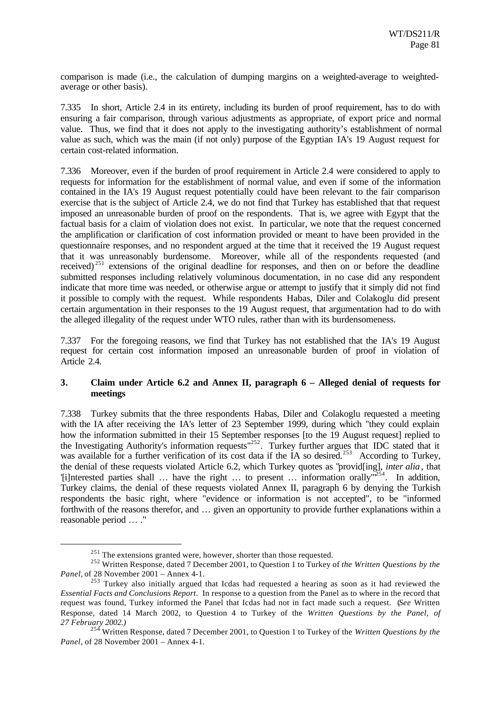comparison is made (i.e., the calculation of dumping margins on a weighted-average to weightedaverage or other basis).

7.335 In short, Article 2.4 in its entirety, including its burden of proof requirement, has to do with ensuring a fair comparison, through various adjustments as appropriate, of export price and normal value. Thus, we find that it does not apply to the investigating authority's establishment of normal value as such, which was the main (if not only) purpose of the Egyptian IA's 19 August request for certain cost-related information.

7.336 Moreover, even if the burden of proof requirement in Article 2.4 were considered to apply to requests for information for the establishment of normal value, and even if some of the information contained in the IA's 19 August request potentially could have been relevant to the fair comparison exercise that is the subject of Article 2.4, we do not find that Turkey has established that that request imposed an unreasonable burden of proof on the respondents. That is, we agree with Egypt that the factual basis for a claim of violation does not exist. In particular, we note that the request concerned the amplification or clarification of cost information provided or meant to have been provided in the questionnaire responses, and no respondent argued at the time that it received the 19 August request that it was unreasonably burdensome. Moreover, while all of the respondents requested (and received)<sup>251</sup> extensions of the original deadline for responses, and then on or before the deadline submitted responses including relatively voluminous documentation, in no case did any respondent indicate that more time was needed, or otherwise argue or attempt to justify that it simply did not find it possible to comply with the request. While respondents Habas, Diler and Colakoglu did present certain argumentation in their responses to the 19 August request, that argumentation had to do with the alleged illegality of the request under WTO rules, rather than with its burdensomeness.

7.337 For the foregoing reasons, we find that Turkey has not established that the IA's 19 August request for certain cost information imposed an unreasonable burden of proof in violation of Article 2.4.

## **3. Claim under Article 6.2 and Annex II, paragraph 6 – Alleged denial of requests for meetings**

7.338 Turkey submits that the three respondents Habas, Diler and Colakoglu requested a meeting with the IA after receiving the IA's letter of 23 September 1999, during which "they could explain how the information submitted in their 15 September responses [to the 19 August request] replied to the Investigating Authority's information requests"<sup>252</sup>. Turkey further argues that IDC stated that it was available for a further verification of its cost data if the IA so desired.<sup>253</sup> According to Turkey, the denial of these requests violated Article 6.2, which Turkey quotes as "provid[ing], *inter alia*, that '[i]nterested parties shall … have the right … to present … information orally'"<sup>254</sup>. In addition, Turkey claims, the denial of these requests violated Annex II, paragraph 6 by denying the Turkish respondents the basic right, where "evidence or information is not accepted", to be "informed forthwith of the reasons therefor, and … given an opportunity to provide further explanations within a reasonable period … ."

<sup>&</sup>lt;sup>251</sup> The extensions granted were, however, shorter than those requested.

<sup>252</sup> Written Response, dated 7 December 2001, to Question 1 to Turkey of *the Written Questions by the Panel,* of 28 November 2001 – Annex 4-1.

<sup>&</sup>lt;sup>253</sup> Turkey also initially argued that Icdas had requested a hearing as soon as it had reviewed the *Essential Facts and Conclusions Report*. In response to a question from the Panel as to where in the record that request was found, Turkey informed the Panel that Icdas had not in fact made such a request. (*See* Written Response, dated 14 March 2002, to Question 4 to Turkey of the *Written Questions by the Panel, of 27 February 2002.)*

<sup>254</sup> Written Response, dated 7 December 2001, to Question 1 to Turkey of the *Written Questions by the Panel*, of 28 November 2001 – Annex 4-1.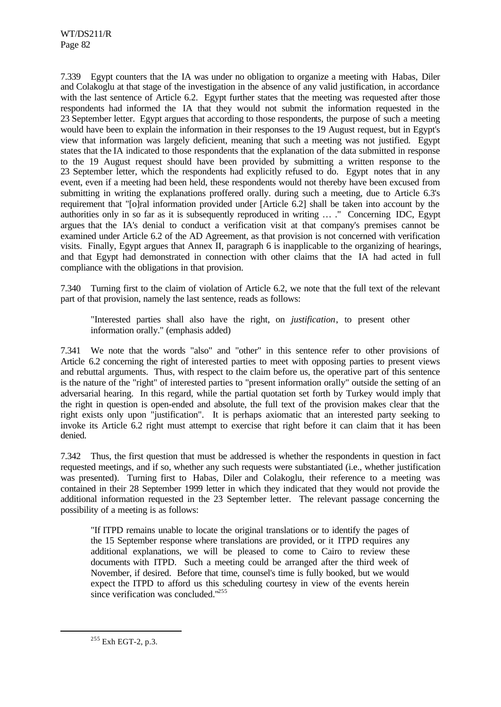7.339 Egypt counters that the IA was under no obligation to organize a meeting with Habas, Diler and Colakoglu at that stage of the investigation in the absence of any valid justification, in accordance with the last sentence of Article 6.2. Egypt further states that the meeting was requested after those respondents had informed the IA that they would not submit the information requested in the 23 September letter. Egypt argues that according to those respondents, the purpose of such a meeting would have been to explain the information in their responses to the 19 August request, but in Egypt's view that information was largely deficient, meaning that such a meeting was not justified. Egypt states that the IA indicated to those respondents that the explanation of the data submitted in response to the 19 August request should have been provided by submitting a written response to the 23 September letter, which the respondents had explicitly refused to do. Egypt notes that in any event, even if a meeting had been held, these respondents would not thereby have been excused from submitting in writing the explanations proffered orally. during such a meeting, due to Article 6.3's requirement that "[o]ral information provided under [Article 6.2] shall be taken into account by the authorities only in so far as it is subsequently reproduced in writing … ." Concerning IDC, Egypt argues that the IA's denial to conduct a verification visit at that company's premises cannot be examined under Article 6.2 of the AD Agreement, as that provision is not concerned with verification visits. Finally, Egypt argues that Annex II, paragraph 6 is inapplicable to the organizing of hearings, and that Egypt had demonstrated in connection with other claims that the IA had acted in full compliance with the obligations in that provision.

7.340 Turning first to the claim of violation of Article 6.2, we note that the full text of the relevant part of that provision, namely the last sentence, reads as follows:

"Interested parties shall also have the right, on *justification*, to present other information orally." (emphasis added)

7.341 We note that the words "also" and "other" in this sentence refer to other provisions of Article 6.2 concerning the right of interested parties to meet with opposing parties to present views and rebuttal arguments. Thus, with respect to the claim before us, the operative part of this sentence is the nature of the "right" of interested parties to "present information orally" outside the setting of an adversarial hearing. In this regard, while the partial quotation set forth by Turkey would imply that the right in question is open-ended and absolute, the full text of the provision makes clear that the right exists only upon "justification". It is perhaps axiomatic that an interested party seeking to invoke its Article 6.2 right must attempt to exercise that right before it can claim that it has been denied.

7.342 Thus, the first question that must be addressed is whether the respondents in question in fact requested meetings, and if so, whether any such requests were substantiated (i.e., whether justification was presented). Turning first to Habas, Diler and Colakoglu, their reference to a meeting was contained in their 28 September 1999 letter in which they indicated that they would not provide the additional information requested in the 23 September letter. The relevant passage concerning the possibility of a meeting is as follows:

"If ITPD remains unable to locate the original translations or to identify the pages of the 15 September response where translations are provided, or it ITPD requires any additional explanations, we will be pleased to come to Cairo to review these documents with ITPD. Such a meeting could be arranged after the third week of November, if desired. Before that time, counsel's time is fully booked, but we would expect the ITPD to afford us this scheduling courtesy in view of the events herein since verification was concluded."<sup>255</sup>

 $255$  Exh EGT-2, p.3.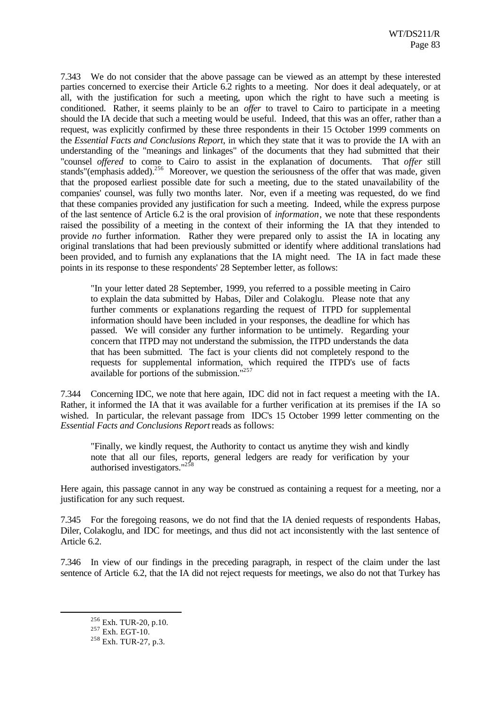7.343 We do not consider that the above passage can be viewed as an attempt by these interested parties concerned to exercise their Article 6.2 rights to a meeting. Nor does it deal adequately, or at all, with the justification for such a meeting, upon which the right to have such a meeting is conditioned. Rather, it seems plainly to be an *offer* to travel to Cairo to participate in a meeting should the IA decide that such a meeting would be useful. Indeed, that this was an offer, rather than a request, was explicitly confirmed by these three respondents in their 15 October 1999 comments on the *Essential Facts and Conclusions Report*, in which they state that it was to provide the IA with an understanding of the "meanings and linkages" of the documents that they had submitted that their "counsel *offered* to come to Cairo to assist in the explanation of documents. That *offer* still stands"(emphasis added).<sup>256</sup> Moreover, we question the seriousness of the offer that was made, given that the proposed earliest possible date for such a meeting, due to the stated unavailability of the companies' counsel, was fully two months later. Nor, even if a meeting was requested, do we find that these companies provided any justification for such a meeting. Indeed, while the express purpose of the last sentence of Article 6.2 is the oral provision of *information*, we note that these respondents raised the possibility of a meeting in the context of their informing the IA that they intended to provide *no* further information. Rather they were prepared only to assist the IA in locating any original translations that had been previously submitted or identify where additional translations had been provided, and to furnish any explanations that the IA might need. The IA in fact made these points in its response to these respondents' 28 September letter, as follows:

"In your letter dated 28 September, 1999, you referred to a possible meeting in Cairo to explain the data submitted by Habas, Diler and Colakoglu. Please note that any further comments or explanations regarding the request of ITPD for supplemental information should have been included in your responses, the deadline for which has passed. We will consider any further information to be untimely. Regarding your concern that ITPD may not understand the submission, the ITPD understands the data that has been submitted. The fact is your clients did not completely respond to the requests for supplemental information, which required the ITPD's use of facts available for portions of the submission."<sup>257</sup>

7.344 Concerning IDC, we note that here again, IDC did not in fact request a meeting with the IA. Rather, it informed the IA that it was available for a further verification at its premises if the IA so wished. In particular, the relevant passage from IDC's 15 October 1999 letter commenting on the *Essential Facts and Conclusions Report* reads as follows:

"Finally, we kindly request, the Authority to contact us anytime they wish and kindly note that all our files, reports, general ledgers are ready for verification by your authorised investigators."<sup>258</sup>

Here again, this passage cannot in any way be construed as containing a request for a meeting, nor a justification for any such request.

7.345 For the foregoing reasons, we do not find that the IA denied requests of respondents Habas, Diler, Colakoglu, and IDC for meetings, and thus did not act inconsistently with the last sentence of Article 6.2.

7.346 In view of our findings in the preceding paragraph, in respect of the claim under the last sentence of Article 6.2, that the IA did not reject requests for meetings, we also do not that Turkey has

 $256$  Exh. TUR-20, p.10.

 $257$  Exh. EGT-10.

<sup>258</sup> Exh. TUR-27, p.3.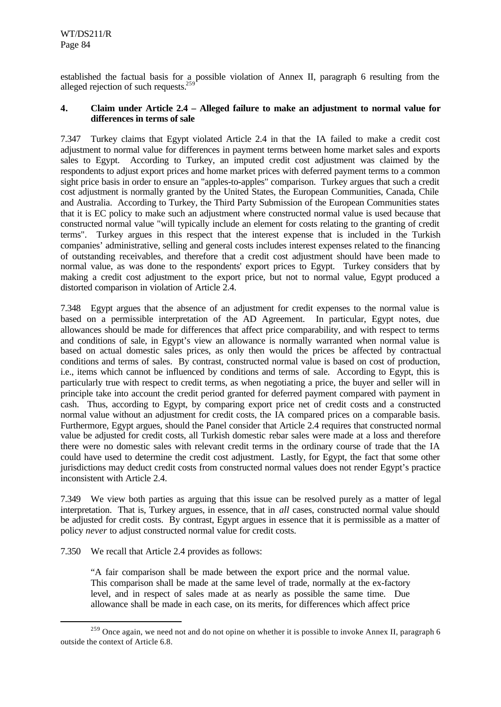established the factual basis for a possible violation of Annex II, paragraph 6 resulting from the alleged rejection of such requests. $25$ 

## **4. Claim under Article 2.4 – Alleged failure to make an adjustment to normal value for differences in terms of sale**

7.347 Turkey claims that Egypt violated Article 2.4 in that the IA failed to make a credit cost adjustment to normal value for differences in payment terms between home market sales and exports sales to Egypt. According to Turkey, an imputed credit cost adjustment was claimed by the respondents to adjust export prices and home market prices with deferred payment terms to a common sight price basis in order to ensure an "apples-to-apples" comparison. Turkey argues that such a credit cost adjustment is normally granted by the United States, the European Communities, Canada, Chile and Australia. According to Turkey, the Third Party Submission of the European Communities states that it is EC policy to make such an adjustment where constructed normal value is used because that constructed normal value "will typically include an element for costs relating to the granting of credit terms". Turkey argues in this respect that the interest expense that is included in the Turkish companies' administrative, selling and general costs includes interest expenses related to the financing of outstanding receivables, and therefore that a credit cost adjustment should have been made to normal value, as was done to the respondents' export prices to Egypt. Turkey considers that by making a credit cost adjustment to the export price, but not to normal value, Egypt produced a distorted comparison in violation of Article 2.4.

7.348 Egypt argues that the absence of an adjustment for credit expenses to the normal value is based on a permissible interpretation of the AD Agreement. In particular, Egypt notes, due allowances should be made for differences that affect price comparability, and with respect to terms and conditions of sale, in Egypt's view an allowance is normally warranted when normal value is based on actual domestic sales prices, as only then would the prices be affected by contractual conditions and terms of sales. By contrast, constructed normal value is based on cost of production, i.e., items which cannot be influenced by conditions and terms of sale. According to Egypt, this is particularly true with respect to credit terms, as when negotiating a price, the buyer and seller will in principle take into account the credit period granted for deferred payment compared with payment in cash. Thus, according to Egypt, by comparing export price net of credit costs and a constructed normal value without an adjustment for credit costs, the IA compared prices on a comparable basis. Furthermore, Egypt argues, should the Panel consider that Article 2.4 requires that constructed normal value be adjusted for credit costs, all Turkish domestic rebar sales were made at a loss and therefore there were no domestic sales with relevant credit terms in the ordinary course of trade that the IA could have used to determine the credit cost adjustment. Lastly, for Egypt, the fact that some other jurisdictions may deduct credit costs from constructed normal values does not render Egypt's practice inconsistent with Article 2.4.

7.349 We view both parties as arguing that this issue can be resolved purely as a matter of legal interpretation. That is, Turkey argues, in essence, that in *all* cases, constructed normal value should be adjusted for credit costs. By contrast, Egypt argues in essence that it is permissible as a matter of policy *never* to adjust constructed normal value for credit costs.

7.350 We recall that Article 2.4 provides as follows:

l

"A fair comparison shall be made between the export price and the normal value. This comparison shall be made at the same level of trade, normally at the ex-factory level, and in respect of sales made at as nearly as possible the same time. Due allowance shall be made in each case, on its merits, for differences which affect price

<sup>&</sup>lt;sup>259</sup> Once again, we need not and do not opine on whether it is possible to invoke Annex II, paragraph 6 outside the context of Article 6.8.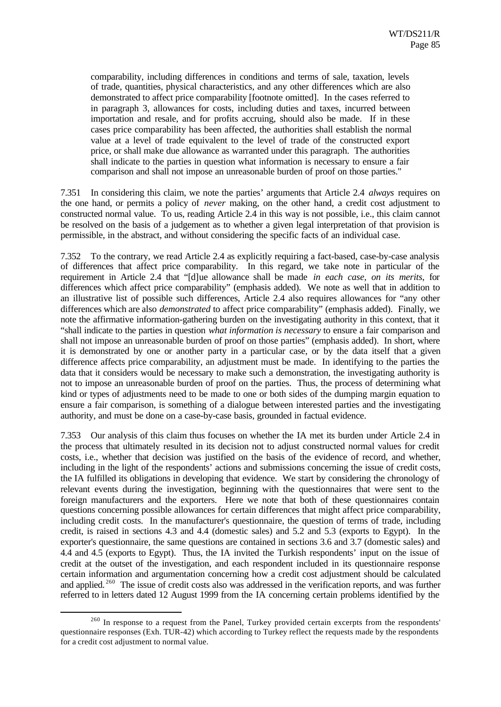comparability, including differences in conditions and terms of sale, taxation, levels of trade, quantities, physical characteristics, and any other differences which are also demonstrated to affect price comparability [footnote omitted]. In the cases referred to in paragraph 3, allowances for costs, including duties and taxes, incurred between importation and resale, and for profits accruing, should also be made. If in these cases price comparability has been affected, the authorities shall establish the normal value at a level of trade equivalent to the level of trade of the constructed export price, or shall make due allowance as warranted under this paragraph. The authorities shall indicate to the parties in question what information is necessary to ensure a fair comparison and shall not impose an unreasonable burden of proof on those parties."

7.351 In considering this claim, we note the parties' arguments that Article 2.4 *always* requires on the one hand, or permits a policy of *never* making, on the other hand, a credit cost adjustment to constructed normal value. To us, reading Article 2.4 in this way is not possible, i.e., this claim cannot be resolved on the basis of a judgement as to whether a given legal interpretation of that provision is permissible, in the abstract, and without considering the specific facts of an individual case.

7.352 To the contrary, we read Article 2.4 as explicitly requiring a fact-based, case-by-case analysis of differences that affect price comparability. In this regard, we take note in particular of the requirement in Article 2.4 that "[d]ue allowance shall be made *in each case, on its merits*, for differences which affect price comparability" (emphasis added). We note as well that in addition to an illustrative list of possible such differences, Article 2.4 also requires allowances for "any other differences which are also *demonstrated* to affect price comparability" (emphasis added). Finally, we note the affirmative information-gathering burden on the investigating authority in this context, that it "shall indicate to the parties in question *what information is necessary* to ensure a fair comparison and shall not impose an unreasonable burden of proof on those parties" (emphasis added). In short, where it is demonstrated by one or another party in a particular case, or by the data itself that a given difference affects price comparability, an adjustment must be made. In identifying to the parties the data that it considers would be necessary to make such a demonstration, the investigating authority is not to impose an unreasonable burden of proof on the parties. Thus, the process of determining what kind or types of adjustments need to be made to one or both sides of the dumping margin equation to ensure a fair comparison, is something of a dialogue between interested parties and the investigating authority, and must be done on a case-by-case basis, grounded in factual evidence.

7.353 Our analysis of this claim thus focuses on whether the IA met its burden under Article 2.4 in the process that ultimately resulted in its decision not to adjust constructed normal values for credit costs, i.e., whether that decision was justified on the basis of the evidence of record, and whether, including in the light of the respondents' actions and submissions concerning the issue of credit costs, the IA fulfilled its obligations in developing that evidence. We start by considering the chronology of relevant events during the investigation, beginning with the questionnaires that were sent to the foreign manufacturers and the exporters. Here we note that both of these questionnaires contain questions concerning possible allowances for certain differences that might affect price comparability, including credit costs. In the manufacturer's questionnaire, the question of terms of trade, including credit, is raised in sections 4.3 and 4.4 (domestic sales) and 5.2 and 5.3 (exports to Egypt). In the exporter's questionnaire, the same questions are contained in sections 3.6 and 3.7 (domestic sales) and 4.4 and 4.5 (exports to Egypt). Thus, the IA invited the Turkish respondents' input on the issue of credit at the outset of the investigation, and each respondent included in its questionnaire response certain information and argumentation concerning how a credit cost adjustment should be calculated and applied.<sup>260</sup> The issue of credit costs also was addressed in the verification reports, and was further referred to in letters dated 12 August 1999 from the IA concerning certain problems identified by the

<sup>&</sup>lt;sup>260</sup> In response to a request from the Panel, Turkey provided certain excerpts from the respondents' questionnaire responses (Exh. TUR-42) which according to Turkey reflect the requests made by the respondents for a credit cost adjustment to normal value.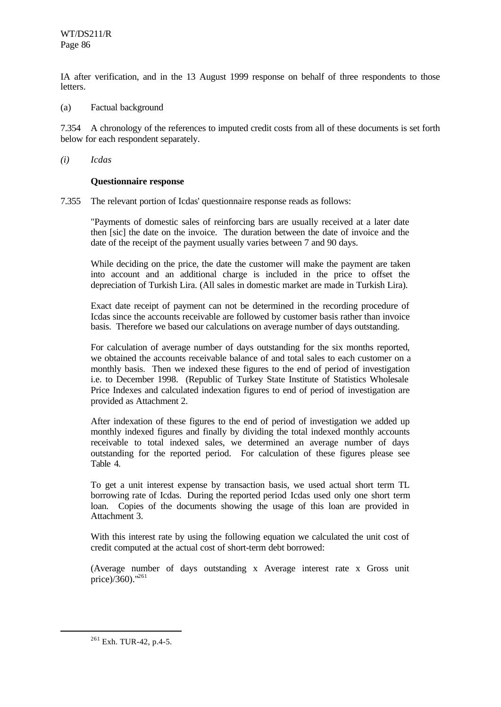IA after verification, and in the 13 August 1999 response on behalf of three respondents to those letters.

(a) Factual background

7.354 A chronology of the references to imputed credit costs from all of these documents is set forth below for each respondent separately.

*(i) Icdas*

### **Questionnaire response**

7.355 The relevant portion of Icdas' questionnaire response reads as follows:

"Payments of domestic sales of reinforcing bars are usually received at a later date then [sic] the date on the invoice. The duration between the date of invoice and the date of the receipt of the payment usually varies between 7 and 90 days.

While deciding on the price, the date the customer will make the payment are taken into account and an additional charge is included in the price to offset the depreciation of Turkish Lira. (All sales in domestic market are made in Turkish Lira).

Exact date receipt of payment can not be determined in the recording procedure of Icdas since the accounts receivable are followed by customer basis rather than invoice basis. Therefore we based our calculations on average number of days outstanding.

For calculation of average number of days outstanding for the six months reported, we obtained the accounts receivable balance of and total sales to each customer on a monthly basis. Then we indexed these figures to the end of period of investigation i.e. to December 1998. (Republic of Turkey State Institute of Statistics Wholesale Price Indexes and calculated indexation figures to end of period of investigation are provided as Attachment 2.

After indexation of these figures to the end of period of investigation we added up monthly indexed figures and finally by dividing the total indexed monthly accounts receivable to total indexed sales, we determined an average number of days outstanding for the reported period. For calculation of these figures please see Table 4.

To get a unit interest expense by transaction basis, we used actual short term TL borrowing rate of Icdas. During the reported period Icdas used only one short term loan. Copies of the documents showing the usage of this loan are provided in Attachment 3.

With this interest rate by using the following equation we calculated the unit cost of credit computed at the actual cost of short-term debt borrowed:

(Average number of days outstanding x Average interest rate x Gross unit price)/360)."<sup>261</sup>

<sup>261</sup> Exh. TUR-42, p.4-5.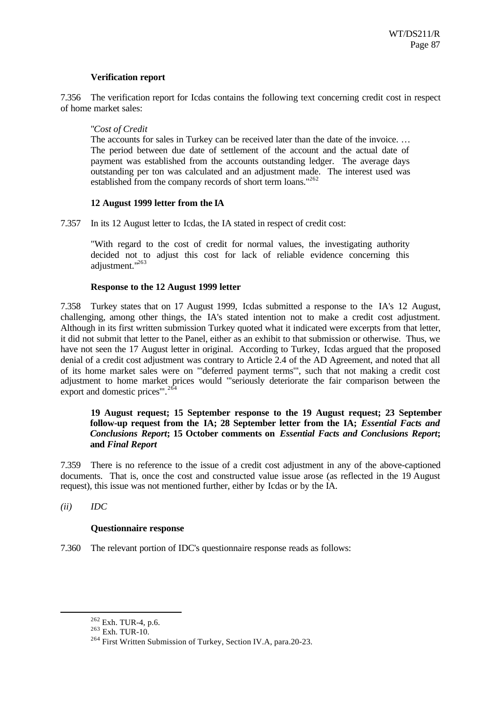### **Verification report**

7.356 The verification report for Icdas contains the following text concerning credit cost in respect of home market sales:

### "*Cost of Credit*

The accounts for sales in Turkey can be received later than the date of the invoice. … The period between due date of settlement of the account and the actual date of payment was established from the accounts outstanding ledger. The average days outstanding per ton was calculated and an adjustment made. The interest used was established from the company records of short term loans."<sup>262</sup>

## **12 August 1999 letter from the IA**

7.357 In its 12 August letter to Icdas, the IA stated in respect of credit cost:

"With regard to the cost of credit for normal values, the investigating authority decided not to adjust this cost for lack of reliable evidence concerning this adjustment."<sup>263</sup>

## **Response to the 12 August 1999 letter**

7.358 Turkey states that on 17 August 1999, Icdas submitted a response to the IA's 12 August, challenging, among other things, the IA's stated intention not to make a credit cost adjustment. Although in its first written submission Turkey quoted what it indicated were excerpts from that letter, it did not submit that letter to the Panel, either as an exhibit to that submission or otherwise. Thus, we have not seen the 17 August letter in original. According to Turkey, Icdas argued that the proposed denial of a credit cost adjustment was contrary to Article 2.4 of the AD Agreement, and noted that all of its home market sales were on "'deferred payment terms'", such that not making a credit cost adjustment to home market prices would "'seriously deteriorate the fair comparison between the export and domestic prices".<sup>264</sup>

### **19 August request; 15 September response to the 19 August request; 23 September follow-up request from the IA; 28 September letter from the IA;** *Essential Facts and Conclusions Report***; 15 October comments on** *Essential Facts and Conclusions Report***; and** *Final Report*

7.359 There is no reference to the issue of a credit cost adjustment in any of the above-captioned documents. That is, once the cost and constructed value issue arose (as reflected in the 19 August request), this issue was not mentioned further, either by Icdas or by the IA.

*(ii) IDC*

l

### **Questionnaire response**

7.360 The relevant portion of IDC's questionnaire response reads as follows:

 $262$  Exh. TUR-4, p.6.

 $263$  Exh. TUR-10.

<sup>264</sup> First Written Submission of Turkey, Section IV.A, para.20-23.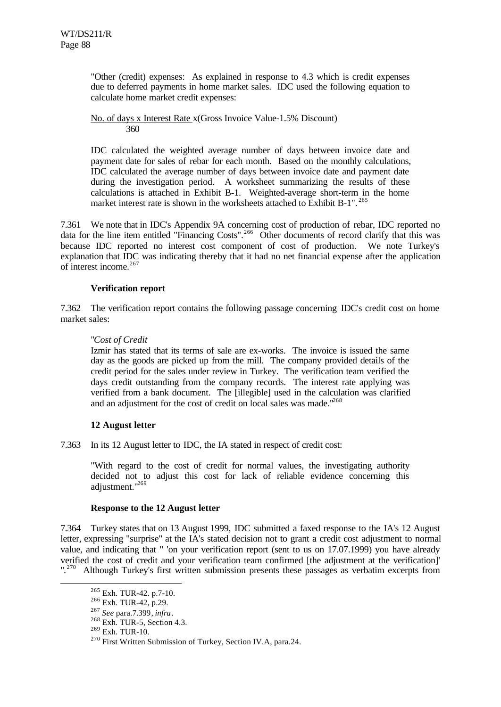"Other (credit) expenses: As explained in response to 4.3 which is credit expenses due to deferred payments in home market sales. IDC used the following equation to calculate home market credit expenses:

#### No. of days x Interest Rate x(Gross Invoice Value-1.5% Discount) 360

IDC calculated the weighted average number of days between invoice date and payment date for sales of rebar for each month. Based on the monthly calculations, IDC calculated the average number of days between invoice date and payment date during the investigation period. A worksheet summarizing the results of these calculations is attached in Exhibit B-1. Weighted-average short-term in the home market interest rate is shown in the worksheets attached to Exhibit B-1". <sup>265</sup>

7.361 We note that in IDC's Appendix 9A concerning cost of production of rebar, IDC reported no data for the line item entitled "Financing Costs".<sup>266</sup> Other documents of record clarify that this was because IDC reported no interest cost component of cost of production. We note Turkey's explanation that IDC was indicating thereby that it had no net financial expense after the application of interest income.<sup>267</sup>

## **Verification report**

7.362 The verification report contains the following passage concerning IDC's credit cost on home market sales:

### "*Cost of Credit*

Izmir has stated that its terms of sale are ex-works. The invoice is issued the same day as the goods are picked up from the mill. The company provided details of the credit period for the sales under review in Turkey. The verification team verified the days credit outstanding from the company records. The interest rate applying was verified from a bank document. The [illegible] used in the calculation was clarified and an adjustment for the cost of credit on local sales was made.<sup>1268</sup>

### **12 August letter**

7.363 In its 12 August letter to IDC, the IA stated in respect of credit cost:

"With regard to the cost of credit for normal values, the investigating authority decided not to adjust this cost for lack of reliable evidence concerning this adjustment."<sup>269</sup>

### **Response to the 12 August letter**

7.364 Turkey states that on 13 August 1999, IDC submitted a faxed response to the IA's 12 August letter, expressing "surprise" at the IA's stated decision not to grant a credit cost adjustment to normal value, and indicating that " 'on your verification report (sent to us on 17.07.1999) you have already verified the cost of credit and your verification team confirmed [the adjustment at the verification]' ".<sup>270</sup> Although Turkey's first written submission presents these passages as verbatim excerpts from

<sup>265</sup> Exh. TUR-42. p.7-10.

<sup>266</sup> Exh. TUR-42, p.29.

<sup>267</sup> *See* para.7.399, *infra*.

 $268$  Exh. TUR-5, Section 4.3.

 $269$  Exh. TUR-10.

<sup>&</sup>lt;sup>270</sup> First Written Submission of Turkey, Section IV.A, para.24.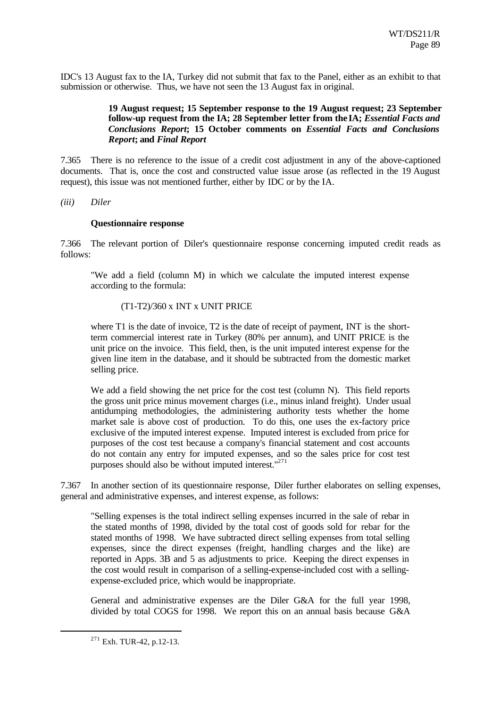IDC's 13 August fax to the IA, Turkey did not submit that fax to the Panel, either as an exhibit to that submission or otherwise. Thus, we have not seen the 13 August fax in original.

### **19 August request; 15 September response to the 19 August request; 23 September follow-up request from the IA; 28 September letter from the IA;** *Essential Facts and Conclusions Report***; 15 October comments on** *Essential Facts and Conclusions Report***; and** *Final Report*

7.365 There is no reference to the issue of a credit cost adjustment in any of the above-captioned documents. That is, once the cost and constructed value issue arose (as reflected in the 19 August request), this issue was not mentioned further, either by IDC or by the IA.

*(iii) Diler*

#### **Questionnaire response**

7.366 The relevant portion of Diler's questionnaire response concerning imputed credit reads as follows:

"We add a field (column M) in which we calculate the imputed interest expense according to the formula:

### (T1-T2)/360 x INT x UNIT PRICE

where T1 is the date of invoice, T2 is the date of receipt of payment, INT is the shortterm commercial interest rate in Turkey (80% per annum), and UNIT PRICE is the unit price on the invoice. This field, then, is the unit imputed interest expense for the given line item in the database, and it should be subtracted from the domestic market selling price.

We add a field showing the net price for the cost test (column N). This field reports the gross unit price minus movement charges (i.e., minus inland freight). Under usual antidumping methodologies, the administering authority tests whether the home market sale is above cost of production. To do this, one uses the ex-factory price exclusive of the imputed interest expense. Imputed interest is excluded from price for purposes of the cost test because a company's financial statement and cost accounts do not contain any entry for imputed expenses, and so the sales price for cost test purposes should also be without imputed interest."<sup>271</sup>

7.367 In another section of its questionnaire response, Diler further elaborates on selling expenses, general and administrative expenses, and interest expense, as follows:

"Selling expenses is the total indirect selling expenses incurred in the sale of rebar in the stated months of 1998, divided by the total cost of goods sold for rebar for the stated months of 1998. We have subtracted direct selling expenses from total selling expenses, since the direct expenses (freight, handling charges and the like) are reported in Apps. 3B and 5 as adjustments to price. Keeping the direct expenses in the cost would result in comparison of a selling-expense-included cost with a sellingexpense-excluded price, which would be inappropriate.

General and administrative expenses are the Diler G&A for the full year 1998, divided by total COGS for 1998. We report this on an annual basis because G&A

 $271$  Exh. TUR-42, p.12-13.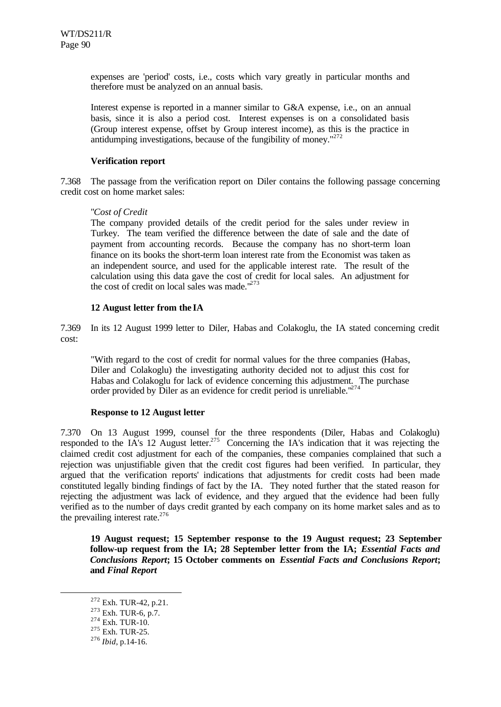expenses are 'period' costs, i.e., costs which vary greatly in particular months and therefore must be analyzed on an annual basis.

Interest expense is reported in a manner similar to G&A expense, i.e., on an annual basis, since it is also a period cost. Interest expenses is on a consolidated basis (Group interest expense, offset by Group interest income), as this is the practice in antidumping investigations, because of the fungibility of money. $1272$ 

### **Verification report**

7.368 The passage from the verification report on Diler contains the following passage concerning credit cost on home market sales:

## "*Cost of Credit*

The company provided details of the credit period for the sales under review in Turkey. The team verified the difference between the date of sale and the date of payment from accounting records. Because the company has no short-term loan finance on its books the short-term loan interest rate from the Economist was taken as an independent source, and used for the applicable interest rate. The result of the calculation using this data gave the cost of credit for local sales. An adjustment for the cost of credit on local sales was made."<sup>273</sup>

# **12 August letter from the IA**

7.369 In its 12 August 1999 letter to Diler, Habas and Colakoglu, the IA stated concerning credit cost:

"With regard to the cost of credit for normal values for the three companies (Habas, Diler and Colakoglu) the investigating authority decided not to adjust this cost for Habas and Colakoglu for lack of evidence concerning this adjustment. The purchase order provided by Diler as an evidence for credit period is unreliable."<sup>274</sup>

### **Response to 12 August letter**

7.370 On 13 August 1999, counsel for the three respondents (Diler, Habas and Colakoglu) responded to the IA's 12 August letter.<sup>275</sup> Concerning the IA's indication that it was rejecting the claimed credit cost adjustment for each of the companies, these companies complained that such a rejection was unjustifiable given that the credit cost figures had been verified. In particular, they argued that the verification reports' indications that adjustments for credit costs had been made constituted legally binding findings of fact by the IA. They noted further that the stated reason for rejecting the adjustment was lack of evidence, and they argued that the evidence had been fully verified as to the number of days credit granted by each company on its home market sales and as to the prevailing interest rate. $276$ 

**19 August request; 15 September response to the 19 August request; 23 September follow-up request from the IA; 28 September letter from the IA;** *Essential Facts and Conclusions Report***; 15 October comments on** *Essential Facts and Conclusions Report***; and** *Final Report*

<sup>272</sup> Exh. TUR-42, p.21.

<sup>273</sup> Exh. TUR-6, p.7.

 $274$  Exh. TUR-10.

 $275$  Exh. TUR-25.

<sup>276</sup> *Ibid*, p.14-16.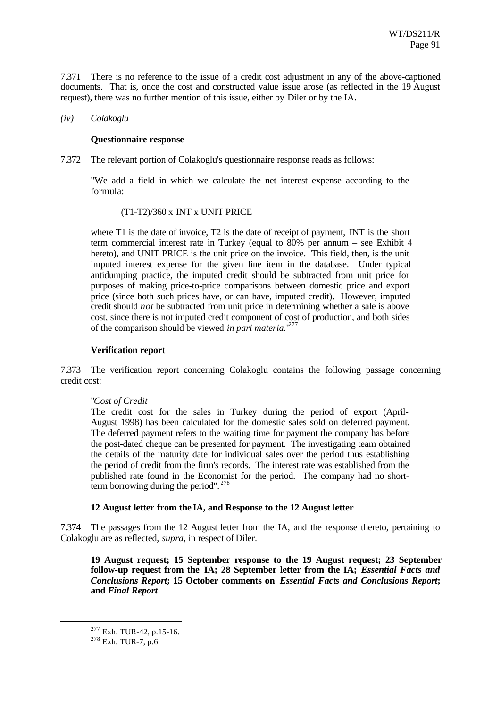7.371 There is no reference to the issue of a credit cost adjustment in any of the above-captioned documents. That is, once the cost and constructed value issue arose (as reflected in the 19 August request), there was no further mention of this issue, either by Diler or by the IA.

#### *(iv) Colakoglu*

#### **Questionnaire response**

7.372 The relevant portion of Colakoglu's questionnaire response reads as follows:

"We add a field in which we calculate the net interest expense according to the formula:

#### (T1-T2)/360 x INT x UNIT PRICE

where T1 is the date of invoice, T2 is the date of receipt of payment, INT is the short term commercial interest rate in Turkey (equal to 80% per annum – see Exhibit 4 hereto), and UNIT PRICE is the unit price on the invoice. This field, then, is the unit imputed interest expense for the given line item in the database. Under typical antidumping practice, the imputed credit should be subtracted from unit price for purposes of making price-to-price comparisons between domestic price and export price (since both such prices have, or can have, imputed credit). However, imputed credit should *not* be subtracted from unit price in determining whether a sale is above cost, since there is not imputed credit component of cost of production, and both sides of the comparison should be viewed *in pari materia.*" 277

#### **Verification report**

7.373 The verification report concerning Colakoglu contains the following passage concerning credit cost:

#### "*Cost of Credit*

The credit cost for the sales in Turkey during the period of export (April-August 1998) has been calculated for the domestic sales sold on deferred payment. The deferred payment refers to the waiting time for payment the company has before the post-dated cheque can be presented for payment. The investigating team obtained the details of the maturity date for individual sales over the period thus establishing the period of credit from the firm's records. The interest rate was established from the published rate found in the Economist for the period. The company had no shortterm borrowing during the period".<sup>278</sup>

### **12 August letter from the IA, and Response to the 12 August letter**

7.374 The passages from the 12 August letter from the IA, and the response thereto, pertaining to Colakoglu are as reflected, *supra,* in respect of Diler.

**19 August request; 15 September response to the 19 August request; 23 September follow-up request from the IA; 28 September letter from the IA;** *Essential Facts and Conclusions Report***; 15 October comments on** *Essential Facts and Conclusions Report***; and** *Final Report*

<sup>277</sup> Exh. TUR-42, p.15-16.

 $278$  Exh. TUR-7, p.6.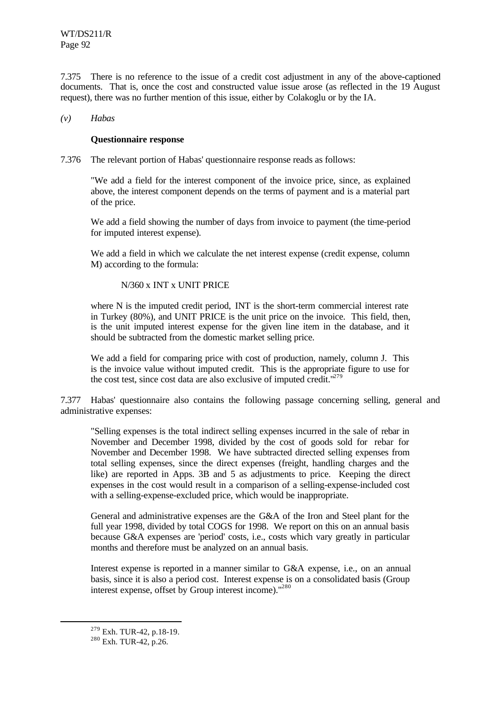7.375 There is no reference to the issue of a credit cost adjustment in any of the above-captioned documents. That is, once the cost and constructed value issue arose (as reflected in the 19 August request), there was no further mention of this issue, either by Colakoglu or by the IA.

### *(v) Habas*

#### **Questionnaire response**

7.376 The relevant portion of Habas' questionnaire response reads as follows:

"We add a field for the interest component of the invoice price, since, as explained above, the interest component depends on the terms of payment and is a material part of the price.

We add a field showing the number of days from invoice to payment (the time-period for imputed interest expense).

We add a field in which we calculate the net interest expense (credit expense, column M) according to the formula:

#### N/360 x INT x UNIT PRICE

where N is the imputed credit period. INT is the short-term commercial interest rate in Turkey (80%), and UNIT PRICE is the unit price on the invoice. This field, then, is the unit imputed interest expense for the given line item in the database, and it should be subtracted from the domestic market selling price.

We add a field for comparing price with cost of production, namely, column J. This is the invoice value without imputed credit. This is the appropriate figure to use for the cost test, since cost data are also exclusive of imputed credit. $1279$ 

7.377 Habas' questionnaire also contains the following passage concerning selling, general and administrative expenses:

"Selling expenses is the total indirect selling expenses incurred in the sale of rebar in November and December 1998, divided by the cost of goods sold for rebar for November and December 1998. We have subtracted directed selling expenses from total selling expenses, since the direct expenses (freight, handling charges and the like) are reported in Apps. 3B and 5 as adjustments to price. Keeping the direct expenses in the cost would result in a comparison of a selling-expense-included cost with a selling-expense-excluded price, which would be inappropriate.

General and administrative expenses are the G&A of the Iron and Steel plant for the full year 1998, divided by total COGS for 1998. We report on this on an annual basis because G&A expenses are 'period' costs, i.e., costs which vary greatly in particular months and therefore must be analyzed on an annual basis.

Interest expense is reported in a manner similar to G&A expense, i.e., on an annual basis, since it is also a period cost. Interest expense is on a consolidated basis (Group interest expense, offset by Group interest income)."<sup>280</sup>

<sup>279</sup> Exh. TUR-42, p.18-19.

<sup>280</sup> Exh. TUR-42, p.26.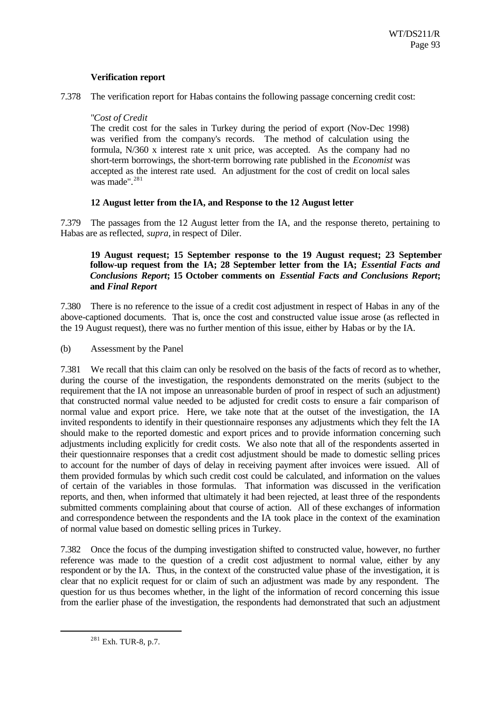## **Verification report**

7.378 The verification report for Habas contains the following passage concerning credit cost:

## "*Cost of Credit*

The credit cost for the sales in Turkey during the period of export (Nov-Dec 1998) was verified from the company's records. The method of calculation using the formula, N/360 x interest rate x unit price, was accepted. As the company had no short-term borrowings, the short-term borrowing rate published in the *Economist* was accepted as the interest rate used. An adjustment for the cost of credit on local sales was made".<sup>281</sup>

# **12 August letter from the IA, and Response to the 12 August letter**

7.379 The passages from the 12 August letter from the IA, and the response thereto, pertaining to Habas are as reflected, *supra,* in respect of Diler.

## **19 August request; 15 September response to the 19 August request; 23 September follow-up request from the IA; 28 September letter from the IA;** *Essential Facts and Conclusions Report***; 15 October comments on** *Essential Facts and Conclusions Report***; and** *Final Report*

7.380 There is no reference to the issue of a credit cost adjustment in respect of Habas in any of the above-captioned documents. That is, once the cost and constructed value issue arose (as reflected in the 19 August request), there was no further mention of this issue, either by Habas or by the IA.

(b) Assessment by the Panel

7.381 We recall that this claim can only be resolved on the basis of the facts of record as to whether, during the course of the investigation, the respondents demonstrated on the merits (subject to the requirement that the IA not impose an unreasonable burden of proof in respect of such an adjustment) that constructed normal value needed to be adjusted for credit costs to ensure a fair comparison of normal value and export price. Here, we take note that at the outset of the investigation, the IA invited respondents to identify in their questionnaire responses any adjustments which they felt the IA should make to the reported domestic and export prices and to provide information concerning such adjustments including explicitly for credit costs. We also note that all of the respondents asserted in their questionnaire responses that a credit cost adjustment should be made to domestic selling prices to account for the number of days of delay in receiving payment after invoices were issued. All of them provided formulas by which such credit cost could be calculated, and information on the values of certain of the variables in those formulas. That information was discussed in the verification reports, and then, when informed that ultimately it had been rejected, at least three of the respondents submitted comments complaining about that course of action. All of these exchanges of information and correspondence between the respondents and the IA took place in the context of the examination of normal value based on domestic selling prices in Turkey.

7.382 Once the focus of the dumping investigation shifted to constructed value, however, no further reference was made to the question of a credit cost adjustment to normal value, either by any respondent or by the IA. Thus, in the context of the constructed value phase of the investigation, it is clear that no explicit request for or claim of such an adjustment was made by any respondent. The question for us thus becomes whether, in the light of the information of record concerning this issue from the earlier phase of the investigation, the respondents had demonstrated that such an adjustment

<sup>281</sup> Exh. TUR-8, p.7.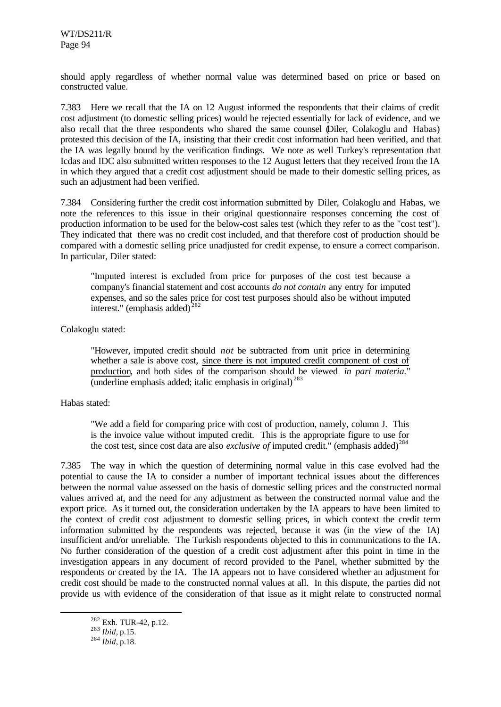should apply regardless of whether normal value was determined based on price or based on constructed value.

7.383 Here we recall that the IA on 12 August informed the respondents that their claims of credit cost adjustment (to domestic selling prices) would be rejected essentially for lack of evidence, and we also recall that the three respondents who shared the same counsel (Diler, Colakoglu and Habas) protested this decision of the IA, insisting that their credit cost information had been verified, and that the IA was legally bound by the verification findings. We note as well Turkey's representation that Icdas and IDC also submitted written responses to the 12 August letters that they received from the IA in which they argued that a credit cost adjustment should be made to their domestic selling prices, as such an adjustment had been verified.

7.384 Considering further the credit cost information submitted by Diler, Colakoglu and Habas, we note the references to this issue in their original questionnaire responses concerning the cost of production information to be used for the below-cost sales test (which they refer to as the "cost test"). They indicated that there was no credit cost included, and that therefore cost of production should be compared with a domestic selling price unadjusted for credit expense, to ensure a correct comparison. In particular, Diler stated:

"Imputed interest is excluded from price for purposes of the cost test because a company's financial statement and cost accounts *do not contain* any entry for imputed expenses, and so the sales price for cost test purposes should also be without imputed interest." (emphasis added) <sup>282</sup>

Colakoglu stated:

"However, imputed credit should *not* be subtracted from unit price in determining whether a sale is above cost, since there is not imputed credit component of cost of production, and both sides of the comparison should be viewed *in pari materia.*"  $\overline{u}$  (underline emphasis added; italic emphasis in original)<sup>283</sup>

### Habas stated:

"We add a field for comparing price with cost of production, namely, column J. This is the invoice value without imputed credit. This is the appropriate figure to use for the cost test, since cost data are also *exclusive of* imputed credit." (emphasis added)<sup>284</sup>

7.385 The way in which the question of determining normal value in this case evolved had the potential to cause the IA to consider a number of important technical issues about the differences between the normal value assessed on the basis of domestic selling prices and the constructed normal values arrived at, and the need for any adjustment as between the constructed normal value and the export price. As it turned out, the consideration undertaken by the IA appears to have been limited to the context of credit cost adjustment to domestic selling prices, in which context the credit term information submitted by the respondents was rejected, because it was (in the view of the IA) insufficient and/or unreliable. The Turkish respondents objected to this in communications to the IA. No further consideration of the question of a credit cost adjustment after this point in time in the investigation appears in any document of record provided to the Panel, whether submitted by the respondents or created by the IA. The IA appears not to have considered whether an adjustment for credit cost should be made to the constructed normal values at all. In this dispute, the parties did not provide us with evidence of the consideration of that issue as it might relate to constructed normal

<sup>282</sup> Exh. TUR-42, p.12.

<sup>283</sup> *Ibid*, p.15.

<sup>284</sup> *Ibid*, p.18.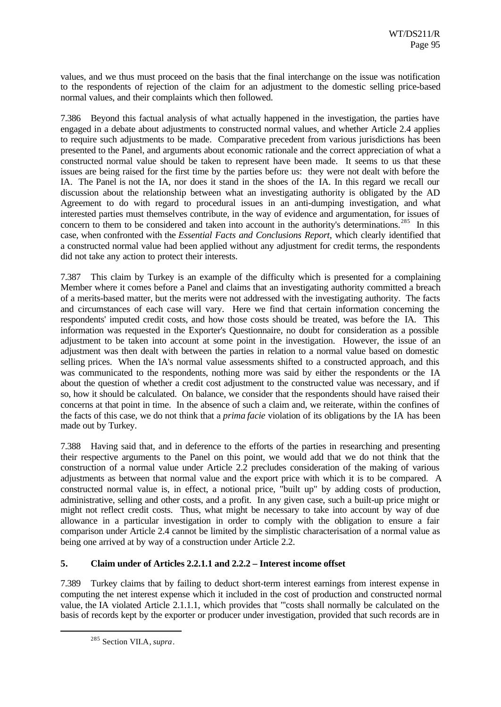values, and we thus must proceed on the basis that the final interchange on the issue was notification to the respondents of rejection of the claim for an adjustment to the domestic selling price-based normal values, and their complaints which then followed.

7.386 Beyond this factual analysis of what actually happened in the investigation, the parties have engaged in a debate about adjustments to constructed normal values, and whether Article 2.4 applies to require such adjustments to be made. Comparative precedent from various jurisdictions has been presented to the Panel, and arguments about economic rationale and the correct appreciation of what a constructed normal value should be taken to represent have been made. It seems to us that these issues are being raised for the first time by the parties before us: they were not dealt with before the IA. The Panel is not the IA, nor does it stand in the shoes of the IA. In this regard we recall our discussion about the relationship between what an investigating authority is obligated by the AD Agreement to do with regard to procedural issues in an anti-dumping investigation, and what interested parties must themselves contribute, in the way of evidence and argumentation, for issues of concern to them to be considered and taken into account in the authority's determinations.<sup>285</sup> In this case, when confronted with the *Essential Facts and Conclusions Report*, which clearly identified that a constructed normal value had been applied without any adjustment for credit terms, the respondents did not take any action to protect their interests.

7.387 This claim by Turkey is an example of the difficulty which is presented for a complaining Member where it comes before a Panel and claims that an investigating authority committed a breach of a merits-based matter, but the merits were not addressed with the investigating authority. The facts and circumstances of each case will vary. Here we find that certain information concerning the respondents' imputed credit costs, and how those costs should be treated, was before the IA. This information was requested in the Exporter's Questionnaire, no doubt for consideration as a possible adjustment to be taken into account at some point in the investigation. However, the issue of an adjustment was then dealt with between the parties in relation to a normal value based on domestic selling prices. When the IA's normal value assessments shifted to a constructed approach, and this was communicated to the respondents, nothing more was said by either the respondents or the IA about the question of whether a credit cost adjustment to the constructed value was necessary, and if so, how it should be calculated. On balance, we consider that the respondents should have raised their concerns at that point in time. In the absence of such a claim and, we reiterate, within the confines of the facts of this case, we do not think that a *prima facie* violation of its obligations by the IA has been made out by Turkey.

7.388 Having said that, and in deference to the efforts of the parties in researching and presenting their respective arguments to the Panel on this point, we would add that we do not think that the construction of a normal value under Article 2.2 precludes consideration of the making of various adjustments as between that normal value and the export price with which it is to be compared. A constructed normal value is, in effect, a notional price, "built up" by adding costs of production, administrative, selling and other costs, and a profit. In any given case, such a built-up price might or might not reflect credit costs. Thus, what might be necessary to take into account by way of due allowance in a particular investigation in order to comply with the obligation to ensure a fair comparison under Article 2.4 cannot be limited by the simplistic characterisation of a normal value as being one arrived at by way of a construction under Article 2.2.

# **5. Claim under of Articles 2.2.1.1 and 2.2.2 – Interest income offset**

7.389 Turkey claims that by failing to deduct short-term interest earnings from interest expense in computing the net interest expense which it included in the cost of production and constructed normal value, the IA violated Article 2.1.1.1, which provides that "'costs shall normally be calculated on the basis of records kept by the exporter or producer under investigation, provided that such records are in

<sup>285</sup> Section VII.A, *supra*.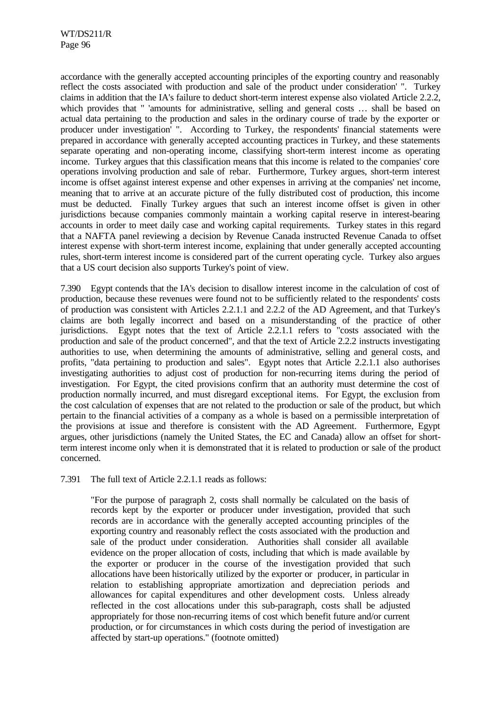accordance with the generally accepted accounting principles of the exporting country and reasonably reflect the costs associated with production and sale of the product under consideration' ". Turkey claims in addition that the IA's failure to deduct short-term interest expense also violated Article 2.2.2, which provides that " 'amounts for administrative, selling and general costs … shall be based on actual data pertaining to the production and sales in the ordinary course of trade by the exporter or producer under investigation' ". According to Turkey, the respondents' financial statements were prepared in accordance with generally accepted accounting practices in Turkey, and these statements separate operating and non-operating income, classifying short-term interest income as operating income. Turkey argues that this classification means that this income is related to the companies' core operations involving production and sale of rebar. Furthermore, Turkey argues, short-term interest income is offset against interest expense and other expenses in arriving at the companies' net income, meaning that to arrive at an accurate picture of the fully distributed cost of production, this income must be deducted. Finally Turkey argues that such an interest income offset is given in other jurisdictions because companies commonly maintain a working capital reserve in interest-bearing accounts in order to meet daily case and working capital requirements. Turkey states in this regard that a NAFTA panel reviewing a decision by Revenue Canada instructed Revenue Canada to offset interest expense with short-term interest income, explaining that under generally accepted accounting rules, short-term interest income is considered part of the current operating cycle. Turkey also argues that a US court decision also supports Turkey's point of view.

7.390 Egypt contends that the IA's decision to disallow interest income in the calculation of cost of production, because these revenues were found not to be sufficiently related to the respondents' costs of production was consistent with Articles 2.2.1.1 and 2.2.2 of the AD Agreement, and that Turkey's claims are both legally incorrect and based on a misunderstanding of the practice of other jurisdictions. Egypt notes that the text of Article 2.2.1.1 refers to "costs associated with the production and sale of the product concerned", and that the text of Article 2.2.2 instructs investigating authorities to use, when determining the amounts of administrative, selling and general costs, and profits, "data pertaining to production and sales". Egypt notes that Article 2.2.1.1 also authorises investigating authorities to adjust cost of production for non-recurring items during the period of investigation. For Egypt, the cited provisions confirm that an authority must determine the cost of production normally incurred, and must disregard exceptional items. For Egypt, the exclusion from the cost calculation of expenses that are not related to the production or sale of the product, but which pertain to the financial activities of a company as a whole is based on a permissible interpretation of the provisions at issue and therefore is consistent with the AD Agreement. Furthermore, Egypt argues, other jurisdictions (namely the United States, the EC and Canada) allow an offset for shortterm interest income only when it is demonstrated that it is related to production or sale of the product concerned.

7.391 The full text of Article 2.2.1.1 reads as follows:

"For the purpose of paragraph 2, costs shall normally be calculated on the basis of records kept by the exporter or producer under investigation, provided that such records are in accordance with the generally accepted accounting principles of the exporting country and reasonably reflect the costs associated with the production and sale of the product under consideration. Authorities shall consider all available evidence on the proper allocation of costs, including that which is made available by the exporter or producer in the course of the investigation provided that such allocations have been historically utilized by the exporter or producer, in particular in relation to establishing appropriate amortization and depreciation periods and allowances for capital expenditures and other development costs. Unless already reflected in the cost allocations under this sub-paragraph, costs shall be adjusted appropriately for those non-recurring items of cost which benefit future and/or current production, or for circumstances in which costs during the period of investigation are affected by start-up operations." (footnote omitted)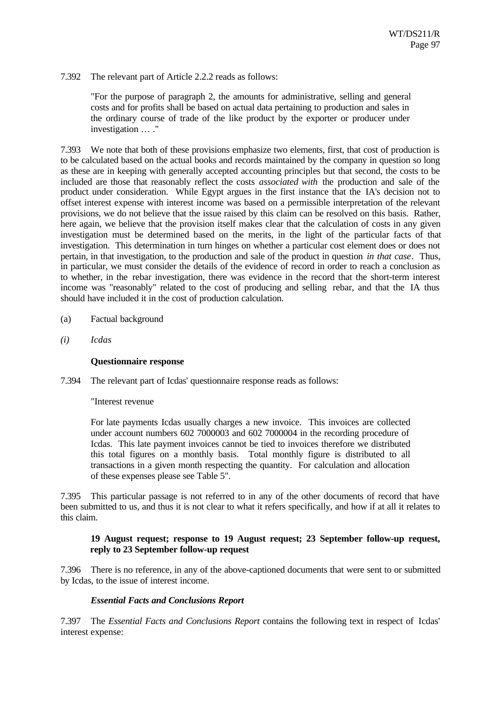7.392 The relevant part of Article 2.2.2 reads as follows:

"For the purpose of paragraph 2, the amounts for administrative, selling and general costs and for profits shall be based on actual data pertaining to production and sales in the ordinary course of trade of the like product by the exporter or producer under investigation … ."

7.393 We note that both of these provisions emphasize two elements, first, that cost of production is to be calculated based on the actual books and records maintained by the company in question so long as these are in keeping with generally accepted accounting principles but that second, the costs to be included are those that reasonably reflect the costs *associated with* the production and sale of the product under consideration. While Egypt argues in the first instance that the IA's decision not to offset interest expense with interest income was based on a permissible interpretation of the relevant provisions, we do not believe that the issue raised by this claim can be resolved on this basis. Rather, here again, we believe that the provision itself makes clear that the calculation of costs in any given investigation must be determined based on the merits, in the light of the particular facts of that investigation. This determination in turn hinges on whether a particular cost element does or does not pertain, in that investigation, to the production and sale of the product in question *in that case*. Thus, in particular, we must consider the details of the evidence of record in order to reach a conclusion as to whether, in the rebar investigation, there was evidence in the record that the short-term interest income was "reasonably" related to the cost of producing and selling rebar, and that the IA thus should have included it in the cost of production calculation.

- (a) Factual background
- *(i) Icdas*

### **Questionnaire response**

7.394 The relevant part of Icdas' questionnaire response reads as follows:

"Interest revenue

For late payments Icdas usually charges a new invoice. This invoices are collected under account numbers 602 7000003 and 602 7000004 in the recording procedure of Icdas. This late payment invoices cannot be tied to invoices therefore we distributed this total figures on a monthly basis. Total monthly figure is distributed to all transactions in a given month respecting the quantity. For calculation and allocation of these expenses please see Table 5".

7.395 This particular passage is not referred to in any of the other documents of record that have been submitted to us, and thus it is not clear to what it refers specifically, and how if at all it relates to this claim.

### **19 August request; response to 19 August request; 23 September follow-up request, reply to 23 September follow-up request**

7.396 There is no reference, in any of the above-captioned documents that were sent to or submitted by Icdas, to the issue of interest income.

### *Essential Facts and Conclusions Report*

7.397 The *Essential Facts and Conclusions Report* contains the following text in respect of Icdas' interest expense: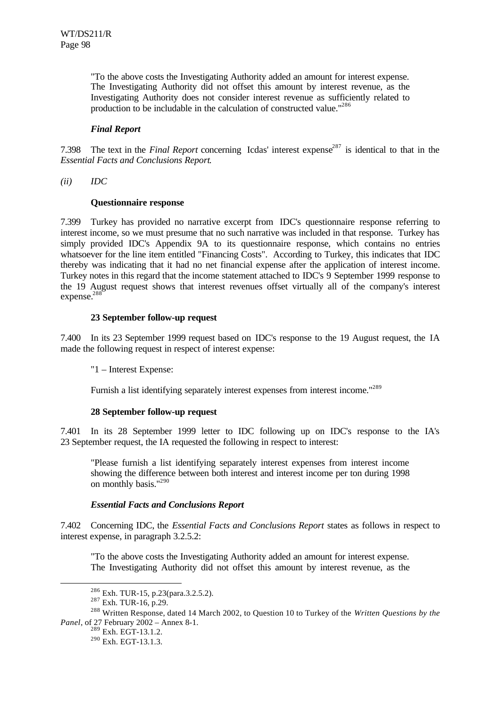"To the above costs the Investigating Authority added an amount for interest expense. The Investigating Authority did not offset this amount by interest revenue, as the Investigating Authority does not consider interest revenue as sufficiently related to production to be includable in the calculation of constructed value."<sup>286</sup>

## *Final Report*

7.398 The text in the *Final Report* concerning Icdas' interest expense<sup>287</sup> is identical to that in the *Essential Facts and Conclusions Report*.

*(ii) IDC*

### **Questionnaire response**

7.399 Turkey has provided no narrative excerpt from IDC's questionnaire response referring to interest income, so we must presume that no such narrative was included in that response. Turkey has simply provided IDC's Appendix 9A to its questionnaire response, which contains no entries whatsoever for the line item entitled "Financing Costs". According to Turkey, this indicates that IDC thereby was indicating that it had no net financial expense after the application of interest income. Turkey notes in this regard that the income statement attached to IDC's 9 September 1999 response to the 19 August request shows that interest revenues offset virtually all of the company's interest expense. 288

## **23 September follow-up request**

7.400 In its 23 September 1999 request based on IDC's response to the 19 August request, the IA made the following request in respect of interest expense:

"1 – Interest Expense:

Furnish a list identifying separately interest expenses from interest income."<sup>289</sup>

### **28 September follow-up request**

7.401 In its 28 September 1999 letter to IDC following up on IDC's response to the IA's 23 September request, the IA requested the following in respect to interest:

"Please furnish a list identifying separately interest expenses from interest income showing the difference between both interest and interest income per ton during 1998 on monthly basis."<sup>290</sup>

### *Essential Facts and Conclusions Report*

7.402 Concerning IDC, the *Essential Facts and Conclusions Report* states as follows in respect to interest expense, in paragraph 3.2.5.2:

"To the above costs the Investigating Authority added an amount for interest expense. The Investigating Authority did not offset this amount by interest revenue, as the

<sup>286</sup> Exh. TUR-15, p.23(para.3.2.5.2).

<sup>287</sup> Exh. TUR-16, p.29.

<sup>288</sup> Written Response, dated 14 March 2002, to Question 10 to Turkey of the *Written Questions by the Panel*, of 27 February 2002 – Annex 8-1.

 $^{289}$  Exh. EGT-13.1.2.

<sup>290</sup> Exh. EGT-13.1.3.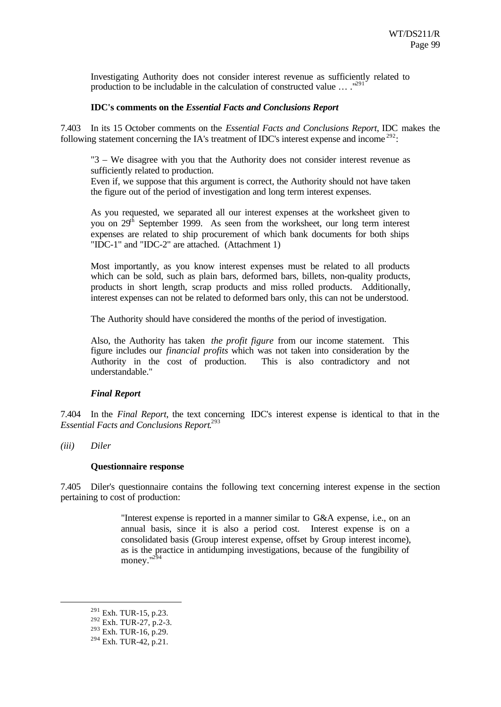Investigating Authority does not consider interest revenue as sufficiently related to production to be includable in the calculation of constructed value  $\ldots$ ."<sup>29</sup>

#### **IDC's comments on the** *Essential Facts and Conclusions Report*

7.403 In its 15 October comments on the *Essential Facts and Conclusions Report*, IDC makes the following statement concerning the IA's treatment of IDC's interest expense and income<sup>292</sup>:

"3 – We disagree with you that the Authority does not consider interest revenue as sufficiently related to production.

Even if, we suppose that this argument is correct, the Authority should not have taken the figure out of the period of investigation and long term interest expenses.

As you requested, we separated all our interest expenses at the worksheet given to you on  $29<sup>th</sup>$  September 1999. As seen from the worksheet, our long term interest expenses are related to ship procurement of which bank documents for both ships "IDC-1" and "IDC-2" are attached. (Attachment 1)

Most importantly, as you know interest expenses must be related to all products which can be sold, such as plain bars, deformed bars, billets, non-quality products, products in short length, scrap products and miss rolled products. Additionally, interest expenses can not be related to deformed bars only, this can not be understood.

The Authority should have considered the months of the period of investigation.

Also, the Authority has taken *the profit figure* from our income statement. This figure includes our *financial profits* which was not taken into consideration by the Authority in the cost of production. This is also contradictory and not understandable."

### *Final Report*

7.404 In the *Final Report*, the text concerning IDC's interest expense is identical to that in the *Essential Facts and Conclusions Report*. 293

*(iii) Diler*

l

#### **Questionnaire response**

7.405 Diler's questionnaire contains the following text concerning interest expense in the section pertaining to cost of production:

> "Interest expense is reported in a manner similar to G&A expense, i.e., on an annual basis, since it is also a period cost. Interest expense is on a consolidated basis (Group interest expense, offset by Group interest income), as is the practice in antidumping investigations, because of the fungibility of money."<sup>294</sup>

<sup>291</sup> Exh. TUR-15, p.23.

 $292$  Exh. TUR-27, p.2-3.

<sup>293</sup> Exh. TUR-16, p.29.

 $294$  Exh. TUR-42, p.21.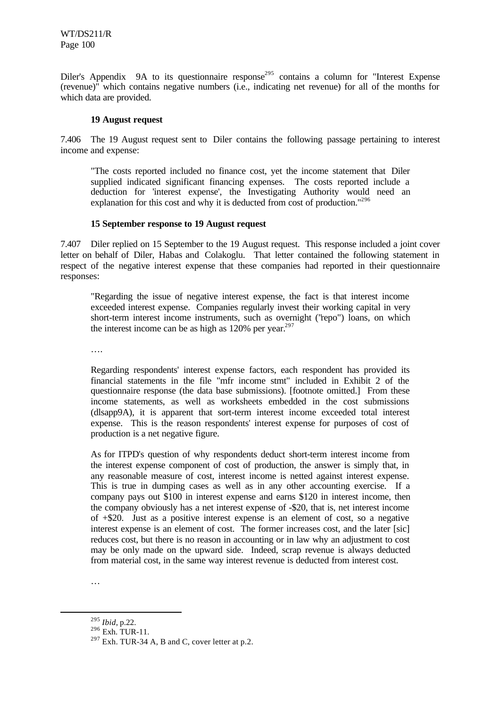Diler's Appendix 9A to its questionnaire response<sup>295</sup> contains a column for "Interest Expense" (revenue)" which contains negative numbers (i.e., indicating net revenue) for all of the months for which data are provided.

### **19 August request**

7.406 The 19 August request sent to Diler contains the following passage pertaining to interest income and expense:

"The costs reported included no finance cost, yet the income statement that Diler supplied indicated significant financing expenses. The costs reported include a deduction for 'interest expense', the Investigating Authority would need an explanation for this cost and why it is deducted from cost of production."<sup>296</sup>

#### **15 September response to 19 August request**

7.407 Diler replied on 15 September to the 19 August request. This response included a joint cover letter on behalf of Diler, Habas and Colakoglu. That letter contained the following statement in respect of the negative interest expense that these companies had reported in their questionnaire responses:

"Regarding the issue of negative interest expense, the fact is that interest income exceeded interest expense. Companies regularly invest their working capital in very short-term interest income instruments, such as overnight ("repo") loans, on which the interest income can be as high as  $120\%$  per year.<sup>297</sup>

….

Regarding respondents' interest expense factors, each respondent has provided its financial statements in the file "mfr income stmt" included in Exhibit 2 of the questionnaire response (the data base submissions). [footnote omitted.] From these income statements, as well as worksheets embedded in the cost submissions (dlsapp9A), it is apparent that sort-term interest income exceeded total interest expense. This is the reason respondents' interest expense for purposes of cost of production is a net negative figure.

As for ITPD's question of why respondents deduct short-term interest income from the interest expense component of cost of production, the answer is simply that, in any reasonable measure of cost, interest income is netted against interest expense. This is true in dumping cases as well as in any other accounting exercise. If a company pays out \$100 in interest expense and earns \$120 in interest income, then the company obviously has a net interest expense of -\$20, that is, net interest income of +\$20. Just as a positive interest expense is an element of cost, so a negative interest expense is an element of cost. The former increases cost, and the later [sic] reduces cost, but there is no reason in accounting or in law why an adjustment to cost may be only made on the upward side. Indeed, scrap revenue is always deducted from material cost, in the same way interest revenue is deducted from interest cost.

<sup>…</sup>

<sup>295</sup> *Ibid*, p.22.

 $296$  Exh. TUR-11.

 $297$  Exh. TUR-34 A, B and C, cover letter at p.2.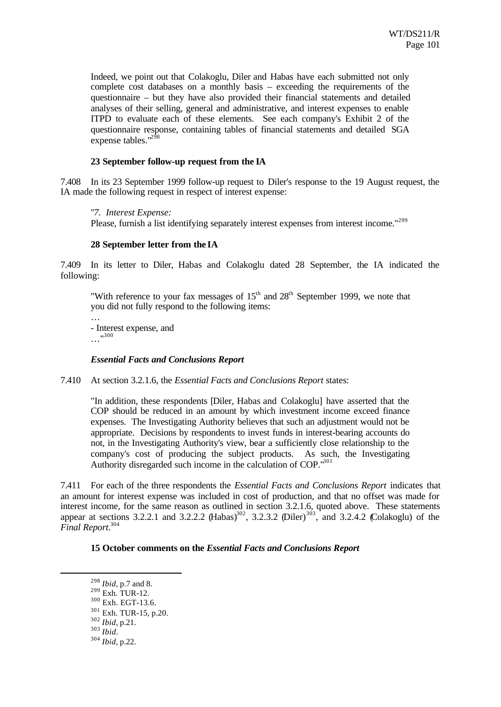Indeed, we point out that Colakoglu, Diler and Habas have each submitted not only complete cost databases on a monthly basis – exceeding the requirements of the questionnaire – but they have also provided their financial statements and detailed analyses of their selling, general and administrative, and interest expenses to enable ITPD to evaluate each of these elements. See each company's Exhibit 2 of the questionnaire response, containing tables of financial statements and detailed SGA expense tables." $2^{98}$ 

#### **23 September follow-up request from the IA**

7.408 In its 23 September 1999 follow-up request to Diler's response to the 19 August request, the IA made the following request in respect of interest expense:

#### "*7. Interest Expense:*

Please, furnish a list identifying separately interest expenses from interest income."<sup>299</sup>

#### **28 September letter from the IA**

7.409 In its letter to Diler, Habas and Colakoglu dated 28 September, the IA indicated the following:

"With reference to your fax messages of  $15<sup>th</sup>$  and  $28<sup>th</sup>$  September 1999, we note that you did not fully respond to the following items:

… - Interest expense, and …"<sup>300</sup>

#### *Essential Facts and Conclusions Report*

7.410 At section 3.2.1.6, the *Essential Facts and Conclusions Report* states:

"In addition, these respondents [Diler, Habas and Colakoglu] have asserted that the COP should be reduced in an amount by which investment income exceed finance expenses. The Investigating Authority believes that such an adjustment would not be appropriate. Decisions by respondents to invest funds in interest-bearing accounts do not, in the Investigating Authority's view, bear a sufficiently close relationship to the company's cost of producing the subject products. As such, the Investigating Authority disregarded such income in the calculation of COP.<sup>1301</sup>

7.411 For each of the three respondents the *Essential Facts and Conclusions Report* indicates that an amount for interest expense was included in cost of production, and that no offset was made for interest income, for the same reason as outlined in section 3.2.1.6, quoted above. These statements appear at sections  $3.2.2.1$  and  $3.2.2.2$  (Habas)<sup>302</sup>,  $3.2.3.2$  (Diler)<sup>303</sup>, and  $3.2.4.2$  (Colakoglu) of the *Final Report*. 304

#### **15 October comments on the** *Essential Facts and Conclusions Report*

<sup>298</sup> *Ibid*, p.7 and 8.

<sup>299</sup> Exh. TUR-12.

<sup>300</sup> Exh. EGT-13.6.

<sup>301</sup> Exh. TUR-15, p.20.

<sup>302</sup> *Ibid*, p.21.

<sup>303</sup> *Ibid.*

<sup>304</sup> *Ibid*, p.22.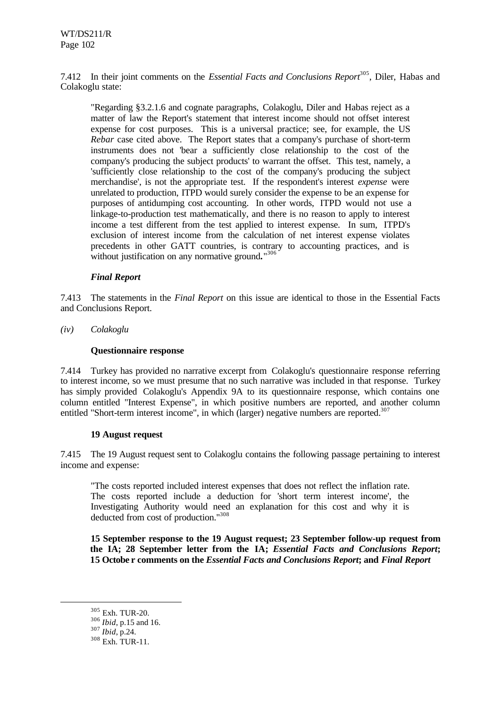7.412 In their joint comments on the *Essential Facts and Conclusions Report*<sup>305</sup>, Diler, Habas and Colakoglu state:

"Regarding §3.2.1.6 and cognate paragraphs, Colakoglu, Diler and Habas reject as a matter of law the Report's statement that interest income should not offset interest expense for cost purposes. This is a universal practice; see, for example, the US *Rebar* case cited above. The Report states that a company's purchase of short-term instruments does not 'bear a sufficiently close relationship to the cost of the company's producing the subject products' to warrant the offset. This test, namely, a 'sufficiently close relationship to the cost of the company's producing the subject merchandise', is not the appropriate test. If the respondent's interest *expense* were unrelated to production, ITPD would surely consider the expense to be an expense for purposes of antidumping cost accounting. In other words, ITPD would not use a linkage-to-production test mathematically, and there is no reason to apply to interest income a test different from the test applied to interest expense. In sum, ITPD's exclusion of interest income from the calculation of net interest expense violates precedents in other GATT countries, is contrary to accounting practices, and is without justification on any normative ground**.**" 306

## *Final Report*

7.413 The statements in the *Final Report* on this issue are identical to those in the Essential Facts and Conclusions Report.

*(iv) Colakoglu*

#### **Questionnaire response**

7.414 Turkey has provided no narrative excerpt from Colakoglu's questionnaire response referring to interest income, so we must presume that no such narrative was included in that response. Turkey has simply provided Colakoglu's Appendix 9A to its questionnaire response, which contains one column entitled "Interest Expense", in which positive numbers are reported, and another column entitled "Short-term interest income", in which (larger) negative numbers are reported. $307$ 

### **19 August request**

7.415 The 19 August request sent to Colakoglu contains the following passage pertaining to interest income and expense:

"The costs reported included interest expenses that does not reflect the inflation rate. The costs reported include a deduction for 'short term interest income', the Investigating Authority would need an explanation for this cost and why it is deducted from cost of production."<sup>308</sup>

**15 September response to the 19 August request; 23 September follow-up request from the IA; 28 September letter from the IA;** *Essential Facts and Conclusions Report***; 15 Octobe r comments on the** *Essential Facts and Conclusions Report***; and** *Final Report*

<sup>305</sup> Exh. TUR-20.

<sup>306</sup> *Ibid*, p.15 and 16.

<sup>307</sup> *Ibid*, p.24.

<sup>308</sup> Exh. TUR-11.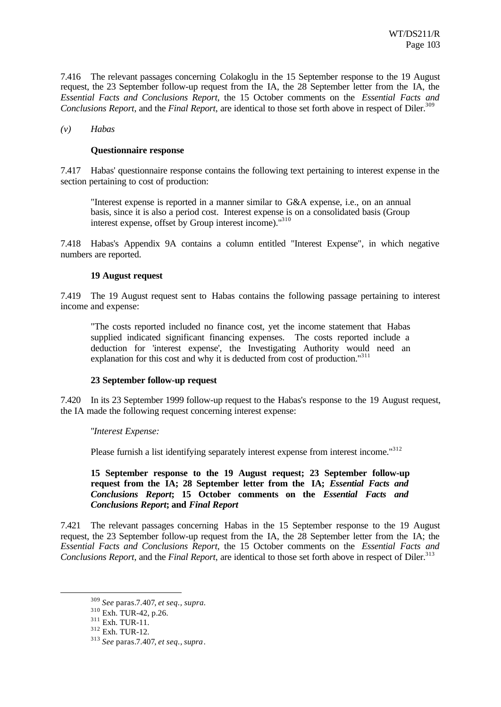7.416 The relevant passages concerning Colakoglu in the 15 September response to the 19 August request, the 23 September follow-up request from the IA, the 28 September letter from the IA, the *Essential Facts and Conclusions Report*, the 15 October comments on the *Essential Facts and Conclusions Report*, and the *Final Report*, are identical to those set forth above in respect of Diler.<sup>309</sup>

#### *(v) Habas*

#### **Questionnaire response**

7.417 Habas' questionnaire response contains the following text pertaining to interest expense in the section pertaining to cost of production:

"Interest expense is reported in a manner similar to G&A expense, i.e., on an annual basis, since it is also a period cost. Interest expense is on a consolidated basis (Group interest expense, offset by Group interest income)."<sup>310</sup>

7.418 Habas's Appendix 9A contains a column entitled "Interest Expense", in which negative numbers are reported.

#### **19 August request**

7.419 The 19 August request sent to Habas contains the following passage pertaining to interest income and expense:

"The costs reported included no finance cost, yet the income statement that Habas supplied indicated significant financing expenses. The costs reported include a deduction for 'interest expense', the Investigating Authority would need an explanation for this cost and why it is deducted from cost of production."<sup>311</sup>

## **23 September follow-up request**

7.420 In its 23 September 1999 follow-up request to the Habas's response to the 19 August request, the IA made the following request concerning interest expense:

## "*Interest Expense:*

Please furnish a list identifying separately interest expense from interest income."<sup>312</sup>

## **15 September response to the 19 August request; 23 September follow-up request from the IA; 28 September letter from the IA;** *Essential Facts and Conclusions Report***; 15 October comments on the** *Essential Facts and Conclusions Report***; and** *Final Report*

7.421 The relevant passages concerning Habas in the 15 September response to the 19 August request, the 23 September follow-up request from the IA, the 28 September letter from the IA; the *Essential Facts and Conclusions Report*, the 15 October comments on the *Essential Facts and Conclusions Report*, and the *Final Report*, are identical to those set forth above in respect of Diler.<sup>313</sup>

l

<sup>309</sup> *See* paras.7.407, *et seq., supra.*

<sup>310</sup> Exh. TUR-42, p.26.

 $311$  Exh. TUR-11.

<sup>312</sup> Exh. TUR-12.

<sup>313</sup> *See* paras.7.407, *et seq.*, *supra*.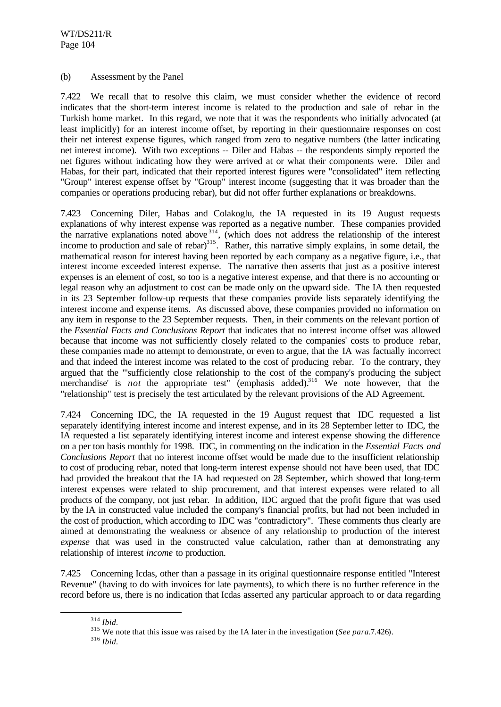# (b) Assessment by the Panel

7.422 We recall that to resolve this claim, we must consider whether the evidence of record indicates that the short-term interest income is related to the production and sale of rebar in the Turkish home market. In this regard, we note that it was the respondents who initially advocated (at least implicitly) for an interest income offset, by reporting in their questionnaire responses on cost their net interest expense figures, which ranged from zero to negative numbers (the latter indicating net interest income). With two exceptions -- Diler and Habas -- the respondents simply reported the net figures without indicating how they were arrived at or what their components were. Diler and Habas, for their part, indicated that their reported interest figures were "consolidated" item reflecting "Group" interest expense offset by "Group" interest income (suggesting that it was broader than the companies or operations producing rebar), but did not offer further explanations or breakdowns.

7.423 Concerning Diler, Habas and Colakoglu, the IA requested in its 19 August requests explanations of why interest expense was reported as a negative number. These companies provided the narrative explanations noted above  $314$ , (which does not address the relationship of the interest income to production and sale of rebar)<sup>315</sup>. Rather, this narrative simply explains, in some detail, the mathematical reason for interest having been reported by each company as a negative figure, i.e., that interest income exceeded interest expense. The narrative then asserts that just as a positive interest expenses is an element of cost, so too is a negative interest expense, and that there is no accounting or legal reason why an adjustment to cost can be made only on the upward side. The IA then requested in its 23 September follow-up requests that these companies provide lists separately identifying the interest income and expense items. As discussed above, these companies provided no information on any item in response to the 23 September requests. Then, in their comments on the relevant portion of the *Essential Facts and Conclusions Report* that indicates that no interest income offset was allowed because that income was not sufficiently closely related to the companies' costs to produce rebar, these companies made no attempt to demonstrate, or even to argue, that the IA was factually incorrect and that indeed the interest income was related to the cost of producing rebar. To the contrary, they argued that the "'sufficiently close relationship to the cost of the company's producing the subject merchandise' is *not* the appropriate test" (emphasis added).<sup>316</sup> We note however, that the "relationship" test is precisely the test articulated by the relevant provisions of the AD Agreement.

7.424 Concerning IDC, the IA requested in the 19 August request that IDC requested a list separately identifying interest income and interest expense, and in its 28 September letter to IDC, the IA requested a list separately identifying interest income and interest expense showing the difference on a per ton basis monthly for 1998. IDC, in commenting on the indication in the *Essential Facts and Conclusions Report* that no interest income offset would be made due to the insufficient relationship to cost of producing rebar, noted that long-term interest expense should not have been used, that IDC had provided the breakout that the IA had requested on 28 September, which showed that long-term interest expenses were related to ship procurement, and that interest expenses were related to all products of the company, not just rebar. In addition, IDC argued that the profit figure that was used by the IA in constructed value included the company's financial profits, but had not been included in the cost of production, which according to IDC was "contradictory". These comments thus clearly are aimed at demonstrating the weakness or absence of any relationship to production of the interest *expense* that was used in the constructed value calculation, rather than at demonstrating any relationship of interest *income* to production.

7.425 Concerning Icdas, other than a passage in its original questionnaire response entitled "Interest Revenue" (having to do with invoices for late payments), to which there is no further reference in the record before us, there is no indication that Icdas asserted any particular approach to or data regarding

l

<sup>314</sup> *Ibid.*

<sup>315</sup> We note that this issue was raised by the IA later in the investigation (*See para.*7.426).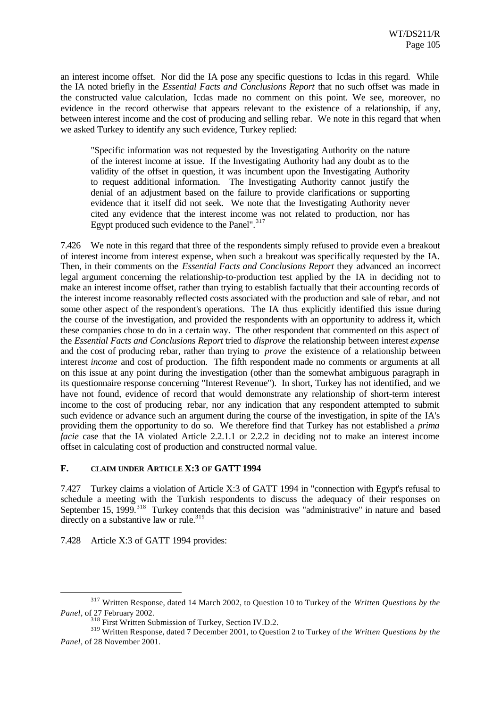an interest income offset. Nor did the IA pose any specific questions to Icdas in this regard. While the IA noted briefly in the *Essential Facts and Conclusions Report* that no such offset was made in the constructed value calculation, Icdas made no comment on this point. We see, moreover, no evidence in the record otherwise that appears relevant to the existence of a relationship, if any, between interest income and the cost of producing and selling rebar. We note in this regard that when we asked Turkey to identify any such evidence, Turkey replied:

"Specific information was not requested by the Investigating Authority on the nature of the interest income at issue. If the Investigating Authority had any doubt as to the validity of the offset in question, it was incumbent upon the Investigating Authority to request additional information. The Investigating Authority cannot justify the denial of an adjustment based on the failure to provide clarifications or supporting evidence that it itself did not seek. We note that the Investigating Authority never cited any evidence that the interest income was not related to production, nor has Egypt produced such evidence to the Panel".<sup>317</sup>

7.426 We note in this regard that three of the respondents simply refused to provide even a breakout of interest income from interest expense, when such a breakout was specifically requested by the IA. Then, in their comments on the *Essential Facts and Conclusions Report* they advanced an incorrect legal argument concerning the relationship-to-production test applied by the IA in deciding not to make an interest income offset, rather than trying to establish factually that their accounting records of the interest income reasonably reflected costs associated with the production and sale of rebar, and not some other aspect of the respondent's operations. The IA thus explicitly identified this issue during the course of the investigation, and provided the respondents with an opportunity to address it, which these companies chose to do in a certain way. The other respondent that commented on this aspect of the *Essential Facts and Conclusions Report* tried to *disprove* the relationship between interest *expense* and the cost of producing rebar, rather than trying to *prove* the existence of a relationship between interest *income* and cost of production. The fifth respondent made no comments or arguments at all on this issue at any point during the investigation (other than the somewhat ambiguous paragraph in its questionnaire response concerning "Interest Revenue"). In short, Turkey has not identified, and we have not found, evidence of record that would demonstrate any relationship of short-term interest income to the cost of producing rebar, nor any indication that any respondent attempted to submit such evidence or advance such an argument during the course of the investigation, in spite of the IA's providing them the opportunity to do so. We therefore find that Turkey has not established a *prima facie* case that the IA violated Article 2.2.1.1 or 2.2.2 in deciding not to make an interest income offset in calculating cost of production and constructed normal value.

## **F. CLAIM UNDER ARTICLE X:3 OF GATT 1994**

7.427 Turkey claims a violation of Article X:3 of GATT 1994 in "connection with Egypt's refusal to schedule a meeting with the Turkish respondents to discuss the adequacy of their responses on September 15, 1999.<sup>318</sup> Turkey contends that this decision was "administrative" in nature and based directly on a substantive law or rule. $319$ 

7.428 Article X:3 of GATT 1994 provides:

l

<sup>317</sup> Written Response, dated 14 March 2002, to Question 10 to Turkey of the *Written Questions by the Panel*, of 27 February 2002.

<sup>&</sup>lt;sup>318</sup> First Written Submission of Turkey, Section IV.D.2.

<sup>319</sup> Written Response, dated 7 December 2001, to Question 2 to Turkey of *the Written Questions by the Panel*, of 28 November 2001.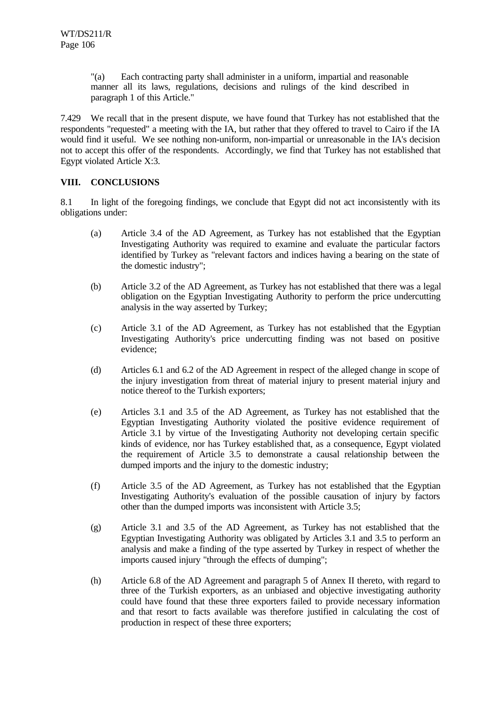"(a) Each contracting party shall administer in a uniform, impartial and reasonable manner all its laws, regulations, decisions and rulings of the kind described in paragraph 1 of this Article."

7.429 We recall that in the present dispute, we have found that Turkey has not established that the respondents "requested" a meeting with the IA, but rather that they offered to travel to Cairo if the IA would find it useful. We see nothing non-uniform, non-impartial or unreasonable in the IA's decision not to accept this offer of the respondents. Accordingly, we find that Turkey has not established that Egypt violated Article X:3.

# **VIII. CONCLUSIONS**

8.1 In light of the foregoing findings, we conclude that Egypt did not act inconsistently with its obligations under:

- (a) Article 3.4 of the AD Agreement, as Turkey has not established that the Egyptian Investigating Authority was required to examine and evaluate the particular factors identified by Turkey as "relevant factors and indices having a bearing on the state of the domestic industry";
- (b) Article 3.2 of the AD Agreement, as Turkey has not established that there was a legal obligation on the Egyptian Investigating Authority to perform the price undercutting analysis in the way asserted by Turkey;
- (c) Article 3.1 of the AD Agreement, as Turkey has not established that the Egyptian Investigating Authority's price undercutting finding was not based on positive evidence;
- (d) Articles 6.1 and 6.2 of the AD Agreement in respect of the alleged change in scope of the injury investigation from threat of material injury to present material injury and notice thereof to the Turkish exporters;
- (e) Articles 3.1 and 3.5 of the AD Agreement, as Turkey has not established that the Egyptian Investigating Authority violated the positive evidence requirement of Article 3.1 by virtue of the Investigating Authority not developing certain specific kinds of evidence, nor has Turkey established that, as a consequence, Egypt violated the requirement of Article 3.5 to demonstrate a causal relationship between the dumped imports and the injury to the domestic industry;
- (f) Article 3.5 of the AD Agreement, as Turkey has not established that the Egyptian Investigating Authority's evaluation of the possible causation of injury by factors other than the dumped imports was inconsistent with Article 3.5;
- (g) Article 3.1 and 3.5 of the AD Agreement, as Turkey has not established that the Egyptian Investigating Authority was obligated by Articles 3.1 and 3.5 to perform an analysis and make a finding of the type asserted by Turkey in respect of whether the imports caused injury "through the effects of dumping";
- (h) Article 6.8 of the AD Agreement and paragraph 5 of Annex II thereto, with regard to three of the Turkish exporters, as an unbiased and objective investigating authority could have found that these three exporters failed to provide necessary information and that resort to facts available was therefore justified in calculating the cost of production in respect of these three exporters;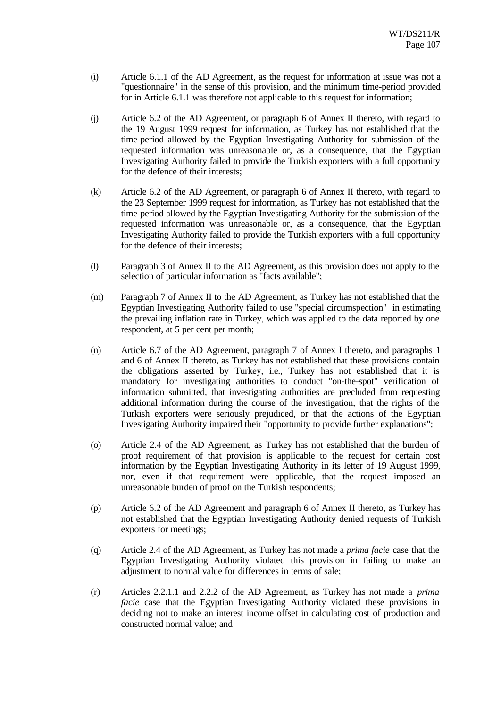- (i) Article 6.1.1 of the AD Agreement, as the request for information at issue was not a "questionnaire" in the sense of this provision, and the minimum time-period provided for in Article 6.1.1 was therefore not applicable to this request for information;
- (j) Article 6.2 of the AD Agreement, or paragraph 6 of Annex II thereto, with regard to the 19 August 1999 request for information, as Turkey has not established that the time-period allowed by the Egyptian Investigating Authority for submission of the requested information was unreasonable or, as a consequence, that the Egyptian Investigating Authority failed to provide the Turkish exporters with a full opportunity for the defence of their interests;
- (k) Article 6.2 of the AD Agreement, or paragraph 6 of Annex II thereto, with regard to the 23 September 1999 request for information, as Turkey has not established that the time-period allowed by the Egyptian Investigating Authority for the submission of the requested information was unreasonable or, as a consequence, that the Egyptian Investigating Authority failed to provide the Turkish exporters with a full opportunity for the defence of their interests;
- (l) Paragraph 3 of Annex II to the AD Agreement, as this provision does not apply to the selection of particular information as "facts available";
- (m) Paragraph 7 of Annex II to the AD Agreement, as Turkey has not established that the Egyptian Investigating Authority failed to use "special circumspection" in estimating the prevailing inflation rate in Turkey, which was applied to the data reported by one respondent, at 5 per cent per month;
- (n) Article 6.7 of the AD Agreement, paragraph 7 of Annex I thereto, and paragraphs 1 and 6 of Annex II thereto, as Turkey has not established that these provisions contain the obligations asserted by Turkey, i.e., Turkey has not established that it is mandatory for investigating authorities to conduct "on-the-spot" verification of information submitted, that investigating authorities are precluded from requesting additional information during the course of the investigation, that the rights of the Turkish exporters were seriously prejudiced, or that the actions of the Egyptian Investigating Authority impaired their "opportunity to provide further explanations";
- (o) Article 2.4 of the AD Agreement, as Turkey has not established that the burden of proof requirement of that provision is applicable to the request for certain cost information by the Egyptian Investigating Authority in its letter of 19 August 1999, nor, even if that requirement were applicable, that the request imposed an unreasonable burden of proof on the Turkish respondents;
- (p) Article 6.2 of the AD Agreement and paragraph 6 of Annex II thereto, as Turkey has not established that the Egyptian Investigating Authority denied requests of Turkish exporters for meetings;
- (q) Article 2.4 of the AD Agreement, as Turkey has not made a *prima facie* case that the Egyptian Investigating Authority violated this provision in failing to make an adjustment to normal value for differences in terms of sale;
- (r) Articles 2.2.1.1 and 2.2.2 of the AD Agreement, as Turkey has not made a *prima facie* case that the Egyptian Investigating Authority violated these provisions in deciding not to make an interest income offset in calculating cost of production and constructed normal value; and